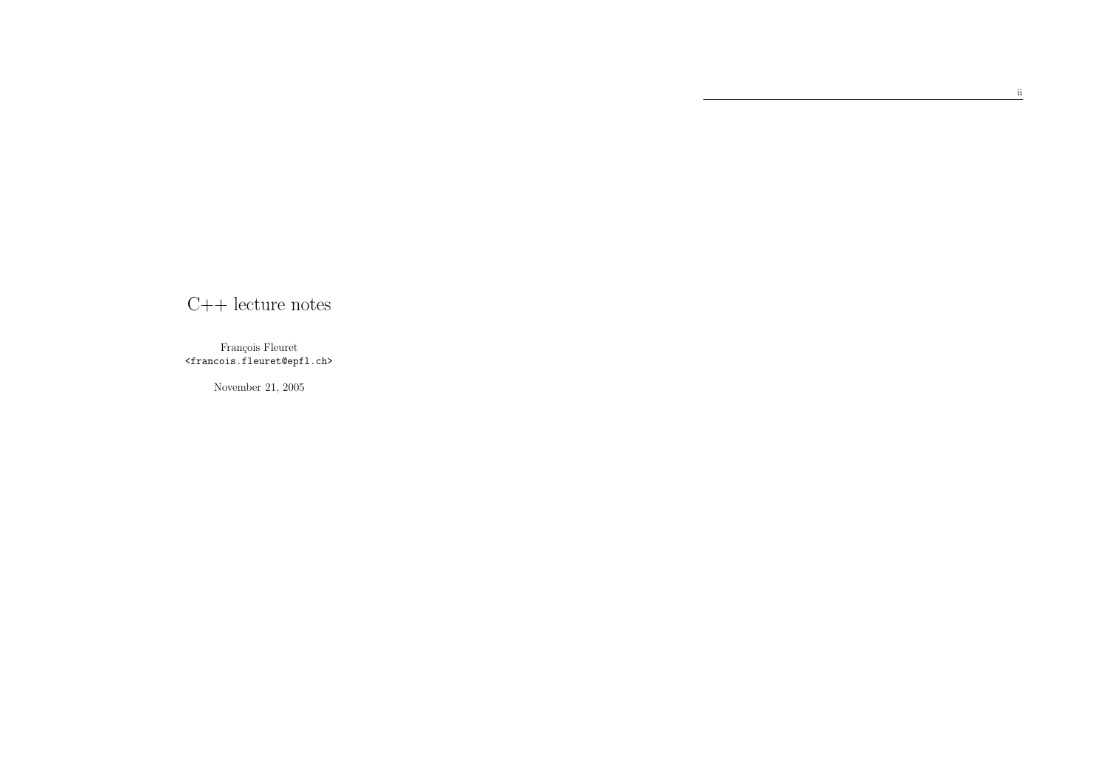$C++$  lecture notes

Fran¸cois Fleuret <francois.fleuret@epfl.ch>

November 21, <sup>2005</sup>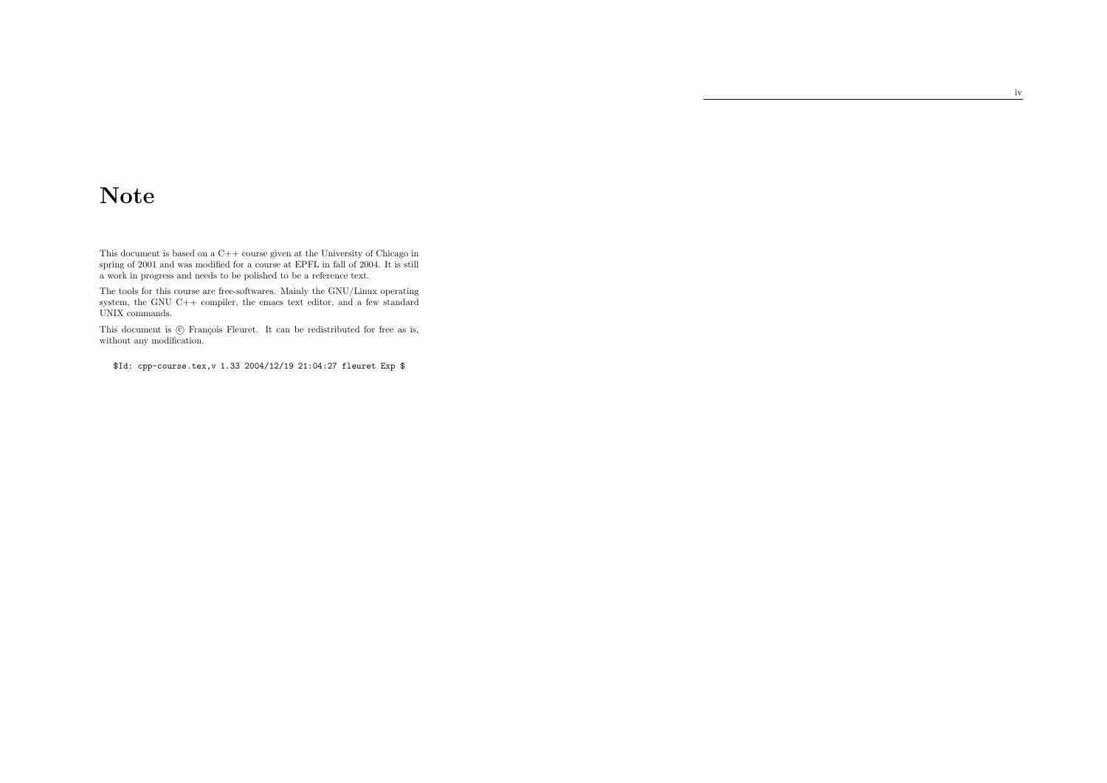# Note

This document is based on <sup>a</sup> C++ course <sup>g</sup>iven at the University of Chicago in spring of <sup>2001</sup> and was modified for <sup>a</sup> course at EPFL in fall of 2004. It is still <sup>a</sup> work in progress and needs to be polished to be <sup>a</sup> reference text.

The tools for this course are free-softwares. Mainly the GNU/Linux operatingsystem, the GNU C++ compiler, the emacs text editor, and a few standard UNIX commands.

This document is  $\odot$  François Fleuret. It can be redistributed for free as is, without any modification.

\$Id: cpp-course.tex,v 1.33 2004/12/19 21:04:27 fleuret Exp \$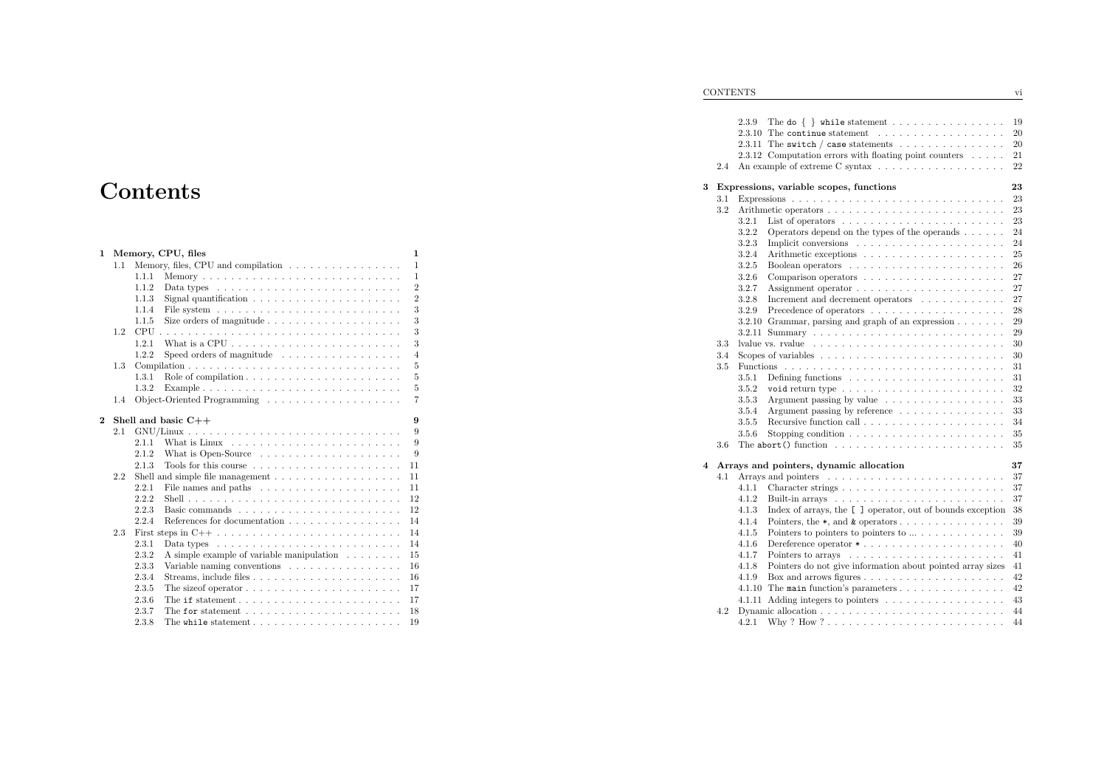# Contents

| 1              |     | Memory, CPU, files<br>1                                                                                |  |
|----------------|-----|--------------------------------------------------------------------------------------------------------|--|
|                | 1.1 | Memory, files, CPU and compilation $\ldots \ldots \ldots \ldots \ldots$<br>$\mathbf{1}$                |  |
|                |     | 1.1.1<br>$\mathbf{1}$                                                                                  |  |
|                |     | $\overline{2}$<br>1.1.2<br>Data types $\ldots \ldots \ldots \ldots \ldots \ldots \ldots \ldots \ldots$ |  |
|                |     | $\overline{2}$<br>1.1.3                                                                                |  |
|                |     | 3<br>1.1.4                                                                                             |  |
|                |     | 3<br>Size orders of magnitude $\ldots \ldots \ldots \ldots \ldots \ldots$<br>1.1.5                     |  |
|                | 1.2 | 3                                                                                                      |  |
|                |     | 3<br>121                                                                                               |  |
|                |     | Speed orders of magnitude $\ldots \ldots \ldots \ldots \ldots$<br>1.2.2<br>$\overline{4}$              |  |
|                | 1.3 | 5                                                                                                      |  |
|                |     | $\overline{5}$<br>1.3.1                                                                                |  |
|                |     | 5<br>1.3.2                                                                                             |  |
|                | 1.4 | $\overline{7}$                                                                                         |  |
|                |     |                                                                                                        |  |
| $\overline{2}$ |     | Shell and basic $C++$<br>9                                                                             |  |
|                | 2.1 | 9                                                                                                      |  |
|                |     | 9<br>2.1.1<br>What is Linux $\ldots$ , $\ldots$ , $\ldots$ , $\ldots$ , $\ldots$ , $\ldots$ , $\ldots$ |  |
|                |     | 9<br>2.1.2<br>What is Open-Source $\dots \dots \dots \dots \dots \dots \dots$                          |  |
|                |     | 11<br>2.1.3                                                                                            |  |
|                | 2.2 | 11                                                                                                     |  |
|                |     | 2.2.1<br>11                                                                                            |  |
|                |     | 2.2.2<br>12                                                                                            |  |
|                |     | 2.2.3<br>12                                                                                            |  |
|                |     | References for documentation<br>2.2.4<br>14                                                            |  |
|                | 2.3 | First steps in $C++ \ldots \ldots \ldots \ldots \ldots \ldots \ldots \ldots$<br>14                     |  |
|                |     | 2.3.1<br>14                                                                                            |  |
|                |     | 2.3.2<br>A simple example of variable manipulation $\dots \dots$<br>15                                 |  |
|                |     | 16<br>2.3.3<br>Variable naming conventions $\ldots \ldots \ldots \ldots \ldots$                        |  |
|                |     | 2.3.4<br>16                                                                                            |  |
|                |     | 2.3.5<br>The size of operator $\ldots \ldots \ldots \ldots \ldots \ldots \ldots \ldots$<br>17          |  |
|                |     | 2.3.6<br>17                                                                                            |  |
|                |     | 2.3.7<br>18<br>The for statement $\dots \dots \dots \dots \dots \dots \dots \dots$                     |  |
|                |     | 2.3.8<br>The while statement $\dots \dots \dots \dots \dots \dots \dots \dots$<br>19                   |  |
|                |     |                                                                                                        |  |

|  | CONTENTS |  |
|--|----------|--|
|  |          |  |

|   |         | 2.3.9  | The do $\{\}\$ while statement                                                                                                        | 19 |
|---|---------|--------|---------------------------------------------------------------------------------------------------------------------------------------|----|
|   |         |        | $2.3.10$ The continue statement                                                                                                       | 20 |
|   |         |        | $2.3.11$ The switch / case statements                                                                                                 | 20 |
|   |         |        | $2.3.12$ Computation errors with floating point counters<br>$\phantom{1}.\phantom{1}.\phantom{1}.\phantom{1}.\phantom{1}.\phantom{1}$ | 21 |
|   | $2.4\,$ |        |                                                                                                                                       | 22 |
|   |         |        |                                                                                                                                       |    |
| 3 |         |        | Expressions, variable scopes, functions                                                                                               | 23 |
|   | 3.1     |        |                                                                                                                                       | 23 |
|   | 3.2     |        |                                                                                                                                       | 23 |
|   |         | 3.2.1  |                                                                                                                                       | 23 |
|   |         | 3.2.2  | Operators depend on the types of the operands $\ldots \ldots$                                                                         | 24 |
|   |         | 3.2.3  |                                                                                                                                       | 24 |
|   |         | 3.2.4  |                                                                                                                                       | 25 |
|   |         | 3.2.5  |                                                                                                                                       | 26 |
|   |         | 3.2.6  |                                                                                                                                       | 27 |
|   |         | 3.2.7  |                                                                                                                                       | 27 |
|   |         | 3.2.8  | Increment and decrement operators                                                                                                     | 27 |
|   |         | 3.2.9  |                                                                                                                                       | 28 |
|   |         |        | 3.2.10 Grammar, parsing and graph of an expression                                                                                    | 29 |
|   |         |        |                                                                                                                                       | 29 |
|   | $3.3\,$ |        |                                                                                                                                       | 30 |
|   | 3.4     |        | Scopes of variables $\ldots \ldots \ldots \ldots \ldots \ldots \ldots \ldots$                                                         | 30 |
|   | 3.5     |        |                                                                                                                                       | 31 |
|   |         | 3.5.1  |                                                                                                                                       | 31 |
|   |         | 3.5.2  |                                                                                                                                       | 32 |
|   |         | 3.5.3  | Argument passing by value $\ldots \ldots \ldots \ldots \ldots$                                                                        | 33 |
|   |         | 3.5.4  | Argument passing by reference $\ldots \ldots \ldots \ldots \ldots$                                                                    | 33 |
|   |         | 3.5.5  |                                                                                                                                       | 34 |
|   |         | 3.5.6  | Stopping condition $\ldots \ldots \ldots \ldots \ldots \ldots \ldots$                                                                 | 35 |
|   | 3.6     |        | The abort () function $\ldots \ldots \ldots \ldots \ldots \ldots \ldots \ldots$                                                       | 35 |
|   |         |        |                                                                                                                                       |    |
| 4 |         |        | Arrays and pointers, dynamic allocation                                                                                               | 37 |
|   | 4.1     |        | Arrays and pointers $\ldots \ldots \ldots \ldots \ldots \ldots \ldots \ldots \ldots \ldots$                                           | 37 |
|   |         | 4.1.1  |                                                                                                                                       | 37 |
|   |         | 4.1.2  |                                                                                                                                       | 37 |
|   |         | 4.1.3  | Index of arrays, the [ ] operator, out of bounds exception                                                                            | 38 |
|   |         | 4.1.4  | Pointers, the $*$ , and $\&$ operators                                                                                                | 39 |
|   |         | 4.1.5  | Pointers to pointers to pointers to                                                                                                   | 39 |
|   |         | 4.1.6  |                                                                                                                                       | 40 |
|   |         | 4.1.7  |                                                                                                                                       | 41 |
|   |         | 4.1.8  | Pointers do not give information about pointed array sizes                                                                            | 41 |
|   |         | 4.1.9  |                                                                                                                                       | 42 |
|   |         | 4.1.10 | The main function's parameters                                                                                                        | 42 |
|   |         |        |                                                                                                                                       | 43 |
|   | 4.2     |        |                                                                                                                                       | 44 |
|   |         | 4.2.1  |                                                                                                                                       | 44 |

s vi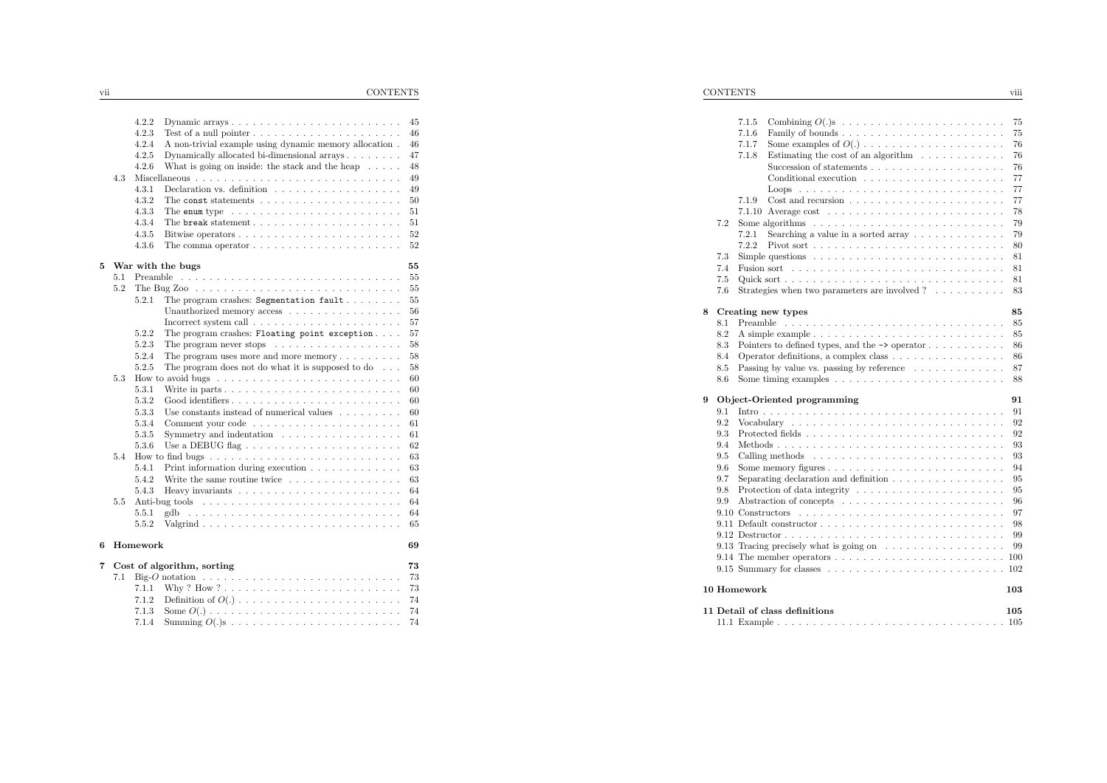vii CONTENTS

|   | 4.3 | 4.2.2<br>4.2.3<br>4.2.4<br>4.2.5<br>4.2.6<br>4.3.1<br>4.3.2<br>4.3.3<br>4.3.4<br>4.3.5<br>4.3.6 | Test of a null pointer $\dots \dots \dots \dots \dots \dots \dots \dots \dots$<br>A non-trivial example using dynamic memory allocation.<br>Dynamically allocated bi-dimensional arrays<br>What is going on inside: the stack and the heap $\dots$ .<br>Declaration vs. definition $\ldots \ldots \ldots \ldots \ldots$<br>The const statements $\dots \dots \dots \dots \dots \dots \dots$<br>The enum type $\ldots \ldots \ldots \ldots \ldots \ldots \ldots \ldots$<br>The break statement<br>The comma operator $\ldots \ldots \ldots \ldots \ldots \ldots \ldots$ | 45<br>46<br>46<br>47<br>48<br>49<br>49<br>50<br>51<br>51<br>52<br>52 |
|---|-----|-------------------------------------------------------------------------------------------------|------------------------------------------------------------------------------------------------------------------------------------------------------------------------------------------------------------------------------------------------------------------------------------------------------------------------------------------------------------------------------------------------------------------------------------------------------------------------------------------------------------------------------------------------------------------------|----------------------------------------------------------------------|
| 5 |     |                                                                                                 | War with the bugs                                                                                                                                                                                                                                                                                                                                                                                                                                                                                                                                                      | 55                                                                   |
|   | 5.1 | Preamble                                                                                        | $\overline{\phantom{a}}$                                                                                                                                                                                                                                                                                                                                                                                                                                                                                                                                               | 55                                                                   |
|   | 5.2 |                                                                                                 |                                                                                                                                                                                                                                                                                                                                                                                                                                                                                                                                                                        | 55                                                                   |
|   |     | 5.2.1                                                                                           | The program crashes: Segmentation $fault \ldots \ldots$ .                                                                                                                                                                                                                                                                                                                                                                                                                                                                                                              | 55                                                                   |
|   |     |                                                                                                 | Unauthorized memory access                                                                                                                                                                                                                                                                                                                                                                                                                                                                                                                                             | 56                                                                   |
|   |     |                                                                                                 | Incorrect system call $\ldots \ldots \ldots \ldots \ldots \ldots \ldots$                                                                                                                                                                                                                                                                                                                                                                                                                                                                                               | 57                                                                   |
|   |     | 5.2.2                                                                                           | The program crashes: Floating point exception                                                                                                                                                                                                                                                                                                                                                                                                                                                                                                                          | 57                                                                   |
|   |     | 5.2.3                                                                                           | The program never stops $\dots \dots \dots \dots \dots \dots$                                                                                                                                                                                                                                                                                                                                                                                                                                                                                                          | 58                                                                   |
|   |     | 5.2.4                                                                                           | The program uses more and more memory $\dots \dots \dots$                                                                                                                                                                                                                                                                                                                                                                                                                                                                                                              | 58                                                                   |
|   |     | 5.2.5                                                                                           | The program does not do what it is supposed to do<br>$\cdots$                                                                                                                                                                                                                                                                                                                                                                                                                                                                                                          | 58                                                                   |
|   | 5.3 |                                                                                                 | How to avoid bugs $\dots \dots \dots \dots \dots \dots \dots \dots \dots \dots \dots$                                                                                                                                                                                                                                                                                                                                                                                                                                                                                  | 60                                                                   |
|   |     | 5.3.1                                                                                           |                                                                                                                                                                                                                                                                                                                                                                                                                                                                                                                                                                        | 60                                                                   |
|   |     | 5.3.2<br>5.3.3                                                                                  |                                                                                                                                                                                                                                                                                                                                                                                                                                                                                                                                                                        | 60                                                                   |
|   |     | 5.3.4                                                                                           | Use constants instead of numerical values $\ldots \ldots \ldots$                                                                                                                                                                                                                                                                                                                                                                                                                                                                                                       | 60                                                                   |
|   |     | 5.3.5                                                                                           |                                                                                                                                                                                                                                                                                                                                                                                                                                                                                                                                                                        | 61<br>61                                                             |
|   |     | 5.3.6                                                                                           | Symmetry and indentation $\dots \dots \dots \dots \dots \dots$<br>Use a DEBUG flag $\ldots \ldots \ldots \ldots \ldots \ldots \ldots \ldots$                                                                                                                                                                                                                                                                                                                                                                                                                           | 62                                                                   |
|   | 5.4 |                                                                                                 |                                                                                                                                                                                                                                                                                                                                                                                                                                                                                                                                                                        | 63                                                                   |
|   |     | 5.4.1                                                                                           | Print information during execution $\ldots \ldots \ldots \ldots$                                                                                                                                                                                                                                                                                                                                                                                                                                                                                                       | 63                                                                   |
|   |     | 5.4.2                                                                                           | Write the same routine twice $\dots \dots \dots \dots \dots$                                                                                                                                                                                                                                                                                                                                                                                                                                                                                                           | 63                                                                   |
|   |     | 5.4.3                                                                                           |                                                                                                                                                                                                                                                                                                                                                                                                                                                                                                                                                                        | 64                                                                   |
|   | 5.5 |                                                                                                 | Anti-bug tools                                                                                                                                                                                                                                                                                                                                                                                                                                                                                                                                                         | 64                                                                   |
|   |     | 5.5.1                                                                                           | gdb                                                                                                                                                                                                                                                                                                                                                                                                                                                                                                                                                                    | 64                                                                   |
|   |     | 5.5.2                                                                                           |                                                                                                                                                                                                                                                                                                                                                                                                                                                                                                                                                                        | 65                                                                   |
| 6 |     | Homework                                                                                        |                                                                                                                                                                                                                                                                                                                                                                                                                                                                                                                                                                        | 69                                                                   |
| 7 |     |                                                                                                 | Cost of algorithm, sorting                                                                                                                                                                                                                                                                                                                                                                                                                                                                                                                                             | 73                                                                   |
|   | 7.1 |                                                                                                 | Big-O notation $\ldots \ldots \ldots \ldots \ldots \ldots \ldots \ldots \ldots \ldots$                                                                                                                                                                                                                                                                                                                                                                                                                                                                                 | 73                                                                   |
|   |     | 7.1.1                                                                                           |                                                                                                                                                                                                                                                                                                                                                                                                                                                                                                                                                                        | 73                                                                   |
|   |     | 7.1.2                                                                                           |                                                                                                                                                                                                                                                                                                                                                                                                                                                                                                                                                                        | 74                                                                   |
|   |     | 7.1.3                                                                                           |                                                                                                                                                                                                                                                                                                                                                                                                                                                                                                                                                                        | 74                                                                   |
|   |     | 7.1.4                                                                                           |                                                                                                                                                                                                                                                                                                                                                                                                                                                                                                                                                                        | 74                                                                   |

|  | CONTENTS |  |
|--|----------|--|
|  |          |  |

|     | 7.1.5<br>75                                                                             |  |
|-----|-----------------------------------------------------------------------------------------|--|
|     | 7.1.6<br>75                                                                             |  |
|     | 7.1.7<br>Some examples of $O(.)$<br>76                                                  |  |
|     | Estimating the cost of an algorithm $\ldots \ldots \ldots \ldots$<br>7.1.8<br>76        |  |
|     | 76                                                                                      |  |
|     | 77                                                                                      |  |
|     | 77                                                                                      |  |
|     | 77<br>7.1.9                                                                             |  |
|     | 78                                                                                      |  |
| 7.2 | Some algorithms $\ldots \ldots \ldots \ldots \ldots \ldots \ldots \ldots \ldots$<br>79  |  |
|     | 7.2.1<br>Searching a value in a sorted array $\ldots \ldots \ldots \ldots$<br>79        |  |
|     | 7.2.2<br>80                                                                             |  |
| 7.3 | Simple questions $\ldots \ldots \ldots \ldots \ldots \ldots \ldots \ldots \ldots$<br>81 |  |
| 7.4 | 81                                                                                      |  |
| 7.5 | 81                                                                                      |  |
| 7.6 | Strategies when two parameters are involved $? \dots \dots \dots$<br>83                 |  |
|     |                                                                                         |  |
| 8   | 85<br>Creating new types                                                                |  |
| 8.1 | 85                                                                                      |  |
| 8.2 | 85                                                                                      |  |
| 8.3 | Pointers to defined types, and the $\rightarrow$ operator<br>86                         |  |
| 8.4 | Operator definitions, a complex class<br>86                                             |  |
| 8.5 | Passing by value vs. passing by reference $\ldots \ldots \ldots \ldots$<br>87           |  |
| 8.6 | 88                                                                                      |  |
|     |                                                                                         |  |
| 9   | 91<br>Object-Oriented programming                                                       |  |
| 9.1 | 91                                                                                      |  |
| 9.2 | 92                                                                                      |  |
| 9.3 | 92                                                                                      |  |
| 9.4 | 93                                                                                      |  |
| 9.5 | 93<br>Calling methods                                                                   |  |
| 9.6 | 94                                                                                      |  |
| 9.7 | 95                                                                                      |  |
| 9.8 | Protection of data integrity $\ldots \ldots \ldots \ldots \ldots \ldots \ldots$<br>95   |  |
| 9.9 | 96                                                                                      |  |
|     | 97                                                                                      |  |
|     | 98                                                                                      |  |
|     | 99                                                                                      |  |
|     | 9.13 Tracing precisely what is going on $\dots \dots \dots \dots \dots \dots$<br>99     |  |
|     | 100                                                                                     |  |
|     | 102                                                                                     |  |
|     |                                                                                         |  |
|     | 10 Homework<br>103                                                                      |  |
|     |                                                                                         |  |
|     | 11 Detail of class definitions<br>105                                                   |  |
|     |                                                                                         |  |

<u>viii</u>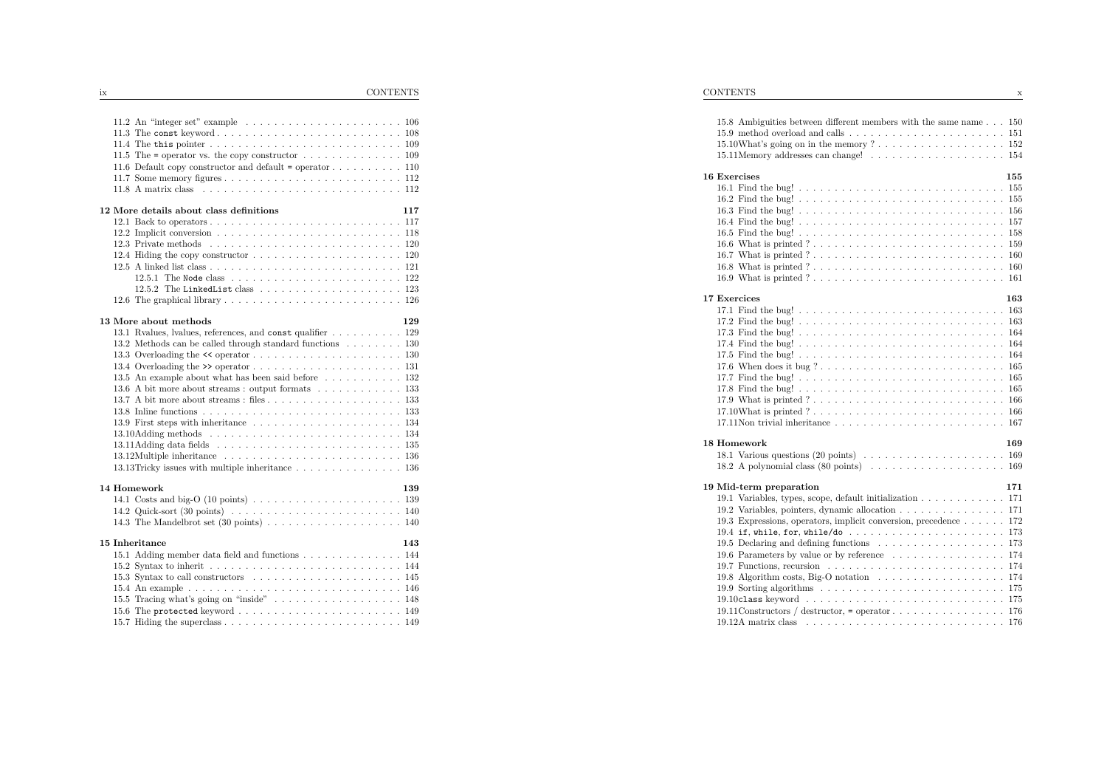| 11.5 The = operator vs. the copy constructor $\dots \dots \dots \dots \dots \dots \dots$  |     |
|-------------------------------------------------------------------------------------------|-----|
| 11.6 Default copy constructor and default = operator $\dots \dots \dots \dots \dots$ 110  |     |
|                                                                                           |     |
|                                                                                           |     |
| 12 More details about class definitions                                                   | 117 |
|                                                                                           |     |
|                                                                                           |     |
|                                                                                           |     |
| 12.4 Hiding the copy constructor $\ldots \ldots \ldots \ldots \ldots \ldots \ldots 120$   |     |
|                                                                                           |     |
|                                                                                           |     |
| 12.5.2 The LinkedList class $\ldots \ldots \ldots \ldots \ldots \ldots \ldots \ldots 123$ |     |
|                                                                                           |     |
| 13 More about methods                                                                     | 129 |
| 13.1 Rvalues, lvalues, references, and const qualifier 129                                |     |
| 13.2 Methods can be called through standard functions 130                                 |     |
|                                                                                           |     |
|                                                                                           |     |
| 13.5 An example about what has been said before 132                                       |     |
| 13.6 A bit more about streams : output formats 133                                        |     |
|                                                                                           |     |
|                                                                                           |     |
|                                                                                           |     |
|                                                                                           |     |
|                                                                                           |     |
|                                                                                           |     |
| 13.13Tricky issues with multiple inheritance 136                                          |     |
| 14 Homework                                                                               | 139 |
|                                                                                           |     |
|                                                                                           |     |
|                                                                                           |     |
| 15 Inheritance                                                                            | 143 |
| 15.1 Adding member data field and functions 144                                           |     |
|                                                                                           |     |
|                                                                                           |     |
|                                                                                           |     |
|                                                                                           |     |
|                                                                                           |     |
|                                                                                           |     |
|                                                                                           |     |

| 15.8 Ambiguities between different members with the same name 150                                             |     |
|---------------------------------------------------------------------------------------------------------------|-----|
| 15.9 method overload and calls $\ldots \ldots \ldots \ldots \ldots \ldots \ldots \ldots 151$                  |     |
|                                                                                                               |     |
|                                                                                                               |     |
|                                                                                                               |     |
| <b>16 Exercises</b>                                                                                           | 155 |
|                                                                                                               |     |
|                                                                                                               |     |
|                                                                                                               |     |
|                                                                                                               |     |
|                                                                                                               |     |
|                                                                                                               |     |
|                                                                                                               |     |
|                                                                                                               | 160 |
|                                                                                                               |     |
|                                                                                                               |     |
| 17 Exercices                                                                                                  | 163 |
|                                                                                                               |     |
|                                                                                                               |     |
|                                                                                                               |     |
|                                                                                                               |     |
|                                                                                                               | 164 |
|                                                                                                               |     |
|                                                                                                               |     |
|                                                                                                               |     |
|                                                                                                               | 166 |
|                                                                                                               | 166 |
|                                                                                                               |     |
|                                                                                                               |     |
| 18 Homework                                                                                                   | 169 |
|                                                                                                               |     |
| 18.2 A polynomial class $(80 \text{ points}) \dots \dots \dots \dots \dots \dots \dots \dots \dots \dots 169$ |     |
| 19 Mid-term preparation                                                                                       | 171 |
| 19.1 Variables, types, scope, default initialization 171                                                      |     |
| 19.2 Variables, pointers, dynamic allocation 171                                                              |     |
| 19.3 Expressions, operators, implicit conversion, precedence 172                                              |     |
|                                                                                                               |     |
|                                                                                                               |     |
| 19.6 Parameters by value or by reference 174                                                                  |     |
| 19.7 Functions, recursion $\ldots \ldots \ldots \ldots \ldots \ldots \ldots \ldots \ldots 174$                |     |
| 19.8 Algorithm costs, Big-O notation 174                                                                      |     |
|                                                                                                               |     |
|                                                                                                               |     |
| 19.11Constructors / destructor, = operator 176                                                                |     |
|                                                                                                               |     |
|                                                                                                               |     |

 $\frac{x}{1-x}$ 

ix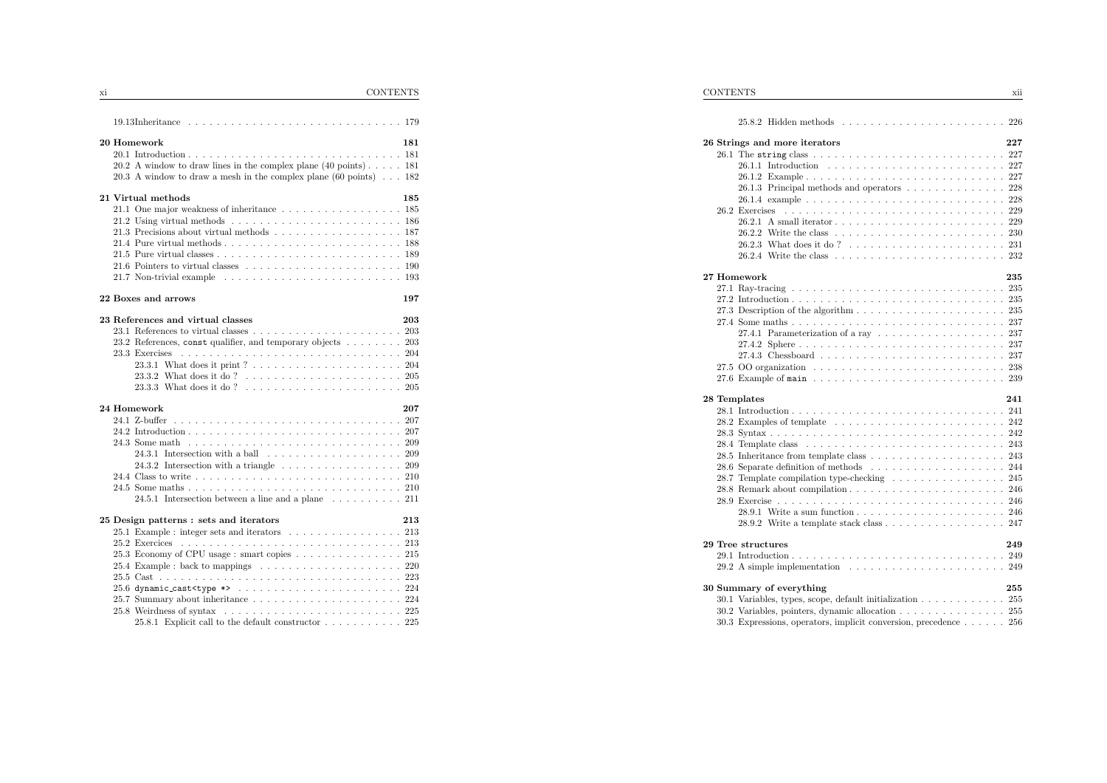| <b>CONTENTS</b><br>X1 |
|-----------------------|
|-----------------------|

| 20 Homework<br>181<br>20.2 A window to draw lines in the complex plane $(40 \text{ points}) \dots$ 181<br>20.3 A window to draw a mesh in the complex plane $(60 \text{ points}) \dots 182$                                                                                                                                                         |  |
|-----------------------------------------------------------------------------------------------------------------------------------------------------------------------------------------------------------------------------------------------------------------------------------------------------------------------------------------------------|--|
| 185<br>21 Virtual methods<br>21.1 One major weakness of inheritance $\dots \dots \dots \dots \dots \dots \dots \dots$ 185<br>21.3 Precisions about virtual methods 187<br>21.7 Non-trivial example $\ldots$ , $\ldots$ , $\ldots$ , $\ldots$ , $\ldots$ , $\ldots$ , $\ldots$ , $193$                                                               |  |
| 22 Boxes and arrows<br>197                                                                                                                                                                                                                                                                                                                          |  |
| 23 References and virtual classes<br>203<br>23.2 References, const qualifier, and temporary objects 203<br>24 Homework<br>207<br>24.3.1 Intersection with a ball $\ldots$ , 209<br>24.3.2 Intersection with a triangle $\ldots \ldots \ldots \ldots \ldots \ldots$ 209<br>24.5.1 Intersection between a line and a plane $\ldots \ldots \ldots$ 211 |  |
| 25 Design patterns : sets and iterators<br>213<br>$25.1$ Example : integer sets and iterators 213<br>25.3 Economy of CPU usage : smart copies 215<br>25.4 Example : back to mappings $\ldots \ldots \ldots \ldots \ldots \ldots \ldots 220$<br>$25.8.1$ Explicit call to the default constructor $\ldots \ldots \ldots 225$                         |  |

| CONTENTS                                                                                                | xii |
|---------------------------------------------------------------------------------------------------------|-----|
|                                                                                                         |     |
| 26 Strings and more iterators                                                                           | 227 |
|                                                                                                         |     |
|                                                                                                         |     |
|                                                                                                         | 227 |
| $26.1.3$ Principal methods and operators 228                                                            |     |
|                                                                                                         | 228 |
| 26.2 Exercises                                                                                          |     |
|                                                                                                         |     |
|                                                                                                         |     |
| $26.2.3$ What does it do?                                                                               |     |
|                                                                                                         |     |
|                                                                                                         |     |
| 27 Homework                                                                                             | 235 |
|                                                                                                         |     |
|                                                                                                         |     |
| 27.3 Description of the algorithm $\ldots$ , $\ldots$ , $\ldots$ , $\ldots$ , $\ldots$ , $\ldots$ , 235 |     |
|                                                                                                         |     |
| 27.4.1 Parameterization of a ray $\ldots \ldots \ldots \ldots \ldots \ldots 237$                        |     |
|                                                                                                         | 237 |
|                                                                                                         |     |
|                                                                                                         |     |
|                                                                                                         |     |
| 28 Templates                                                                                            | 241 |
|                                                                                                         |     |
|                                                                                                         |     |
|                                                                                                         |     |
|                                                                                                         |     |
|                                                                                                         |     |
|                                                                                                         |     |
| 28.7 Template compilation type-checking 245                                                             |     |
|                                                                                                         |     |
|                                                                                                         |     |
|                                                                                                         |     |
|                                                                                                         |     |
| 29 Tree structures                                                                                      | 249 |
|                                                                                                         |     |
| 29.2 A simple implementation $\ldots \ldots \ldots \ldots \ldots \ldots \ldots \ldots 249$              |     |
| 30 Summary of everything                                                                                | 255 |
| 30.1 Variables, types, scope, default initialization 255                                                |     |
| 30.2 Variables, pointers, dynamic allocation 255                                                        |     |
| 30.3 Expressions, operators, implicit conversion, precedence 256                                        |     |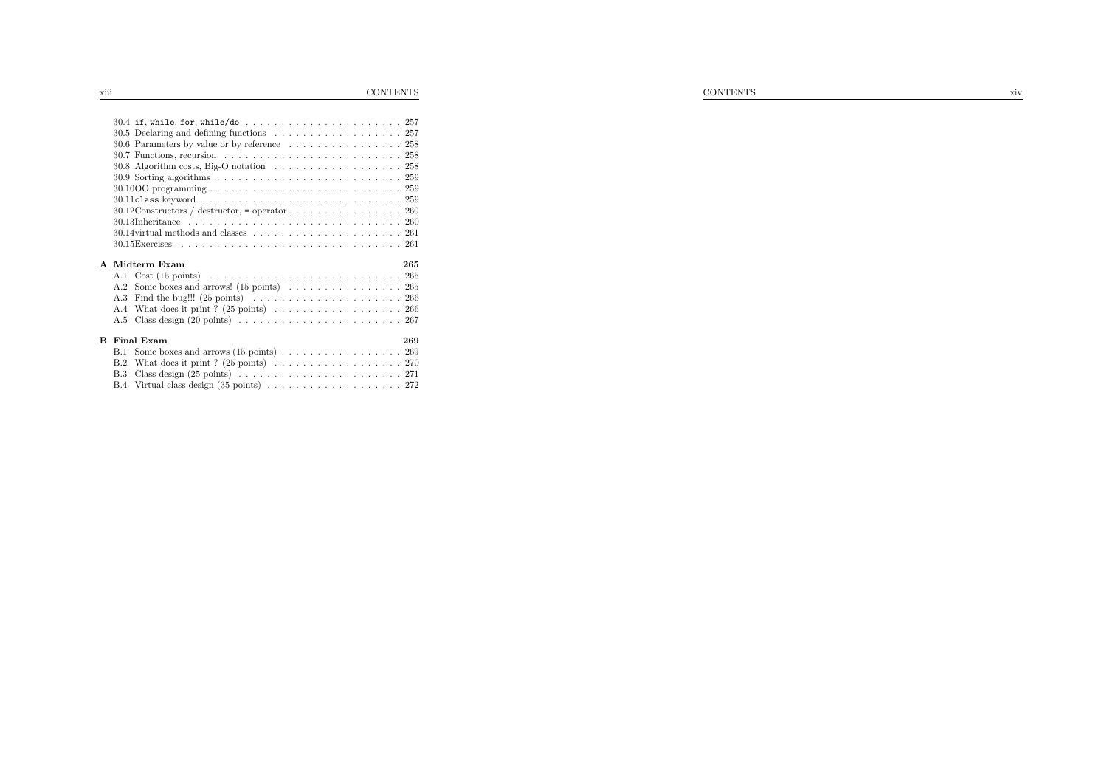| 30.6 Parameters by value or by reference 258                                                                |  |
|-------------------------------------------------------------------------------------------------------------|--|
|                                                                                                             |  |
| 30.8 Algorithm costs, Big-O notation $\ldots \ldots \ldots \ldots \ldots \ldots$ 258                        |  |
|                                                                                                             |  |
|                                                                                                             |  |
|                                                                                                             |  |
|                                                                                                             |  |
|                                                                                                             |  |
|                                                                                                             |  |
|                                                                                                             |  |
|                                                                                                             |  |
|                                                                                                             |  |
|                                                                                                             |  |
| A Midterm Exam<br>265                                                                                       |  |
|                                                                                                             |  |
|                                                                                                             |  |
|                                                                                                             |  |
|                                                                                                             |  |
| A.4 What does it print ? (25 points) 266                                                                    |  |
|                                                                                                             |  |
| <b>B</b> Final Exam<br>269                                                                                  |  |
| B.1                                                                                                         |  |
|                                                                                                             |  |
| What does it print ? $(25 \text{ points}) \dots \dots \dots \dots \dots \dots \dots \dots \dots 270$<br>B.2 |  |
| <b>B</b> 3                                                                                                  |  |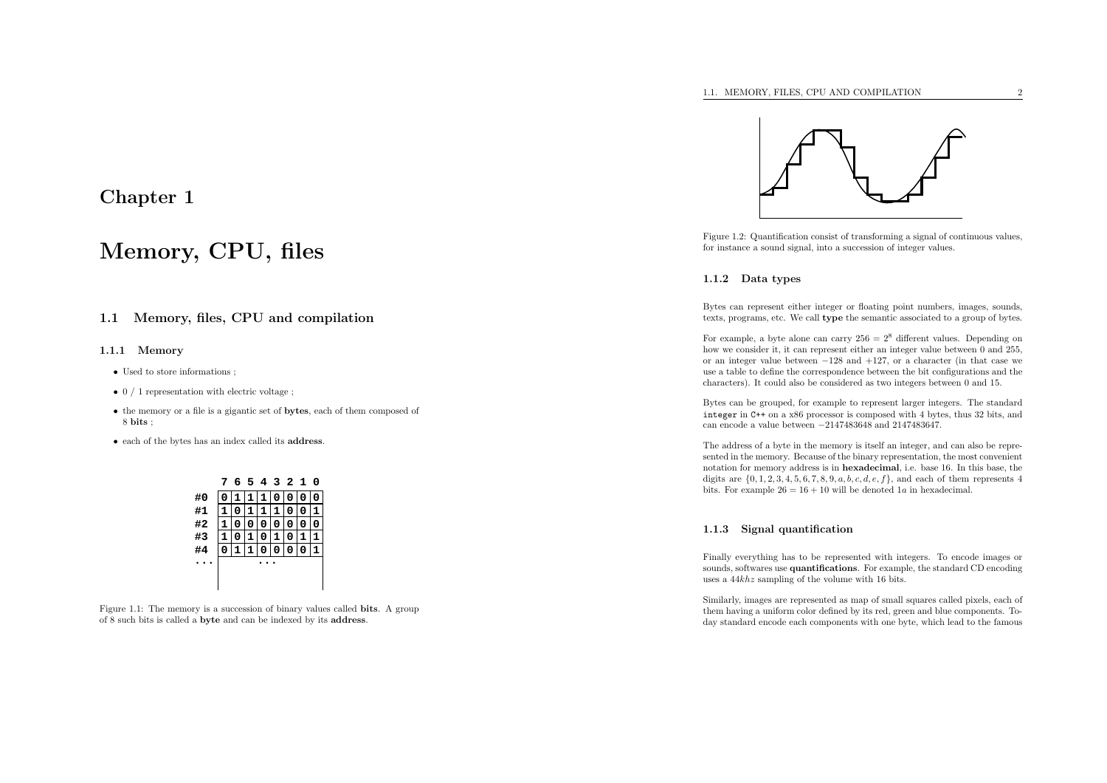## Chapter <sup>1</sup>

# Memory, CPU, files

1.1 Memory, files, CPU and compilation

1.1.1 Memory

- Used to store informations ;
- $\bullet$  0 / 1 representation with electric voltage ;
- the memory or <sup>a</sup> file is <sup>a</sup> <sup>g</sup>igantic set of bytes, each of them composed of 8 bits ;
- each of the bytes has an index called its address.



Figure 1.1: The memory is <sup>a</sup> succession of binary values called bits. <sup>A</sup> group of <sup>8</sup> such bits is called <sup>a</sup> byte and can be indexed by its address.



Figure 1.2: Quantification consist of transforming <sup>a</sup> signal of continuous values, for instance <sup>a</sup> sound signal, into <sup>a</sup> succession of integer values.

#### 1.1.2 Data types

Bytes can represent either integer or floating point numbers, images, sounds, texts, programs, etc. We call type the semantic associated to <sup>a</sup> group of bytes.

For example, a byte alone can carry  $256 = 2^8$  different values. Depending on how we consider it, it can represent either an integer value between <sup>0</sup> and 255, or an integer value between <sup>−</sup><sup>128</sup> and +127, or <sup>a</sup> character (in that case we use <sup>a</sup> table to define the correspondence between the bit configurations and thecharacters). It could also be considered as two integers between <sup>0</sup> and 15.

Bytes can be grouped, for example to represent larger integers. The standard integer in C++ on <sup>a</sup> x86 processor is composed with <sup>4</sup> bytes, thus <sup>32</sup> bits, and can encode <sup>a</sup> value between <sup>−</sup><sup>2147483648</sup> and 2147483647.

The address of <sup>a</sup> byte in the memory is itself an integer, and can also be represented in the memory. Because of the binary representation, the most convenientnotation for memory address is in **hexadecimal**, i.e. base 16. In this base, the digits are  $\{0, 1, 2, 3, 4, 5, 6, 7, 8, 9, a, b, c, d, e, f\}$ , and each of them represents 4 bits. For example  $26 = 16 + 10$  will be denoted 1a in hexadecimal.

#### 1.1.3 Signal quantification

Finally everything has to be represented with integers. To encode images orsounds, softwares use **quantifications**. For example, the standard CD encoding uses <sup>a</sup> <sup>44</sup>khz sampling of the volume with <sup>16</sup> bits.

Similarly, images are represented as map of small squares called <sup>p</sup>ixels, each of them having <sup>a</sup> uniform color defined by its red, green and blue components. Today standard encode each components with one byte, which lead to the famous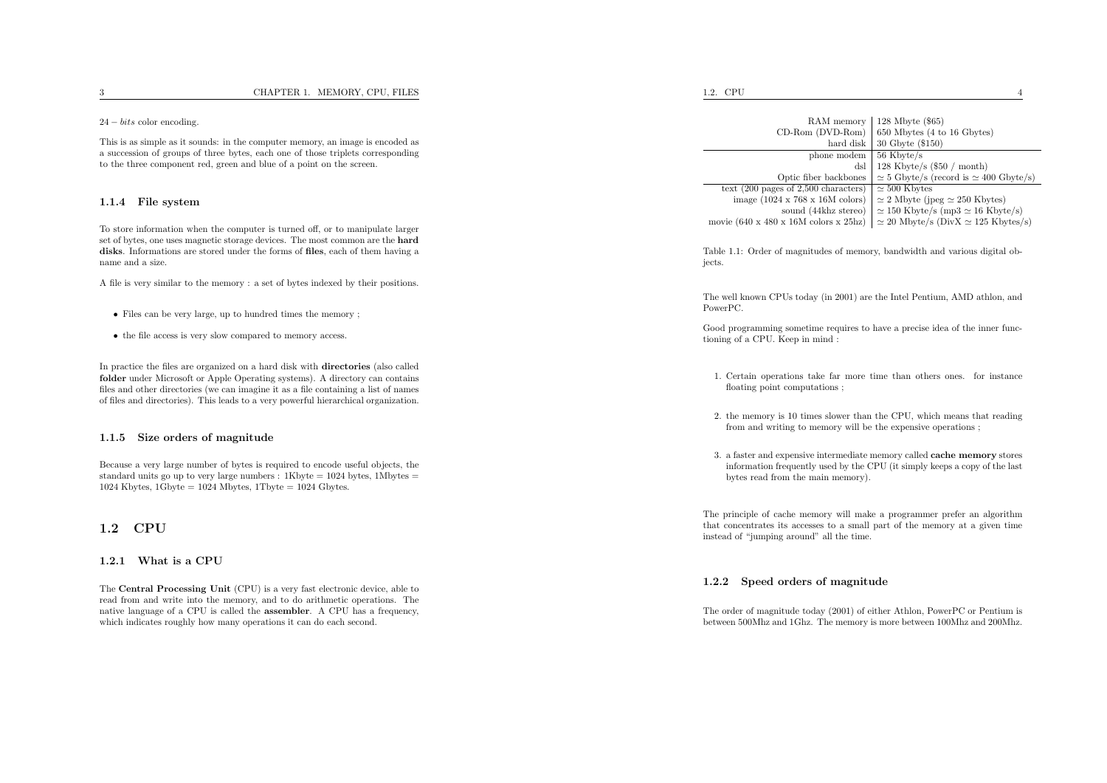$24 - bits$  color encoding.

This is as simple as it sounds: in the computer memory, an image is encoded as <sup>a</sup> succession of groups of three bytes, each one of those triplets correspondingto the three component red, green and blue of <sup>a</sup> point on the screen.

#### 1.1.4 File system

To store information when the computer is turned off, or to manipulate larger set of bytes, one uses magnetic storage devices. The most common are the hard disks. Informations are stored under the forms of files, each of them having <sup>a</sup>name and <sup>a</sup> size.

<sup>A</sup> file is very similar to the memory : <sup>a</sup> set of bytes indexed by their positions.

- Files can be very large, up to hundred times the memory ;
- the file access is very slow compared to memory access.

In practice the files are organized on <sup>a</sup> hard disk with directories (also called folder under Microsoft or Apple Operating systems). <sup>A</sup> directory can contains files and other directories (we can imagine it as <sup>a</sup> file containing <sup>a</sup> list of namesof files and directories). This leads to <sup>a</sup> very powerful hierarchical organization.

#### 1.1.5 Size orders of magnitude

Because <sup>a</sup> very large number of bytes is required to encode useful objects, the standard units go up to very large numbers : 1Kbyte <sup>=</sup> <sup>1024</sup> bytes, 1Mbytes <sup>=</sup>1024 Kbytes,  $1$ Gbyte = 1024 Mbytes,  $1$ Tbyte = 1024 Gbytes.

## 1.2 CPU

#### 1.2.1 What is <sup>a</sup> CPU

The Central Processing Unit (CPU) is <sup>a</sup> very fast electronic device, able to read from and write into the memory, and to do arithmetic operations. The native language of <sup>a</sup> CPU is called the assembler. <sup>A</sup> CPU has <sup>a</sup> frequency, which indicates roughly how many operations it can do each second.

| <b>CPU</b>                                              |                                                     |
|---------------------------------------------------------|-----------------------------------------------------|
|                                                         |                                                     |
| RAM memory                                              | 128 Mbyte (\$65)                                    |
| $CD-Rom(DVD-Rom)$                                       | 650 Mbytes (4 to 16 Gbytes)                         |
| hard disk                                               | 30 Gbyte (\$150)                                    |
| phone modem                                             | $56$ Kbyte/s                                        |
| dsl                                                     | 128 Kbyte/s $(\$50 / month)$                        |
| Optic fiber backbones                                   | $\simeq$ 5 Gbyte/s (record is $\simeq$ 400 Gbyte/s) |
| text $(200 \text{ pages of } 2,500 \text{ characters})$ | $\simeq$ 500 Kbytes                                 |
| image $(1024 \times 768 \times 16)$ colors)             | $\simeq$ 2 Mbyte (jpeg $\simeq$ 250 Kbytes)         |
| sound (44khz stereo)                                    | $\simeq$ 150 Kbyte/s (mp3 $\simeq$ 16 Kbyte/s)      |

sound (44khz stereo)  $| \approx 150$  Kbyte/s (mp3  $\approx 16$  Kbyte/s)<br>movie (640 x 480 x 16M colors x 25hz)  $| \approx 20$  Mbyte/s (DivX  $\approx 125$  Kbytes/s)

Table 1.1: Order of magnitudes of memory, bandwidth and various digital objects.

The well known CPUs today (in 2001) are the Intel Pentium, AMD athlon, and PowerPC.

Good programming sometime requires to have <sup>a</sup> precise idea of the inner functioning of <sup>a</sup> CPU. Keep in mind :

- 1. Certain operations take far more time than others ones. for instancefloating point computations ;
- 2. the memory is <sup>10</sup> times slower than the CPU, which means that readingfrom and writing to memory will be the expensive operations ;
- 3. <sup>a</sup> faster and expensive intermediate memory called cache memory stores information frequently used by the CPU (it simply keeps <sup>a</sup> copy of the lastbytes read from the main memory).

The principle of cache memory will make <sup>a</sup> programmer prefer an algorithm that concentrates its accesses to <sup>a</sup> small part of the memory at <sup>a</sup> <sup>g</sup>iven timeinstead of "jumping around" all the time.

#### 1.2.2 Speed orders of magnitude

1.2. CPU

The order of magnitude today (2001) of either Athlon, PowerPC or Pentium isbetween 500Mhz and 1Ghz. The memory is more between 100Mhz and 200Mhz.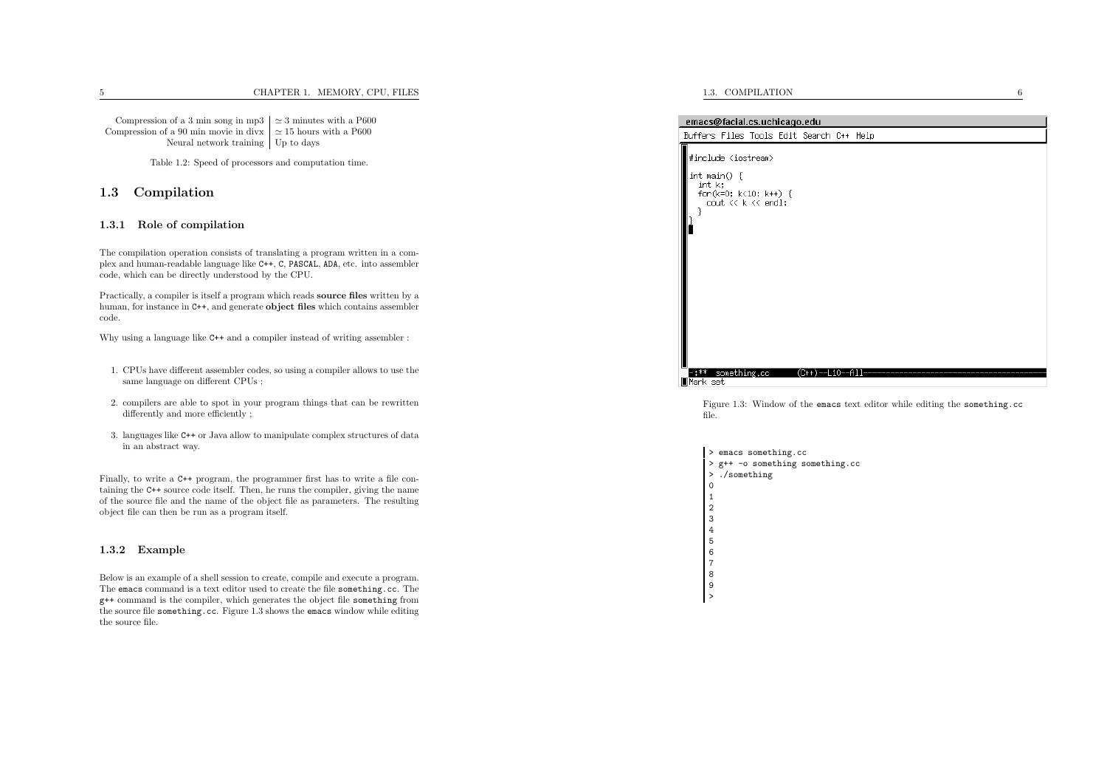Compression of a 3 min song in mp3  $\vert \simeq 3$  minutes with a P600<br>Compression of a 90 min movie in divx  $\vert \simeq 15$  hours with a P600 Neural network training | Up to days

Table 1.2: Speed of processors and computation time.

### 1.3 Compilation

#### 1.3.1 Role of compilation

The compilation operation consists of translating <sup>a</sup> program written in <sup>a</sup> com<sup>p</sup>lex and human-readable language like C++, <sup>C</sup>, PASCAL, ADA, etc. into assembler code, which can be directly understood by the CPU.

Practically, <sup>a</sup> compiler is itself <sup>a</sup> program which reads source files written by <sup>a</sup>human, for instance in C++, and generate **object files** which contains assembler code.

Why using <sup>a</sup> language like C++ and <sup>a</sup> compiler instead of writing assembler :

- 1. CPUs have different assembler codes, so using <sup>a</sup> compiler allows to use thesame language on different CPUs ;
- 2. compilers are able to spot in your program things that can be rewrittendifferently and more efficiently ;
- 3. languages like C++ or Java allow to manipulate complex structures of data in an abstract way.

Finally, to write <sup>a</sup> C++ program, the programmer first has to write <sup>a</sup> file containing the C++ source code itself. Then, he runs the compiler, <sup>g</sup>iving the name of the source file and the name of the object file as parameters. The resultingobject file can then be run as <sup>a</sup> program itself.

#### 1.3.2 Example

Below is an example of <sup>a</sup> shell session to create, compile and execute <sup>a</sup> program. The emacs command is <sup>a</sup> text editor used to create the file something.cc. The g++ command is the compiler, which generates the object file something from the source file something.cc. Figure 1.3 shows the emacs window while editing the source file.

1.3. COMPILATION



Figure 1.3: Window of the emacs text editor while editing the something.cc file.

> emacs something.cc

> <sup>g</sup>++ -o something something.cc > ./something

 $\Omega$ 

 1 23

5

 9>

4

- 67
- 
- 

N  $\qquad \qquad 6$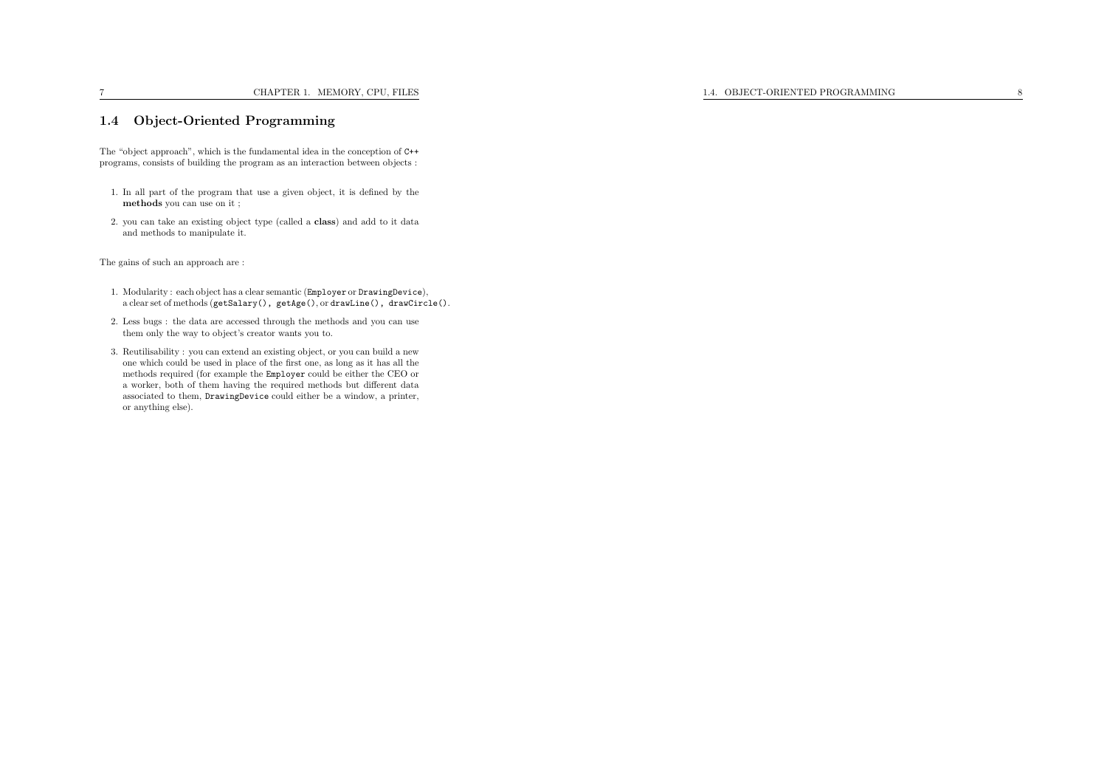## 1.4 Object-Oriented Programming

The "object approach", which is the fundamental idea in the conception of C++programs, consists of building the program as an interaction between objects :

- 1. In all part of the program that use <sup>a</sup> <sup>g</sup>iven object, it is defined by themethods you can use on it ;
- 2. you can take an existing object type (called <sup>a</sup> class) and add to it data and methods to manipulate it.

The gains of such an approac<sup>h</sup> are :

- 1. Modularity : each object has <sup>a</sup> clear semantic (Employer or DrawingDevice), <sup>a</sup> clear set of methods (getSalary(), getAge(), or drawLine(), drawCircle().
- 2. Less bugs : the data are accessed through the methods and you can usethem only the way to object's creator wants you to.
- 3. Reutilisability : you can extend an existing object, or you can build <sup>a</sup> new one which could be used in <sup>p</sup>lace of the first one, as long as it has all the methods required (for example the Employer could be either the CEO or <sup>a</sup> worker, both of them having the required methods but different data associated to them, DrawingDevice could either be <sup>a</sup> window, <sup>a</sup> printer, or anything else).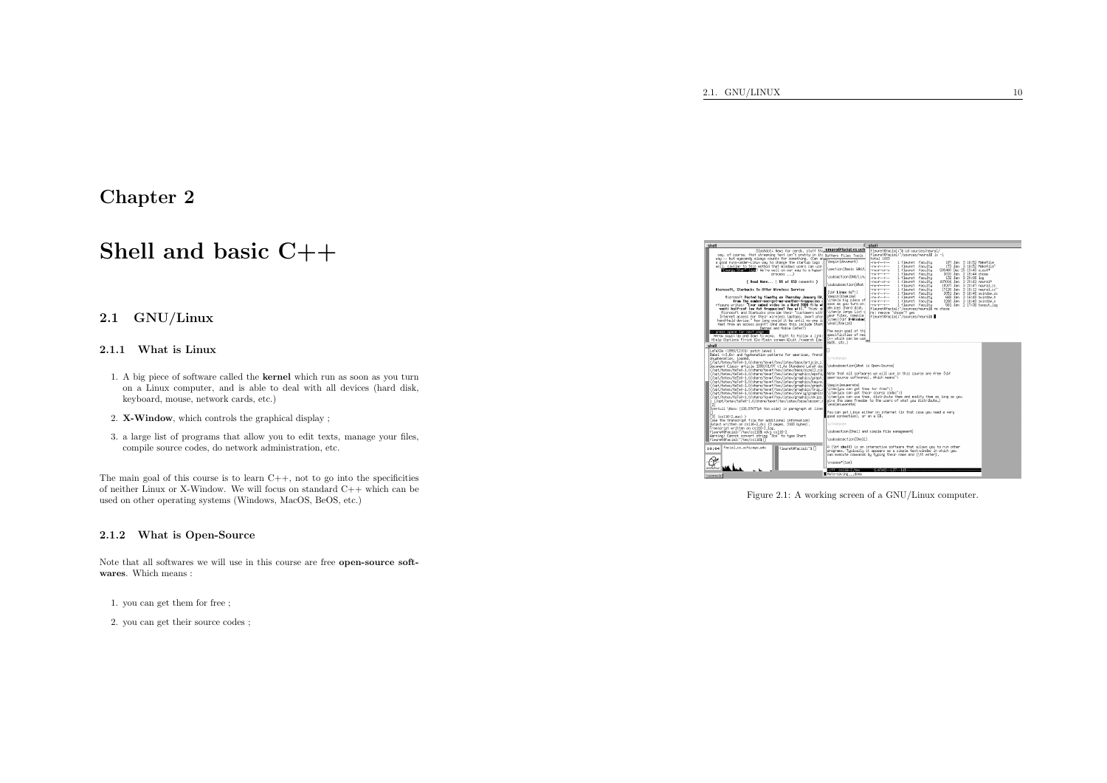## Chapter <sup>2</sup>

# Shell and basic C++

## 2.1 GNU/Linux

#### 2.1.1 What is Linux

- 1. <sup>A</sup> big <sup>p</sup>iece of software called the kernel which run as soon as you turn on <sup>a</sup> Linux computer, and is able to deal with all devices (hard disk, keyboard, mouse, network cards, etc.)
- 2. X-Window, which controls the graphical display ;
- 3. <sup>a</sup> large list of programs that allow you to edit texts, manage your files, compile source codes, do network administration, etc.

The main goa<sup>l</sup> of this course is to learn C++, not to go into the specificities of neither Linux or X-Window. We will focus on standard C++ which can beused on other operating systems (Windows, MacOS, BeOS, etc.)

#### 2.1.2 What is Open-Source

Note that all softwares we will use in this course are free open-source softwares. Which means :

1. you can get them for free ;

2. you can get their source codes ;



Figure 2.1: <sup>A</sup> working screen of <sup>a</sup> GNU/Linux computer.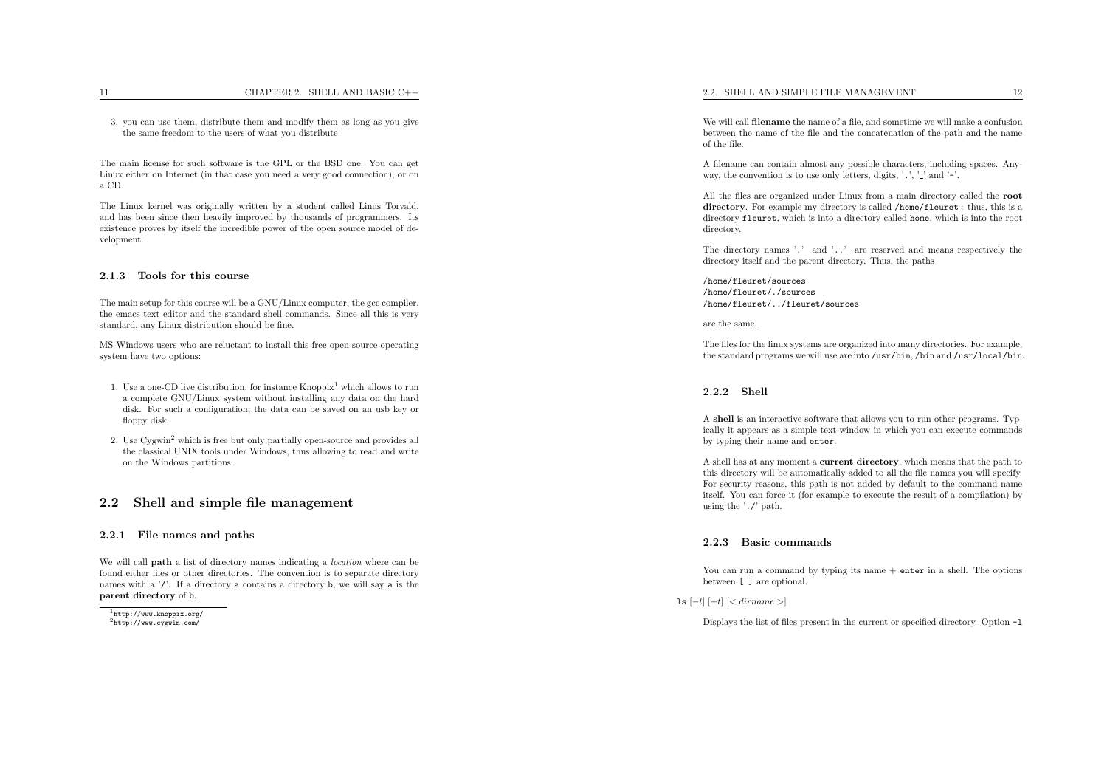3. you can use them, distribute them and modify them as long as you <sup>g</sup>ivethe same freedom to the users of what you distribute.

The main license for such software is the GPL or the BSD one. You can get Linux either on Internet (in that case you need <sup>a</sup> very good connection), or on<sup>a</sup> CD.

The Linux kernel was originally written by <sup>a</sup> student called Linus Torvald, and has been since then heavily improved by thousands of programmers. Its existence proves by itself the incredible power of the open source model of development.

#### 2.1.3 Tools for this course

The main setup for this course will be <sup>a</sup> GNU/Linux computer, the gcc compiler, the emacs text editor and the standard shell commands. Since all this is verystandard, any Linux distribution should be fine.

MS-Windows users who are reluctant to install this free open-source operatingsystem have two options:

- 1. Use a one-CD live distribution, for instance  $Knoppix^1$  which allows to run <sup>a</sup> complete GNU/Linux system without installing any data on the hard disk. For such <sup>a</sup> configuration, the data can be saved on an usb key orfloppy disk.
- 2. Use Cygwin<sup>2</sup> which is free but only partially open-source and provides all the classical UNIX tools under Windows, thus allowing to read and writeon the Windows partitions.

## 2.2 Shell and simple file management

#### 2.2.1 File names and paths

We will call **path** a list of directory names indicating a *location* where can be found either files or other directories. The convention is to separate directory names with <sup>a</sup> '/'. If <sup>a</sup> directory <sup>a</sup> contains <sup>a</sup> directory <sup>b</sup>, we will say <sup>a</sup> is the parent directory of <sup>b</sup>.

<sup>1</sup>http://www.knoppix.org/ $^{2}$ http://www.cygwin.com/

<sup>A</sup> filename can contain almost any possible characters, including spaces. Anyway, the convention is to use only letters, digits, '.', '  $\overline{'}$  and '-'.

All the files are organized under Linux from <sup>a</sup> main directory called the root directory. For example my directory is called /home/fleuret : thus, this is <sup>a</sup> directory fleuret, which is into <sup>a</sup> directory called home, which is into the root directory.

The directory names '.' and '..' are reserved and means respectively thedirectory itself and the parent directory. Thus, the paths

/home/fleuret/sources /home/fleuret/./sources/home/fleuret/../fleuret/sources

are the same.

The files for the linux systems are organized into many directories. For example, the standard programs we will use are into /usr/bin, /bin and /usr/local/bin.

#### 2.2.2 Shell

A shell is an interactive software that allows you to run other programs. Typically it appears as <sup>a</sup> simple text-window in which you can execute commandsby typing their name and enter.

A shell has at any moment a **current directory**, which means that the path to this directory will be automatically added to all the file names you will specify. For security reasons, this path is not added by default to the command name itself. You can force it (for example to execute the result of <sup>a</sup> compilation) byusing the './' path.

#### 2.2.3 Basic commands

You can run a command by typing its name  $+$  enter in a shell. The options between [ ] are optional.

#### ls [−l] [−<sup>t</sup>] [<sup>&</sup>lt; dirname <sup>&</sup>gt;]

Displays the list of files present in the current or specified directory. Option -l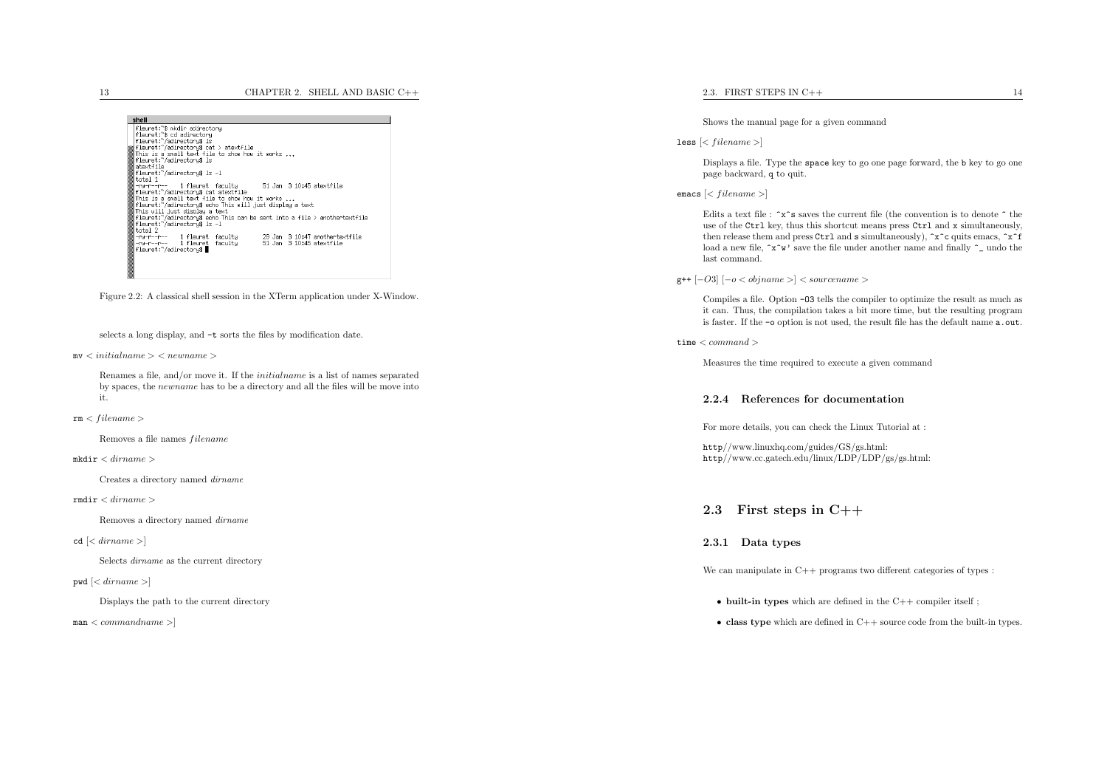| shell                                                                                                                                                                                                                                                                                                                                                                                                                                                                                                                                                                                                                                                                                                                                         |  |  |
|-----------------------------------------------------------------------------------------------------------------------------------------------------------------------------------------------------------------------------------------------------------------------------------------------------------------------------------------------------------------------------------------------------------------------------------------------------------------------------------------------------------------------------------------------------------------------------------------------------------------------------------------------------------------------------------------------------------------------------------------------|--|--|
| fleuret:"\$ mkdir adirectory<br>fleuret:"\$ cd adirectory<br>fleuret:~/adirectoru\$ ls<br>m⊩fleuret:~/adirectoru\$ cat > atextfile<br>∭This is a small text file to show how it works<br>∭fleuret:~/adirectory\$ ls<br>∭atextfile<br>∭fleuret:~/adirectoru\$ ls –l<br>∭total 1<br>⊪lnw-r--r-- 1 fleuret facultu     51 Jan 3 10:45 atextfile<br>fleuret:~/adirectoru\$ cat atextfile<br>∭This is a small text file to show how it works<br>fleuret:"/adirectoru\$ echo This will just display a text<br>This will just display a text<br>∭fleuret:~/adirectory\$ echo This can be sent into a file > anothertextfile<br> fleuret:~∕adirectoru\$ ls −l<br>∭total 2<br>∭-rw-r--r--   1 fleuret  facultu         29 Jan  3 10:47 anothertextfile |  |  |
| -rw-r--r-- 1 fleuret faculty   51 Jan 3 10:45 atextfile<br>∭fleuret:~/adirectoru\$ ∭                                                                                                                                                                                                                                                                                                                                                                                                                                                                                                                                                                                                                                                          |  |  |

Figure 2.2: <sup>A</sup> classical shell session in the XTerm application under X-Window.

selects <sup>a</sup> long display, and -t sorts the files by modification date.

 $mv \leq initialname$  >  $< newname$  >

Renames <sup>a</sup> file, and/or move it. If the initialname is <sup>a</sup> list of names separated by spaces, the newname has to be <sup>a</sup> directory and all the files will be move intoit.

 $m$ kdir  $\langle$  dirname $\rangle$ 

Creates <sup>a</sup> directory named dirname

 $rm\$   $<$  dirname  $>$ 

Removes <sup>a</sup> directory named dirname

 ${\tt cd}~[<{dirname>}]$ 

Selects dirname as the current directory

pwd  $[<{dirname>}]$ 

Displays the path to the current directory

 $\texttt{man} < commandname >$ 

Shows the manual page for <sup>a</sup> <sup>g</sup>iven command

less  $[ < filename>filename> ]$ 

Displays <sup>a</sup> file. Type the space key to go one page forward, the <sup>b</sup> key to go one page backward, <sup>q</sup> to quit.

#### emacs  $[ < filename>filename> ]$

Edits a text file :  $\mathbf{\hat{x}}$  saves the current file (the convention is to denote  $\mathbf{\hat{}}$  the use of the Ctrl key, thus this shortcut means press Ctrl and <sup>x</sup> simultaneously, then release them and press  $\texttt{Ctrl}$  and s simultaneously),  $\texttt{r}$  c quits emacs,  $\texttt{r}$  f load a new file,  $\mathbf{\hat{x}} \cdot \mathbf{\hat{w}}'$  save the file under another name and finally  $\mathbf{\hat{-}}$  undo the last command.

 $g^{++}$  [−O3] [−o < objname >] < sourcename >

Compiles <sup>a</sup> file. Option -O3 tells the compiler to optimize the result as much as it can. Thus, the compilation takes <sup>a</sup> bit more time, but the resulting programis faster. If the -o option is not used, the result file has the default name a.out.

 $time < command >$ 

Measures the time required to execute <sup>a</sup> <sup>g</sup>iven command

#### 2.2.4 References for documentation

For more details, you can check the Linux Tutorial at :

http//www.linuxhq.com/guides/GS/gs.html:http//www.cc.gatech.edu/linux/LDP/LDP/gs/gs.html:

## 2.3 First steps in C++

#### 2.3.1 Data types

We can manipulate in C++ programs two different categories of types :

- **built-in types** which are defined in the C++ compiler itself ;
- class type which are defined in C++ source code from the built-in types.

 $rm < filename >$ 

Removes a file names  $filename$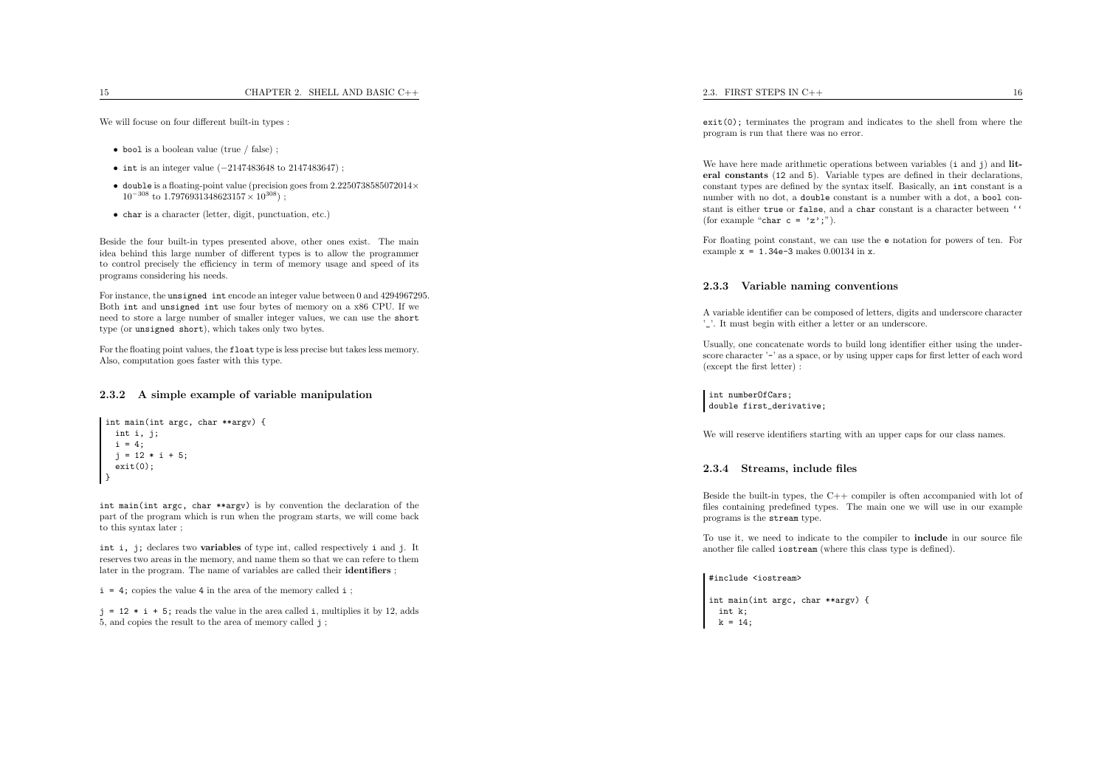We will focuse on four different built-in types :

- bool is <sup>a</sup> boolean value (true / false) ;
- int is an integer value (−<sup>2147483648</sup> to 2147483647) ;
- double is a floating-point value (precision goes from 2.2250738585072014×  $10^{-308}$  to 1.7976931348623157 ×  $10^{308}$ );
- char is <sup>a</sup> character (letter, digit, punctuation, etc.)

Beside the four built-in types presented above, other ones exist. The main idea behind this large number of different types is to allow the programmer to control precisely the efficiency in term of memory usage and speed of its programs considering his needs.

For instance, the unsigned int encode an integer value between <sup>0</sup> and 4294967295. Both int and unsigned int use four bytes of memory on <sup>a</sup> x86 CPU. If we need to store <sup>a</sup> large number of smaller integer values, we can use the short type (or unsigned short), which takes only two bytes.

For the floating point values, the float type is less precise but takes less memory. Also, computation goes faster with this type.

#### 2.3.2 <sup>A</sup> simple example of variable manipulation

```
int main(int argc, char **argv) {
 int i, j;
 i = 4;j = 12 * i + 5;exit(0);}
```
int main(int argc, char \*\*argv) is by convention the declaration of the part of the program which is run when the program starts, we will come backto this syntax later ;

int i, j; declares two variables of type int, called respectively <sup>i</sup> and <sup>j</sup>. It reserves two areas in the memory, and name them so that we can refere to themlater in the program. The name of variables are called their **identifiers** ;

<sup>i</sup> <sup>=</sup> 4; copies the value <sup>4</sup> in the area of the memory called <sup>i</sup> ;

 $j = 12 * i + 5$ ; reads the value in the area called i, multiplies it by 12, adds 5, and copies the result to the area of memory called j ;

exit(0); terminates the program and indicates to the shell from where the program is run that there was no error.

We have here made arithmetic operations between variables (i and j) and literal constants (<sup>12</sup> and <sup>5</sup>). Variable types are defined in their declarations, constant types are defined by the syntax itself. Basically, an int constant is <sup>a</sup> number with no dot, <sup>a</sup> double constant is <sup>a</sup> number with <sup>a</sup> dot, <sup>a</sup> bool constant is either true or false, and <sup>a</sup> char constant is <sup>a</sup> character between '' (for example "char  $c = 'z';$ ").

For floating point constant, we can use the <sup>e</sup> notation for powers of ten. For example <sup>x</sup> <sup>=</sup> 1.34e-3 makes <sup>0</sup>.<sup>00134</sup> in <sup>x</sup>.

#### 2.3.3 Variable naming conventions

<sup>A</sup> variable identifier can be composed of letters, digits and underscore character'\_'. It must begin with either <sup>a</sup> letter or an underscore.

Usually, one concatenate words to build long identifier either using the underscore character '-' as a space, or by using upper caps for first letter of each word (except the first letter) :

#### int numberOfCars; double first\_derivative;

We will reserve identifiers starting with an upper caps for our class names.

#### 2.3.4 Streams, include files

Beside the built-in types, the  $C++$  compiler is often accompanied with lot of files containing predefined types. The main one we will use in our exampleprograms is the stream type.

To use it, we need to indicate to the compiler to include in our source file another file called iostream (where this class type is defined).

#### #include <iostream>

```
int main(int argc, char **argv) {
 int k;
 k = 14;
```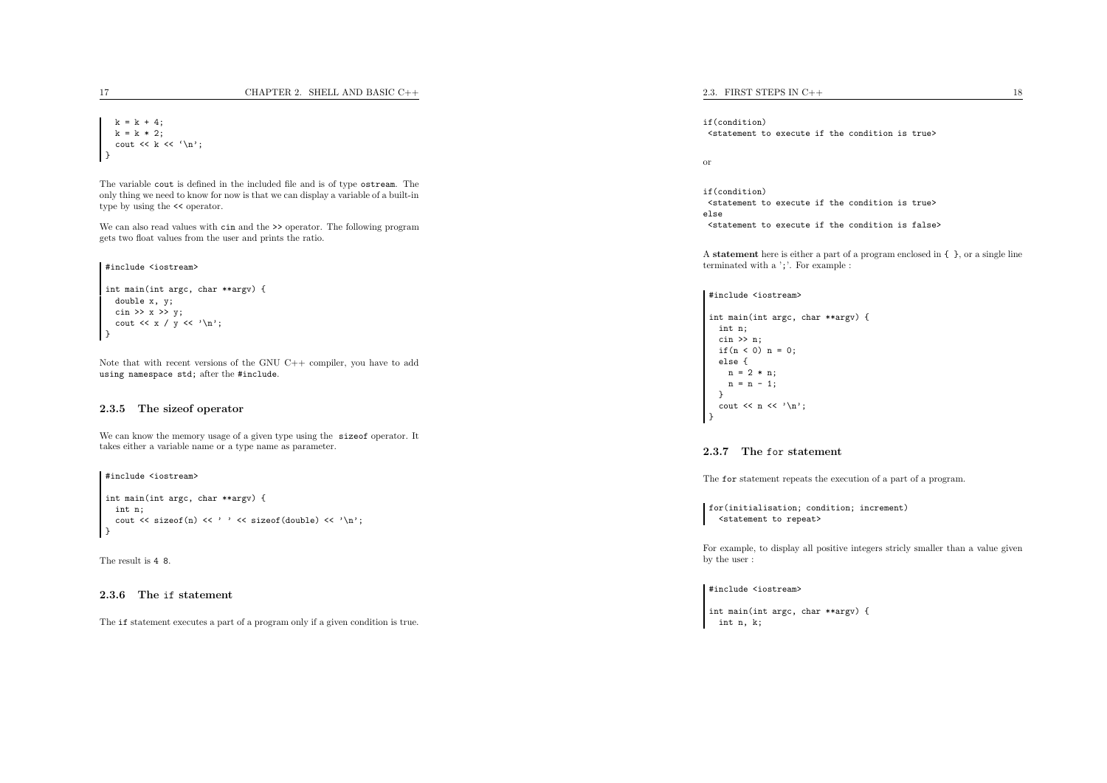```
k = k + 4;k = k * 2;
 cout \langle k \rangle \langle k \rangle}
```
The variable cout is defined in the included file and is of type ostream. The only thing we need to know for now is that we can display <sup>a</sup> variable of <sup>a</sup> built-intype by using the << operator.

We can also read values with cin and the >> operator. The following programgets two float values from the user and prints the ratio.

#include <iostream>

```
int main(int argc, char **argv) {
  double x, y;
  cin >> x \rightarrow y;
  cout \langle x \rangle / y \langle x' \rangle / n;
 }
```
Note that with recent versions of the GNU C++ compiler, you have to addusing namespace std; after the #include.

#### 2.3.5 The sizeof operator

We can know the memory usage of <sup>a</sup> <sup>g</sup>iven type using the sizeof operator. It takes either <sup>a</sup> variable name or <sup>a</sup> type name as parameter.

#include <iostream>

```
int main(int argc, char **argv) {
  int n;
   cout \langle \cdot \rangle sizeof(n) \langle \cdot \rangle ' \langle \cdot \rangle sizeof(double) \langle \cdot \rangle'';
 }
```
The result is <sup>4</sup> <sup>8</sup>.

## 2.3.6 The if statement

The if statement executes <sup>a</sup> part of <sup>a</sup> program only if <sup>a</sup> <sup>g</sup>iven condition is true.

if(condition)<statement to execute if the condition is true>

or

if(condition) <statement to execute if the condition is true> else<statement to execute if the condition is false>

A statement here is either <sup>a</sup> part of <sup>a</sup> program enclosed in { }, or <sup>a</sup> single line terminated with <sup>a</sup> ';'. For example :

#### #include <iostream>

```
int main(int argc, char **argv) {
 int n;
  cin >> n;
  if(n \leq 0) n = 0;
  else {
   n = 2 * n;n = n - 1;
 }cout \langle n \rangle and \langle n \rangle;
}
```
## 2.3.7 The for statement

The for statement repeats the execution of <sup>a</sup> part of <sup>a</sup> program.

for(initialisation; condition; increment) <statement to repeat>

For example, to display all positive integers stricly smaller than <sup>a</sup> value <sup>g</sup>ivenby the user :

#### #include <iostream>

int main(int argc, char \*\*argv) { int n, k;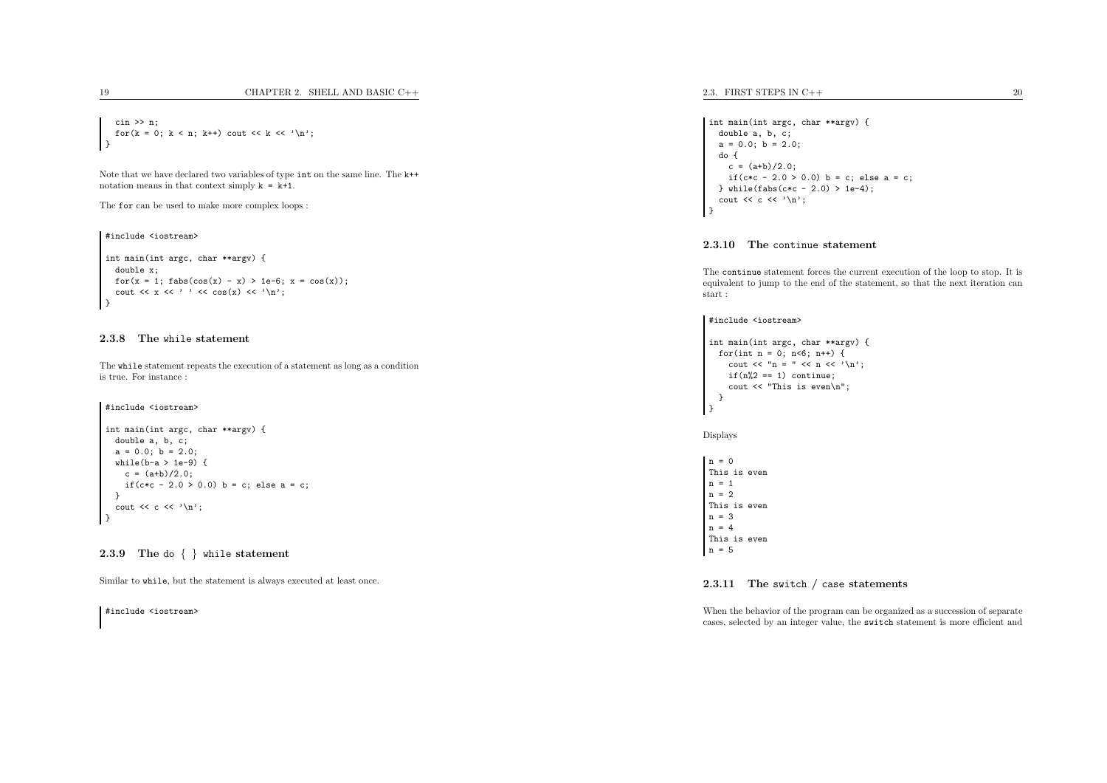cin >> n; for(k = 0; k < n; k++) cout << k <<  $\langle n \rangle$ ; }

Note that we have declared two variables of type int on the same line. The k++ notation means in that context simply  $k = k+1$ .

The for can be used to make more complex loops :

#include <iostream>

```
int main(int argc, char **argv) {
   double x;
   for(x = 1; fabs(cos(x) - x) > 1e-6; x = cos(x));
   cout \langle x \rangle \langle x \rangle and \langle x \rangle and \langle x \rangle and \langle x \rangle \langle x \rangle.
 }
```
## 2.3.8 The while statement

The while statement repeats the execution of <sup>a</sup> statement as long as <sup>a</sup> conditionis true. For instance :

#include <iostream>

```
int main(int argc, char **argv) {
  double a, b, c;
  a = 0.0; b = 2.0;
  while(b-a > 1e-9) {
    c = (a+b)/2.0;
    if(c*c - 2.0 > 0.0) b = c; else a = c;
  }cout \langle \langle c \rangle \langle \langle \rangle \rangle}
```
## 2.3.9 The do  $\{\}$  while statement

Similar to while, but the statement is always executed at least once.

#include <iostream>

2.3. FIRST STEPS IN C++

```
int main(int argc, char **argv) {
  double a, b, c;
  a = 0.0; b = 2.0;
  do {
    c = (a+b)/2.0;if(c*c - 2.0 > 0.0) b = c; else a = c;
  } while(fabs(c*c - 2.0) > 1e-4);
  cout \langle \langle c \rangle \langle \langle \rangle \rangle}
```
## 2.3.10 The continue statement

The continue statement forces the current execution of the loop to stop. It is equivalent to jump to the end of the statement, so that the next iteration canstart :

#include <iostream>

```
int main(int argc, char **argv) {
 for(int n = 0; n \le 6; n^{++}) {
      cout \langle \langle "n = " \langle \langle n \rangle \langle \langle n \rangle :
      if(n\rlap{.}^{\prime\prime}\,2 == 1) continue;
       cout << "This is even\n";
   }\mathsf{R}
```
Displays

 $n = 0$ This is even  $n = 1$  $n = 2$ This is even <sup>n</sup> <sup>=</sup> <sup>3</sup>  $n = 4$ This is even  $n = 5$ 

2.3.11 The switch / case statements

When the behavior of the program can be organized as <sup>a</sup> succession of separatecases, selected by an integer value, the switch statement is more efficient and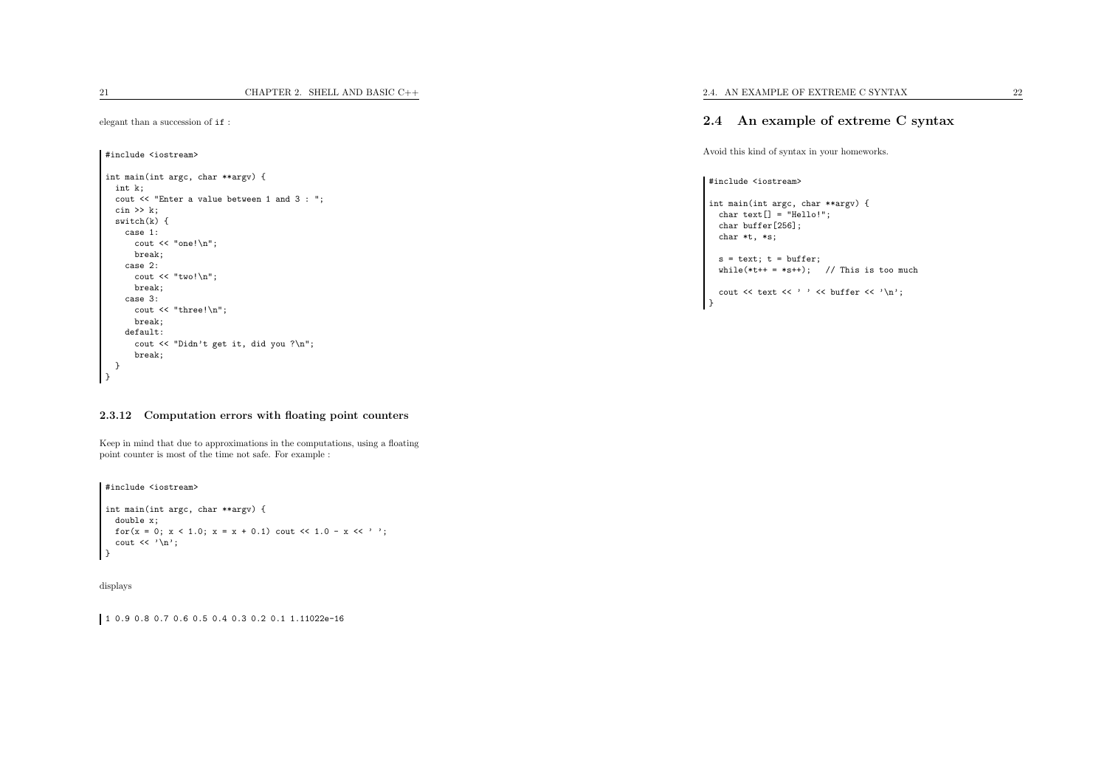elegant than <sup>a</sup> succession of if :

```
#include <iostream>
int main(int argc, char **argv) {
  int k;
  cout << "Enter a value between 1 and 3 : ";
  cin >> k;
  switch(k) {
    case 1:
      cout << "one!\n";
      break;
case 2:
      cout \langle "two!\n\times";
      break;
case 3:
      cout << "three!\n";
      break;
default:
cout << "Didn't get it, did you ?\n";
      break;}\rightarrow
```
#### 2.3.12 Computation errors with floating point counters

Keep in mind that due to approximations in the computations, using <sup>a</sup> floatingpoint counter is most of the time not safe. For example :

#include <iostream>

```
int main(int argc, char **argv) {
  double x;
  for(x = 0; x < 1.0; x = x + 0.1) cout << 1.0 - x << ' ';
  cout \langle \cdot \rangle \:
 }
```
displays

<sup>1</sup> 0.9 0.8 0.7 0.6 0.5 0.4 0.3 0.2 0.1 1.11022e-16

## 2.4 An example of extreme <sup>C</sup> syntax

Avoid this kind of syntax in your homeworks.

#### #include <iostream>

int main(int argc, char \*\*argv) { char text[] <sup>=</sup> "Hello!"; char buffer[256]; char \*t, \*s;

 $s = text; t = buffer;$ while(\*t++ = \*s++); // This is too much

cout  $\langle$  text  $\langle$  '  $\rangle$ '  $\langle$  buffer  $\langle$  '  $\rangle$ n'; | ን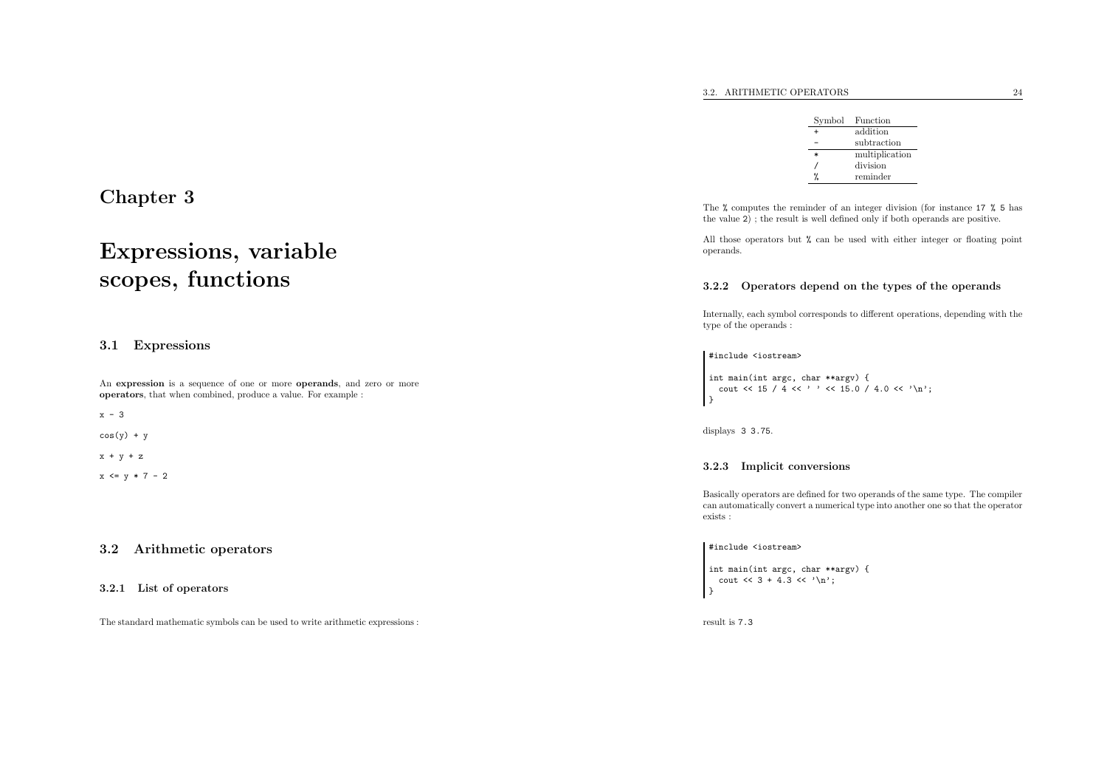| Symbol | Function       |
|--------|----------------|
|        | addition       |
|        | subtraction    |
| ۰k     | multiplication |
|        | division       |
|        | reminder       |

Chapter <sup>3</sup>

# Expressions, variablescopes, functions

## 3.1 Expressions

An expression is a sequence of one or more operands, and zero or more operators, that when combined, produce <sup>a</sup> value. For example :

 $x - 3$ 

 $cos(y) + y$ 

 $x + y + z$ 

 $x \leq y * 7 - 2$ 

## 3.2 Arithmetic operators

#### 3.2.1 List of operators

The standard mathematic symbols can be used to write arithmetic expressions :

The % computes the reminder of an integer division (for instance <sup>17</sup> % <sup>5</sup> has the value <sup>2</sup>) ; the result is well defined only if both operands are positive.

All those operators but % can be used with either integer or floating point operands.

#### 3.2.2 Operators depend on the types of the operands

Internally, each symbol corresponds to different operations, depending with thetype of the operands :

#include <iostream>

int main(int argc, char \*\*argv) { cout << 15 / 4 << ' ' << 15.0 / 4.0 << '\n'; | ን

displays <sup>3</sup> 3.75.

#### 3.2.3 Implicit conversions

Basically operators are defined for two operands of the same type. The compiler can automatically convert <sup>a</sup> numerical type into another one so that the operator exists :

#include <iostream>

```
int main(int argc, char **argv) {
 cout << 3 + 4.3 \le \sqrt{n};
}
```
result is 7.3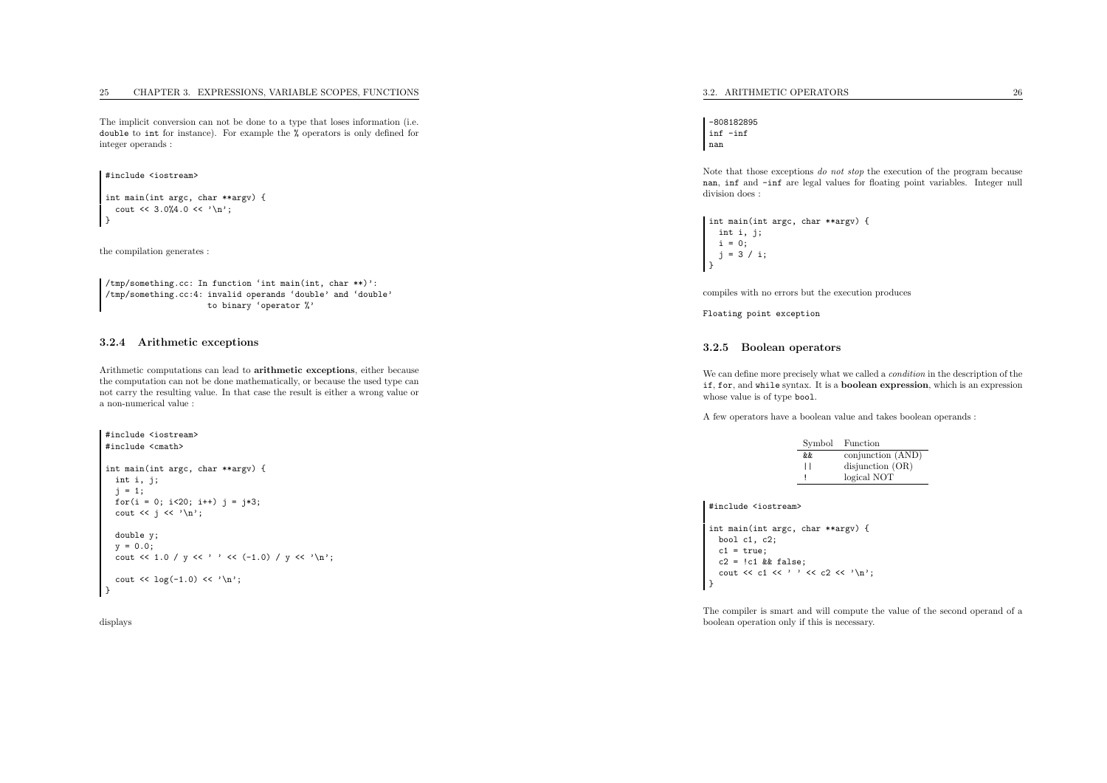#### <sup>25</sup> CHAPTER 3. EXPRESSIONS, VARIABLE SCOPES, FUNCTIONS

The implicit conversion can not be done to <sup>a</sup> type that loses information (i.e. double to int for instance). For example the % operators is only defined for integer operands :

#include <iostream>

int main(int argc, char \*\*argv) { cout <<  $3.0\frac{4.0 \times \gamma \ln i}{i}$ }

the compilation generates :

/tmp/something.cc: In function 'int main(int, char \*\*)': /tmp/something.cc:4: invalid operands 'double' and 'double' to binary 'operator %'

#### 3.2.4 Arithmetic exceptions

Arithmetic computations can lead to arithmetic exceptions, either because the computation can not be done mathematically, or because the used type can not carry the resulting value. In that case the result is either <sup>a</sup> wrong value or<sup>a</sup> non-numerical value :

```
#include <iostream>
#include <cmath>
int main(int argc, char **argv) {
  int i, j;
  j = 1;for(i = 0; i < 20; i++) j = j *3;
  cout \langle \langle j \rangle \langle \langle \rangle \rangledouble y;
  y = 0.0;cout << 1.0 / y << ' ' << ( -1.0) / y << ' \n';
```
cout  $\langle \cdot \text{log}(-1.0) \langle \cdot \cdot \cdot \rangle \rangle$ 

displays

}

-808182895inf -inf nan

Note that those exceptions do not stop the execution of the program because nan, inf and -inf are legal values for floating point variables. Integer null division does :

int main(int argc, char \*\*argv) { int i, j;  $i = 0$ :  $j = 3 / i;$ }

compiles with no errors but the execution produces

Floating point exception

#### 3.2.5 Boolean operators

We can define more precisely what we called a *condition* in the description of the if, for, and while syntax. It is <sup>a</sup> boolean expression, which is an expression whose value is of type bool.

<sup>A</sup> few operators have <sup>a</sup> boolean value and takes boolean operands :

Symbol Function conjunction (AND) && $||$  disjunction (OR) !logical NOT

#include <iostream>

int main(int argc, char \*\*argv) { bool c1, c2;  $c1 = true$ :  $c2 = !c1$  && false; cout  $\langle$  c1  $\langle$   $\rangle$  '  $\langle$  c2  $\langle$  '  $\rangle$ n'; ا -

The compiler is smart and will compute the value of the second operand of <sup>a</sup> boolean operation only if this is necessary.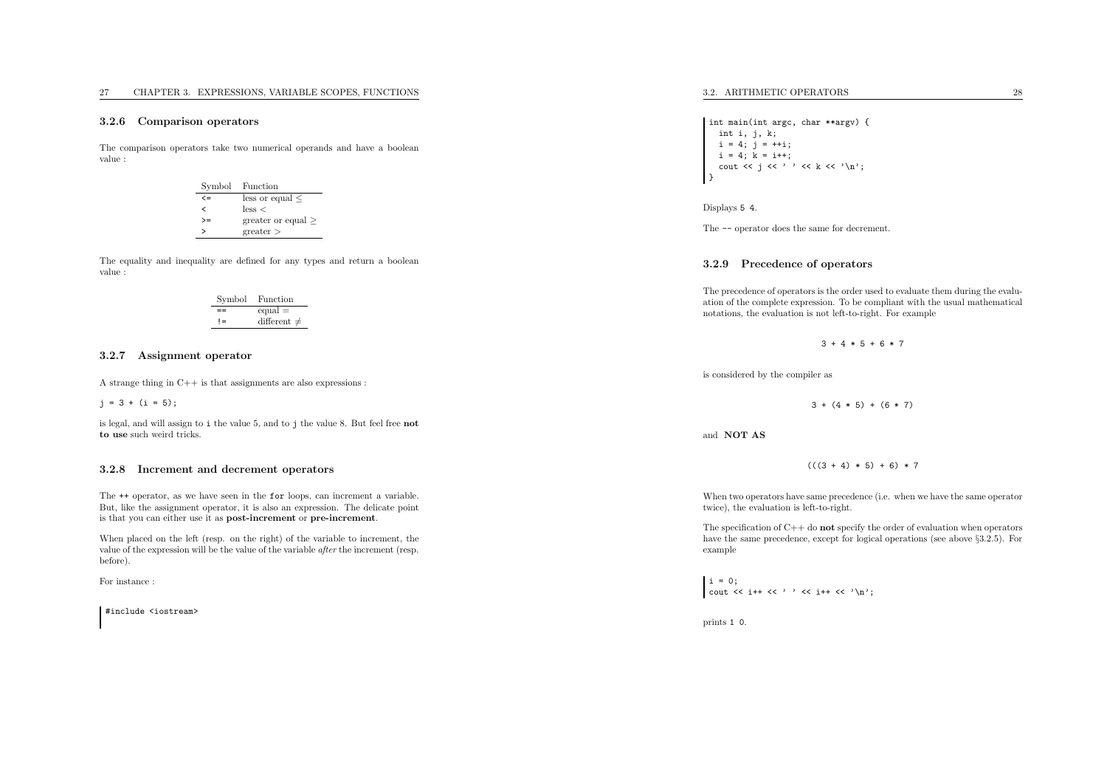#### 3.2.6 Comparison operators

The comparison operators take two numerical operands and have <sup>a</sup> booleanvalue :

| Symbol       | Function                |
|--------------|-------------------------|
| $\epsilon$ = | less or equal <         |
| ╭            | less <                  |
| $>=$         | greater or equal $\geq$ |
| ↘            | greater >               |

The equality and inequality are defined for any types and return <sup>a</sup> booleanvalue :

| Symbol | Function         |
|--------|------------------|
| ==     | $equal =$        |
| $l =$  | different $\neq$ |

#### 3.2.7 Assignment operator

<sup>A</sup> strange thing in C++ is that assignments are also expressions :

 $j = 3 + (i = 5);$ 

is legal, and will assign to <sup>i</sup> the value 5, and to <sup>j</sup> the value 8. But feel free not to use such weird tricks.

#### 3.2.8 Increment and decrement operators

The ++ operator, as we have seen in the for loops, can increment <sup>a</sup> variable. But, like the assignment operator, it is also an expression. The delicate pointis that you can either use it as post-increment or pre-increment.

When <sup>p</sup>laced on the left (resp. on the right) of the variable to increment, the value of the expression will be the value of the variable after the increment (resp. before).

For instance :

#include <iostream>

```
int main(int argc, char **argv) {
  int i, j, k;
 i = 4; j = ++i;i = 4; k = i++);
   cout \langle \langle j \rangle \langle \langle k \rangle \rangle , \langle \langle k \rangle \langle k \rangle \langle k \rangle;
 }
```
Displays <sup>5</sup> <sup>4</sup>.

The -- operator does the same for decrement.

#### 3.2.9 Precedence of operators

The precedence of operators is the order used to evaluate them during the evaluation of the complete expression. To be compliant with the usual mathematical notations, the evaluation is not left-to-right. For example

 $3 + 4 * 5 + 6 * 7$ 

is considered by the compiler as

 $3 + (4 * 5) + (6 * 7)$ 

and NOT AS

 $(((3 + 4) * 5) + 6) * 7$ 

When two operators have same precedence (i.e. when we have the same operatortwice), the evaluation is left-to-right.

The specification of C++ do not specify the order of evaluation when operators have the same precedence, except for logical operations (see above §3.2.5). For example

 $i = 0;$ cout  $\langle$  i++  $\langle$   $\rangle$  '  $\langle$  i++  $\langle$  '  $\rangle$ n';

prints <sup>1</sup> <sup>0</sup>.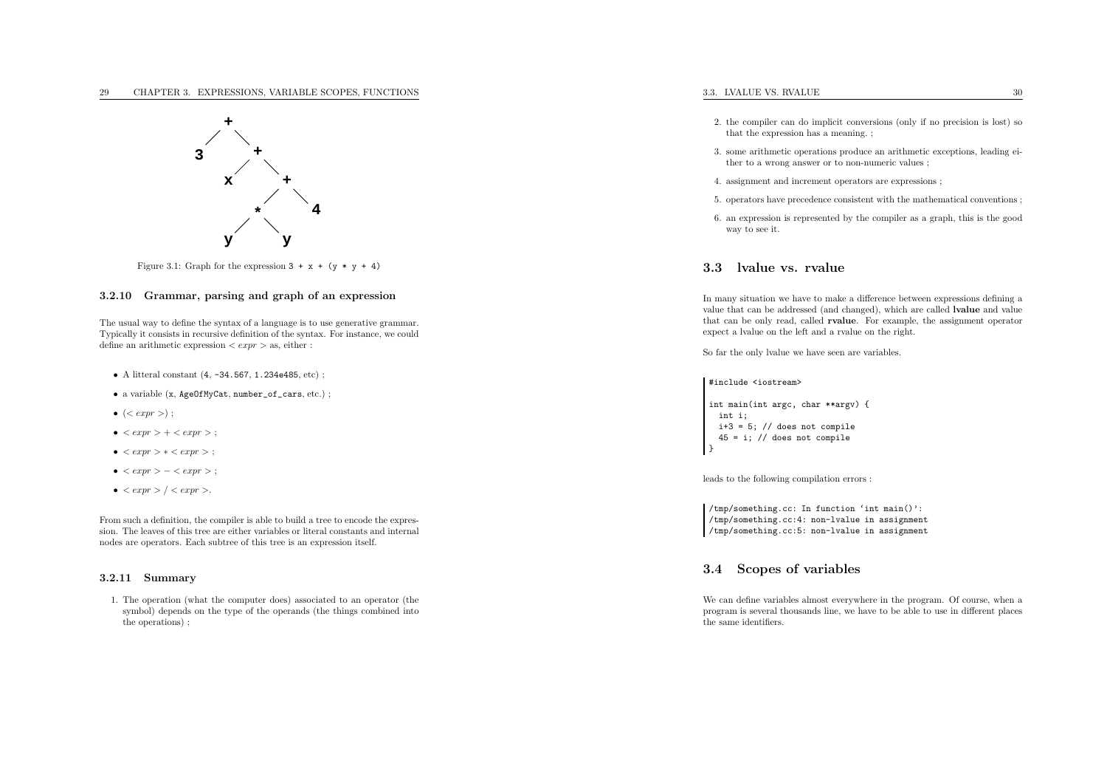

Figure 3.1: Graph for the expression  $3 + x + (y * y + 4)$ 

#### 3.2.10 Grammar, parsing and grap<sup>h</sup> of an expression

The usual way to define the syntax of <sup>a</sup> language is to use generative grammar. Typically it consists in recursive definition of the syntax. For instance, we coulddefine an arithmetic expression  $\langle exp r \rangle$  as, either :

- <sup>A</sup> litteral constant (<sup>4</sup>, -34.567, 1.234e485, etc) ;
- <sup>a</sup> variable (<sup>x</sup>, AgeOfMyCat, number\_of\_cars, etc.) ;
- $\bullet \ (<\exp r>)$ ;
- $\bullet < expr > + < expr >$ ;
- $\bullet < expr$  >  $* < expr$  > ;
- $\bullet < expr > < expr >$ ;
- $\bullet < expr > / < expr >$ .

From such <sup>a</sup> definition, the compiler is able to build <sup>a</sup> tree to encode the expression. The leaves of this tree are either variables or literal constants and internal nodes are operators. Each subtree of this tree is an expression itself.

#### 3.2.11 Summary

1. The operation (what the computer does) associated to an operator (the symbol) depends on the type of the operands (the things combined intothe operations) ;

- 2. the compiler can do implicit conversions (only if no precision is lost) sothat the expression has <sup>a</sup> meaning. ;
- 3. some arithmetic operations produce an arithmetic exceptions, leading either to <sup>a</sup> wrong answer or to non-numeric values ;
- 4. assignment and increment operators are expressions ;
- 5. operators have precedence consistent with the mathematical conventions ;
- 6. an expression is represented by the compiler as <sup>a</sup> graph, this is the goodway to see it.

## 3.3 lvalue vs. rvalue

In many situation we have to make <sup>a</sup> difference between expressions defining <sup>a</sup> value that can be addressed (and changed), which are called lvalue and value that can be only read, called rvalue. For example, the assignment operator expect <sup>a</sup> lvalue on the left and <sup>a</sup> rvalue on the right.

So far the only lvalue we have seen are variables.

#### #include <iostream>

int main(int argc, char \*\*argv) { int i;  $i+3 = 5$ ; // does not compile  $45 = i$ ; // does not compile }

leads to the following compilation errors :

/tmp/something.cc: In function 'int main()': /tmp/something.cc:4: non-lvalue in assignment /tmp/something.cc:5: non-lvalue in assignment

## 3.4 Scopes of variables

We can define variables almost everywhere in the program. Of course, when <sup>a</sup> program is several thousands line, we have to be able to use in different <sup>p</sup>laces the same identifiers.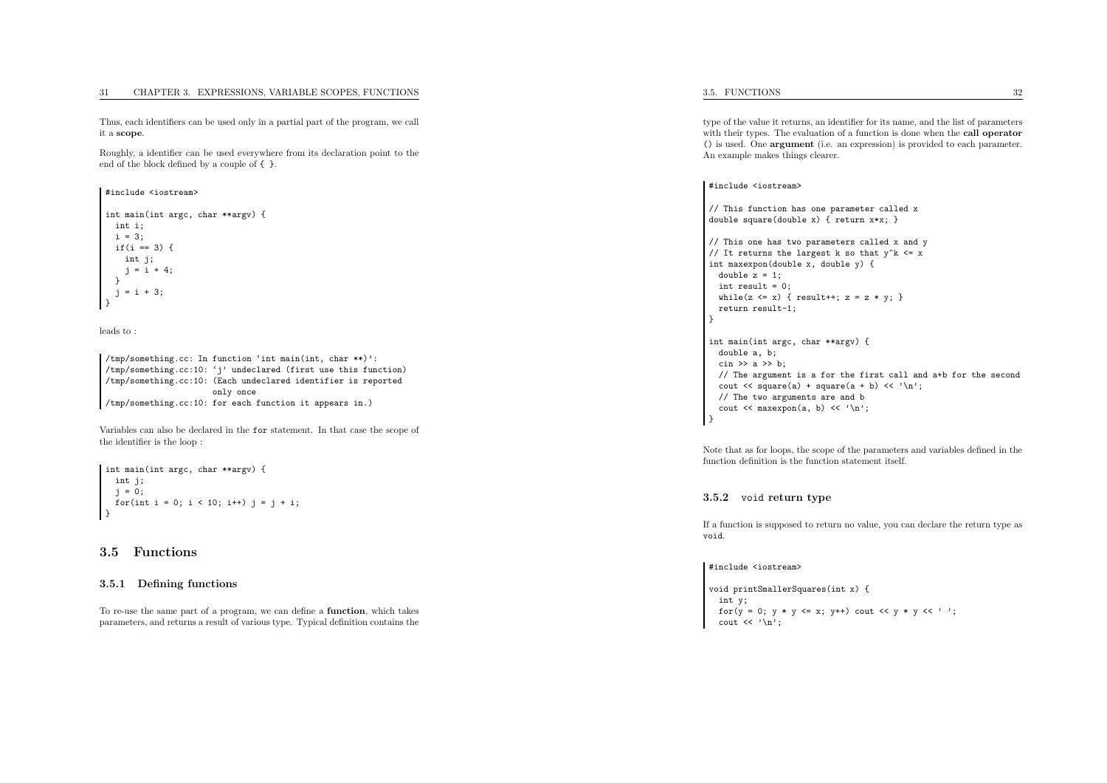Thus, each identifiers can be used only in <sup>a</sup> partial part of the program, we call it <sup>a</sup> scope.

Roughly, <sup>a</sup> identifier can be used everywhere from its declaration point to theend of the block defined by <sup>a</sup> couple of { }.

#include <iostream>

```
int main(int argc, char **argv) {
 int i;
 i = 3;
 if(i == 3) {
   int j;
   j = i + 4;}
j = i + 3;
}
```
leads to :

/tmp/something.cc: In function 'int main(int, char \*\*)': /tmp/something.cc:10: 'j' undeclared (first use this function) /tmp/something.cc:10: (Each undeclared identifier is reported only once /tmp/something.cc:10: for each function it appears in.)

Variables can also be declared in the for statement. In that case the scope of the identifier is the loop :

```
int main(int argc, char **argv) {
 int j;
 j = 0;
 for(int i = 0; i < 10; i++) j = j + i;
}
```
### 3.5 Functions

#### 3.5.1 Defining functions

To re-use the same part of <sup>a</sup> program, we can define <sup>a</sup> function, which takes parameters, and returns <sup>a</sup> result of various type. Typical definition contains the 3.5. FUNCTIONS

type of the value it returns, an identifier for its name, and the list of parameters with their types. The evaluation of <sup>a</sup> function is done when the call operator () is used. One argument (i.e. an expression) is provided to each parameter. An example makes things clearer

#include <iostream>

// This function has one parameter called <sup>x</sup> double square(double x) { return  $x*x:$  }

// This one has two parameters called <sup>x</sup> and <sup>y</sup> // It returns the largest k so that  $y^k \leq x$ int maxexpon(double x, double y) { double  $z = 1$ ; int result <sup>=</sup> 0; while(z  $\leq x$ ) { result++; z = z \* y; } return result-1; }

int main(int argc, char \*\*argv) { double a, b;  $\sin \gg a \gg b$ : // The argumen<sup>t</sup> is <sup>a</sup> for the first call and a+b for the second cout  $\langle$  square(a) + square(a + b)  $\langle$   $\rangle$   $\langle$   $\rangle$   $\langle$   $\rangle$   $\langle$   $\rangle$   $\langle$   $\rangle$   $\langle$   $\rangle$   $\langle$   $\rangle$   $\langle$   $\rangle$   $\langle$   $\rangle$   $\langle$   $\rangle$   $\langle$   $\rangle$   $\langle$   $\rangle$   $\langle$   $\rangle$   $\langle$   $\rangle$   $\langle$   $\rangle$   $\langle$   $\rangle$   $\langle$   $\rangle$   $\langle$   $\rangle$   $\langle$  // The two arguments are and <sup>b</sup> cout  $\langle$  maxexpon(a, b)  $\langle$   $\rangle$   $\langle$   $\rangle$   $\langle$   $\rangle$   $\langle$   $\rangle$   $\langle$   $\rangle$   $\langle$   $\rangle$   $\langle$   $\rangle$   $\langle$   $\rangle$   $\langle$   $\rangle$   $\langle$   $\rangle$   $\langle$   $\rangle$   $\langle$   $\rangle$   $\langle$   $\rangle$   $\langle$   $\rangle$   $\langle$   $\rangle$   $\langle$   $\rangle$   $\langle$   $\rangle$   $\langle$   $\rangle$   $\langle$   $\rangle$   $\langle$  }

Note that as for loops, the scope of the parameters and variables defined in thefunction definition is the function statement itself.

## 3.5.2 void return type

If <sup>a</sup> function is supposed to return no value, you can declare the return type asvoid.

#### #include <iostream>

```
void printSmallerSquares(int x) {
  int y;
  for(y = 0; y * y <= x; y++) cout << y * y << ' ';
  cout \langle \cdot \rangle \backslash n;
```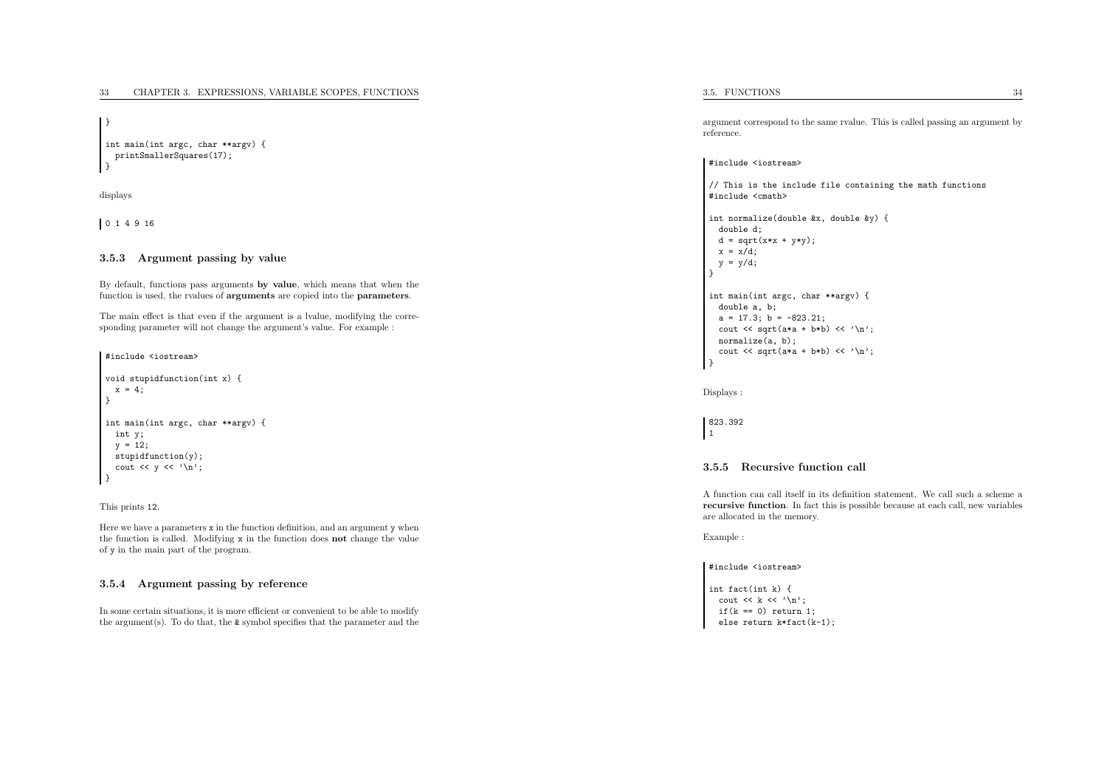int main(int argc, char \*\*argv) { printSmallerSquares(17);}

displays

}

<sup>0</sup> <sup>1</sup> <sup>4</sup> <sup>9</sup> <sup>16</sup>

#### 3.5.3 Argument passing by value

By default, functions pass arguments by value, which means that when thefunction is used, the rvalues of **arguments** are copied into the **parameters**.

The main effect is that even if the argument is <sup>a</sup> lvalue, modifying the corresponding parameter will not change the argument's value. For example :

#include <iostream>

```
void stupidfunction(int x) {
 x = 4:
}int main(int argc, char **argv) {
 int y;
 y = 12;stupidfunction(y);cout << y << '\n';
}
```
This prints <sup>12</sup>.

Here we have <sup>a</sup> parameters <sup>x</sup> in the function definition, and an argument <sup>y</sup> when the function is called. Modifying <sup>x</sup> in the function does not change the value of y in the main part of the program.

#### 3.5.4 Argument passing by reference

In some certain situations, it is more efficient or convenient to be able to modifythe argument(s). To do that, the & symbol specifies that the parameter and the 3.5. FUNCTIONS

#### #include <iostream>

// This is the include file containing the math functions #include <cmath>

```
int normalize(double &x, double &y) {
  double d;
  d = sqrt(x*x + y*y);x = x/d:
 y = y/d;}int main(int argc, char **argv) {
  double a, b;
  a = 17.3; b = -823.21;
  cout \langle sqrt(a*a + b*b) \langle \rangle \langle \rangle \langle \rangle;
  normalize(a, b);
  cout \langle sqrt(a*a + b*b) \langle \rangle \langle \rangle<sub>n</sub>';
 }
```
Displays :

823.392 $\overline{1}$ 

#### 3.5.5 Recursive function call

<sup>A</sup> function can call itself in its definition statement. We call such <sup>a</sup> scheme <sup>a</sup> recursive function. In fact this is possible because at each call, new variablesare allocated in the memory.

Example :

#include <iostream>

```
int fact(int k) {
  cout \langle k \rangle \langle k \rangleif(k == 0) return 1;
  else return k*fact(k-1);
```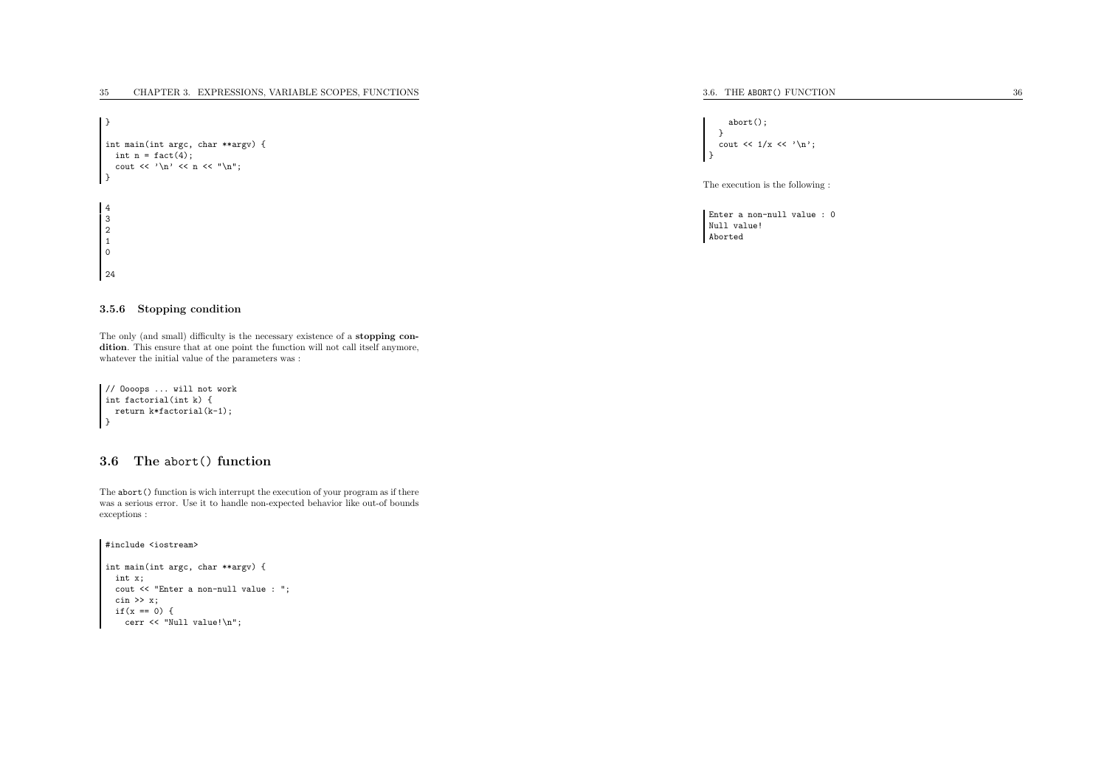```
int main(int argc, char **argv) {
  int n = \text{fact}(4);
    cout \langle \langle \rangle \rangle_n' \langle \langle n \rangle \langle \rangle \langle n \rangle;
 }
```
 $\rightarrow$ 

#### 3.5.6 Stopping condition

The only (and small) difficulty is the necessary existence of <sup>a</sup> stopping condition. This ensure that at one point the function will not call itself anymore, whatever the initial value of the parameters was :

```
// Oooops ... will not work
int factorial(int k) {
 return k*factorial(k-1);
 }
```
## 3.6 The abort() function

The abort() function is wich interrupt the execution of your program as if there was a serious error. Use it to handle non-expected behavior like out-of bounds exceptions :

#include <iostream>

```
int main(int argc, char **argv) {
 int x;
  cout << "Enter a non-null value : ";
  \sin \gg x;
 if(x == 0) {
   cerr << "Null value!\n";
```
3.6. THE ABORT() FUNCTION

abort();}cout  $\langle \langle 1/x \langle \langle \cdot \rangle \rangle \rangle$ ;  $\mathbf{R}$ 

The execution is the following :

Enter <sup>a</sup> non-null value : <sup>0</sup> Null value! Aborted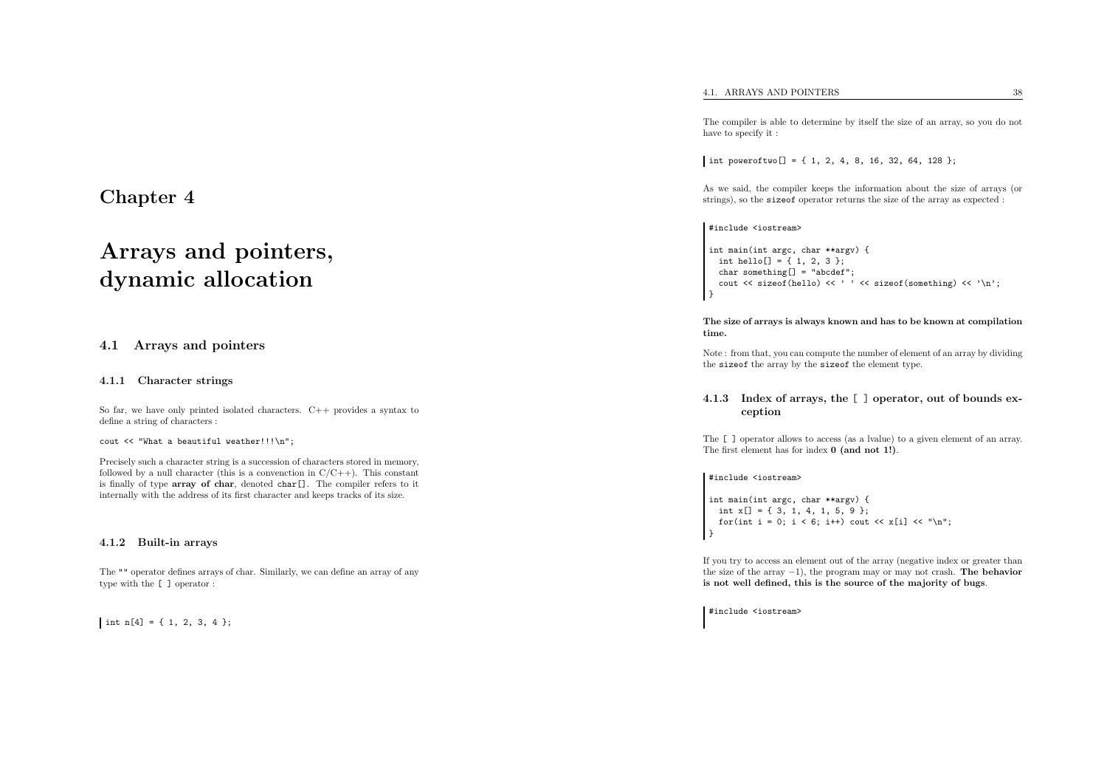Chapter <sup>4</sup>

# Arrays and pointers, dynamic allocation

### 4.1 Arrays and pointers

#### 4.1.1 Character strings

So far, we have only printed isolated characters. C++ provides <sup>a</sup> syntax todefine <sup>a</sup> string of characters :

cout << "What <sup>a</sup> beautiful weather!!!\n";

Precisely such <sup>a</sup> character string is <sup>a</sup> succession of characters stored in memory, followed by a null character (this is a convenction in  $C/C++$ ). This constant is finally of type array of char, denoted char[]. The compiler refers to it internally with the address of its first character and keeps tracks of its size.

#### 4.1.2 Built-in arrays

The "" operator defines arrays of char. Similarly, we can define an array of anytype with the [ ] operator :

 $\int \int \ln t \, n[4] = \{ 1, 2, 3, 4 \}$ ;

The compiler is able to determine by itself the size of an array, so you do nothave to specify it:

 $\int$  int poweroftwo[] = { 1, 2, 4, 8, 16, 32, 64, 128 };

As we said, the compiler keeps the information about the size of arrays (or strings), so the sizeof operator returns the size of the array as expected :

#### #include <iostream>

int main(int argc, char \*\*argv) { int hello[] =  $\{ 1, 2, 3 \}$ ; char something  $[] = "abcdef";$ cout  $\langle$  sizeof(hello)  $\langle$   $\rangle$   $\langle$   $\rangle$   $\langle$  sizeof(something)  $\langle$   $\rangle$   $\langle$   $\rangle$   $\langle$   $\rangle$ ; ן

#### The size of arrays is always known and has to be known at compilationtime.

Note : from that, you can compute the number of element of an array by dividingthe sizeof the array by the sizeof the element type.

#### 4.1.3 Index of arrays, the [ ] operator, out of bounds exception

The [ ] operator allows to access (as <sup>a</sup> lvalue) to <sup>a</sup> <sup>g</sup>iven element of an array. The first element has for index <sup>0</sup> (and not 1!).

#include <iostream>

int main(int argc, char \*\*argv) { int  $x[] = \{ 3, 1, 4, 1, 5, 9 \};$ for(int i = 0; i < 6; i++) cout << x[i] << "\n"; |}

If you try to access an element out of the array (negative index or greater than the size of the array <sup>−</sup>1), the program may or may not crash. The behavior is not well defined, this is the source of the majority of bugs.

#include <iostream>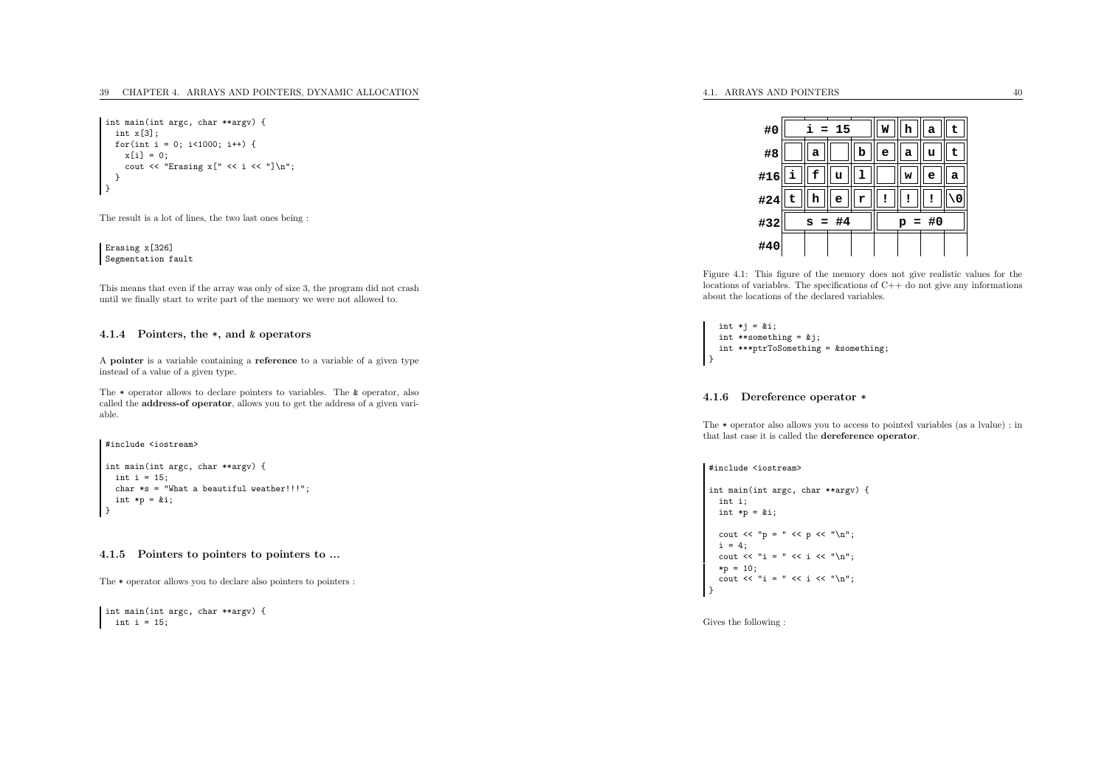```
int main(int argc, char **argv) {
   int x[3];
  for(int i = 0; i<1000; i++) {
    x[i] = 0;
     cout \langle "Erasing x[" \langle i \langle "]\n\ranglen";
  }\rightarrow
```
The result is <sup>a</sup> lot of lines, the two last ones being :

Erasing x[326] Segmentation fault

This means that even if the array was only of size 3, the program did not crashuntil we finally start to write part of the memory we were not allowed to.

## 4.1.4 Pointers, the \*, and & operators

A pointer is <sup>a</sup> variable containing <sup>a</sup> reference to <sup>a</sup> variable of <sup>a</sup> <sup>g</sup>iven type instead of <sup>a</sup> value of <sup>a</sup> <sup>g</sup>iven type.

The \* operator allows to declare pointers to variables. The & operator, also called the address-of operator, allows you to get the address of <sup>a</sup> <sup>g</sup>iven variable.

#include <iostream>

```
int main(int argc, char **argv) {
 int i = 15;
  char *s = "What a beautiful weather!!!";int *p = ki;
}
```
#### 4.1.5 Pointers to pointers to pointers to ...

The \* operator allows you to declare also pointers to pointers :

int main(int argc, char \*\*argv) { int i =  $15$ ;

| #0  | 15      |   |   |   | W | h | а  | t |
|-----|---------|---|---|---|---|---|----|---|
| #8  |         | а |   | b | e | а | u  | t |
| #16 |         | f | u |   |   | w | e  | а |
| #24 |         | h | e | r |   |   |    |   |
| #32 | #4<br>s |   |   |   |   | р | #0 |   |
| #40 |         |   |   |   |   |   |    |   |

Figure 4.1: This figure of the memory does not <sup>g</sup>ive realistic values for the locations of variables. The specifications of C++ do not <sup>g</sup>ive any informations about the locations of the declared variables.

int  $*$ i = &i; int \*\*something <sup>=</sup> &j; int \*\*\*ptrToSomething <sup>=</sup> &something; ן

## 4.1.6 Dereference operator \*

The \* operator also allows you to access to pointed variables (as <sup>a</sup> lvalue) ; inthat last case it is called the dereference operator.

#### #include <iostream>

```
int main(int argc, char **argv) {
   int i;
   int *p = ki;
   cout \langle \langle \nabla \cdot \cdot \cdot \cdot \rangle = " \langle \langle \cdot \rangle \cdot \cdot \cdot \cdot \cdot \rangle n";
   i = 4;
   cout \langle\langle "i = " \langle\langle i \langle "\ranglen";
   *p = 10;cout \langle \langle "i = " \langle \langle i \langle "\ranglen";
 }
```
Gives the following :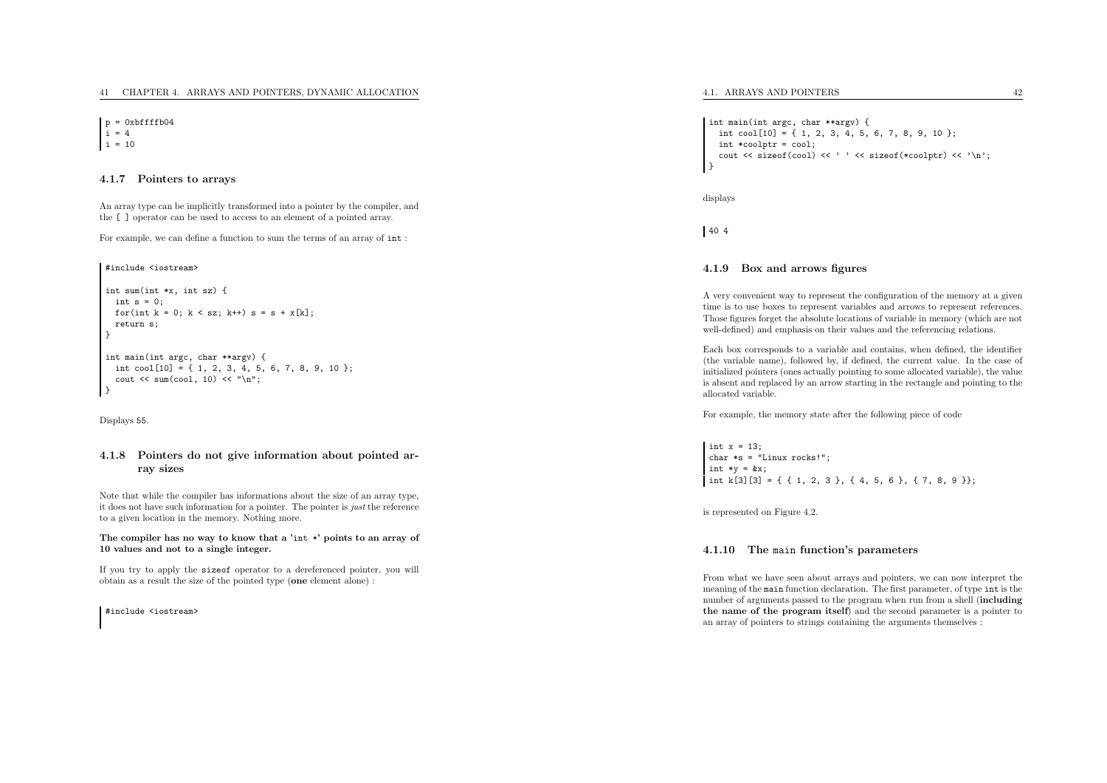$p = 0xbffffb04$ 

 $i = 4$  $i = 10$ 

#### 4.1.7 Pointers to arrays

An array type can be implicitly transformed into <sup>a</sup> pointer by the compiler, andthe [ ] operator can be used to access to an element of <sup>a</sup> pointed array.

For example, we can define <sup>a</sup> function to sum the terms of an array of int :

#include <iostream>

```
int sum(int *x, int sz) {
  int s = 0;
 for(int k = 0; k < sz; k++) s = s + x[k];
 return s;
}int main(int argc, char **argv) {
 int cool[10] = { 1, 2, 3, 4, 5, 6, 7, 8, 9, 10 };
  cout \langle sum(cool, 10) \langle "\n";
}
```
Displays <sup>55</sup>.

#### 4.1.8 Pointers do not <sup>g</sup>ive information about pointed array sizes

Note that while the compiler has informations about the size of an array type, it does not have such information for <sup>a</sup> pointer. The pointer is just the referenceto <sup>a</sup> <sup>g</sup>iven location in the memory. Nothing more.

The compiler has no way to know that <sup>a</sup> 'int \*' points to an array of <sup>10</sup> values and not to <sup>a</sup> single integer.

If you try to apply the sizeof operator to <sup>a</sup> dereferenced pointer, you will obtain as <sup>a</sup> result the size of the pointed type (one element alone) :

#include <iostream>

```
int main(int argc, char **argv) {
    int cool[10] = \{ 1, 2, 3, 4, 5, 6, 7, 8, 9, 10 \};int *coolptr = cool;
    cout \langle sizeof(cool) \langle \rangle \langle \rangle \langle sizeof(*coolptr) \langle \rangle \langle \rangle \langle \rangle \langle \rangle \langle \rangle \langle \rangle \langle \rangle \langle \rangle \langle \rangle \langle \rangle \langle \rangle \langle \rangle \langle \rangle \langle \rangle \langle \rangle \langle
```
displays

}

<sup>40</sup> <sup>4</sup>

#### 4.1.9 Box and arrows figures

<sup>A</sup> very convenient way to represent the configuration of the memory at <sup>a</sup> <sup>g</sup>iven time is to use boxes to represent variables and arrows to represent references. Those figures forget the absolute locations of variable in memory (which are notwell-defined) and emphasis on their values and the referencing relations.

Each box corresponds to <sup>a</sup> variable and contains, when defined, the identifier (the variable name), followed by, if defined, the current value. In the case of initialized pointers (ones actually pointing to some allocated variable), the value is absent and replaced by an arrow starting in the rectangle and pointing to theallocated variable.

For example, the memory state after the following <sup>p</sup>iece of code

int  $x = 13$ : char \*s <sup>=</sup> "Linux rocks!"; int  $*y = kx;$ int k[3][3] = { { 1, 2, 3 }, { 4, 5, 6 }, { 7, 8, 9 }};

is represented on Figure 4.2.

## 4.1.10 The main function's parameters

From what we have seen about arrays and pointers, we can now interpret the meaning of the main function declaration. The first parameter, of type int is the number of arguments passed to the program when run from <sup>a</sup> shell (including the name of the program itself) and the second parameter is <sup>a</sup> pointer toan array of pointers to strings containing the arguments themselves :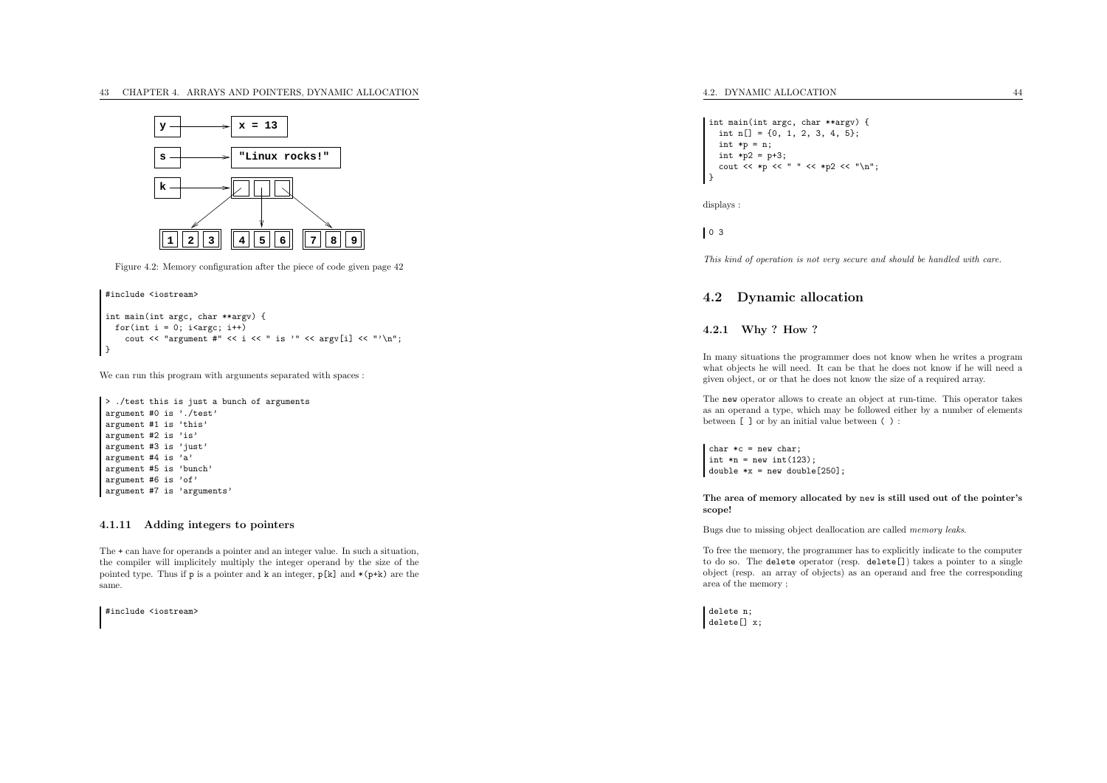

Figure 4.2: Memory configuration after the <sup>p</sup>iece of code <sup>g</sup>iven page <sup>42</sup>

```
#include <iostream>
int main(int argc, char **argv) {
 for(int i = 0; i<argc; i^{++})
    cout \lt\lt "argument #" \lt\lt i \lt' " is '" \lt\lt x argv[i] \lt\lt "'\n";
}
```
We can run this program with arguments separated with spaces :

```
> ./test this is just a bunch of arguments
argument #0 is './test'
argument #1 is 'this'
argument #2 is 'is'
argument #3 is 'just'
argument #4 is 'a'
argument #5 is 'bunch'
argument #6 is 'of'
argument #7 is 'arguments'
```
#### 4.1.11 Adding integers to pointers

The <sup>+</sup> can have for operands <sup>a</sup> pointer and an integer value. In such <sup>a</sup> situation, the compiler will implicitely multiply the integer operand by the size of the pointed type. Thus if <sup>p</sup> is <sup>a</sup> pointer and <sup>k</sup> an integer, p[k] and \*(p+k) are the same.

#include <iostream>

```
int main(int argc, char **argv) {
 int n[] = \{0, 1, 2, 3, 4, 5\};
 int *p = n;
 int *p2 = p+3;cout << *p << " " << *p2 << "\n";
}
```
displays :

 $| 0 3$ 

This kind of operation is not very secure and should be handled with care.

## 4.2 Dynamic allocation

4.2.1 Why ? How ?

In many situations the programmer does not know when he writes <sup>a</sup> program what objects he will need. It can be that he does not know if he will need <sup>a</sup><sup>g</sup>iven object, or or that he does not know the size of <sup>a</sup> required array.

The new operator allows to create an object at run-time. This operator takes as an operand <sup>a</sup> type, which may be followed either by <sup>a</sup> number of elementsbetween [ ] or by an initial value between ( ) :

char  $*c$  = new char; int  $*n = new int(123);$ double  $*x = new double[250]$ ;

#### The area of memory allocated by new is still used out of the pointer's scope!

Bugs due to missing object deallocation are called *memory leaks*.

To free the memory, the programmer has to explicitly indicate to the computer to do so. The delete operator (resp. delete[]) takes <sup>a</sup> pointer to <sup>a</sup> single object (resp. an array of objects) as an operand and free the correspondingarea of the memory ;

delete n; delete[] x;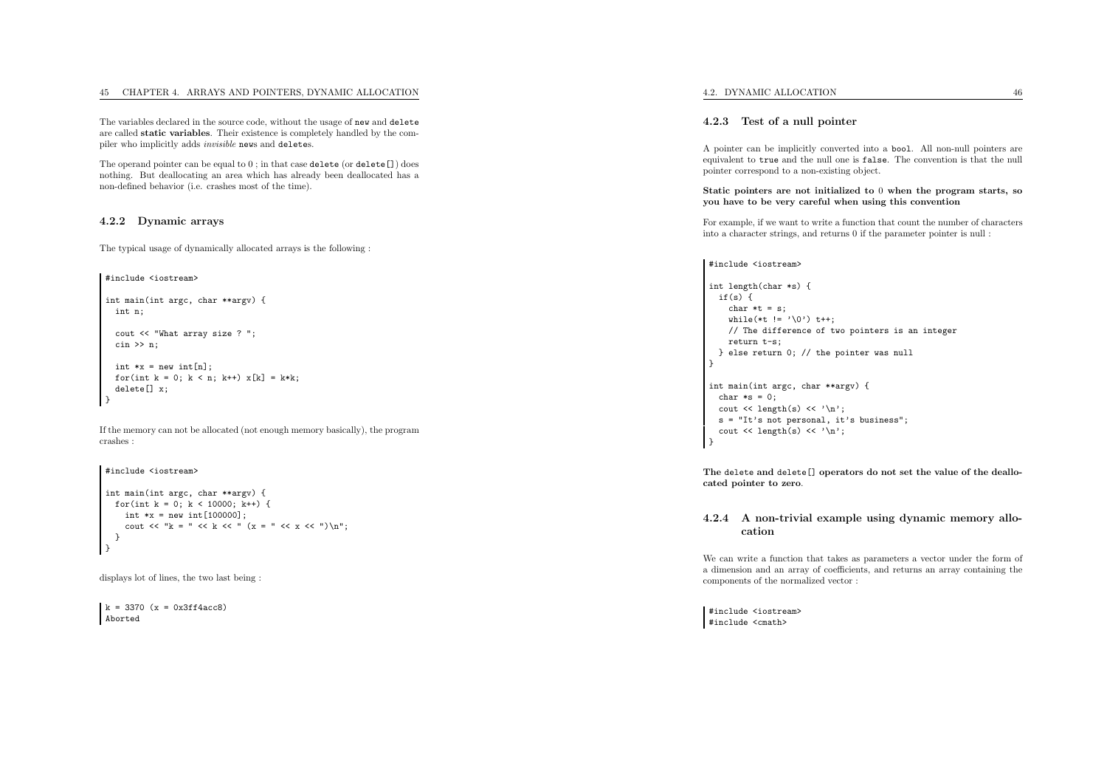The variables declared in the source code, without the usage of new and delete are called static variables. Their existence is completely handled by the compiler who implicitly adds *invisible* news and deletes.

The operand pointer can be equal to  $0$  ; in that case  $\texttt{delete(} \{ \texttt{delete[} \texttt{]}} \texttt{)}$  does nothing. But deallocating an area which has already been deallocated has <sup>a</sup>non-defined behavior (i.e. crashes most of the time).

#### 4.2.2 Dynamic arrays

The typical usage of dynamically allocated arrays is the following :

```
#include <iostream>
```

```
int main(int argc, char **argv) {
 int n;
```

```
cout << "What array size ? ";
\sin \gg n:
```

```
int *x = new int[n];
for(int k = 0; k < n; k^{++}) x[k] = k*k;
delete[] x;
```
If the memory can not be allocated (not enoug<sup>h</sup> memory basically), the programcrashes :

#include <iostream>

}

```
int main(int argc, char **argv) {
  for(int k = 0; k < 10000; k++) {
     int *x = new int[100000];cout \langle \langle "k = " \langle \langle \rangle k \langle " (x = " \langle \langle \rangle x \langle \langle \rangle ") \n";
  }}
```
displays lot of lines, the two last being :

 $k = 3370$  (x = 0x3ff4acc8) Aborted

#### 4.2.3 Test of <sup>a</sup> null pointer

<sup>A</sup> pointer can be implicitly converted into <sup>a</sup> bool. All non-null pointers are equivalent to true and the null one is false. The convention is that the null pointer correspond to <sup>a</sup> non-existing object.

Static pointers are not initialized to <sup>0</sup> when the program starts, so you have to be very careful when using this convention

For example, if we want to write <sup>a</sup> function that count the number of charactersinto <sup>a</sup> character strings, and returns <sup>0</sup> if the parameter pointer is null :

#### #include <iostream>

```
int length(char *s) {
 if(s) {
    char *t = s;
    while(*t != '\0') t++;
    // The difference of two pointers is an integer
    return t-s;
  } else return 0; // the pointer was null
 }int main(int argc, char **argv) {
  char *s = 0:
  cout \langle length(s) \langle '\n';
  s = "It's not personal, it's business";
  cout \langle length(s) \langle '\n';
ן
```
The delete and delete[] operators do not set the value of the deallocated pointer to zero.

#### 4.2.4 <sup>A</sup> non-trivial example using dynamic memory allocation

We can write <sup>a</sup> function that takes as parameters <sup>a</sup> vector under the form of <sup>a</sup> dimension and an array of coefficients, and returns an array containing thecomponents of the normalized vector :

#include <iostream> #include <cmath>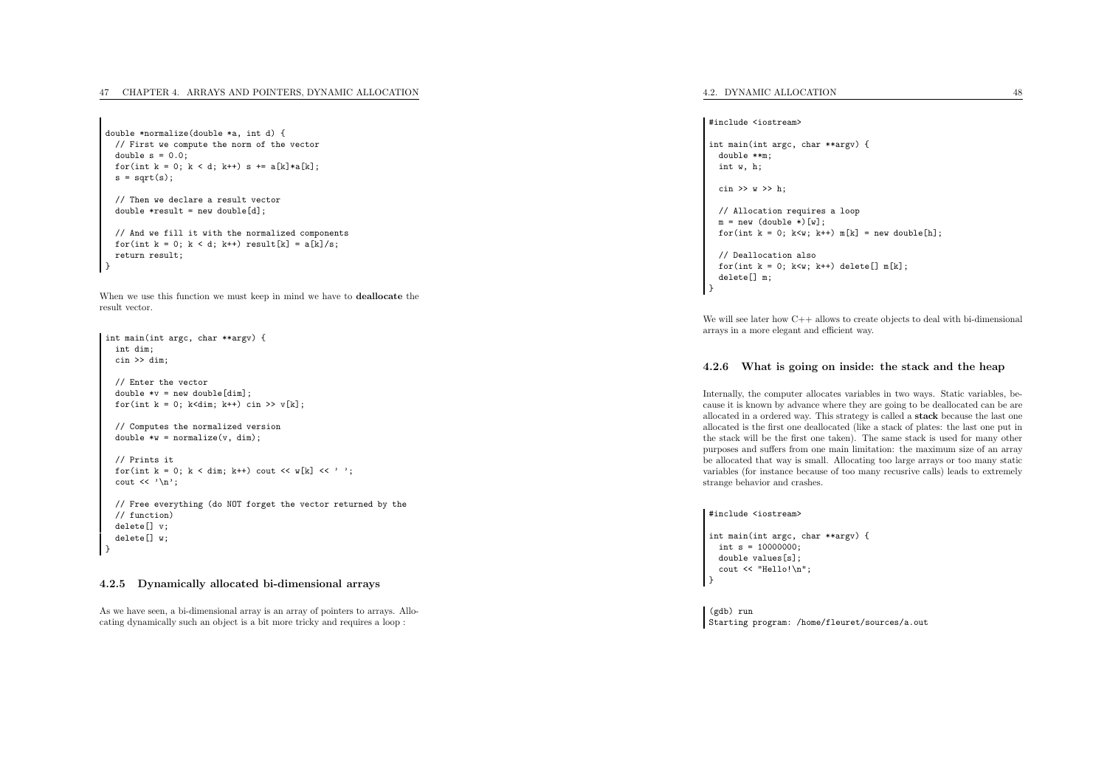double \*normalize(double \*a, int d) { // First we compute the norm of the vector double  $s = 0.0$ ; for(int  $k = 0$ ;  $k < d$ ;  $k++)$   $s == a[k]*a[k]$ ;  $s = \text{sort}(s)$ :

// Then we declare <sup>a</sup> result vector double  $*result = new double[d];$ 

```
// And we fill it with the normalized components
for(int k = 0; k < d; k^{++}) result[k] = a[k]/s;
return result;
```
When we use this function we must keep in mind we have to deallocate the result vector.

int main(int argc, char \*\*argv) { int dim; cin >> dim;

}

}

// Enter the vector double  $*v = new double$ [dim]; for(int  $k = 0$ ; k<dim; k++) cin >>  $v[k]$ ;

// Computes the normalized version double  $*v = normalize(v, dim)$ ;

```
// Prints it
for(int k = 0; k < dim; k++) cout \langle k | k \rangle \langle k' \rangle;
cout \langle \langle \cdot \rangle \rangle":
```
// Free everything (do NOT forget the vector returned by the // function) delete[] v; delete[] w;

#### 4.2.5 Dynamically allocated bi-dimensional arrays

As we have seen, <sup>a</sup> bi-dimensional array is an array of pointers to arrays. Allocating dynamically such an object is <sup>a</sup> bit more tricky and requires <sup>a</sup> loop :

#### #include <iostream>

int main(int argc, char \*\*argv) { double \*\*m; int w, h;

 $\sin \gg w \gg h$ :

}

// Allocation requires <sup>a</sup> loop  $m = new$  (double \*)[w]: for(int  $k = 0$ ;  $k \leq w$ ;  $k++)$  m[k] = new double[h];

```
// Deallocation also
for(int k = 0; k \leq w; k++) delete<sup>[]</sup> m[k];
delete[] m;
```
We will see later how C++ allows to create objects to deal with bi-dimensional arrays in <sup>a</sup> more elegant and efficient way.

#### 4.2.6 What is going on inside: the stack and the heap

Internally, the computer allocates variables in two ways. Static variables, because it is known by advance where they are going to be deallocated can be are allocated in <sup>a</sup> ordered way. This strategy is called <sup>a</sup> stack because the last one allocated is the first one deallocated (like <sup>a</sup> stack of <sup>p</sup>lates: the last one put in the stack will be the first one taken). The same stack is used for many other purposes and suffers from one main limitation: the maximum size of an array be allocated that way is small. Allocating too large arrays or too many static variables (for instance because of too many recusrive calls) leads to extremelystrange behavior and crashes.

#### #include <iostream>

```
int main(int argc, char **argv) {
 int s = 100000000;double values[s];
 cout << "Hello!\n";
}
```
(gdb) run Starting program: /home/fleuret/sources/a.out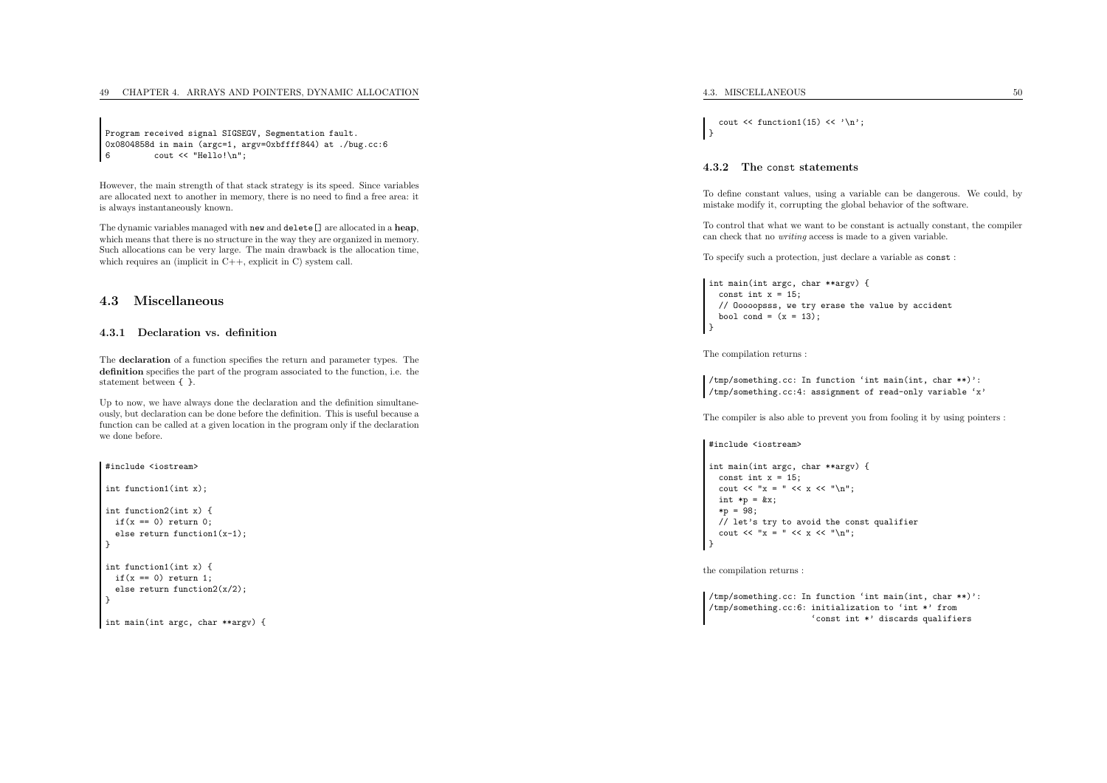Program received signal SIGSEGV, Segmentation fault. 0x0804858d in main ( $\arg c=1$ ,  $\arg v=0$ x $\text{Difff844}$ ) at ./bug.cc:6<br>6  $\frac{1}{6}$  cout  $\leq$  "Hello!\n";

However, the main strength of that stack strategy is its speed. Since variables are allocated next to another in memory, there is no need to find <sup>a</sup> free area: itis always instantaneously known.

The dynamic variables managed with  ${\tt new}$  and  ${\tt delete[}$  are allocated in a  ${\tt heap},$ which means that there is no structure in the way they are organized in memory. Such allocations can be very large. The main drawback is the allocation time, which requires an (implicit in C++, explicit in C) system call.

## 4.3 Miscellaneous

#### 4.3.1 Declaration vs. definition

The declaration of <sup>a</sup> function specifies the return and parameter types. The definition specifies the part of the program associated to the function, i.e. the statement between { }.

Up to now, we have always done the declaration and the definition simultaneously, but declaration can be done before the definition. This is useful because <sup>a</sup> function can be called at <sup>a</sup> <sup>g</sup>iven location in the program only if the declarationwe done before.

```
#include <iostream>
int function1(int x);
int function2(int x) {
 if(x == 0) return 0;else return function1(x-1);
}int function1(int x) {
  if(x == 0) return 1;
  else return function2(x/2);
}int main(int argc, char **argv) {
```
cout  $\langle$  function1(15)  $\langle$   $\rangle$   $\langle$   $\rangle$   $\langle$   $\rangle$ ; }

## 4.3.2 The const statements

To define constant values, using <sup>a</sup> variable can be dangerous. We could, bymistake modify it, corrupting the <sup>g</sup>lobal behavior of the software.

To control that what we want to be constant is actually constant, the compilercan check that no writing access is made to <sup>a</sup> <sup>g</sup>iven variable.

To specify such <sup>a</sup> protection, just declare <sup>a</sup> variable as const :

int main(int argc, char \*\*argv) { const int  $x = 15$ ; // Ooooopsss, we try erase the value by accident bool cond =  $(x = 13)$ ; ן

The compilation returns :

/tmp/something.cc: In function 'int main(int, char \*\*)': /tmp/something.cc:4: assignment of read-only variable 'x'

The compiler is also able to prevent you from fooling it by using pointers :

#include <iostream>

```
int main(int argc, char **argv) {
  const int x = 15;
  cout \langle \langle \rangle \rangle = \langle \langle \rangle \langle \rangle \langle \rangle \langle \rangleint *p = kx;
   *p = 98;// let's try to avoid the const qualifier
   cout << "x = " << x << "\n\sqrt{n}";
 }
```
the compilation returns :

/tmp/something.cc: In function 'int main(int, char \*\*)': /tmp/something.cc:6: initialization to 'int \*' from 'const int \*' discards qualifiers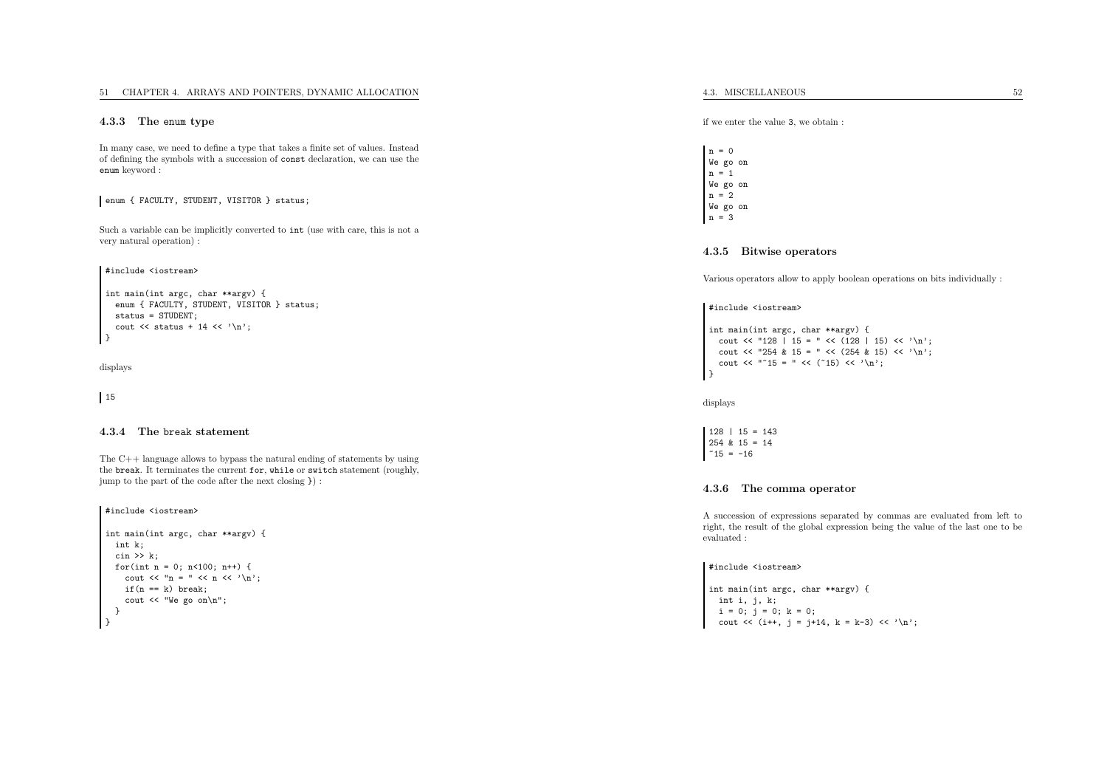## 4.3.3 The enum type

In many case, we need to define <sup>a</sup> type that takes <sup>a</sup> finite set of values. Instead of defining the symbols with <sup>a</sup> succession of const declaration, we can use the enum keyword :

enum { FACULTY, STUDENT, VISITOR } status;

Such <sup>a</sup> variable can be implicitly converted to int (use with care, this is not <sup>a</sup> very natural operation) :

#include <iostream>

```
int main(int argc, char **argv) {
 enum { FACULTY, STUDENT, VISITOR } status;
 status = STUDENT;
  cout \langle status + 14 \langle \rangle \langle \rangle \langle \rangle ;
}
```
displays

15

## 4.3.4 The break statement

The C++ language allows to bypass the natural ending of statements by using the break. It terminates the current for, while or switch statement (roughly, jump to the part of the code after the next closing }) :

#include <iostream>

```
int main(int argc, char **argv) {
  int k;
  cin >> k;
  for(int n = 0; n < 100; n++) {
    cout \langle \langle "n = " \langle \langle n \rangle \langle \langle n';
    if(n == k) break;cout << "We go on\n";
  }}
```
4.3. MISCELLANEOUS

if we enter the value <sup>3</sup>, we obtain :

 $n = 0$ We go on  $n = 1$ We go on  $n = 2$ We go on <sup>n</sup> <sup>=</sup> <sup>3</sup>

#### 4.3.5 Bitwise operators

Various operators allow to apply boolean operations on bits individually :

#### #include <iostream>

```
int main(int argc, char **argv) {
cout << "128 | 15 = " << (128 | 15) << '\n;
 cout << "254 & 15 = " << (254 \& 15) << '\n;
 cout << ""15 = " << ("15) << '\n';
}
```
displays

```
128 | 15 = 143
254 & 15 = 14^{\sim}15 = -16
```
#### 4.3.6 The comma operator

<sup>A</sup> succession of expressions separated by commas are evaluated from left to right, the result of the <sup>g</sup>lobal expression being the value of the last one to beevaluated :

#### #include <iostream>

int main(int argc, char \*\*argv) { int i, j, k;  $i = 0; j = 0; k = 0;$ cout << (i++, j = j+14, k = k-3) <<  $'\n$ ;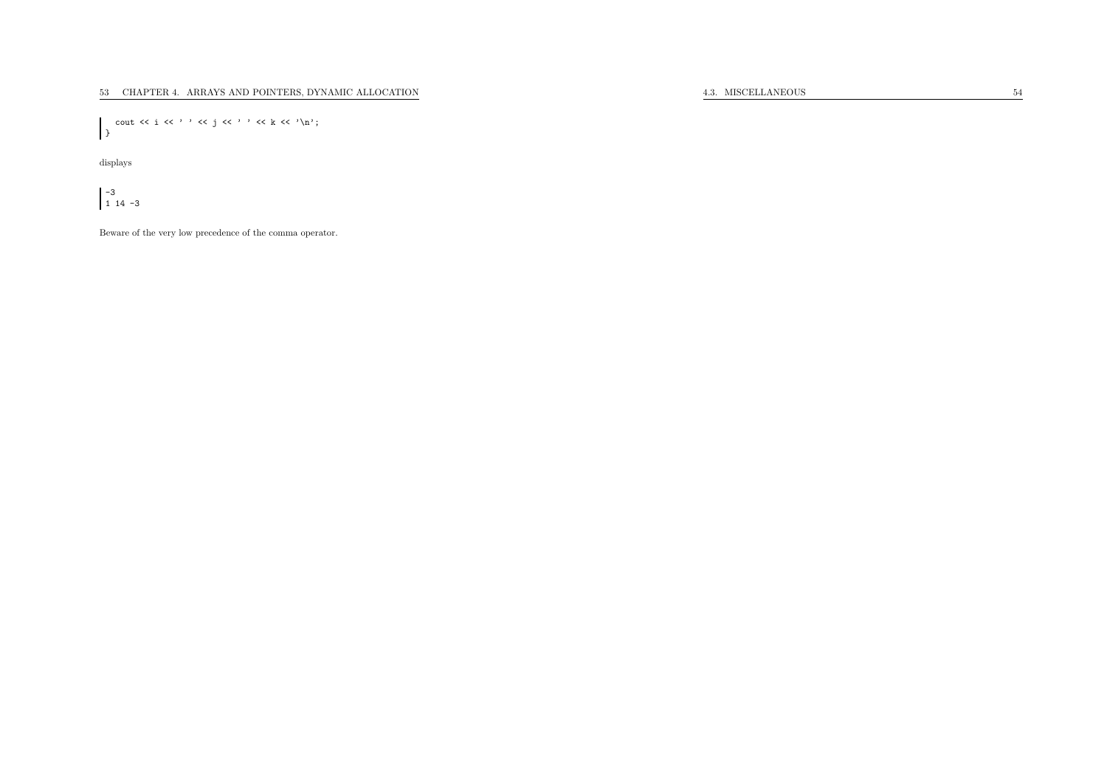4.3. MISCELLANEOUS

cout << i << ' ' << j << ' ' << k << '\n';  $\vert$ 

displays

-3 <sup>1</sup> <sup>14</sup> -3

Beware of the very low precedence of the comma operator.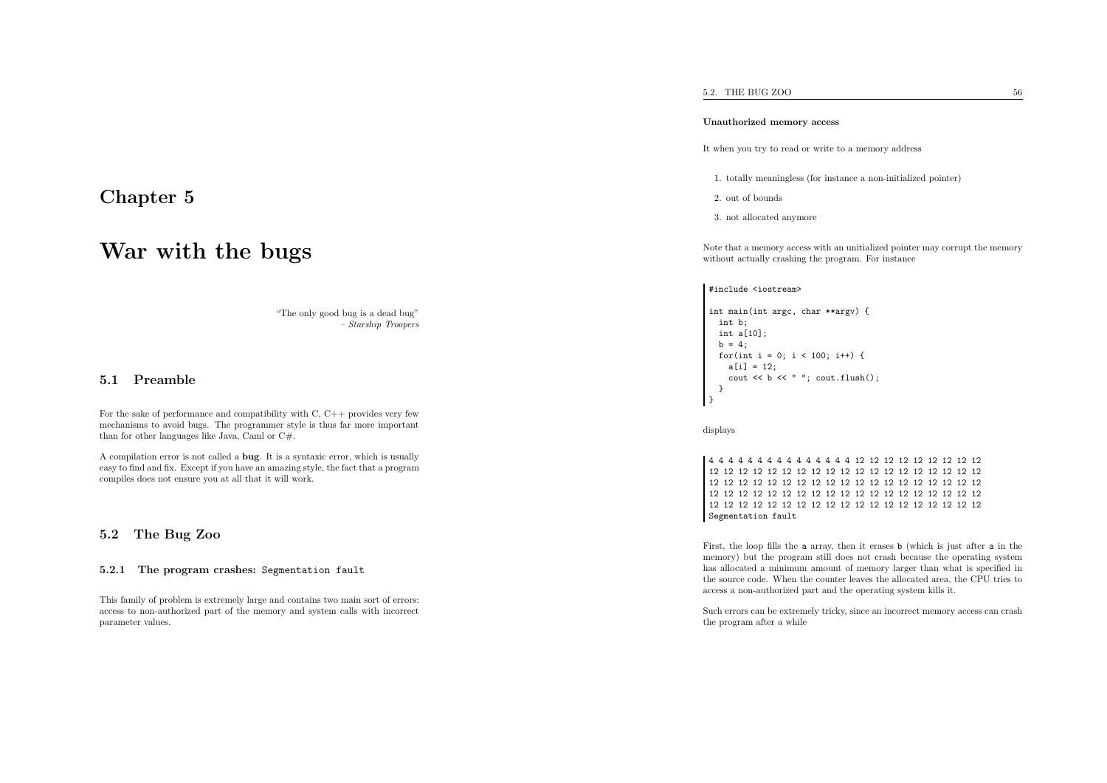## Chapter <sup>5</sup>

# War with the bugs

"The only good bug is <sup>a</sup> dead bug"– Starship Troopers

## 5.1 Preamble

For the sake of performance and compatibility with  $C, C++$  provides very few mechanisms to avoid bugs. The programmer style is thus far more importantthan for other languages like Java, Caml or C#.

<sup>A</sup> compilation error is not called <sup>a</sup> bug. It is <sup>a</sup> syntaxic error, which is usually easy to find and fix. Except if you have an amazing style, the fact that <sup>a</sup> programcompiles does not ensure you at all that it will work.

## 5.2 The Bug Zoo

#### 5.2.1 The program crashes: Segmentation fault

This family of problem is extremely large and contains two main sort of errors: access to non-authorized part of the memory and system calls with incorrect parameter values.

#### Unauthorized memory access

It when you try to read or write to <sup>a</sup> memory address

1. totally meaningless (for instance <sup>a</sup> non-initialized pointer)

- 2. out of bounds
- 3. not allocated anymore

Note that <sup>a</sup> memory access with an unitialized pointer may corrupt the memorywithout actually crashing the program. For instance

#### #include <iostream>

```
int main(int argc, char **argv) {
  int b;
   int a[10];
   b = 4;
   for(int i = 0; i < 100; i++) {
     a[i] = 12;cout \langle \cdot \rangle b \langle \cdot \rangle "; cout.flush();
  }\rightarrow
```
displays

 <sup>4</sup> <sup>4</sup> <sup>4</sup> <sup>4</sup> <sup>4</sup> <sup>4</sup> <sup>4</sup> <sup>4</sup> <sup>4</sup> <sup>4</sup> <sup>4</sup> <sup>4</sup> <sup>4</sup> <sup>4</sup> <sup>12</sup> <sup>12</sup> <sup>12</sup> <sup>12</sup> <sup>12</sup> <sup>12</sup> <sup>12</sup> <sup>12</sup> <sup>12</sup> <sup>12</sup> <sup>12</sup> <sup>12</sup> <sup>12</sup> <sup>12</sup> <sup>12</sup> <sup>12</sup> <sup>12</sup> <sup>12</sup> <sup>12</sup> <sup>12</sup> <sup>12</sup> <sup>12</sup> <sup>12</sup> <sup>12</sup> <sup>12</sup> <sup>12</sup> <sup>12</sup> <sup>12</sup> <sup>12</sup> <sup>12</sup> <sup>12</sup> <sup>12</sup> <sup>12</sup> <sup>12</sup> <sup>12</sup> <sup>12</sup> <sup>12</sup> <sup>12</sup> <sup>12</sup> <sup>12</sup> <sup>12</sup> <sup>12</sup> <sup>12</sup> <sup>12</sup> <sup>12</sup> <sup>12</sup> <sup>12</sup> <sup>12</sup> <sup>12</sup> <sup>12</sup> <sup>12</sup> <sup>12</sup> <sup>12</sup> <sup>12</sup> <sup>12</sup> <sup>12</sup> <sup>12</sup> <sup>12</sup> <sup>12</sup> <sup>12</sup> <sup>12</sup> <sup>12</sup> <sup>12</sup> <sup>12</sup> <sup>12</sup> <sup>12</sup> <sup>12</sup> <sup>12</sup> <sup>12</sup> <sup>12</sup> <sup>12</sup> <sup>12</sup> <sup>12</sup> <sup>12</sup> <sup>12</sup> <sup>12</sup> <sup>12</sup> <sup>12</sup> <sup>12</sup> <sup>12</sup> <sup>12</sup> Segmentation fault

First, the loop fills the <sup>a</sup> array, then it erases <sup>b</sup> (which is just after <sup>a</sup> in the memory) but the program still does not crash because the operating system has allocated <sup>a</sup> minimum amount of memory larger than what is specified in the source code. When the counter leaves the allocated area, the CPU tries toaccess <sup>a</sup> non-authorized part and the operating system kills it.

Such errors can be extremely tricky, since an incorrect memory access can crashthe program after <sup>a</sup> while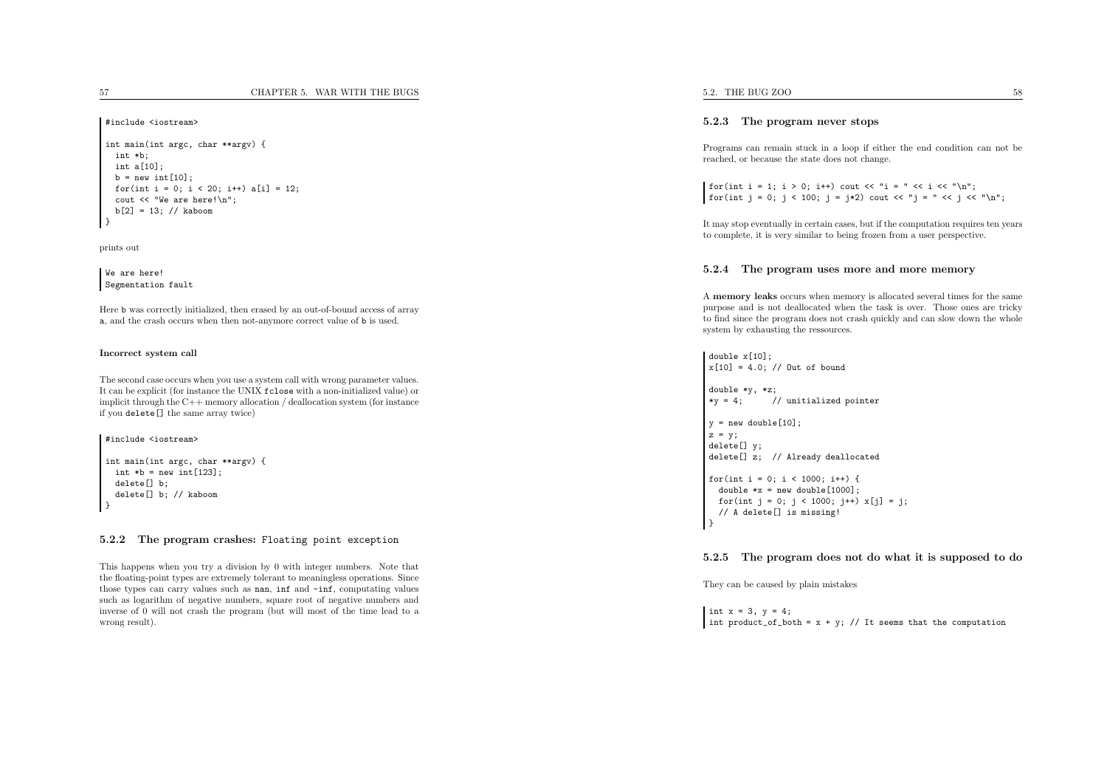#include <iostream>

int main(int argc, char \*\*argv) { int \*b; int a[10];  $b = new int[10]:$ for(int i = 0; i < 20; i++) a[i] = 12; cout << "We are here!\n";  $b[2] = 13; // kaboom$ }

prints out

We are here! Segmentation fault

Here <sup>b</sup> was correctly initialized, then erased by an out-of-bound access of array<sup>a</sup>, and the crash occurs when then not-anymore correct value of <sup>b</sup> is used.

#### Incorrect system call

The second case occurs when you use <sup>a</sup> system call with wrong parameter values. It can be explicit (for instance the UNIX fclose with <sup>a</sup> non-initialized value) or implicit through the  $C++$  memory allocation / deallocation system (for instance if you delete[] the same array twice)

#### #include <iostream>

```
int main(int argc, char **argv) {
 int *b = new int[123];
 delete[] b;
 delete[] b; // kaboom
}
```
#### 5.2.2 The program crashes: Floating point exception

This happens when you try <sup>a</sup> division by <sup>0</sup> with integer numbers. Note that the floating-point types are extremely tolerant to meaningless operations. Sincethose types can carry values such as nan, inf and  $\text{-inf}$ , computating values such as logarithm of negative numbers, square root of negative numbers and inverse of <sup>0</sup> will not crash the program (but will most of the time lead to <sup>a</sup>wrong result).

#### 5.2.3 The program never stops

Programs can remain stuck in <sup>a</sup> loop if either the end condition can not bereached, or because the state does not change.

for(int i = 1; i > 0; i++) cout << "i = " << i << "\n"; for(int j = 0; j < 100; j = j\*2) cout << "j = " << j << "\n";

It may stop eventually in certain cases, but if the computation requires ten yearsto complete, it is very similar to being frozen from <sup>a</sup> user perspective.

#### 5.2.4 The program uses more and more memory

A **memory leaks** occurs when memory is allocated several times for the same purpose and is not deallocated when the task is over. Those ones are tricky to find since the program does not crash quickly and can slow down the wholesystem by exhausting the ressources.

```
double x[10];
x[10] = 4.0; // Out of bound
double *y, *z;<br>*y = 4; /
             // unitialized pointer
y = new double[10];z = y;delete[] y;
delete[] z; // Already deallocated
for(int i = 0; i < 1000; i++) {
 double *x = new double[1000];
  for(int j = 0; j < 1000; j++) x[j] = j;
  // A delete[] is missing!
}
```
#### 5.2.5 The program does not do what it is supposed to do

They can be caused by <sup>p</sup>lain mistakes

int  $x = 3$ ,  $y = 4$ ; int product\_of\_both =  $x + y$ ; // It seems that the computation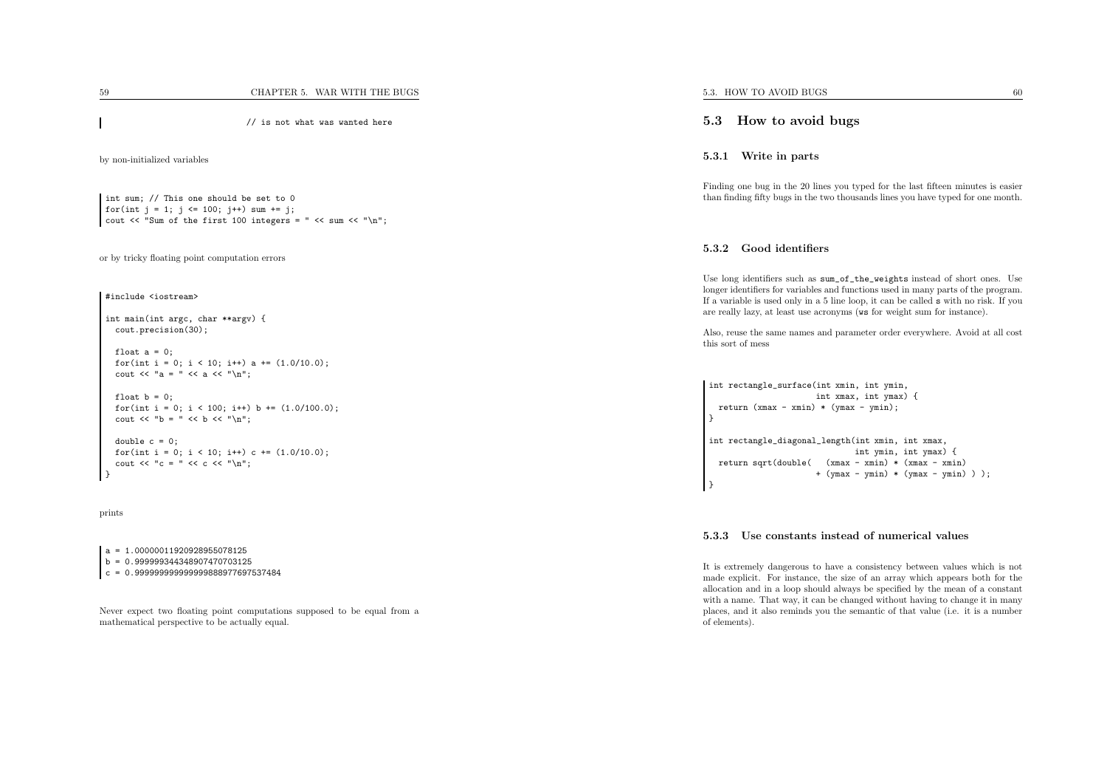// is not what was wanted here

by non-initialized variables

int sum; // This one should be set to <sup>0</sup> for(int  $j = 1$ ;  $j \le 100$ ;  $j++)$  sum += j; cout  $\langle$  "Sum of the first 100 integers = " $\langle$  sum  $\langle$  " $\rangle$ n";

or by tricky floating point computation errors

#include <iostream>

int main(int argc, char \*\*argv) { cout.precision(30);

float  $a = 0$ ; for(int i = 0; i < 10; i++) a +=  $(1.0/10.0)$ ; cout  $<<$  "a = "  $<<$  a  $<<$  " $\n\frac{1}{n}$ ;

float  $b = 0$ ; for(int i = 0; i < 100; i++) b +=  $(1.0/100.0)$ ; cout  $\langle\langle$  " $b =$  "  $\langle\langle$   $b \langle$   $\rangle$  " $\langle n$ ";

double  $c = 0$ ; for(int i = 0; i < 10; i++) c +=  $(1.0/10.0)$ ; cout  $<<$  "c = "  $<<$  c  $<<$  " $\n\chi$ n";

prints

}

```
a = 1.00000011920928955078125b = 0.999999344348907470703125
```
<sup>c</sup> <sup>=</sup> 0.999999999999999888977697537484

Never expect two floating point computations supposed to be equa<sup>l</sup> from <sup>a</sup>mathematical perspective to be actually equal.

### 5.3 How to avoid bugs

#### 5.3.1 Write in parts

Finding one bug in the <sup>20</sup> lines you typed for the last fifteen minutes is easierthan finding fifty bugs in the two thousands lines you have typed for one month.

#### 5.3.2 Good identifiers

}

Use long identifiers such as sum\_of\_the\_weights instead of short ones. Use longer identifiers for variables and functions used in many parts of the program. If <sup>a</sup> variable is used only in <sup>a</sup> <sup>5</sup> line loop, it can be called <sup>s</sup> with no risk. If you are really lazy, at least use acronyms (ws for weight sum for instance).

Also, reuse the same names and parameter order everywhere. Avoid at all costthis sort of mess

```
int rectangle_surface(int xmin, int ymin,
                     int xmax, int ymax) {
 return (xmax - xmin) * (ymax - ymin);
}int rectangle_diagonal_length(int xmin, int xmax,
                             int ymin, int ymax) {
 return sqrt(double( (xmax - xmin) * (xmax - xmin)
```
#### 5.3.3 Use constants instead of numerical values

It is extremely dangerous to have <sup>a</sup> consistency between values which is not made explicit. For instance, the size of an array which appears both for the allocation and in <sup>a</sup> loop should always be specified by the mean of <sup>a</sup> constant with a name. That way, it can be changed without having to change it in many <sup>p</sup>laces, and it also reminds you the semantic of that value (i.e. it is <sup>a</sup> numberof elements).

+ (ymax - ymin) \* (ymax - ymin) ) );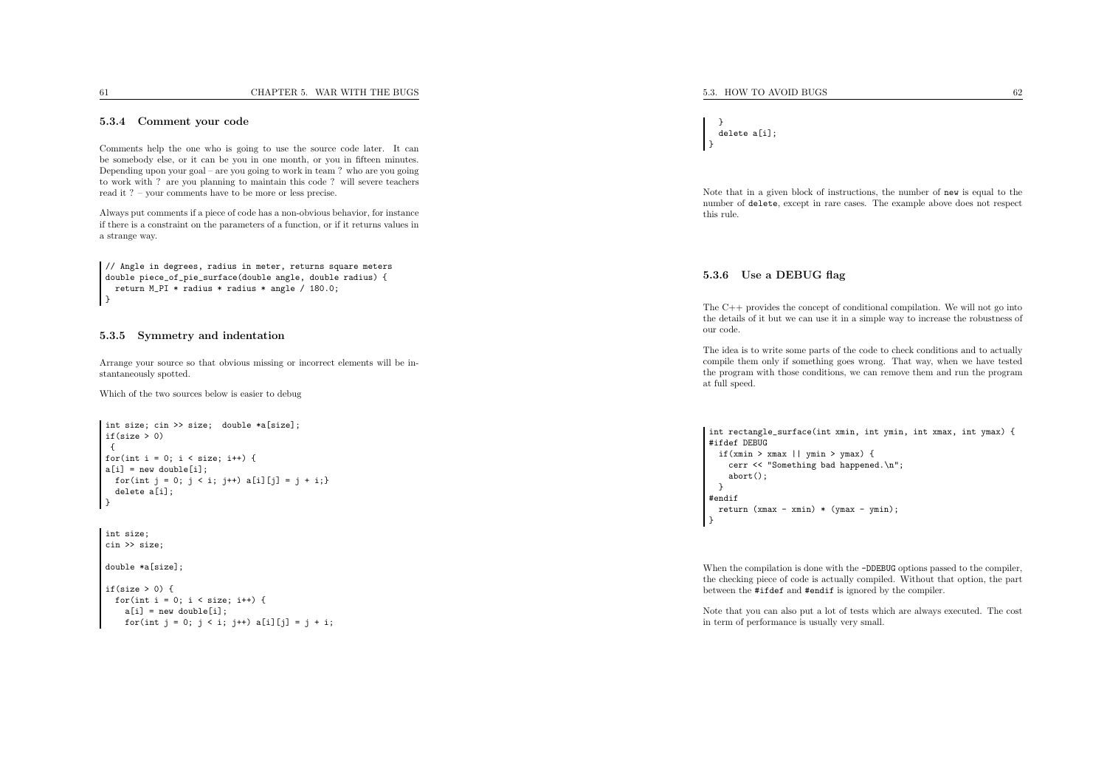#### 5.3.4 Comment your code

Comments help the one who is going to use the source code later. It can be somebody else, or it can be you in one month, or you in fifteen minutes. Depending upon your goa<sup>l</sup> – are you going to work in team ? who are you going to work with ? are you <sup>p</sup>lanning to maintain this code ? will severe teachersread it ? – your comments have to be more or less precise.

Always put comments if <sup>a</sup> <sup>p</sup>iece of code has <sup>a</sup> non-obvious behavior, for instance if there is <sup>a</sup> constraint on the parameters of <sup>a</sup> function, or if it returns values in<sup>a</sup> strange way.

// Angle in degrees, radius in meter, returns square meters double <sup>p</sup>iece\_of\_pie\_surface(double angle, double radius) { return M\_PI \* radius \* radius \* angle / 180.0; }

#### 5.3.5 Symmetry and indentation

Arrange your source so that obvious missing or incorrect elements will be instantaneously spotted.

Which of the two sources below is easier to debug

```
int size; cin >> size; double *a[size];
if(size > 0){
for(int i = 0; i < size; i++) {
a[i] = new double[i];
  for(int j = 0; j \le i; j++) a[i][j] = j + i;}
  delete a[i];
 }
```
int size; cin >> size;

double \*a[size];

```
if(size > 0) {
 for(int i = 0; i \leq size; i++) {
   a[i] = new double[i];for(int j = 0; j < i; j++) a[i][j] = j + i;
```
} delete a[i]; }

Note that in <sup>a</sup> <sup>g</sup>iven block of instructions, the number of new is equa<sup>l</sup> to the number of delete, except in rare cases. The example above does not respectthis rule.

#### 5.3.6 Use <sup>a</sup> DEBUG flag

The C++ provides the concept of conditional compilation. We will not go into the details of it but we can use it in <sup>a</sup> simple way to increase the robustness of our code.

The idea is to write some parts of the code to check conditions and to actually compile them only if something goes wrong. That way, when we have tested the program with those conditions, we can remove them and run the programat full speed.

int rectangle\_surface(int xmin, int ymin, int xmax, int ymax) { #ifdef DEBUG if(xmin <sup>&</sup>gt; xmax || ymin <sup>&</sup>gt; ymax) { cerr << "Something bad happened.\n"; abort();} #endif return (xmax - xmin) \* (ymax - ymin); }

When the compilation is done with the  $-DDEBUG$  options passed to the compiler, the checking <sup>p</sup>iece of code is actually compiled. Without that option, the partbetween the #ifdef and #endif is ignored by the compiler.

Note that you can also put <sup>a</sup> lot of tests which are always executed. The costin term of performance is usually very small.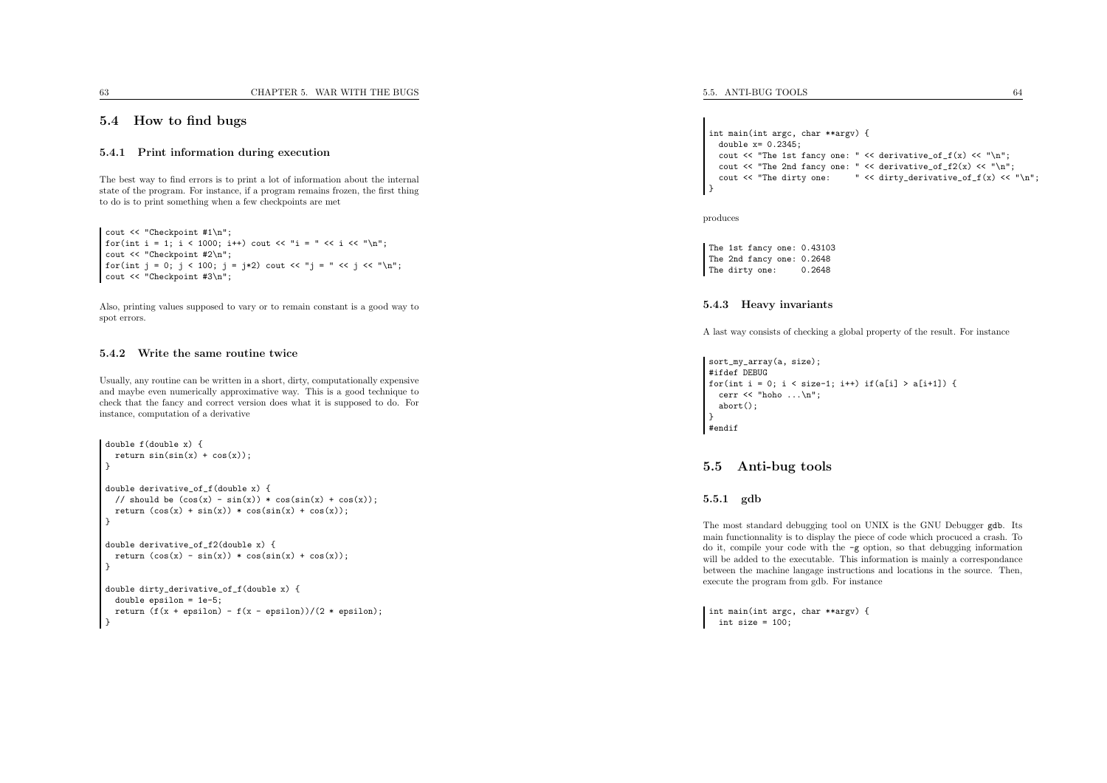#### 5.4 How to find bugs

#### 5.4.1 Print information during execution

The best way to find errors is to print <sup>a</sup> lot of information about the internal state of the program. For instance, if <sup>a</sup> program remains frozen, the first thingto do is to print something when <sup>a</sup> few checkpoints are met

cout << "Checkpoint #1\n"; for(int i = 1; i < 1000; i++) cout << "i = " << i << "\n"; cout << "Checkpoint #2\n"; for(int  $j = 0$ ;  $j < 100$ ;  $j = j*2$ ) cout << " $j = "$  <<  $j$  << "\n"; cout << "Checkpoint #3\n";

Also, printing values supposed to vary or to remain constant is <sup>a</sup> good way tospot errors.

#### 5.4.2 Write the same routine twice

Usually, any routine can be written in <sup>a</sup> short, dirty, computationally expensive and maybe even numerically approximative way. This is <sup>a</sup> good technique to check that the fancy and correct version does what it is supposed to do. Forinstance, computation of <sup>a</sup> derivative

```
double f(double x) {
 return sin(sin(x) + cos(x));}double derivative_of_f(double x) {
 // should be (cos(x) - sin(x)) * cos(sin(x) + cos(x));return (cos(x) + sin(x)) * cos(sin(x) + cos(x));}double derivative_of_f2(double x) {
 return (cos(x) - sin(x)) * cos(sin(x) + cos(x));}double dirty_derivative_of_f(double x) {
 double epsilon = 1e-5;
 return (f(x + epsilon) - f(x - epsilon))/(2 * epsilon);}
```
5.5. ANTI-BUG TOOLS

```
int main(int argc, char **argv) {
 double x = 0.2345:
 cout \ll "The 1st fancy one: " \ll derivative of f(x) \ll "\n";
 cout << "The 2nd fancy one: " << derivative_of_f2(x) << "\n";
                              " \langle dirty_derivative_of_f(x) \langle \rangle "\n";
}
```
produces

The 1st fancy one: 0.43103 The 2nd fancy one: 0.2648 The dirty one: 0.2648

#### 5.4.3 Heavy invariants

<sup>A</sup> last way consists of checking <sup>a</sup> <sup>g</sup>lobal property of the result. For instance

```
sort_my_array(a, size);
#ifdef DEBUG
for(int i = 0; i < size-1; i++) if(a[i] > a[i+1]) {
 cerr \lt\lt "hoho ...\ln":
 abort();}
#endif
```
#### 5.5 Anti-bug tools

#### 5.5.1 gdb

The most standard debugging tool on UNIX is the GNU Debugger <sup>g</sup>db. Its main functionnality is to display the <sup>p</sup>iece of code which procuced <sup>a</sup> crash. To do it, compile your code with the -g option, so that debugging information will be added to the executable. This information is mainly <sup>a</sup> correspondance between the machine langage instructions and locations in the source. Then, execute the program from gdb. For instance

int main(int argc, char \*\*argv) { int size =  $100$ ;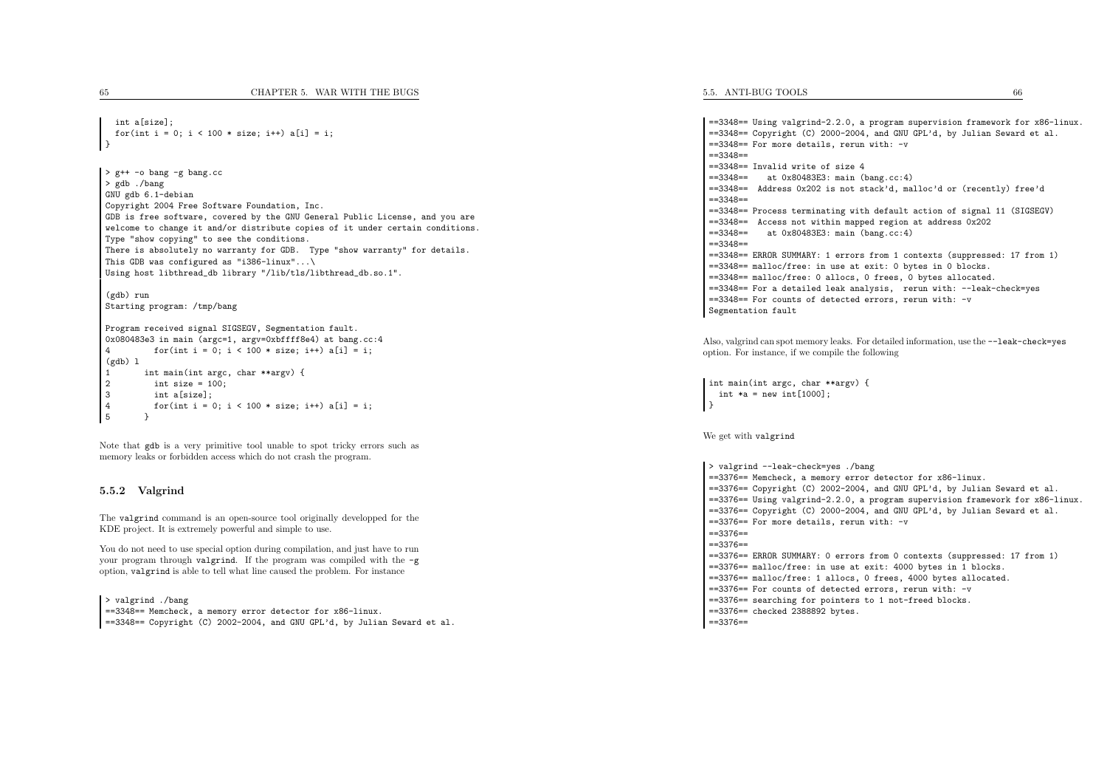int a[size]; for(int  $i = 0$ ;  $i < 100 * size$ ;  $i++)$  a[i] = i; }

> <sup>g</sup>++ -o bang -g bang.cc > <sup>g</sup>db ./bang GNU <sup>g</sup>db 6.1-debian Copyright <sup>2004</sup> Free Software Foundation, Inc. GDB is free software, covered by the GNU General Public License, and you are welcome to change it and/or distribute copies of it under certain conditions. Type "show copying" to see the conditions. There is absolutely no warranty for GDB. Type "show warranty" for details. This GDB was configured as "i386-linux"...\ Using host libthread\_db library "/lib/tls/libthread\_db.so.1". (gdb) run Starting program: /tmp/bang Program received signal SIGSEGV, Segmentation fault. 0x080483e3 in main (argc=1, argv=0xbffff8e4) at bang.cc:4<br>4 for(int i = 0; i < 100 \* size; i++) a[i] = i; for(int i = 0; i < 100 \* size; i++) a[i] = i; (gdb) <sup>l</sup> 1 int main(int argc, char \*\*argv) {<br>2 int size = 100;

2 int size = 100;<br>3 int a[size]: 3 int a[size];<br>4 for(int i = 0 4 for(int i = 0; i < 100 \* size; i++) a[i] = i;<br>5  $\rightarrow$ 

Note that <sup>g</sup>db is <sup>a</sup> very primitive tool unable to spot tricky errors such as memory leaks or forbidden access which do not crash the program.

#### 5.5.2 Valgrind

The valgrind command is an open-source tool originally developped for the KDE project. It is extremely powerful and simple to use.

You do not need to use special option during compilation, and just have to run your program through valgrind. If the program was compiled with the -g option, valgrind is able to tell what line caused the problem. For instance

> valgrind ./bang ==3348== Memcheck, <sup>a</sup> memory error detector for x86-linux. ==3348== Copyright (C) 2002-2004, and GNU GPL'd, by Julian Seward et al.

```
==3348== Using valgrind-2.2.0, a program supervision framework for x86-linux.
=3348= Copyright (C) 2000-2004, and GNU GPL'd, by Julian Seward et al.
==3348== For more details, rerun with: -v=3348==

==3348== Invalid write of size 4
==3348== at 0x80483E3: main (bang.cc:4)
=3348== Address 0x202 is not stack'd, malloc'd or (recently) free'd
==3348==
==3348== Process terminating with default action of signal 11 (SIGSEGV)
==3348== Access not within mapped region at address 0x202<br>==3348== at 0x80483E3: main (bang.cc:4)
          at 0x80483E3: main (bang.cc:4)
==3348==
==3348== ERROR SUMMARY: 1 errors from 1 contexts (suppressed: 17 from 1)
==3348== malloc/free: in use at exit: 0 bytes in 0 blocks.
==3348== malloc/free: 0 allocs, 0 frees, 0 bytes allocated.
==3348== For a detailed leak analysis, rerun with: --leak-check=yes
==3348== For counts of detected errors, rerun with: -v
Segmentation fault
```
Also, valgrind can spot memory leaks. For detailed information, use the --leak-check=yesoption. For instance, if we compile the following

int main(int argc, char \*\*argv) { int  $*a = new int[1000]$ ; }

We get with valgrind

```
> valgrind --leak-check=yes ./bang
==3376== Memcheck, a memory error detector for x86-linux.
==3376== Copyright (C) 2002-2004, and GNU GPL'd, by Julian Seward et al.
==3376== Using valgrind-2.2.0, a program supervision framework for x86-linux.
==3376== Copyright (C) 2000-2004, and GNU GPL'd, by Julian Seward et al.
==3376== For more details, rerun with: -v
=3376=
==3376==
==3376== ERROR SUMMARY: 0 errors from 0 contexts (suppressed: 17 from 1)
==3376== malloc/free: in use at exit: 4000 bytes in 1 blocks.
==3376== malloc/free: 1 allocs, 0 frees, 4000 bytes allocated.
==3376== For counts of detected errors, rerun with: -v
==3376== searching for pointers to 1 not-freed blocks.
==3376== checked 2388892 bytes.
==3376==
```
 $\mathbf{S}$  66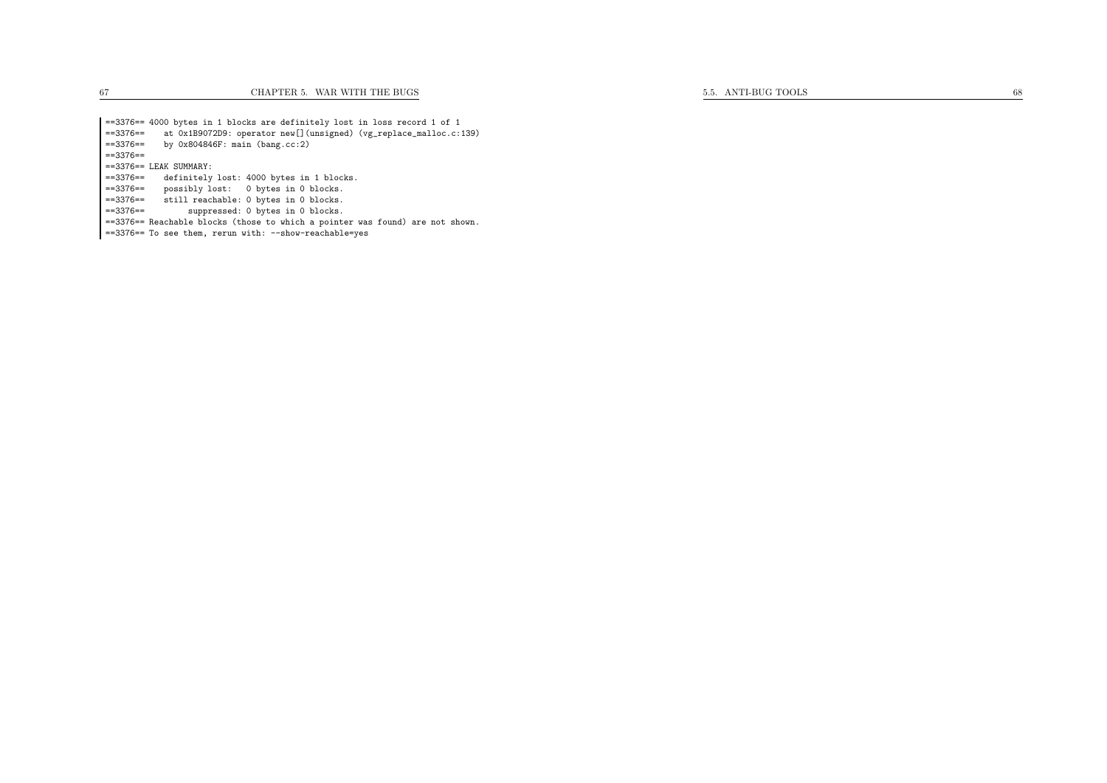| ==3376== 4000 bytes in 1 blocks are definitely lost in loss record 1 of 1       |  |  |
|---------------------------------------------------------------------------------|--|--|
| at 0x1B9072D9: operator new[](unsigned) (vg_replace_malloc.c:139)<br>$==3376==$ |  |  |
| by $0x804846F$ : main $(bang.cc:2)$<br>==3376==                                 |  |  |
| $==3376==$                                                                      |  |  |
| ==3376== LEAK SUMMARY:                                                          |  |  |
| $==3376==$<br>definitely lost: 4000 bytes in 1 blocks.                          |  |  |
| ==3376==<br>possibly lost: 0 bytes in 0 blocks.                                 |  |  |
| $==3376==$<br>still reachable: 0 bytes in 0 blocks.                             |  |  |
| $==3376==$<br>suppressed: 0 bytes in 0 blocks.                                  |  |  |
| ==3376== Reachable blocks (those to which a pointer was found) are not shown.   |  |  |
| $=$ =3376== To see them, rerun with: $-$ show-reachable=yes                     |  |  |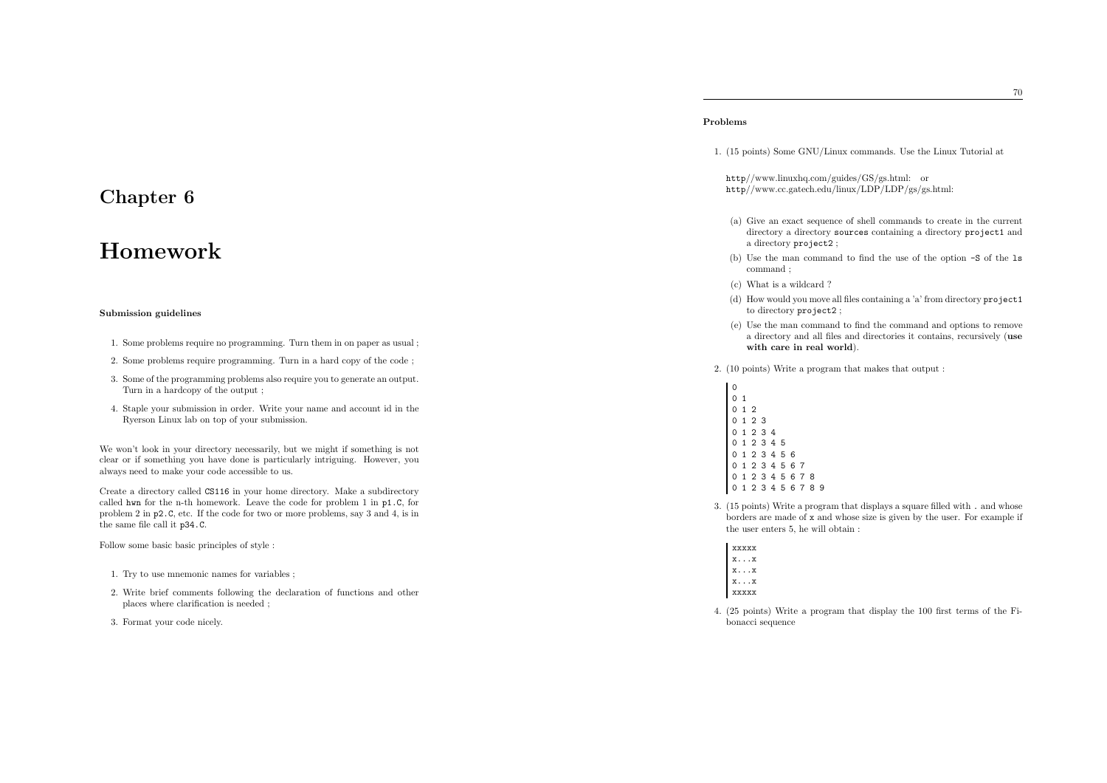## Chapter <sup>6</sup>

## Homework

#### Submission guidelines

- 1. Some problems require no programming. Turn them in on paper as usual ;
- 2. Some problems require programming. Turn in <sup>a</sup> hard copy of the code ;
- 3. Some of the programming problems also require you to generate an output. Turn in <sup>a</sup> hardcopy of the output ;
- 4. Staple your submission in order. Write your name and account id in theRyerson Linux lab on top of your submission.

We won't look in your directory necessarily, but we might if something is not clear or if something you have done is particularly intriguing. However, youalways need to make your code accessible to us.

Create <sup>a</sup> directory called CS116 in your home directory. Make <sup>a</sup> subdirectory called hwn for the n-th homework. Leave the code for problem <sup>1</sup> in <sup>p</sup>1.C, for problem <sup>2</sup> in <sup>p</sup>2.C, etc. If the code for two or more problems, say <sup>3</sup> and 4, is in the same file call it <sup>p</sup>34.C.

Follow some basic basic principles of style :

- 1. Try to use mnemonic names for variables ;
- 2. Write brief comments following the declaration of functions and other<sup>p</sup>laces where clarification is needed ;
- 3. Format your code nicely.

#### Problems

- 1. (15 points) Some GNU/Linux commands. Use the Linux Tutorial at
- http//www.linuxhq.com/guides/GS/gs.html: orhttp//www.cc.gatech.edu/linux/LDP/LDP/gs/gs.html:
- (a) Give an exact sequence of shell commands to create in the current directory <sup>a</sup> directory sources containing <sup>a</sup> directory project1 and<sup>a</sup> directory project2 ;
- (b) Use the man command to find the use of the option -S of the ls command ;
- (c) What is <sup>a</sup> wildcard ?
- (d) How would you move all files containing <sup>a</sup> 'a' from directory project1 to directory project2 ;
- (e) Use the man command to find the command and options to remove <sup>a</sup> directory and all files and directories it contains, recursively (usewith care in real world).
- 2. (10 points) Write <sup>a</sup> program that makes that output :
	- $\Omega$  <sup>0</sup> <sup>1</sup> <sup>0</sup> <sup>1</sup> <sup>2</sup> <sup>0</sup> <sup>1</sup> <sup>2</sup> <sup>3</sup> <sup>0</sup> <sup>1</sup> <sup>2</sup> <sup>3</sup> <sup>4</sup> <sup>0</sup> <sup>1</sup> <sup>2</sup> <sup>3</sup> <sup>4</sup> <sup>5</sup> <sup>0</sup> <sup>1</sup> <sup>2</sup> <sup>3</sup> <sup>4</sup> <sup>5</sup> <sup>6</sup> <sup>0</sup> <sup>1</sup> <sup>2</sup> <sup>3</sup> <sup>4</sup> <sup>5</sup> <sup>6</sup> <sup>7</sup> <sup>0</sup> <sup>1</sup> <sup>2</sup> <sup>3</sup> <sup>4</sup> <sup>5</sup> <sup>6</sup> <sup>7</sup> <sup>8</sup> <sup>0</sup> <sup>1</sup> <sup>2</sup> <sup>3</sup> <sup>4</sup> <sup>5</sup> <sup>6</sup> <sup>7</sup> <sup>8</sup> <sup>9</sup>
- 3. (15 points) Write <sup>a</sup> program that displays <sup>a</sup> square filled with . and whose borders are made of <sup>x</sup> and whose size is <sup>g</sup>iven by the user. For example if the user enters 5, he will obtain :
	- xxxxx x...x x...x x...xxxxxx
- 4. (25 points) Write <sup>a</sup> program that display the <sup>100</sup> first terms of the Fibonacci sequence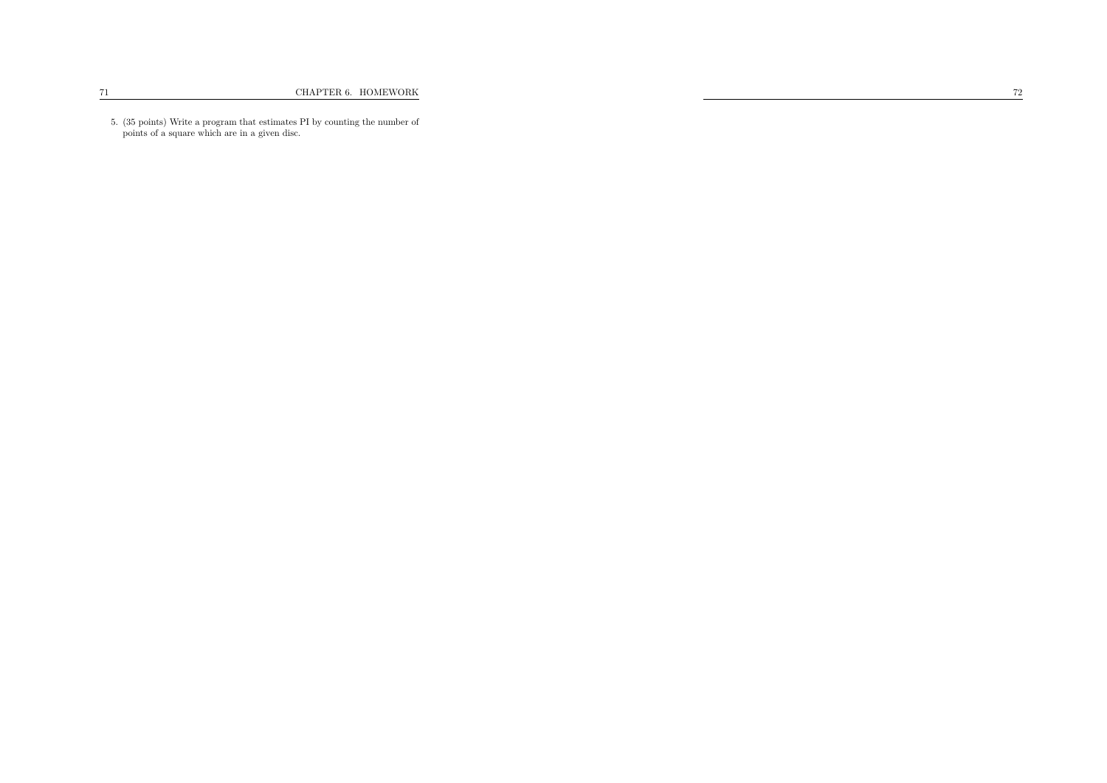5. (35 points) Write <sup>a</sup> program that estimates PI by counting the number of points of <sup>a</sup> square which are in <sup>a</sup> <sup>g</sup>iven disc.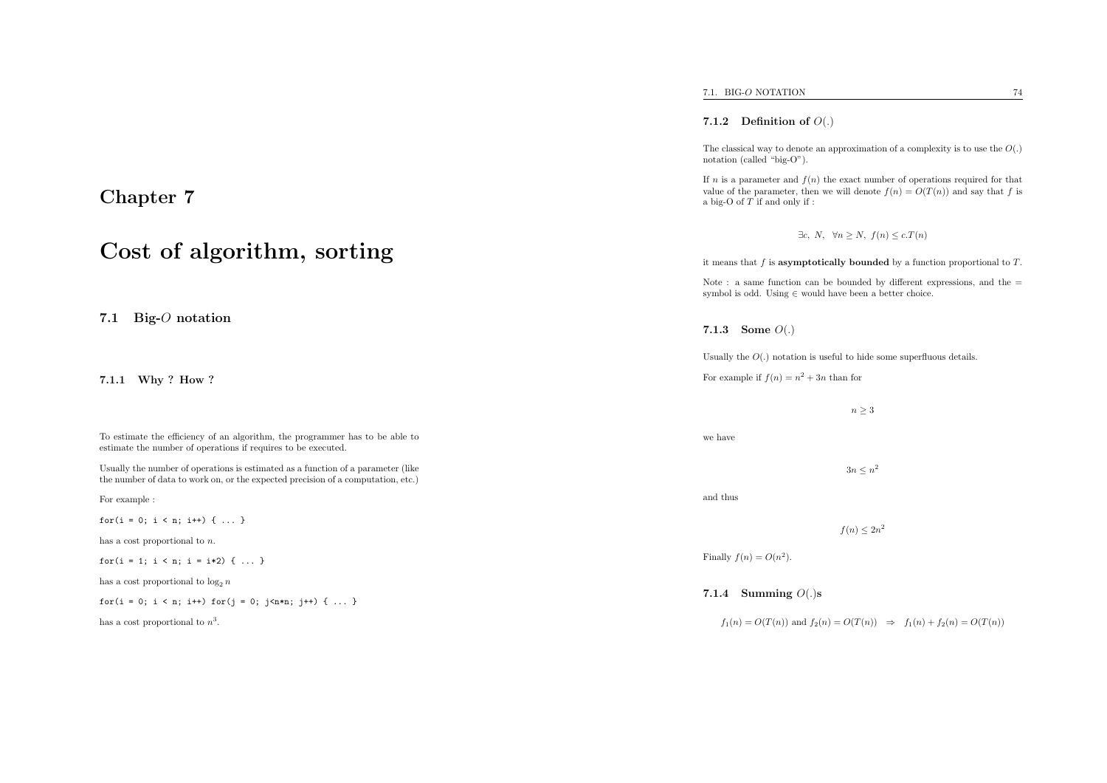|                                                                                                                                                                      | 7.1.2 Definition of $O(.)$                                                                                                                                                                                 |
|----------------------------------------------------------------------------------------------------------------------------------------------------------------------|------------------------------------------------------------------------------------------------------------------------------------------------------------------------------------------------------------|
|                                                                                                                                                                      | The classical way to denote an approximation of a complexity is to use the $O(.)$<br>notation (called "big-O").                                                                                            |
| Chapter 7                                                                                                                                                            | If <i>n</i> is a parameter and $f(n)$ the exact number of operations required for that<br>value of the parameter, then we will denote $f(n) = O(T(n))$ and say that f is<br>a big-O of $T$ if and only if: |
| Cost of algorithm, sorting                                                                                                                                           | $\exists c, N, \forall n \ge N, f(n) \le c.T(n)$                                                                                                                                                           |
|                                                                                                                                                                      | it means that $f$ is <b>asymptotically bounded</b> by a function proportional to $T$ .                                                                                                                     |
|                                                                                                                                                                      | Note : a same function can be bounded by different expressions, and the $=$<br>symbol is odd. Using $\in$ would have been a better choice.                                                                 |
| $Big-O$ notation<br>7.1                                                                                                                                              | 7.1.3 Some $O(.)$                                                                                                                                                                                          |
|                                                                                                                                                                      | Usually the $O(.)$ notation is useful to hide some superfluous details.                                                                                                                                    |
| 7.1.1 Why? How?                                                                                                                                                      | For example if $f(n) = n^2 + 3n$ than for                                                                                                                                                                  |
|                                                                                                                                                                      | $n \geq 3$                                                                                                                                                                                                 |
| To estimate the efficiency of an algorithm, the programmer has to be able to<br>estimate the number of operations if requires to be executed.                        | we have                                                                                                                                                                                                    |
| Usually the number of operations is estimated as a function of a parameter (like<br>the number of data to work on, or the expected precision of a computation, etc.) | $3n \leq n^2$                                                                                                                                                                                              |
| For example :                                                                                                                                                        | and thus                                                                                                                                                                                                   |
| for(i = 0; i < n; i++) {  }                                                                                                                                          | $f(n) \leq 2n^2$                                                                                                                                                                                           |
| has a cost proportional to $n$ .                                                                                                                                     |                                                                                                                                                                                                            |
| for(i = 1; i < n; i = i*2) {  }                                                                                                                                      | Finally $f(n) = O(n^2)$ .                                                                                                                                                                                  |
| has a cost proportional to $\log_2 n$                                                                                                                                |                                                                                                                                                                                                            |
| for(i = 0; i < n; i++) for(j = 0; j <n*n; j++)="" td="" {="" }<=""><td>7.1.4 Summing <math>O(.)</math>s</td></n*n;>                                                  | 7.1.4 Summing $O(.)$ s                                                                                                                                                                                     |
| has a cost proportional to $n^3$ .                                                                                                                                   | $f_1(n) = O(T(n))$ and $f_2(n) = O(T(n)) \Rightarrow f_1(n) + f_2(n) = O(T(n))$                                                                                                                            |

7.1. BIG-*O* NOTATION 74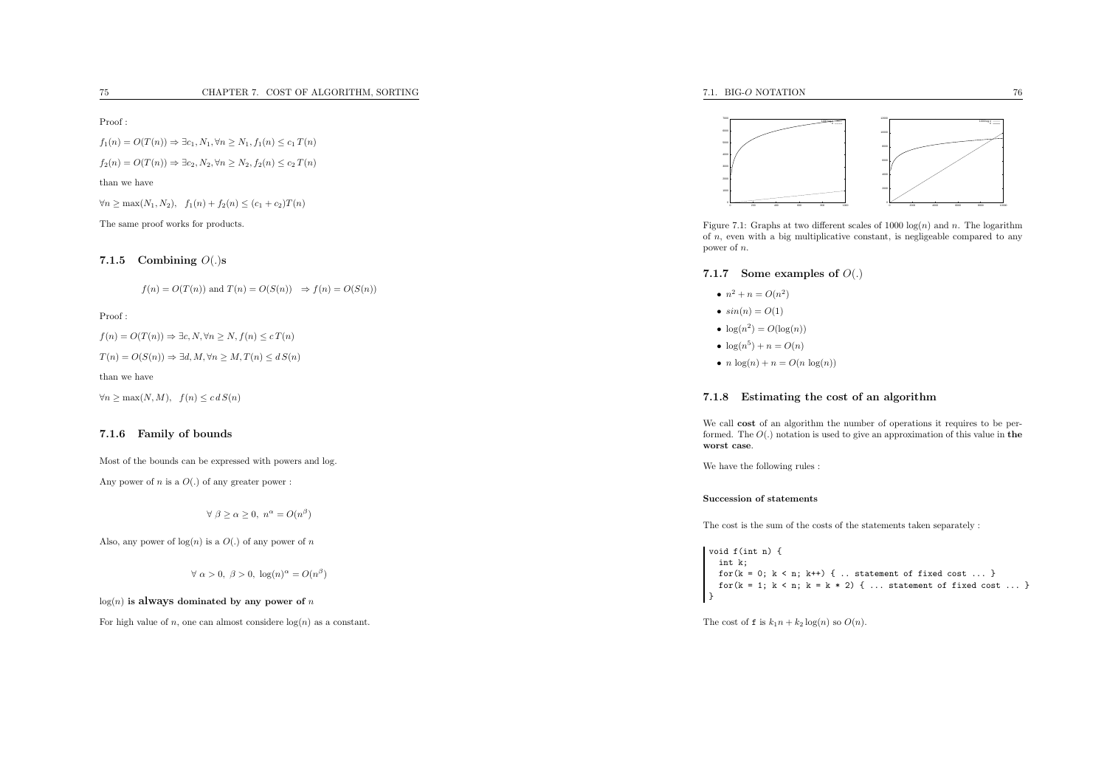Proof :

 $f_1(n) = O(T(n)) \Rightarrow \exists c_1, N_1, \forall n \ge N_1, f_1(n) \le c_1 T(n)$  $f_2(n) = O(T(n)) \Rightarrow \exists c_2, N_2, \forall n \ge N_2, f_2(n) \le c_2 T(n)$ than we have $\forall n \ge \max(N_1, N_2), \; f_1(n) + f_2(n) \le (c_1 + c_2)T(n)$ The same proo<sup>f</sup> works for products.

## 7.1.5 Combining  $O(.)$ s

 $f(n) = O(T(n))$  and  $T(n) = O(S(n)) \Rightarrow f(n) = O(S(n))$ 

#### Proof :

 $f(n) = O(T(n)) \Rightarrow \exists c, N, \forall n \ge N, f(n) \le c T(n)$ 

 $T(n) = O(S(n)) \Rightarrow \exists d, M, \forall n \ge M, T(n) \le d S(n)$ 

than we have

 $\forall n \ge \max(N, M), \ f(n) \le c \, d \, S(n)$ 

#### 7.1.6 Family of bounds

Most of the bounds can be expressed with powers and log. Any power of  $n$  is a  $O(.)$  of any greater power :

 $\forall \beta \ge \alpha \ge 0, n^{\alpha} = O(n^{\beta})$ 

Also, any power of  $log(n)$  is a  $O(.)$  of any power of n

 $\forall \alpha > 0, \ \beta > 0, \ \log(n)^{\alpha} = O(n^{\beta})$ 

 $log(n)$  is always dominated by any power of  $n$ 

For high value of n, one can almost considere  $log(n)$  as a constant.



Figure 7.1: Graphs at two different scales of  $1000 \log(n)$  and n. The logarithm of <sup>n</sup>, even with <sup>a</sup> big multiplicative constant, is negligeable compared to anypower of <sup>n</sup>.

#### 7.1.7 Some examples of  $O(.)$

- $n^2 + n = O(n^2)$
- $sin(n) = O(1)$
- $\log(n^2) = O(\log(n))$
- $log(n^5) + n = O(n)$
- $n \log(n) + n = O(n \log(n))$

#### 7.1.8 Estimating the cost of an algorithm

We call cost of an algorithm the number of operations it requires to be per formed. The  $O(.)$  notation is used to give an approximation of this value in **the** worst case.

We have the following rules :

#### Succession of statements

The cost is the sum of the costs of the statements taken separately :

void f(int n) { int k; for( $k = 0$ ;  $k < n$ ;  $k^{++}$ ) { .. statement of fixed cost ... } for( $k = 1$ ;  $k < n$ ;  $k = k * 2$ ) { ... statement of fixed cost ... } | }

The cost of **f** is  $k_1n + k_2 \log(n)$  so  $O(n)$ .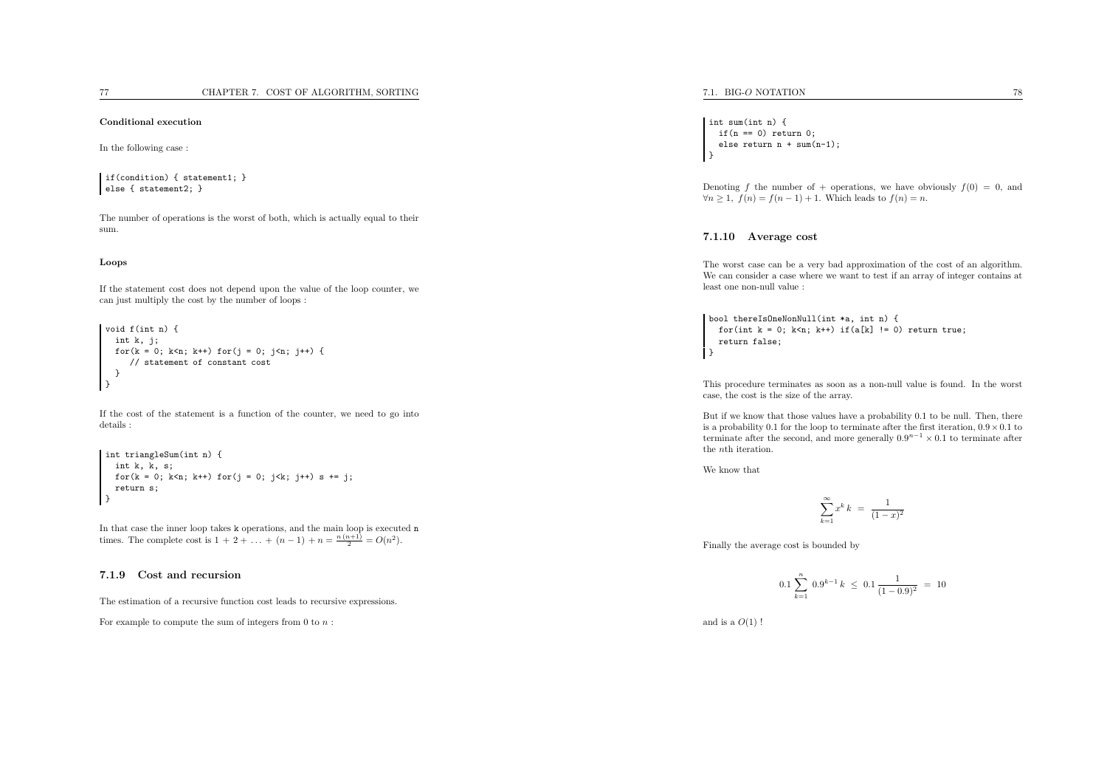Conditional execution

In the following case :

if(condition) { statement1; } else { statement2; }

The number of operations is the worst of both, which is actually equa<sup>l</sup> to theirsum.

#### Loops

If the statement cost does not depend upon the value of the loop counter, wecan just multiply the cost by the number of loops :

```
void f(int n) {
  int k, j;
  for(k = 0; k <n; k + +) for(j = 0; j <n; j + +) {
      // statement of constant cost
  }\rightarrow
```
If the cost of the statement is <sup>a</sup> function of the counter, we need to go intodetails :

int triangleSum(int n) { int k, k, s; for( $k = 0$ ;  $k \le n$ ;  $k^{++}$ ) for( $j = 0$ ;  $j \le k$ ;  $j^{++}$ ) s +=  $j$ ; return s; }

In that case the inner loop takes k operations, and the main loop is executed n times. The complete cost is  $1 + 2 + \ldots + (n - 1) + n = \frac{n(n+1)}{2} = O(n^2)$ .

#### 7.1.9 Cost and recursion

The estimation of <sup>a</sup> recursive function cost leads to recursive expressions.

For example to compute the sum of integers from  $0$  to  $n$ :

```
int sum(int n) {
  if(n == 0) return 0:
  else return n + sum(n-1);
ן
```
Denoting f the number of + operations, we have obviously  $f(0) = 0$ , and  $\forall n \geq 1, f(n) = f(n-1) + 1.$  Which leads to  $f(n) = n$ .

#### 7.1.10 Average cost

The worst case can be <sup>a</sup> very bad approximation of the cost of an algorithm. We can consider <sup>a</sup> case where we want to test if an array of integer contains atleast one non-null value :

bool thereIsOneNonNull(int \*a, int n) { for(int  $k = 0$ ;  $k \le n$ ;  $k++)$  if(a[k] != 0) return true; return false; ן

This procedure terminates as soon as <sup>a</sup> non-null value is found. In the worstcase, the cost is the size of the array.

But if we know that those values have <sup>a</sup> probability <sup>0</sup>.<sup>1</sup> to be null. Then, thereis a probability 0.1 for the loop to terminate after the first iteration,  $0.9 \times 0.1$  to terminate after the second, and more generally  $0.9^{n-1} \times 0.1$  to terminate after the <sup>n</sup>th iteration.

We know that

$$
\sum_{k=1}^{\infty} x^k k = \frac{1}{(1-x)^2}
$$

Finally the average cost is bounded by

$$
0.1 \sum_{k=1}^{n} 0.9^{k-1} k \le 0.1 \frac{1}{(1-0.9)^2} = 10
$$

and is a  $O(1)$  !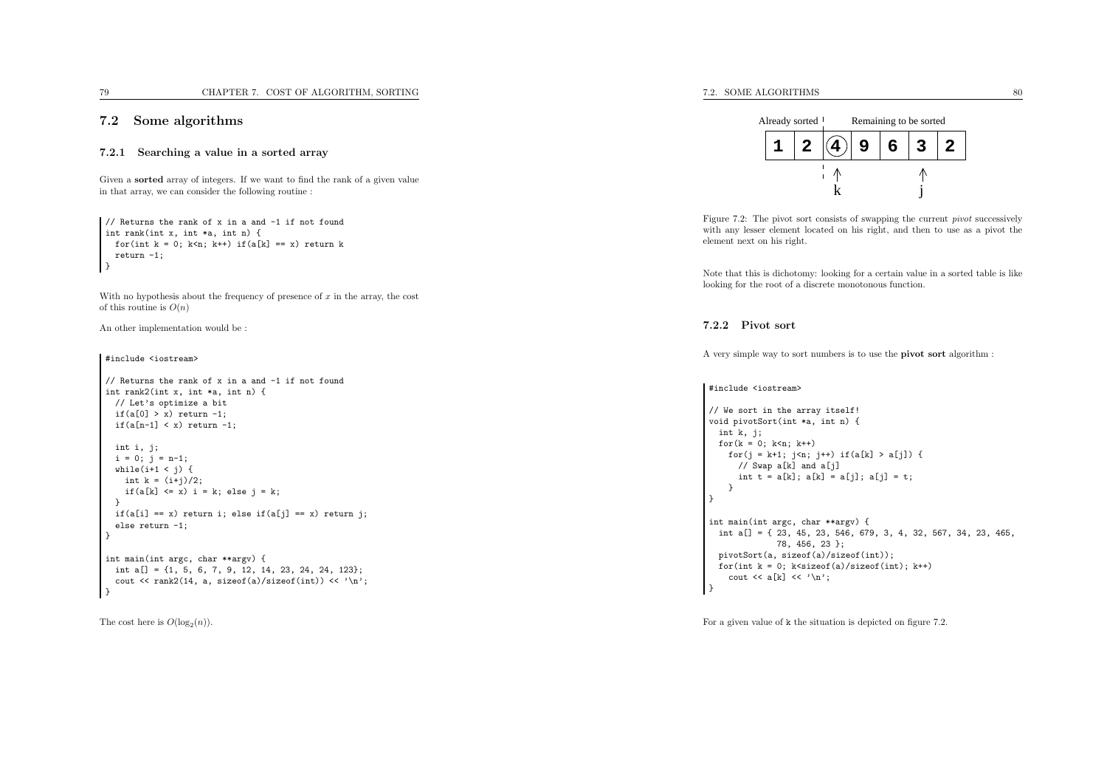### 7.2 Some algorithms

#### 7.2.1 Searching <sup>a</sup> value in <sup>a</sup> sorted array

Given <sup>a</sup> sorted array of integers. If we want to find the rank of <sup>a</sup> <sup>g</sup>iven value in that array, we can consider the following routine :

```
// Returns the rank of x in a and -1 if not found
int rank(int x, int *a, int n) {
 for(int k = 0; k \le n; k^{++}) if(a[k] == x) return k
  return -1;
}
```
With no hypothesis about the frequency of presence of  $x$  in the array, the cost of this routine is  $O(n)$ 

An other implementation would be :

#### #include <iostream>

```
// Returns the rank of x in a and -1 if not found
int rank2(int x, int *a, int n) {
 // Let's optimize a bit
 if(a[0] > x) return -1;
 if(a[n-1] \leq x) return -1;
 int i, j;
 i = 0; j = n-1;while(i+1 < j) {
   int k = (i+j)/2;
   if(a[k] \leq x) i = k; else j = k;
 }
if(a[i] == x) return i; else if(a[j] == x) return j;
 else return -1;
}int main(int argc, char **argv) {
 int a[] = \{1, 5, 6, 7, 9, 12, 14, 23, 24, 24, 123\};cout \langle rank2(14, a, sizeof(a)/sizeof(int)) \langle '\n';
}
```
The cost here is  $O(\log_2(n)).$ 



Figure 7.2: The pivot sort consists of swapping the current *pivot* successively with any lesser element located on his right, and then to use as <sup>a</sup> <sup>p</sup>ivot theelement next on his right.

Note that this is dichotomy: looking for <sup>a</sup> certain value in <sup>a</sup> sorted table is likelooking for the root of <sup>a</sup> discrete monotonous function.

#### 7.2.2 Pivot sort

<sup>A</sup> very simple way to sort numbers is to use the <sup>p</sup>ivot sort algorithm :

#### #include <iostream>

```
// We sort in the array itself!
void pivotSort(int *a, int n) {
  int k, j;
  for(k = 0; k \le n; k++)for(j = k+1; j <n; j ++) if(a[k] > a[j]) {
       // Swap a[k] and a[j]
       int t = a[k]; a[k] = a[j]; a[j] = t;
    }}int main(int argc, char **argv) {
  int a[] = { 23, 45, 23, 546, 679, 3, 4, 32, 567, 34, 23, 465,
                78, 456, 23 };
  pivotSort(a, sizeof(a)/sizeof(int));
  for(int k = 0; k < size of(a)/size of(int); k + +)
    cout \langle \cdot \rangle a<sup>[k]</sup> \langle \cdot \rangle<sup>'</sup>:
د ا
```
For <sup>a</sup> <sup>g</sup>iven value of <sup>k</sup> the situation is depicted on figure 7.2.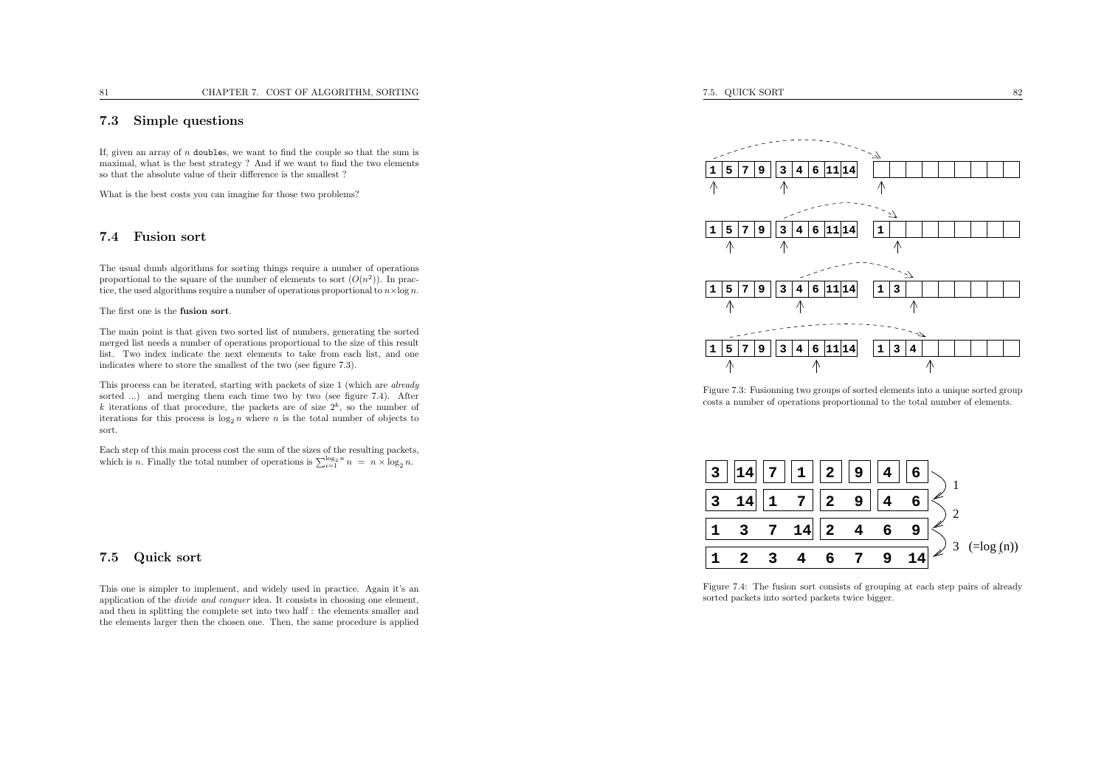### 7.3 Simple questions

If, <sup>g</sup>iven an array of <sup>n</sup> doubles, we want to find the couple so that the sum is maximal, what is the best strategy ? And if we want to find the two elementsso that the absolute value of their difference is the smallest ?

What is the best costs you can imagine for those two problems?

#### 7.4 Fusion sort

The usual dumb algorithms for sorting things require <sup>a</sup> number of operationsproportional to the square of the number of elements to sort  $(O(n^2))$ . In practice, the used algorithms require a number of operations proportional to  $n \times \log n$ .

The first one is the fusion sort.

The main point is that <sup>g</sup>iven two sorted list of numbers, generating the sorted merged list needs <sup>a</sup> number of operations proportional to the size of this result list. Two index indicate the next elements to take from each list, and oneindicates where to store the smallest of the two (see figure 7.3).

This process can be iterated, starting with packets of size <sup>1</sup> (which are already sorted ...) and merging them each time two by two (see figure 7.4). After k iterations of that procedure, the packets are of size  $2^k$ , so the number of iterations for this process is  $\log_2 n$  where n is the total number of objects to sort.

Each step of this main process cost the sum of the sizes of the resulting packets, which is *n*. Finally the total number of operations is  $\sum_{i=1}^{\log_2 n} n = n \times \log_2 n$ .

### 7.5 Quick sort

This one is simpler to implement, and widely used in practice. Again it's an application of the divide and conquer idea. It consists in choosing one element, and then in splitting the complete set into two half : the elements smaller andthe elements larger then the chosen one. Then, the same procedure is applied



Figure 7.3: Fusionning two groups of sorted elements into <sup>a</sup> unique sorted groupcosts <sup>a</sup> number of operations proportionnal to the total number of elements.



Figure 7.4: The fusion sort consists of grouping at each step pairs of already sorted packets into sorted packets twice bigger.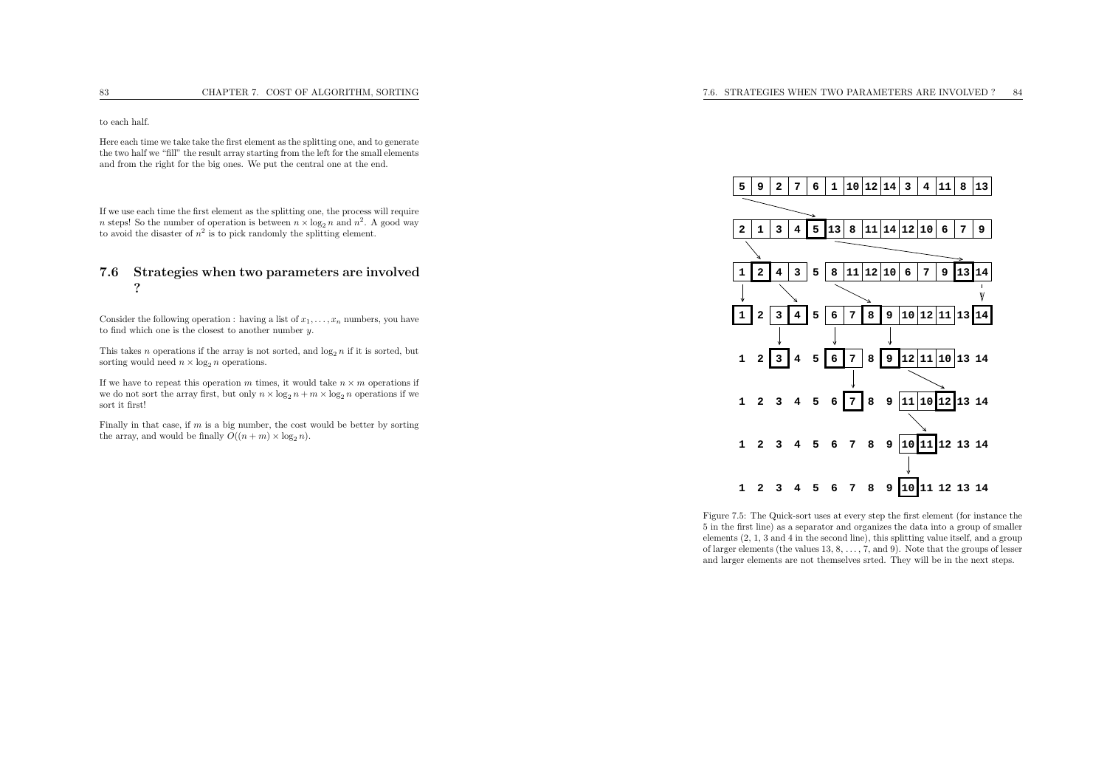to each half.

Here each time we take take the first element as the splitting one, and to generate the two half we "fill" the result array starting from the left for the small elementsand from the right for the big ones. We put the central one at the end.

If we use each time the first element as the splitting one, the process will requiren steps! So the number of operation is between  $n \times \log_2 n$  and  $n^2$ . A good way to avoid the disaster of  $n^2$  is to pick randomly the splitting element.

### 7.6 Strategies when two parameters are involved?

Consider the following operation : having a list of  $x_1, \ldots, x_n$  numbers, you have to find which one is the closest to another number y.

This takes *n* operations if the array is not sorted, and  $\log_2 n$  if it is sorted, but sorting would need  $n \times \log_2 n$  operations.

If we have to repeat this operation m times, it would take  $n \times m$  operations if  $m$ we do not sort the array first, but only  $n \times \log_2 n + m \times \log_2 n$  operations if we sort it first!

Finally in that case, if m is a big number, the cost would be better by sorting<br>the cursus and would be finally  $O((n+m) \times \text{len } n)$ the array, and would be finally  $O((n+m) \times \log_2 n)$ .



Figure 7.5: The Quick-sort uses at every step the first element (for instance the <sup>5</sup> in the first line) as <sup>a</sup> separator and organizes the data into <sup>a</sup> group of smaller elements (2, 1, <sup>3</sup> and <sup>4</sup> in the second line), this splitting value itself, and <sup>a</sup> group of larger elements (the values 13, 8, . . . , 7, and 9). Note that the groups of lesserand larger elements are not themselves srted. They will be in the next steps.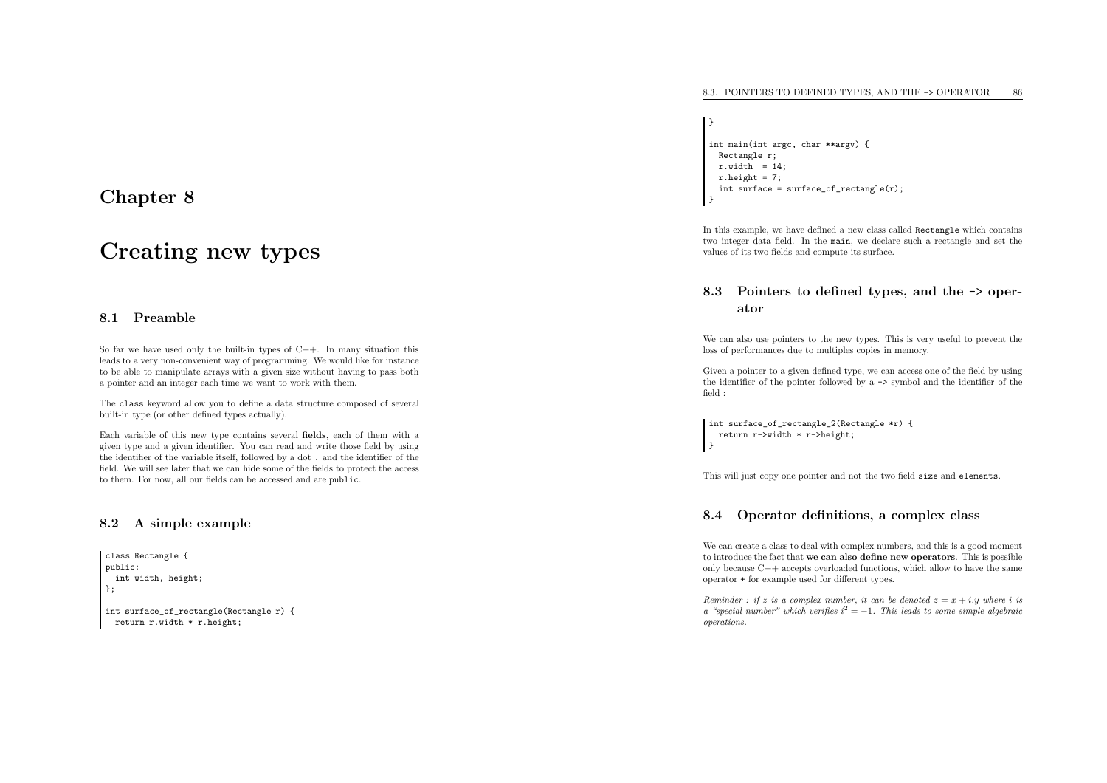## Chapter <sup>8</sup>

## Creating new types

## 8.1 Preamble

So far we have used only the built-in types of  $C++$ . In many situation this leads to <sup>a</sup> very non-convenient way of programming. We would like for instance to be able to manipulate arrays with <sup>a</sup> <sup>g</sup>iven size without having to pass both<sup>a</sup> pointer and an integer each time we want to work with them.

The class keyword allow you to define <sup>a</sup> data structure composed of several built-in type (or other defined types actually).

Each variable of this new type contains several fields, each of them with <sup>a</sup> <sup>g</sup>iven type and <sup>a</sup> <sup>g</sup>iven identifier. You can read and write those field by using the identifier of the variable itself, followed by <sup>a</sup> dot . and the identifier of the field. We will see later that we can hide some of the fields to protect the accessto them. For now, all our fields can be accessed and are public.

#### 8.2 <sup>A</sup> simple example

```
class Rectangle {
public:
int width, height;
};int surface_of_rectangle(Rectangle r) {
  return r.width * r.height;
```

```
int main(int argc, char **argv) {
 Rectangle r;
 r. width = 14;r.height = 7:
 int surface = surface_of_rectangle(r);}
```
}

In this example, we have defined <sup>a</sup> new class called Rectangle which contains two integer data field. In the main, we declare such <sup>a</sup> rectangle and set the values of its two fields and compute its surface.

## 8.3 Pointers to defined types, and the -> operator

We can also use pointers to the new types. This is very useful to prevent theloss of performances due to multiples copies in memory.

Given <sup>a</sup> pointer to <sup>a</sup> <sup>g</sup>iven defined type, we can access one of the field by using the identifier of the pointer followed by <sup>a</sup> -> symbol and the identifier of the field :

```
int surface_of_rectangle_2(Rectangle *r) {
  return r->width * r->height;
| ን
```
This will just copy one pointer and not the two field size and elements.

#### 8.4 Operator definitions, <sup>a</sup> complex class

We can create <sup>a</sup> class to deal with complex numbers, and this is <sup>a</sup> good moment to introduce the fact that we can also define new operators. This is possibleonly because  $C++$  accepts overloaded functions, which allow to have the same operator <sup>+</sup> for example used for different types.

Reminder : if z is a complex number, it can be denoted  $z = x + iy$  where i is a "special number" which verifies  $i^2 = -1$ . This leads to some simple algebraic operations.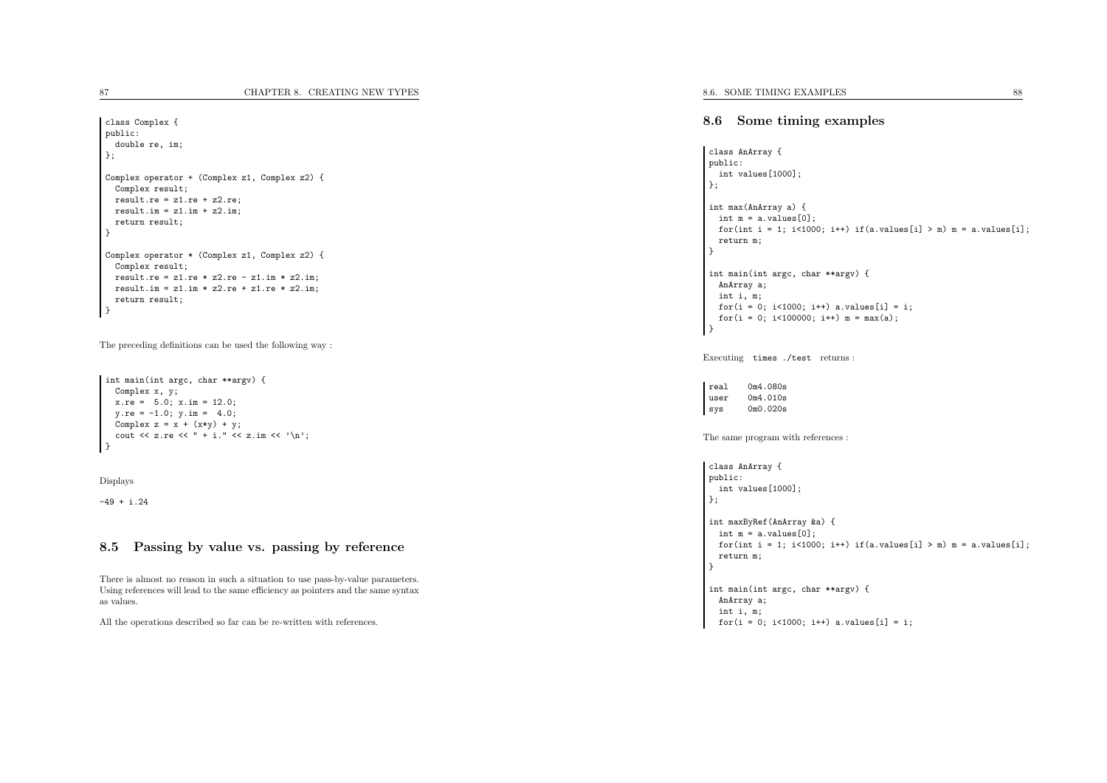| class Complex {<br>public:<br>double re, im;<br>};                                                                                                                                 |
|------------------------------------------------------------------------------------------------------------------------------------------------------------------------------------|
| Complex operator + (Complex z1, Complex z2) {<br>Complex result;<br>$result.re = z1.re + z2.re;$<br>$result.in = z1.in + z2.in;$<br>return result;                                 |
| ł                                                                                                                                                                                  |
| Complex operator * (Complex z1, Complex z2) {<br>Complex result;<br>result.re = $z1.re * z2.re - z1.in * z2.in;$<br>result.im = $z1.in * z2.re * z1.re * z2.in;$<br>return result; |
| ł                                                                                                                                                                                  |

The preceding definitions can be used the following way :

```
int main(int argc, char **argv) {
  Complex x, y;
 x.re = 5.0; x.in = 12.0;y.re = -1.0; y.in = 4.0;
 Complex z = x + (x*y) + y;cout << z.re << " + i." << z.im << '\n;
}
```
Displays

 $-49 + i.24$ 

## 8.5 Passing by value vs. passing by reference

There is almost no reason in such <sup>a</sup> situation to use pass-by-value parameters. Using references will lead to the same efficiency as pointers and the same syntaxas values.

All the operations described so far can be re-written with references.

## 8.6 Some timing examples

```
class AnArray {
public:
int values[1000];
};int max(AnArray a) {
 int m = a.values[0];
 for(int i = 1; i<1000; i++) if(a.values[i] > m) m = a.values[i];
 return m;
}int main(int argc, char **argv) {
 AnArray a;
 int i, m;
 for(i = 0; i < 1000; i++) a.values[i] = i;
```
for(i = 0; i<100000; i++)  $m = max(a)$ ;

Executing times ./test returns :

| real | 0m4.080s |
|------|----------|
| user | 0m4.010s |
| sys  | 0m0.020s |

}

The same program with references :

```
class AnArray {
public:
int values[1000];
};int maxByRef(AnArray &a) {
 int m = a.values[0];
 for(int i = 1; i<1000; i++) if(a.values[i] > m) m = a.values[i];
 return m;
}int main(int argc, char **argv) {
```

```
AnArray a;
int i, m;
for(i = 0; i < 1000; i++) a.values[i] = i;
```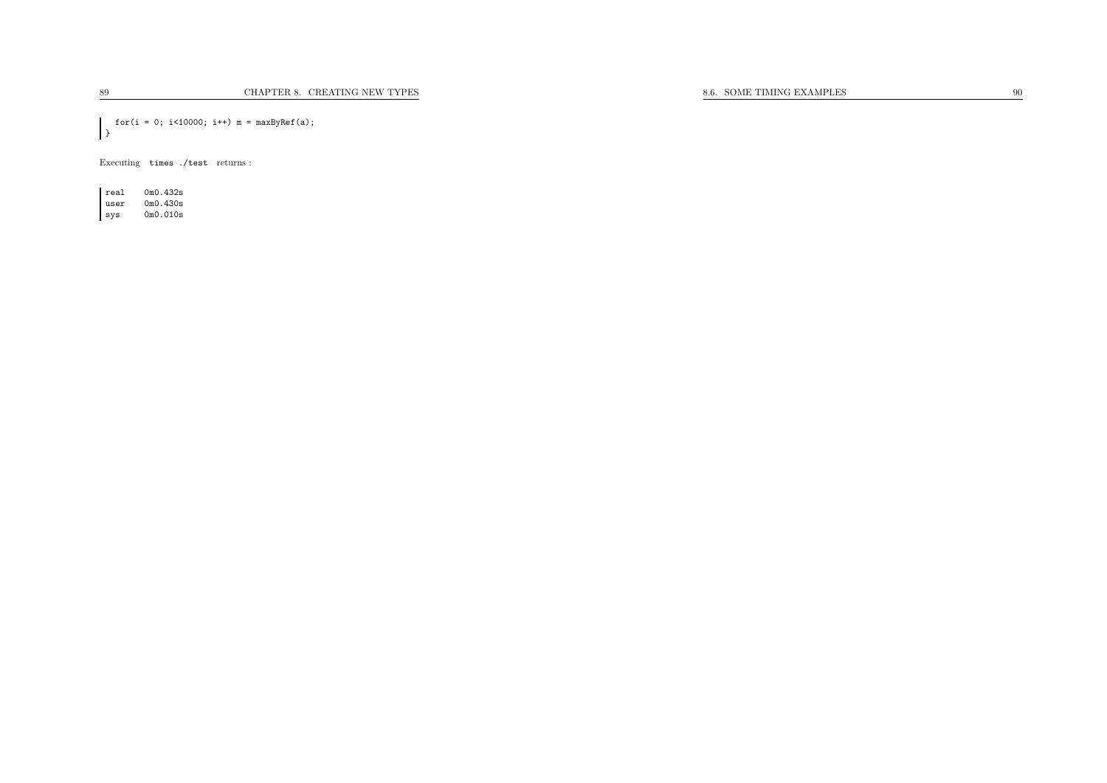for(i <sup>=</sup> 0; i<10000; i++) <sup>m</sup> <sup>=</sup> maxByRef(a); }

Executing times ./test returns :

real 0m0.432s user 0m0.430s

sys 0m0.010s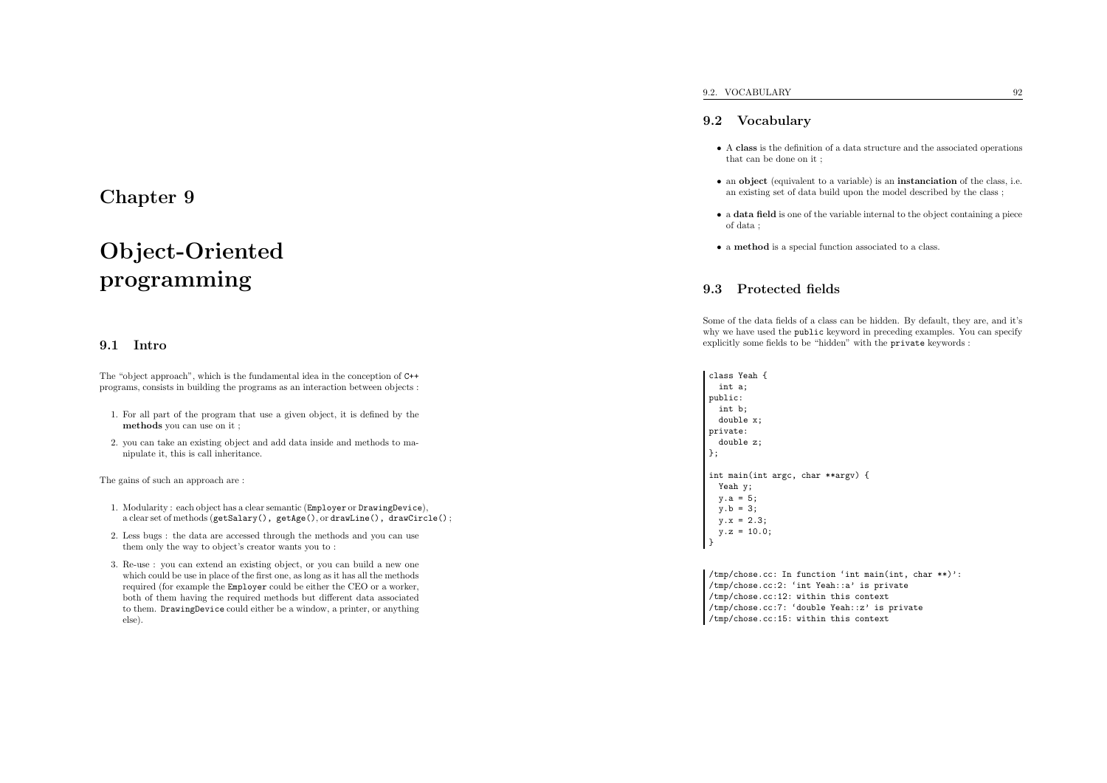## Chapter <sup>9</sup>

# Object-Orientedprogramming

#### 9.1 Intro

The "object approach", which is the fundamental idea in the conception of C++programs, consists in building the programs as an interaction between objects :

- 1. For all part of the program that use <sup>a</sup> <sup>g</sup>iven object, it is defined by themethods you can use on it ;
- 2. you can take an existing object and add data inside and methods to manipulate it, this is call inheritance.

The gains of such an approac<sup>h</sup> are :

- 1. Modularity : each object has <sup>a</sup> clear semantic (Employer or DrawingDevice), a clear set of methods (getSalary(), getAge(), or drawLine(), drawCircle();
- 2. Less bugs : the data are accessed through the methods and you can usethem only the way to object's creator wants you to :
- 3. Re-use : you can extend an existing object, or you can build <sup>a</sup> new one which could be use in <sup>p</sup>lace of the first one, as long as it has all the methods required (for example the Employer could be either the CEO or <sup>a</sup> worker, both of them having the required methods but different data associated to them. DrawingDevice could either be <sup>a</sup> window, <sup>a</sup> printer, or anything else).

#### 9.2 Vocabulary

- <sup>A</sup> class is the definition of <sup>a</sup> data structure and the associated operations that can be done on it ;
- an object (equivalent to a variable) is an instanciation of the class, i.e. an existing set of data build upon the model described by the class ;
- a **data field** is one of the variable internal to the object containing a piece of data ;
- a method is a special function associated to a class.

## 9.3 Protected fields

Some of the data fields of <sup>a</sup> class can be hidden. By default, they are, and it's why we have used the public keyword in preceding examples. You can specifyexplicitly some fields to be "hidden" with the private keywords :

class Yeah { int a; public: int b; double x; private: double z; };int main(int argc, char \*\*argv) { Yeah y;  $y.a = 5;$  $y.b = 3;$  $y.x = 2.3$ ;  $y.z = 10.0;$ }

/tmp/chose.cc: In function 'int main(int, char \*\*)': /tmp/chose.cc:2: 'int Yeah::a' is private /tmp/chose.cc:12: within this context /tmp/chose.cc:7: 'double Yeah::z' is private /tmp/chose.cc:15: within this context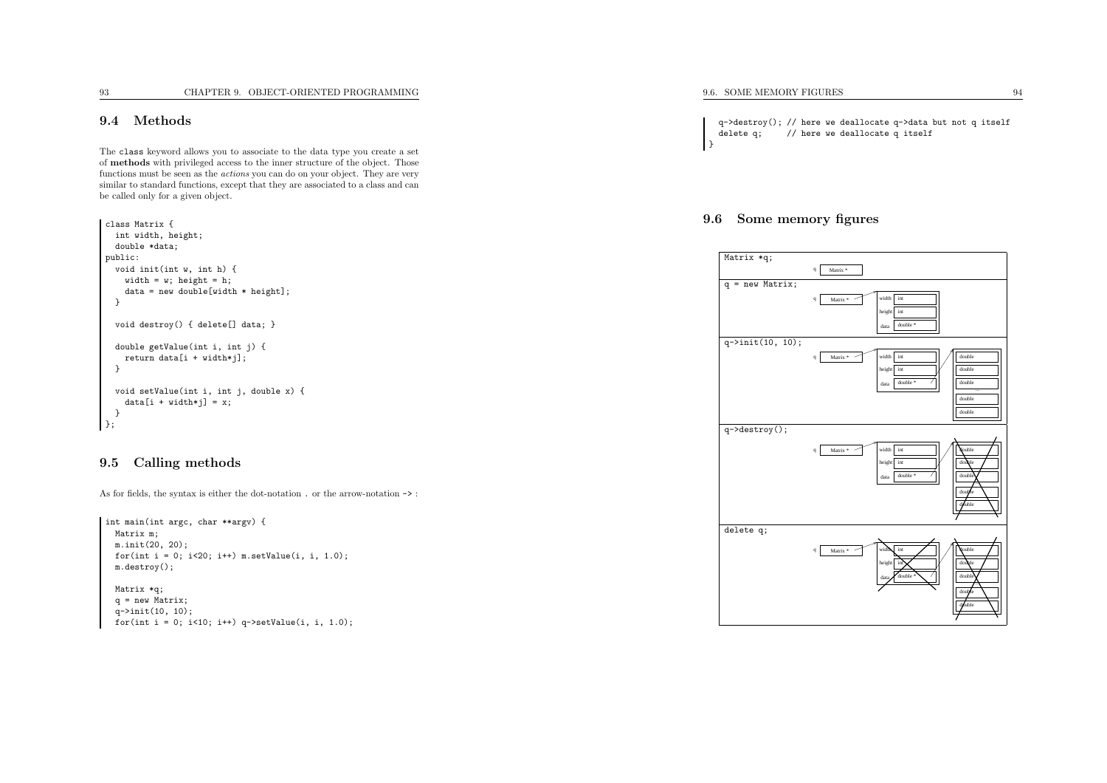## 9.4 Methods

The class keyword allows you to associate to the data type you create <sup>a</sup> set of methods with privileged access to the inner structure of the object. Those functions must be seen as the actions you can do on your object. They are very similar to standard functions, except that they are associated to <sup>a</sup> class and canbe called only for <sup>a</sup> <sup>g</sup>iven object.

```
class Matrix {
 int width, height;
  double *data;
public:
void init(int w, int h) {
   width = w; height = h;
   data = new double[width * height];}void destroy() { delete[] data; }
  double getValue(int i, int j) {
   return data[i + width*j];
 }void setValue(int i, int j, double x) {
    data[i + width * i] = x;}};
```
## 9.5 Calling methods

As for fields, the syntax is either the dot-notation . or the arrow-notation  $\rightarrow$ :

```
int main(int argc, char **argv) {
 Matrix m;
 m.init(20, 20);
 for(int i = 0; i < 20; i + 1) m.setValue(i, i, 1.0);
 m.destroy();Matrix *q;
  q = new Matrix;
```
q->init(10, 10);  $for(int i = 0; i < 10; i++) q->setValue(i, i, 1.0);$  9.6. SOME MEMORY FIGURES

}

q->destroy(); // here we deallocate q->data but not q itself delete q: // here we deallocate q itself // here we deallocate q itself

### 9.6 Some memory figures

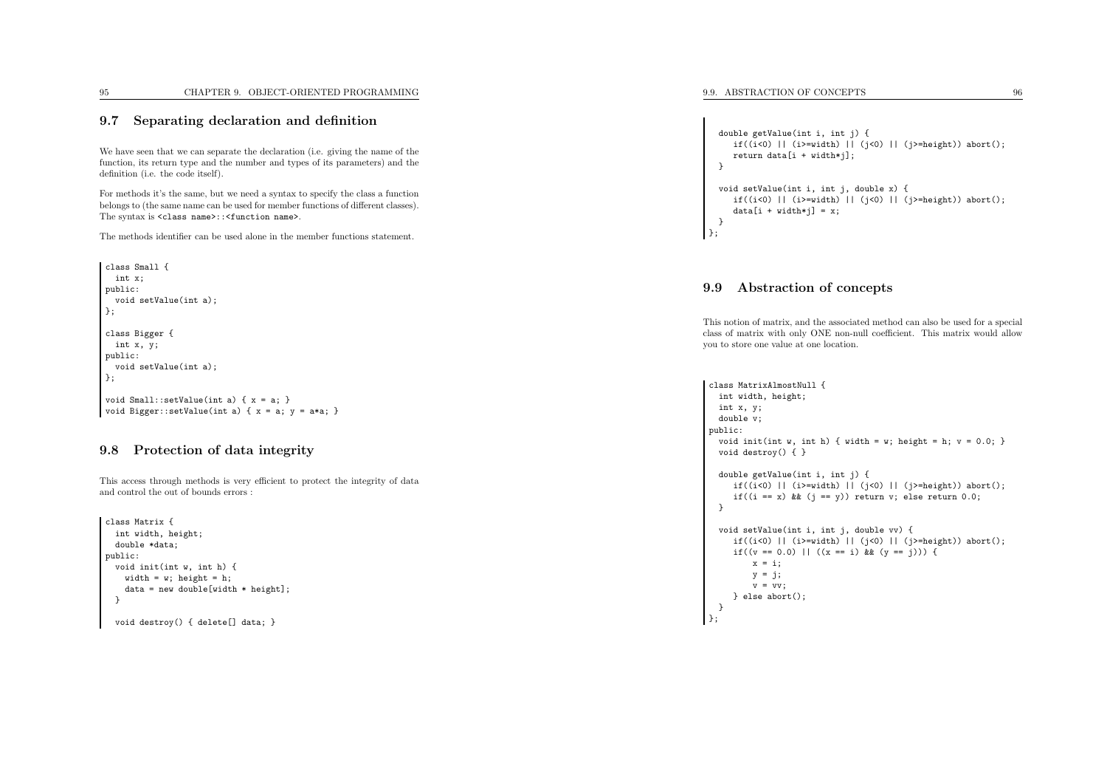### 9.7 Separating declaration and definition

We have seen that we can separate the declaration (i.e. <sup>g</sup>iving the name of the function, its return type and the number and types of its parameters) and thedefinition (i.e. the code itself).

For methods it's the same, but we need <sup>a</sup> syntax to specify the class <sup>a</sup> function belongs to (the same name can be used for member functions of different classes). The syntax is <class name>::<function name>.

The methods identifier can be used alone in the member functions statement.

```
class Small {
  int x;
public:
void setValue(int a);
};class Bigger {
 int x, y;
public:
void setValue(int a);
};void Small::setValue(int a) { x = a; }
void Bigger::setValue(int a) { x = a; y = a*a; }
```
#### 9.8 Protection of data integrity

This access through methods is very efficient to protect the integrity of dataand control the out of bounds errors :

```
class Matrix {
 int width, height;
 double *data;
public:
void init(int w, int h) {
   width = w; height = h;
   data = new double[width * height];}
```
void destroy() { delete[] data; }

```
double getValue(int i, int j) {
    if((i<0) || (i>=width) || (i<0) || (i>=height)) abort();
    return data[i + width*j];
 }void setValue(int i, int j, double x) {
    if((i<0) || (i>=width) || (j<0) || (j>=height)) abort();
    data[i + width* j] = x;}
};
```
### 9.9 Abstraction of concepts

This notion of matrix, and the associated method can also be used for <sup>a</sup> special class of matrix with only ONE non-null coefficient. This matrix would allowyou to store one value at one location.

```
class MatrixAlmostNull {
 int width, height;
 int x, y;
 double v;
public:
void init(int w, int h) { width = w; height = h; v = 0.0; }
 void destroy() { }
 double getValue(int i, int j) {
    if((i<0) || (i>=width) || (i<0) || (i>=height)) abort();
    if((i == x) & (j == y) return v; else return 0.0;
 }void setValue(int i, int j, double vv) {
    if((i<0) || (i>=width) || (j<0) || (j>=height)) abort();
    if((v == 0.0) || ((x == i) && (y == j))) {
        x = i;
        y = j;v = v v;} else abort();
 }
};
```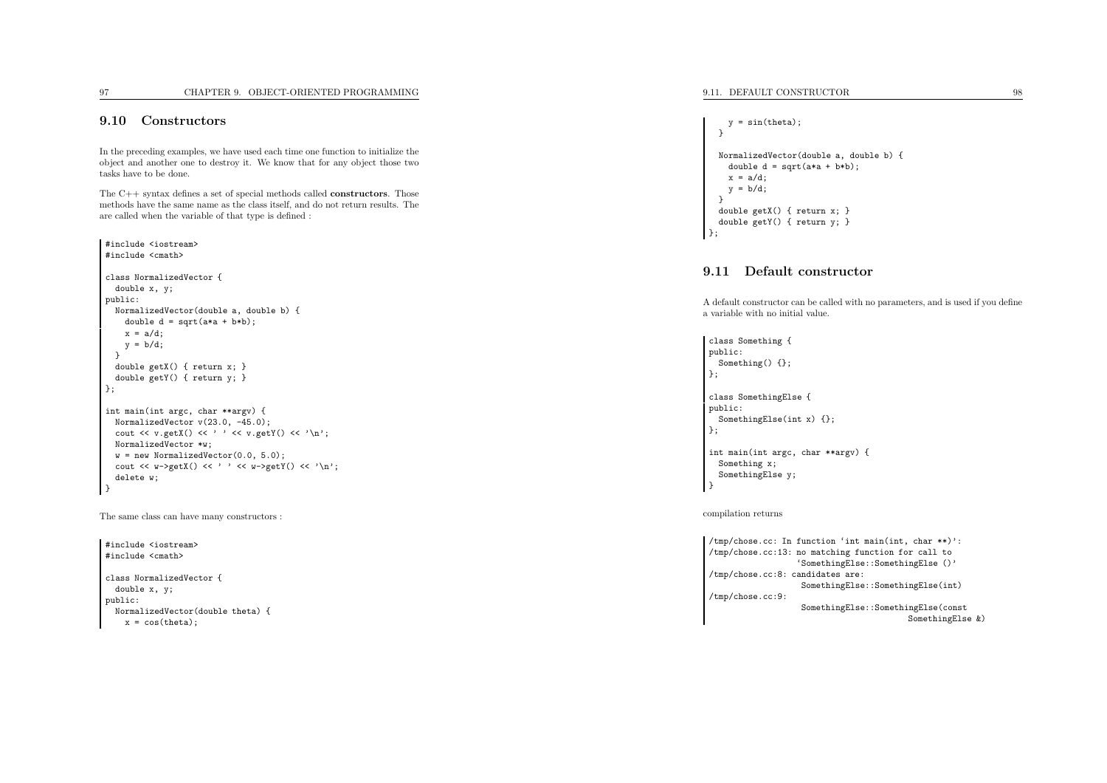### 9.10 Constructors

In the preceding examples, we have used each time one function to initialize the object and another one to destroy it. We know that for any object those twotasks have to be done.

The C++ syntax defines <sup>a</sup> set of special methods called constructors. Those methods have the same name as the class itself, and do not return results. Theare called when the variable of that type is defined :

```
#include <iostream>
#include <cmath>
class NormalizedVector {
   double x, y;
public:
NormalizedVector(double a, double b) {
       double d = sqrt(a*a + b*b);x = a/d;y = b/d;
    \overline{\phantom{a}}
double getX() { return x; }
   double getY() { return y; }
};int main(int argc, char **argv) {
   NormalizedVector v(23.0, -45.0);
    cout \langle v.\text{getX}() \langle v \rangle / \langle v.\text{getY}() \langle v \rangle \langle n \rangle;
   NormalizedVector *w;
   w = new NormalizedVector(0.0, 5.0);cout \langle\langle w\rangle websolvable \langle w\rangle and \langle w\rangle and \langle w\rangle and \langle w\rangle and \langle w\rangle and \langle w\rangle and \langle w\rangle and \langle w\rangle and \langle w\rangle and \langle w\rangle and \langle w\rangle and \langle w\rangle and \langle w\rangle and \langle w\rangle and \langle w\rangle and \langle w\rangle and \delete w;
 }
```
The same class can have many constructors :

#include <iostream> #include <cmath> class NormalizedVector { double x, y; public: NormalizedVector(double theta) {  $x = \cos(\theta)$ ;

```
y = sin(theta);}NormalizedVector(double a, double b) {
    double d = sqrt(a*a + b*b);x = a/d:
    y = b/d;
  }
double getX() { return x; }
  double getY() { return y; }
\vert \cdot \rangle:
```
## 9.11 Default constructor

<sup>A</sup> default constructor can be called with no parameters, and is used if you define<sup>a</sup> variable with no initial value.

```
class Something {
public:
Something() {};
};class SomethingElse {
public:
SomethingElse(int x) {};
};int main(int argc, char **argv) {
 Something x;
  SomethingElse y;
}
```
compilation returns

```
/tmp/chose.cc: In function 'int main(int, char **)':
/tmp/chose.cc:13: no matching function for call to
                  'SomethingElse::SomethingElse ()'
/tmp/chose.cc:8: candidates are:
                   SomethingElse::SomethingElse(int)/tmp/chose.cc:9:SomethingElse::SomethingElse(const
SomethingElse &)
```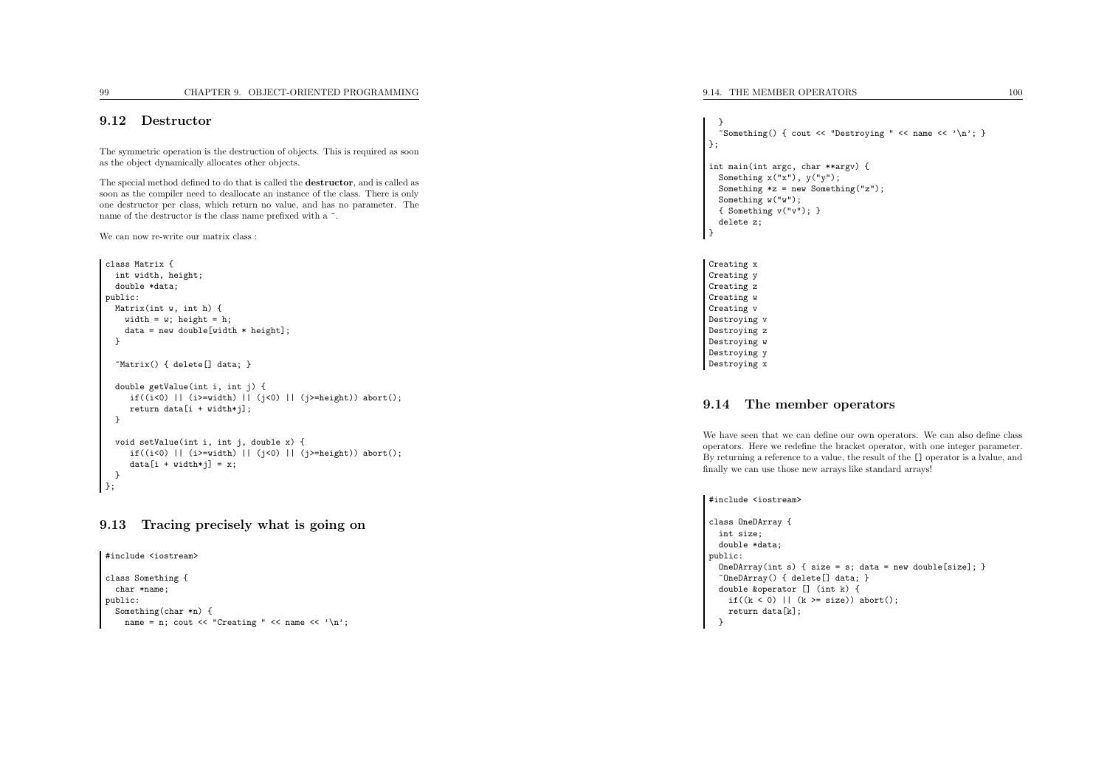#### 9.12 Destructor

The symmetric operation is the destruction of objects. This is required as soonas the object dynamically allocates other objects.

The special method defined to do that is called the destructor, and is called as soon as the compiler need to deallocate an instance of the class. There is only one destructor per class, which return no value, and has no parameter. Thename of the destructor is the class name prefixed with a  $\tilde{ }$ .

We can now re-write our matrix class :

```
class Matrix {
  int width, height;
  double *data;
public:
Matrix(int w, int h) {
   width = w; height = h;
    data = new doublewidth * height:
  }~Matrix() { delete[] data; }
  double getValue(int i, int j) {
     if((i<0) || (i>=width) || (j<0) || (j>=height)) abort();
     return data[i + width*j];
  }void setValue(int i, int j, double x) {
     if((i<0) || (i>=width) || (j<0) || (j>=height)) abort();
     data[i + width* j] = x;}};
```
#### 9.13 Tracing precisely what is going on

```
#include <iostream>
class Something {
 char *name;
public:
Something(char *n) {
   name = n; cout << "Creating " << name << '\n;
```

```
}\gammaSomething() { cout << "Destroying " << name << \gamma'n'; }
};int main(int argc, char **argv) {
  Something x("x"), y("y");
  Something *z = new Something("z");
  Something w("w");
  { Something v("v"); }
  delete z;
ן
Creating x
Creating y
Creating z
Creating w
Creating v
Destroying v
Destroying z
Destroying w
Destroying y
```
#### 9.14 The member operators

We have seen that we can define our own operators. We can also define class operators. Here we redefine the bracket operator, with one integer parameter. By returning <sup>a</sup> reference to <sup>a</sup> value, the result of the [] operator is <sup>a</sup> lvalue, andfinally we can use those new arrays like standard arrays!

#include <iostream>

Destroying <sup>x</sup>

```
class OneDArray {
 int size;
 double *data;
public:
OneDArray(int s) { size = s; data = new double[size]; }
  ~OneDArray() { delete[] data; }
 double &operator [] (int k) {
   if((k < 0) || (k > = size)) abort();
   return data[k];
 }
```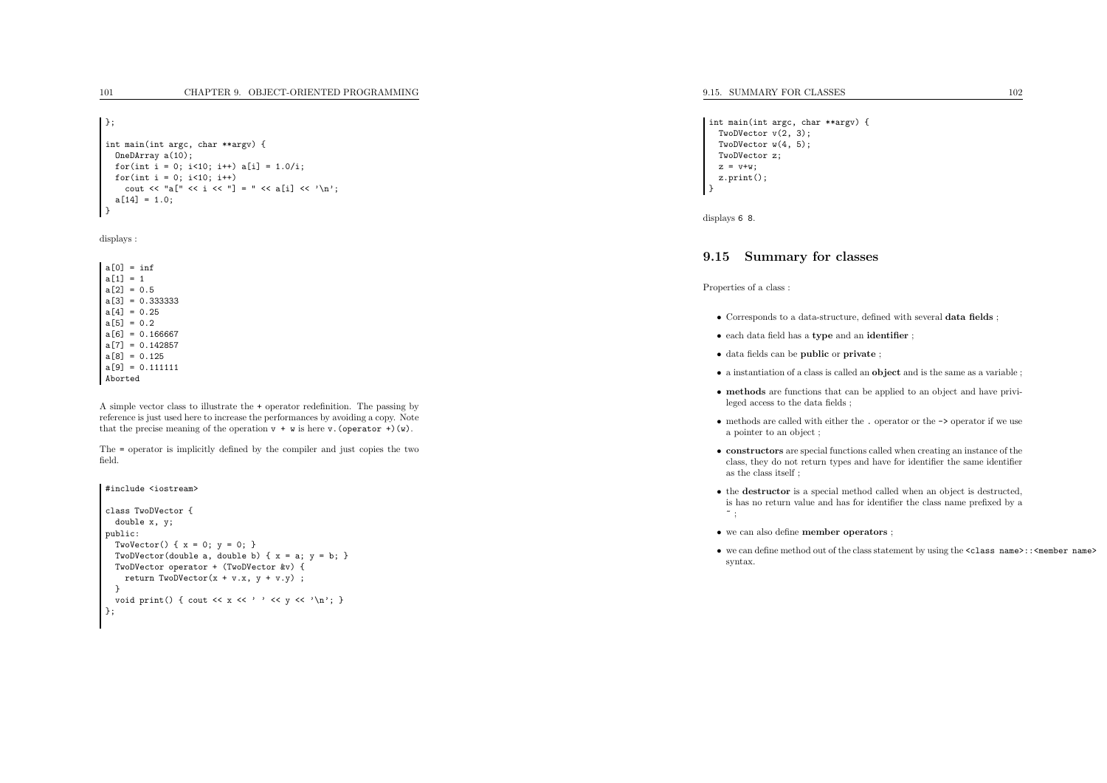};

```
int main(int argc, char **argv) {
  OneDArray a(10);
  for(int i = 0; i < 10; i + 1) a[i] = 1.0/i;
  for(int i = 0; i \le 10; i++)cout \langle \langle "a[" \langle \langle i \rangle \langle "] = " \langle \langle a[i] \langle \langle \rangle \rangle";
  a[14] = 1.0;}
```
displays :

 $a[0] = inf$  $a[1] = 1$  $a[2] = 0.5$  $a[3] = 0.3333333$  $a[4] = 0.25$  $a[5] = 0.2$  $a[6] = 0.166667$  $a[7] = 0.142857$  $a[8] = 0.125$  $a[9] = 0.111111$ Aborted

<sup>A</sup> simple vector class to illustrate the <sup>+</sup> operator redefinition. The passing by reference is just used here to increase the performances by avoiding <sup>a</sup> copy. Notethat the precise meaning of the operation  $v + w$  is here  $v$ . (operator +)(w).

The <sup>=</sup> operator is implicitly defined by the compiler and just copies the two field.

```
#include <iostream>
class TwoDVector {
 double x, y;
public:
TwoVector() { x = 0; y = 0; }
  TwoDVector(double a, double b) { x = a; y = b; }
  TwoDVector operator + (TwoDVector &v) {
    return TwoDVector(x + v.x, y + v.y) ;
  \left| \right|void print() { cout << x << ' ' << y << '\n'; }
};
```

```
int main(int argc, char **argv) {
  TwoDVector v(2, 3);
  TwoDVector w(4, 5);
 TwoDVector z;
  z = v+w;z.\text{print}():
 }
```
displays <sup>6</sup> <sup>8</sup>.

#### 9.15 Summary for classes

Properties of <sup>a</sup> class :

- Corresponds to <sup>a</sup> data-structure, defined with several data fields ;
- each data field has <sup>a</sup> type and an identifier ;
- data fields can be public or private ;
- <sup>a</sup> instantiation of <sup>a</sup> class is called an object and is the same as <sup>a</sup> variable ;
- methods are functions that can be applied to an object and have privileged access to the data fields ;
- methods are called with either the . operator or the -> operator if we use <sup>a</sup> pointer to an object ;
- constructors are special functions called when creating an instance of the class, they do not return types and have for identifier the same identifieras the class itself ;
- the destructor is <sup>a</sup> special method called when an object is destructed, is has no return value and has for identifier the class name prefixed by <sup>a</sup>~;
- we can also define member operators ;
- we can define method out of the class statement by using the  $\texttt{:\texttt{}$ syntax.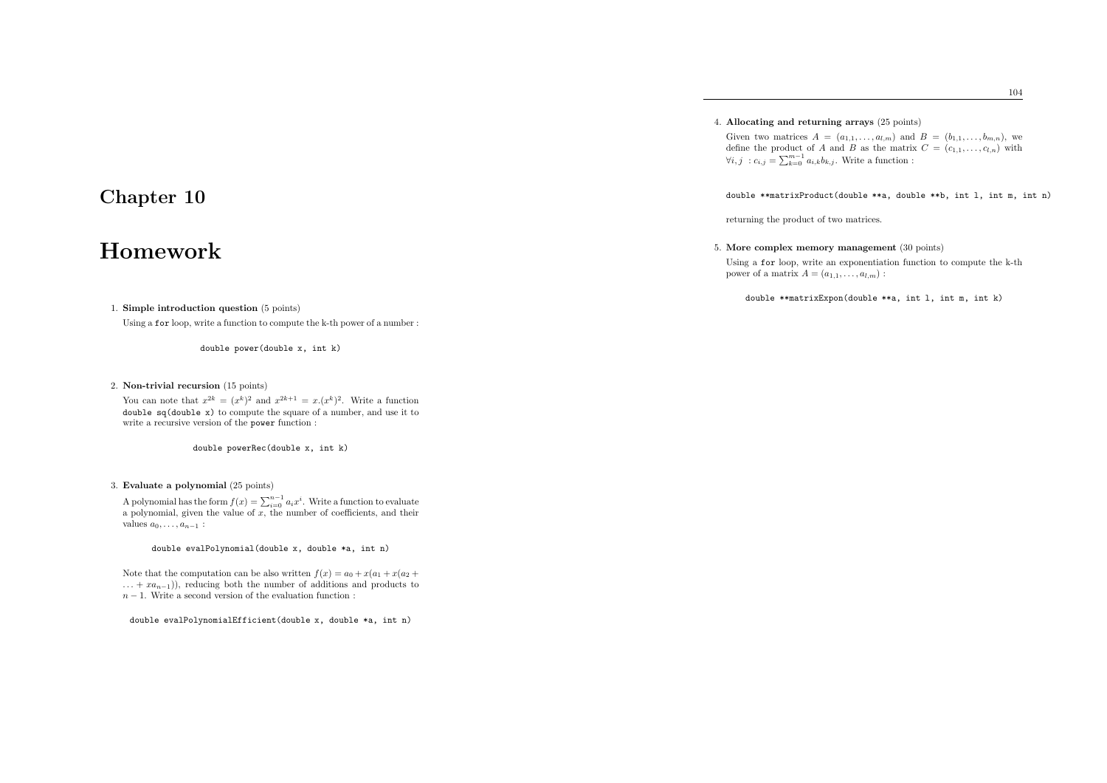#### 4. Allocating and returning arrays (25 points)

Given two matrices  $A = (a_{1,1}, \ldots, a_{l,m})$  and  $B = (b_{1,1}, \ldots, b_{m,n})$ , we define the product of A and B as the matrix  $C = (c_{1,1}, \ldots, c_{l,n})$  with  $\forall i, j \; : c_{i,j} = \sum_{k=0}^{m-1} a_{i,k} b_{k,j}$ . Write a function :

double \*\*matrixProduct(double \*\*a, double \*\*b, int l, int m, int n)

returning the product of two matrices.

5. More complex memory management (30 points)

Using <sup>a</sup> for loop, write an exponentiation function to compute the k-thpower of a matrix  $A = (a_{1,1}, \ldots, a_{l,m})$ :

double \*\*matrixExpon(double \*\*a, int l, int m, int k)

## Chapter <sup>10</sup>

## Homework

1. Simple introduction question (5 points)

Using <sup>a</sup> for loop, write <sup>a</sup> function to compute the k-th power of <sup>a</sup> number :

double power(double x, int k)

#### 2. Non-trivial recursion (15 points)

You can note that  $x^{2k} = (x^k)^2$  and  $x^{2k+1} = x.(x^k)^2$ . Write a function double sq(double x) to compute the square of <sup>a</sup> number, and use it to write <sup>a</sup> recursive version of the power function :

double powerRec(double x, int k)

3. Evaluate <sup>a</sup> polynomial (25 points)

A polynomial has the form  $f(x) = \sum_{i=0}^{n-1} a_i x^i$ . Write a function to evaluate a polynomial, given the value of x, the number of coefficients, and their values  $a_0, \ldots, a_{n-1}$ :

double evalPolynomial(double x, double \*a, int n)

Note that the computation can be also written  $f(x) = a_0 + x(a_1 + x(a_2 + x))$  $\dots + xa_{n-1}$ ), reducing both the number of additions and products to  $n-1$ . Write a second version of the evaluation function :

double evalPolynomialEfficient(double x, double \*a, int n)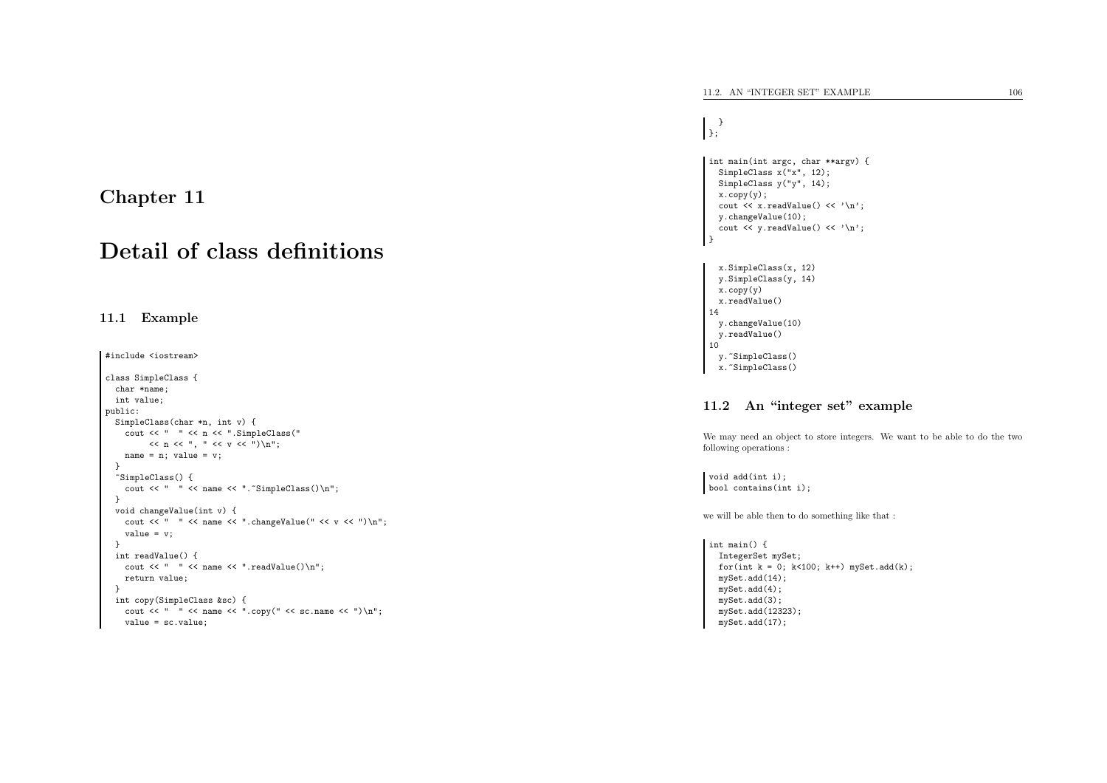## Chapter <sup>11</sup>

## Detail of class definitions

### 11.1 Example

```
#include <iostream>
```

```
class SimpleClass {
 char *name;
 int value;
public:
SimpleClass(char *n, int v) {
    cout << " " << n << ".SimpleClass("
            << n <<", " << v <<")\n\times n;
    name = n; value = v;
  }
~SimpleClass() {
    cout \langle \langle " \rangle \langle \langle name \langle \langle ". "SimpleClass()\n\ranglen";
  }
void changeValue(int v) {
    cout << " " << name << ".changeValue(" << v << ")\n";
    value = v;}
int readValue() {
    cout \lt\lt " " \lt\lt name \lt\lt ".readValue()\n";
    return value;
  \left| \right|
int copy(SimpleClass &sc) {
    cout \langle\langle " \rangle \langle \langle \rangle anne \langle \langle ".copy(" \langle \langle sc.name \langle \langle ")\ranglen";
    value = sc.value;
```

```
}<br>};
```

```
int main(int argc, char **argv) {
  SimpleClass x("x", 12);
  SimpleClass y("y", 14);
  x.\text{copy}(y);

cout << x.readValue() << '\n';
  y.changeValue(10);
cout << y.readValue() << '\n';
ا :
```

```
x.SimpleClass(x, 12)
 y.SimpleClass(y, 14)
 x.copy(y)
x.readValue()14
y.changeValue(10)y.readValue()10
y.~SimpleClass()
x.~SimpleClass()
```
## 11.2 An "integer set" example

We may need an object to store integers. We want to be able to do the two following operations :

void add(int i); bool contains(int i);

we will be able then to do something like that :

```
int main() {
  IntegerSet mySet;
  for(int k = 0; k < 100; k++) mySet.add(k);
  mySet.add(14);
mySet.add(4);
mySet.add(3);
mySet.add(12323);mySet.add(17);
```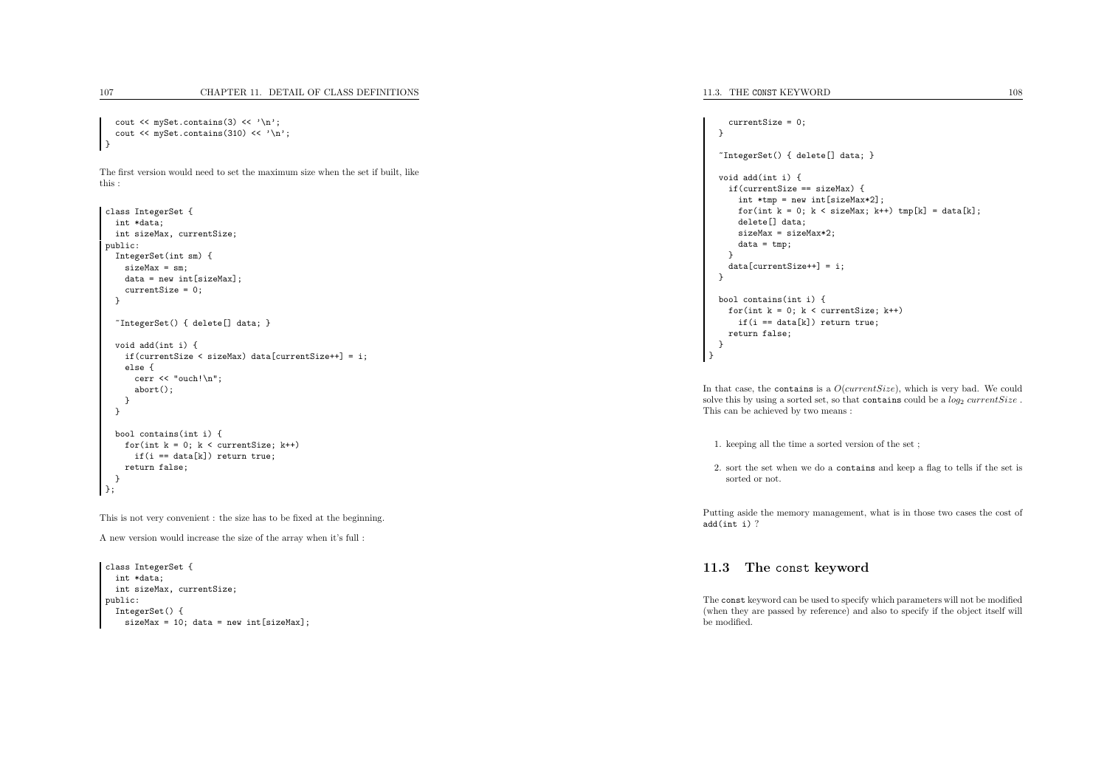}

cout  $\langle$  mySet.contains(3)  $\langle$   $\rangle$   $\langle$   $\rangle$ <sub>n</sub>'; cout  $\langle$  mySet.contains(310)  $\langle$  '\n';

The first version would need to set the maximum size when the set if built, likethis :

```
class IntegerSet {
  int *data;
  int sizeMax, currentSize;
public:
IntegerSet(int sm) {
   sizeMax = sm;data = new int[sizeMax];
    currentSize = 0;
 }~IntegerSet() { delete[] data; }
  void add(int i) {
   if(currentSize < sizeMax) data[currentSize++] = i;
    else {
     cerr << "ouch!\n";
     abort();}}bool contains(int i) {
   for(int k = 0; k < currentSize; k++)
     if(i == data[k]) return true;
    return false;
 }};
```
This is not very convenient : the size has to be fixed at the beginning.

<sup>A</sup> new version would increase the size of the array when it's full :

```
class IntegerSet {
 int *data;
  int sizeMax, currentSize;
public:
IntegerSet() {
   sizeMax = 10; data = new int[sizeMax];
```
 $\rightarrow$ 

```
currentSize = 0;
}~IntegerSet() { delete[] data; }
void add(int i) {
  if(currentSize == sizeMax) {
    int *tmp = new int[sizeMax*2];
    for(int k = 0; k < sizeMax; k++) tmp[k] = data[k];
    delete[] data;
   sizeMax = sizeMax*2;
    data = tmp;}
data[currentSize++] = i;
}bool contains(int i) {
  for(int k = 0: k < currentSize; k++)
    if(i == data[k]) return true;
  return false;
 }
```
In that case, the contains is a  $O(currentSize)$ , which is very bad. We could solve this by using a sorted set, so that contains could be a  $log_2 currentSize$ . This can be achieved by two means :

1. keeping all the time <sup>a</sup> sorted version of the set ;

2. sort the set when we do <sup>a</sup> contains and keep <sup>a</sup> flag to tells if the set is sorted or not.

Putting aside the memory management, what is in those two cases the cost of add(int i) ?

## 11.3 The const keyword

The const keyword can be used to specify which parameters will not be modified (when they are passed by reference) and also to specify if the object itself will be modified.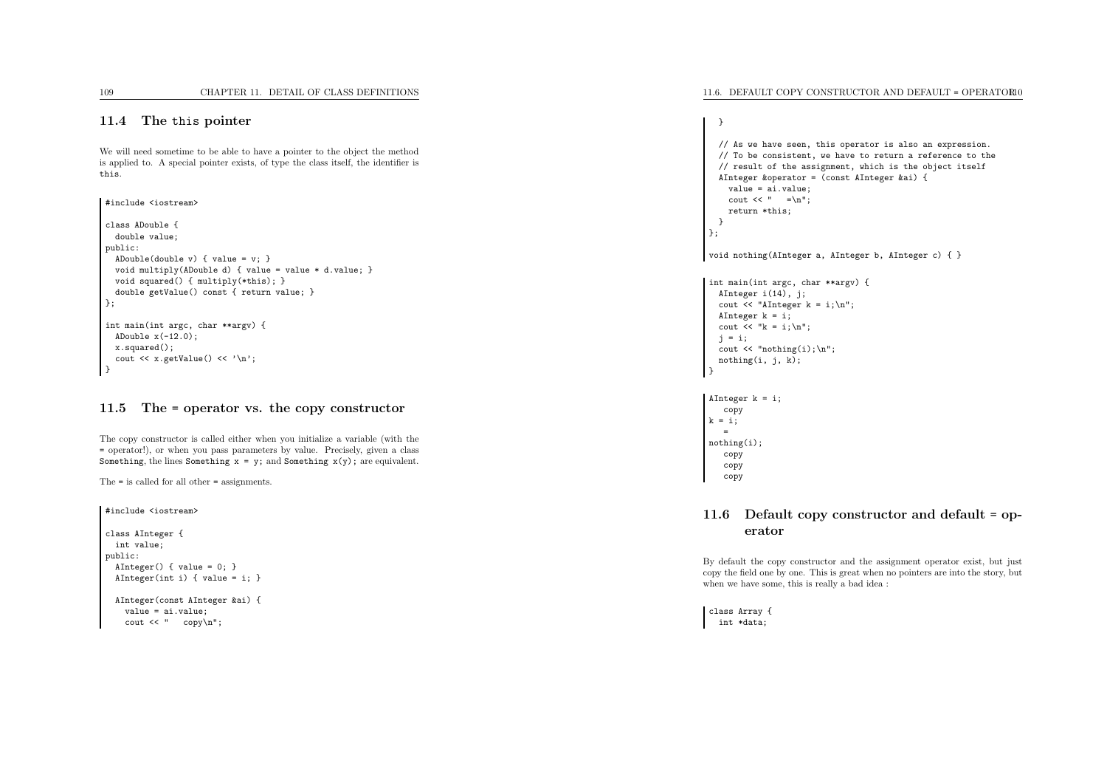## 11.4 The this pointer

We will need sometime to be able to have <sup>a</sup> pointer to the object the method is applied to. <sup>A</sup> special pointer exists, of type the class itself, the identifier isthis.

```
#include <iostream>
class ADouble {
 double value;
public:
ADouble(double v) { value = v; }
  void multiply(ADouble d) { value = value * d.value; }
  void squared() { multiply(*this); }
  double getValue() const { return value; }
};int main(int argc, char **argv) {
 ADouble x(-12.0);
 x.squared();
cout << x.getValue() << '\n';
}
```
## 11.5 The <sup>=</sup> operator vs. the copy constructor

The copy constructor is called either when you initialize <sup>a</sup> variable (with the = operator!), or when you pass parameters by value. Precisely, <sup>g</sup>iven <sup>a</sup> class Something, the lines Something  $x = y$ ; and Something  $x(y)$ ; are equivalent.

The <sup>=</sup> is called for all other <sup>=</sup> assignments.

```
#include <iostream>
class AInteger {
 int value;
public:
AInteger() { value = 0; }
  AInteger(int i) { value = i; }
  AInteger(const AInteger &ai) {
    value = ai.value;
    cout << " copy\n\times";
```
11.6. DEFAULT COPY CONSTRUCTOR AND DEFAULT = OPERATOR10

```
}// As we have seen, this operator is also an expression.
  // To be consistent, we have to return a reference to the
  // result of the assignment, which is the object itself
  AInteger &operator = (const AInteger &ai) {
    value = ai.value;
    cout << " =\n";
    return *this;
 }
};void nothing(AInteger a, AInteger b, AInteger c) { }
int main(int argc, char **argv) {
  AInteger i(14), j;
  cout \langle \cdot \rangle "AInteger k = i; \n \n \begin{bmatrix} n \\ n \end{bmatrix}";
  AInteger k = i;
  cout \langle \cdot \rangle "k = i; \n";
  j = i;
  cout \langle \cdot \rangle "nothing(i);\n";
  notbing(i, i, k);}AInteger k = i;
   copy
k = i;
   =
nothing(i);copy
copy
copy
```
## 11.6 Default copy constructor and default <sup>=</sup> operator

By default the copy constructor and the assignment operator exist, but just copy the field one by one. This is great when no pointers are into the story, butwhen we have some, this is really <sup>a</sup> bad idea :

class Array { int \*data;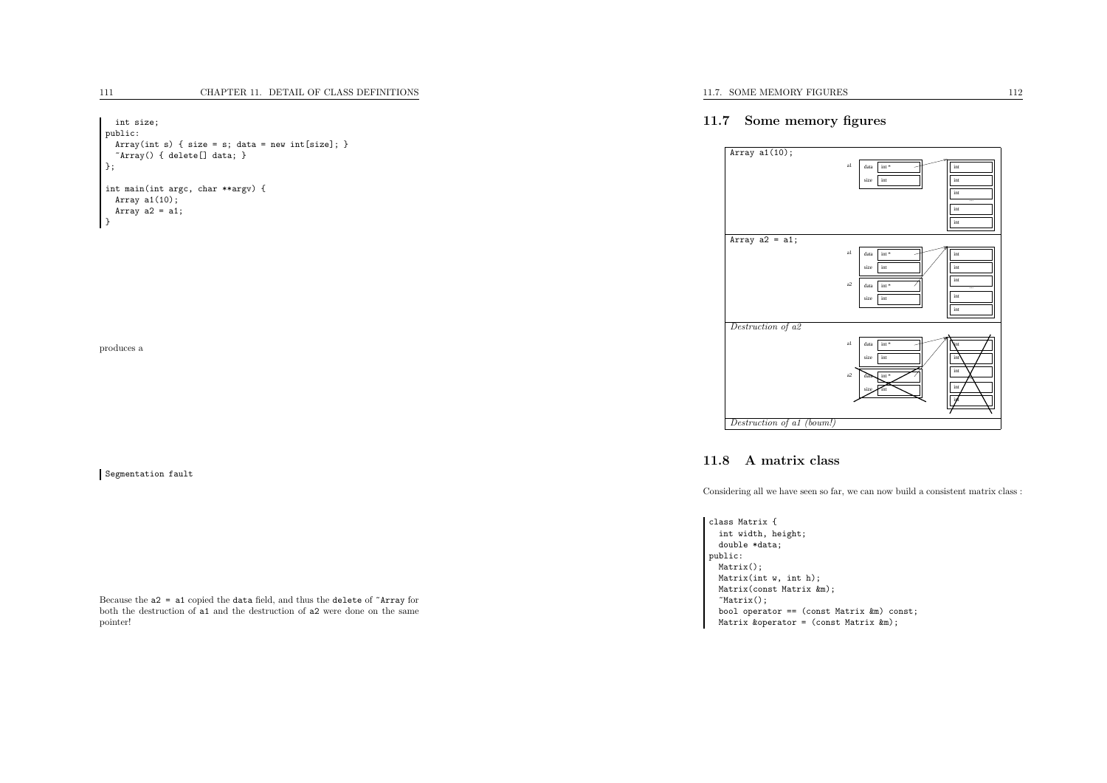int size;

public: Array(int s) { size <sup>=</sup> s; data <sup>=</sup> new int[size]; } ~Array() { delete[] data; } };int main(int argc, char \*\*argv) { Array  $a1(10)$ ; Array  $a2 = a1$ ; }

produces <sup>a</sup>

Segmentation fault

Because the a2 <sup>=</sup> a1 copied the data field, and thus the delete of ~Array for both the destruction of a1 and the destruction of a2 were done on the same pointer!

## 11.7 Some memory figures



## 11.8 <sup>A</sup> matrix class

Considering all we have seen so far, we can now build <sup>a</sup> consistent matrix class :

class Matrix { int width, height; double \*data; public: Matrix(); Matrix(int w, int h); Matrix(const Matrix &m); ~Matrix(); bool operator == (const Matrix &m) const; Matrix &operator = (const Matrix &m);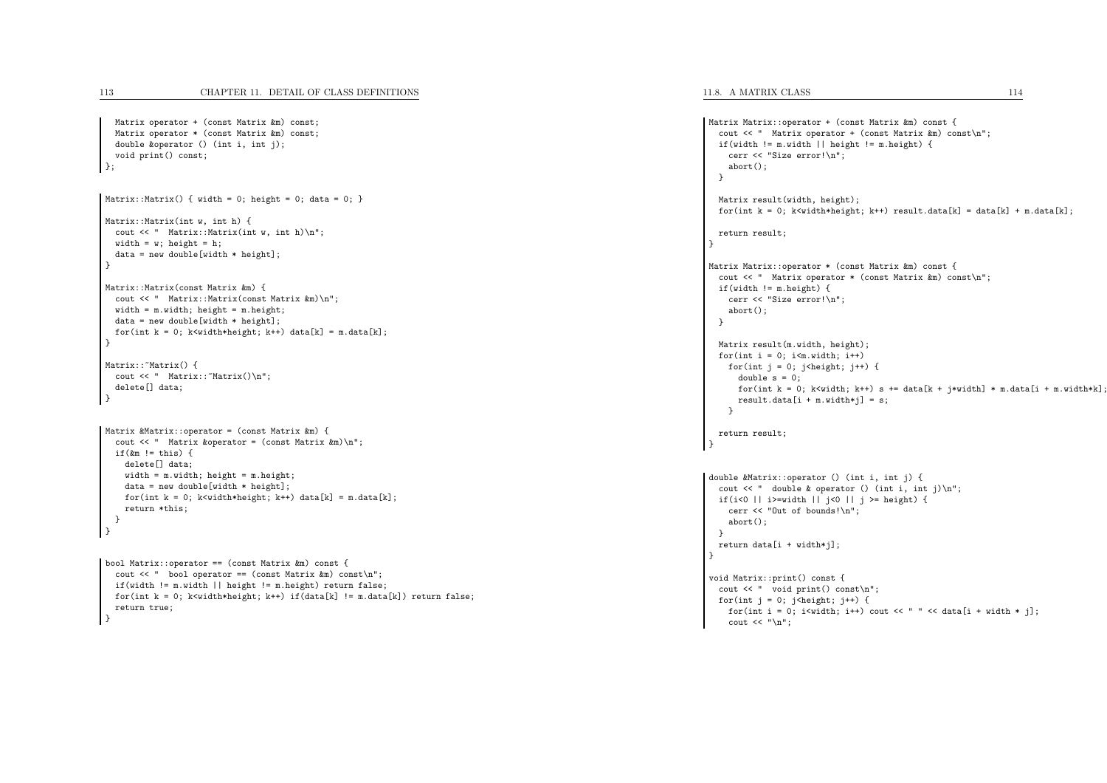```
Matrix operator + (const Matrix &m) const;
  Matrix operator * (const Matrix &m) const;
  double &operator () (int i, int j);
  void print() const;
\rightarrow:
```

```
Matrix::Matrix() { width = 0; height = 0; data = 0; }
```

```
Matrix::Matrix(int w, int h) {
 cout << " Matrix::Matrix(int w, int h)\n";
 width = w; height = h;
 data = new double[width * height];
```

```
Matrix::Matrix(const Matrix &m) {
 cout << " Matrix::Matrix(const Matrix &m)\n";
 width = m.width; height = m.height;
 data = new double[width * height];
 for(int k = 0; k<width*height; k++) data[k] = m.data[k];
}
```

```
Matrix:: "Matrix() {
 cout << " Matrix:: "Matrix()\n";
 delete[] data;
}
```

```
Matrix &Matrix::operator = (const Matrix &m) {
  cout \lt\lt" Matrix &operator = (const Matrix &m)\n";
 if(km != this)delete[] data;
   width = m.width: height = m.height:
   data = new doublewidth * height:
   for(int k = 0; k<width*height; k++) data[k] = m.data[k];
   return *this;
 }| ጌ
```

```
bool Matrix::operator == (const Matrix &m) const {
  cout \lt\lt" bool operator == (const Matrix &m) const\n";
  if(width != m.width || height != m.height) return false;
 for(int k = 0; k<width*height; k++) if(data[k] != m.data[k]) return false;
  return true;
}
```

```
11.8. A MATRIX CLASSS 114
```

```
Matrix Matrix::operator + (const Matrix &m) const {
  cout << " Matrix operator + (const Matrix &m) const\n";
  if(width != m.width || height != m.height) {
   cerr << "Size error!\n";
    abort();}Matrix result(width, height);
  for(int k = 0; k \forallwidth*height; k + + ) result.data[k] = data[k] + m.data[k];
  return result;
 }Matrix Matrix::operator * (const Matrix &m) const {
  cout << " Matrix operator * (const Matrix &m) const\n";
 if(width != m.height) {
  cerr << "Size error!\n";
    abort();}Matrix result(m.width, height);
  for(int i = 0; i\leq m width; i++)
   for(int j = 0; j -height; j++) {
      double s = 0;
      for(int k = 0; k<width; k++) s += data[k + j*width] * m.data[i + m.width*k];
      result.data[i + m.width*j] = s;
    }return result;
 }double &Matrix::operator () (int i, int j) {
  cout \langle \cdot \rangle double & operator () (int i, int j)\n";
  if(i<0 || i>=width || j<0 || j >= height) {
   cerr << "Out of bounds!\n";
    abort();}
return data[i + width*j];
 }void Matrix::print() const {
 cout << " void print() const\n";
  for(int j = 0; \frac{1}{2} (height; j+1) {
    for(int i = 0; i<width; i++) cout << " " << data[i + width * i];
    cout \langle \cdot \rangle "\n";
```
}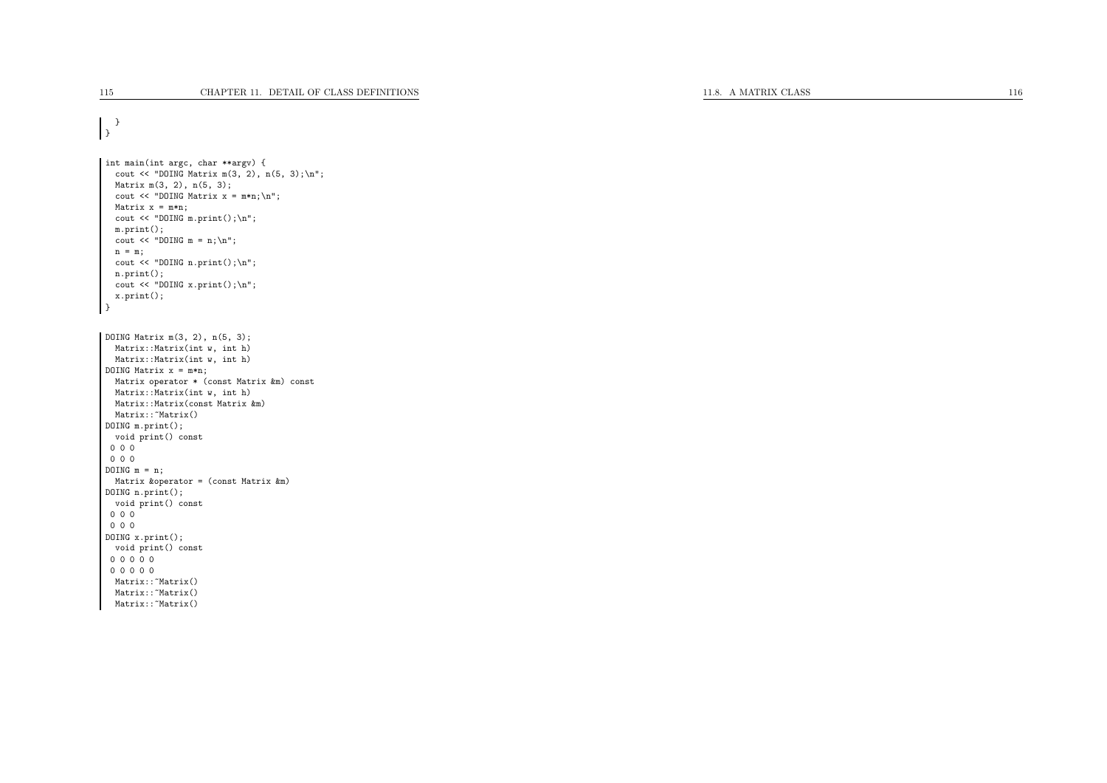} }

int main(int argc, char \*\*argv) { cout  $\lt\lt$  "DOING Matrix m(3, 2), n(5, 3); \n"; Matrix m(3, 2), n(5, 3); cout  $\langle$  "DOING Matrix  $x = m*n;\n^n$ ; Matrix  $x = m*n;$ cout  $\langle$  "DOING m.print();\n"; m.print();cout  $\lt\lt$  "DOING m = n;\n";  $n = m;$ cout  $\langle$  "DOING n.print();\n"; n.print(); cout << "DOING x.print();\n"; x.print();}DOING Matrix m(3, 2), n(5, 3); Matrix::Matrix(int w, int h) Matrix::Matrix(int w, int h) DOING Matrix  $x = m*n$ ; Matrix operator \* (const Matrix &m) const Matrix::Matrix(int w, int h) Matrix::Matrix(const Matrix &m) Matrix::~Matrix()DOING m.print(); void print() const <sup>0</sup> <sup>0</sup> <sup>0</sup> <sup>0</sup> <sup>0</sup> <sup>0</sup> DOING  $m = n$ ; Matrix &operator <sup>=</sup> (const Matrix &m) DOING n.print(); void print() const <sup>0</sup> <sup>0</sup> <sup>0</sup> <sup>0</sup> <sup>0</sup> <sup>0</sup> DOING x.print(); void print() const  $00000$ <sup>0</sup> <sup>0</sup> <sup>0</sup> <sup>0</sup> <sup>0</sup> Matrix::~Matrix() Matrix::~Matrix()Matrix::~Matrix()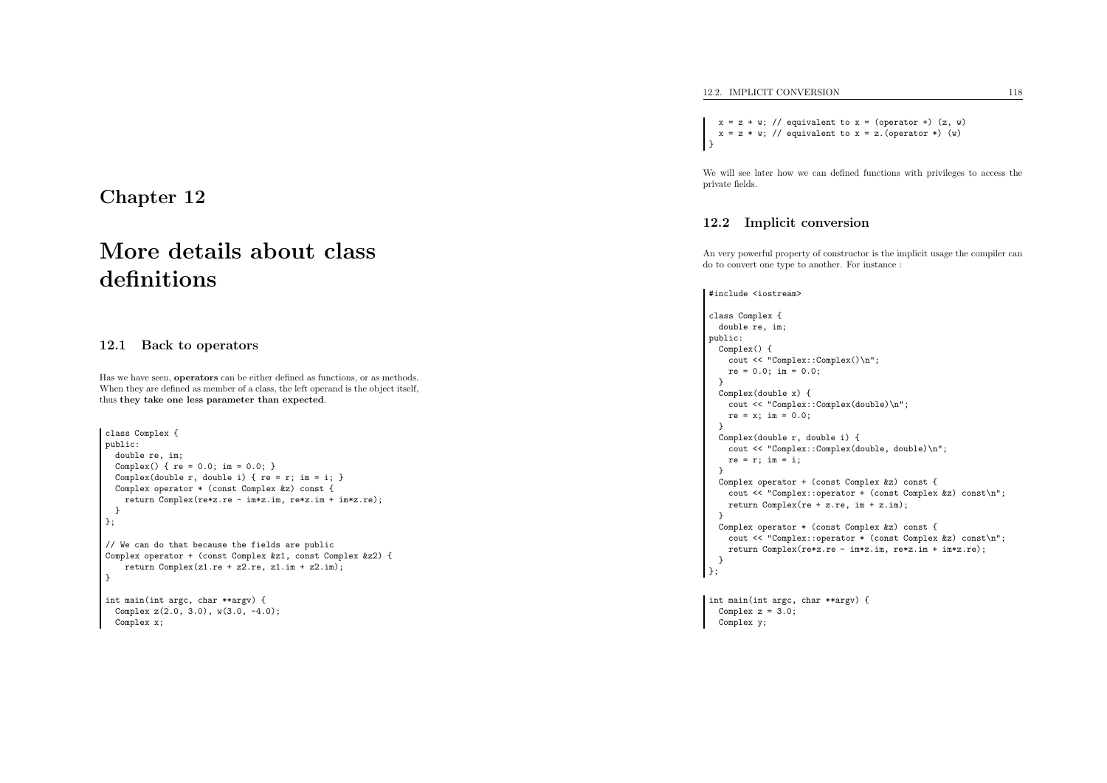# More details about classdefinitions

### 12.1 Back to operators

Has we have seen, operators can be either defined as functions, or as methods. When they are defined as member of <sup>a</sup> class, the left operand is the object itself, thus they take one less parameter than expected.

```
class Complex {
public:
double re, im;
  Complex() { re = 0.0; im = 0.0; }
  Complex(double r, double i) { re = r; im = i; }
  Complex operator * (const Complex &z) const {
   return Complex(re*z.re - im*z.im, re*z.im + im*z.re);
 }
};// We can do that because the fields are public
Complex operator + (const Complex &z1, const Complex &z2) {
   return Complex(z1.re + z2.re, z1.in + z2.in);}int main(int argc, char **argv) {
  Complex z(2.0, 3.0), w(3.0, -4.0);
  Complex x;
```
 $x = z + w$ ; // equivalent to  $x =$  (operator +) (z, w)  $x = z * w$ ; // equivalent to  $x = z$ . (operator \*) (w) }

We will see later how we can defined functions with privileges to access theprivate fields.

## 12.2 Implicit conversion

An very powerful property of constructor is the implicit usage the compiler cando to convert one type to another. For instance :

#### #include <iostream>

```
class Complex {
 double re, im;
public:
Complex() {
   cout << "Complex::Complex()\n";
   re = 0.0; im = 0.0;}
Complex(double x) {
   cout << "Complex::Complex(double)\n";
   re = x: im = 0.0:
 \overline{ }
Complex(double r, double i) {
   cout << "Complex::Complex(double, double)\n";
   re = r; im = i;
  }
Complex operator + (const Complex &z) const {
   cout << "Complex::operator + (const Complex &z) const\n";
   return Complex(re + z.re, im + z.im);
  }
Complex operator * (const Complex &z) const {
   cout << "Complex::operator * (const Complex &z) const\n";
   return Complex(re*z.re - im*z.im, re*z.im + im*z.re);
 }
};
```

```
int main(int argc, char **argv) {
  Complex z = 3.0:
 Complex y;
```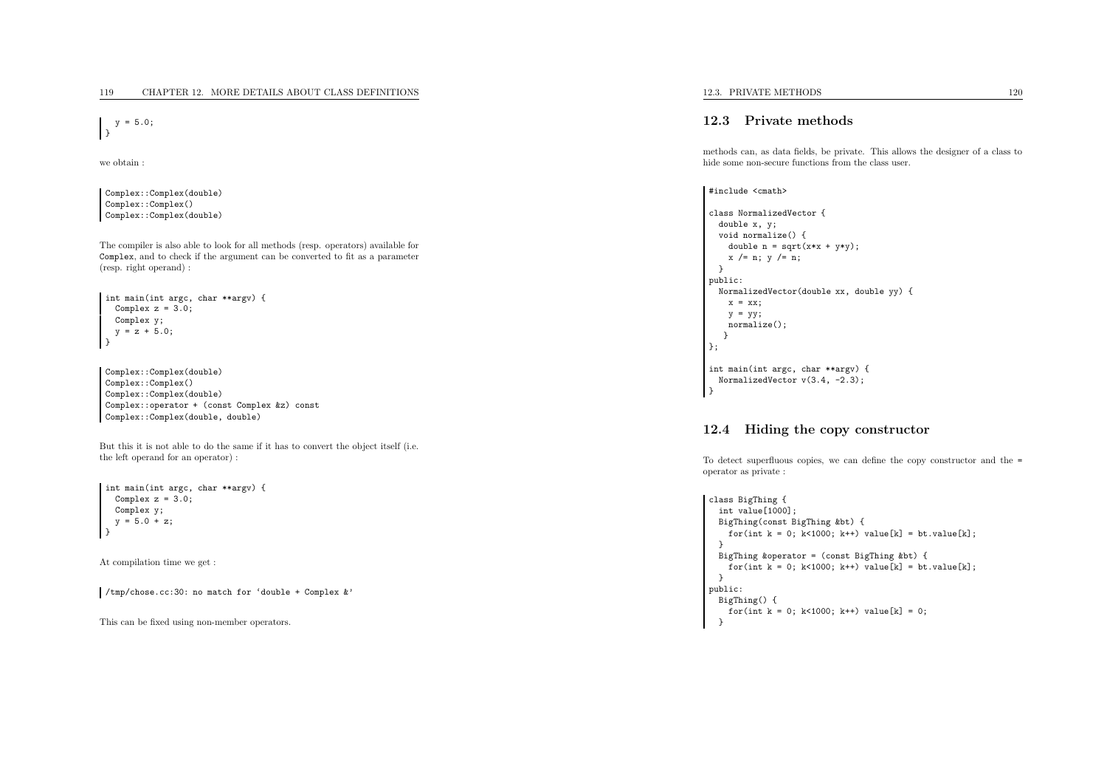$$
\begin{cases}\n y = 5.0; \\
 \end{cases}
$$

we obtain :

Complex::Complex(double)Complex::Complex()Complex::Complex(double)

The compiler is also able to look for all methods (resp. operators) available for Complex, and to check if the argument can be converted to fit as <sup>a</sup> parameter(resp. right operand) :

```
int main(int argc, char **argv) {
 Complex z = 3.0:
 Complex y;
 y = z + 5.0;}
```
Complex::Complex(double)Complex::Complex() Complex::Complex(double) Complex::operator <sup>+</sup> (const Complex &z) const Complex::Complex(double, double)

But this it is not able to do the same if it has to convert the object itself (i.e. the left operand for an operator) :

```
int main(int argc, char **argv) {
  Complex z = 3.0;
 Complex y;
 y = 5.0 + z;}
```
At compilation time we get :

/tmp/chose.cc:30: no match for 'double <sup>+</sup> Complex &'

This can be fixed using non-member operators.

## 12.3 Private methods

methods can, as data fields, be private. This allows the designer of <sup>a</sup> class tohide some non-secure functions from the class user.

#### #include <cmath>

```
class NormalizedVector {
 double x, y;
 void normalize() {
   double n = sqrt(x*x + y*y);x /= n; y /= n;
 }
public:
NormalizedVector(double xx, double yy) {
   x = xx;
   y = yy;normalize();}};int main(int argc, char **argv) {
 NormalizedVector v(3.4, -2.3);
}
```
#### 12.4 Hiding the copy constructor

To detect superfluous copies, we can define the copy constructor and the <sup>=</sup>operator as private :

```
class BigThing {
 int value[1000];
 BigThing(const BigThing &bt) {
   for(int k = 0; k < 1000; k++) value[k] = bt.value[k];
  }
BigThing &operator = (const BigThing &bt) {
   for(int k = 0; k < 1000; k++) value[k] = bt.value[k];
 }
public:
BigThing() {
   for(int k = 0; k < 1000; k++) value[k] = 0;
 }
```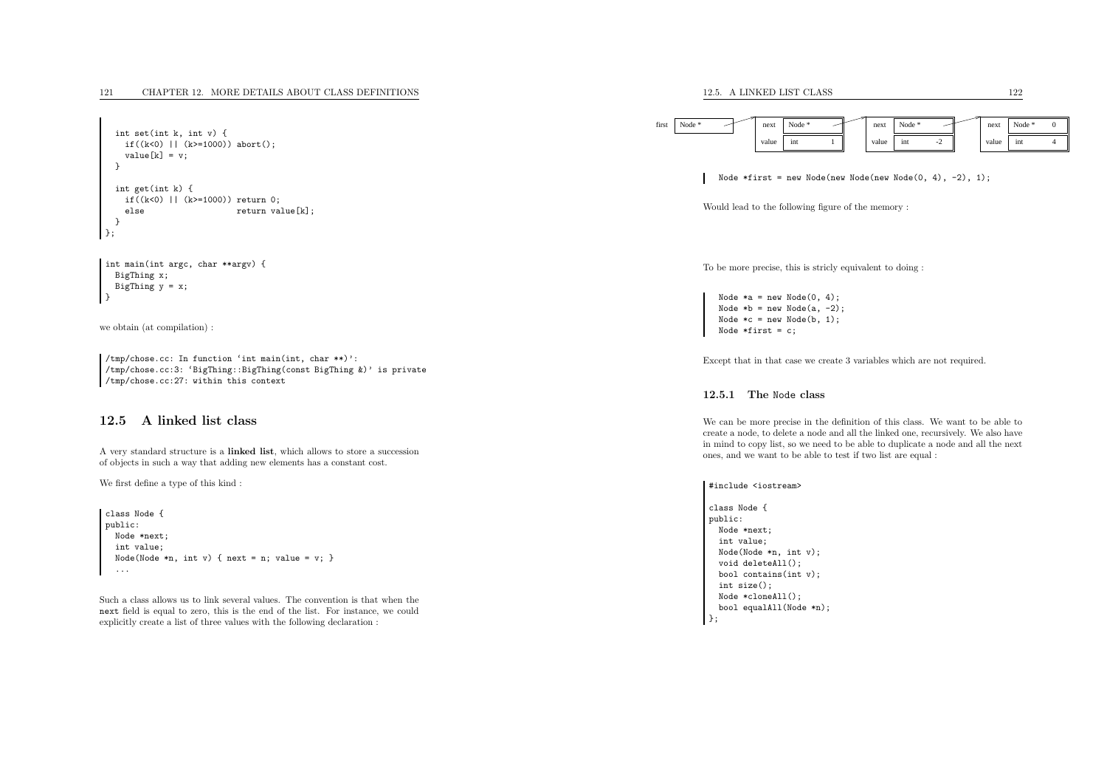#### <sup>121</sup> CHAPTER 12. MORE DETAILS ABOUT CLASS DEFINITIONS

```
int set(int k, int v) {
    if((k<0) || (k>=1000)) abort();
     value[k] = v;
  }int get(int k) {
    if((k<0) | | (k>=1000)) return 0;<br>else return va
                                return value[k];
  }\rightarrow:
```

```
int main(int argc, char **argv) {
  BigThing x;
  BigThing y = x;
}
```
we obtain (at compilation) :

/tmp/chose.cc: In function 'int main(int, char \*\*)': /tmp/chose.cc:3: 'BigThing::BigThing(const BigThing &)' is private /tmp/chose.cc:27: within this context

## 12.5 <sup>A</sup> linked list class

<sup>A</sup> very standard structure is <sup>a</sup> linked list, which allows to store <sup>a</sup> successionof objects in such <sup>a</sup> way that adding new elements has <sup>a</sup> constant cost.

We first define <sup>a</sup> type of this kind :

```
class Node {
public:
Node *next;
  int value;
  Node(Node *n, int v) { next = n; value = v; }
  ...
```
Such <sup>a</sup> class allows us to link several values. The convention is that when the next field is equa<sup>l</sup> to zero, this is the end of the list. For instance, we couldexplicitly create <sup>a</sup> list of three values with the following declaration :





Node  $*first = new Node(new Node(new Node() 4) -2)$ , 1);

Would lead to the following figure of the memory :

To be more precise, this is stricly equivalent to doing :

Node  $*a = new Node(0, 4)$ : Node  $*b = new Node(a, -2)$ ; Node  $*c = new Node(b, 1);$ Node  $*first = c$ ;

Except that in that case we create <sup>3</sup> variables which are not required.

### 12.5.1 The Node class

We can be more precise in the definition of this class. We want to be able to create <sup>a</sup> node, to delete <sup>a</sup> node and all the linked one, recursively. We also have in mind to copy list, so we need to be able to duplicate <sup>a</sup> node and all the nextones, and we want to be able to test if two list are equa<sup>l</sup> :

#### #include <iostream>

class Node { public: Node \*next; int value; Node(Node \*n, int v); void deleteAll(); bool contains(int v); int size(); Node \*cloneAll(); bool equalAll(Node \*n); };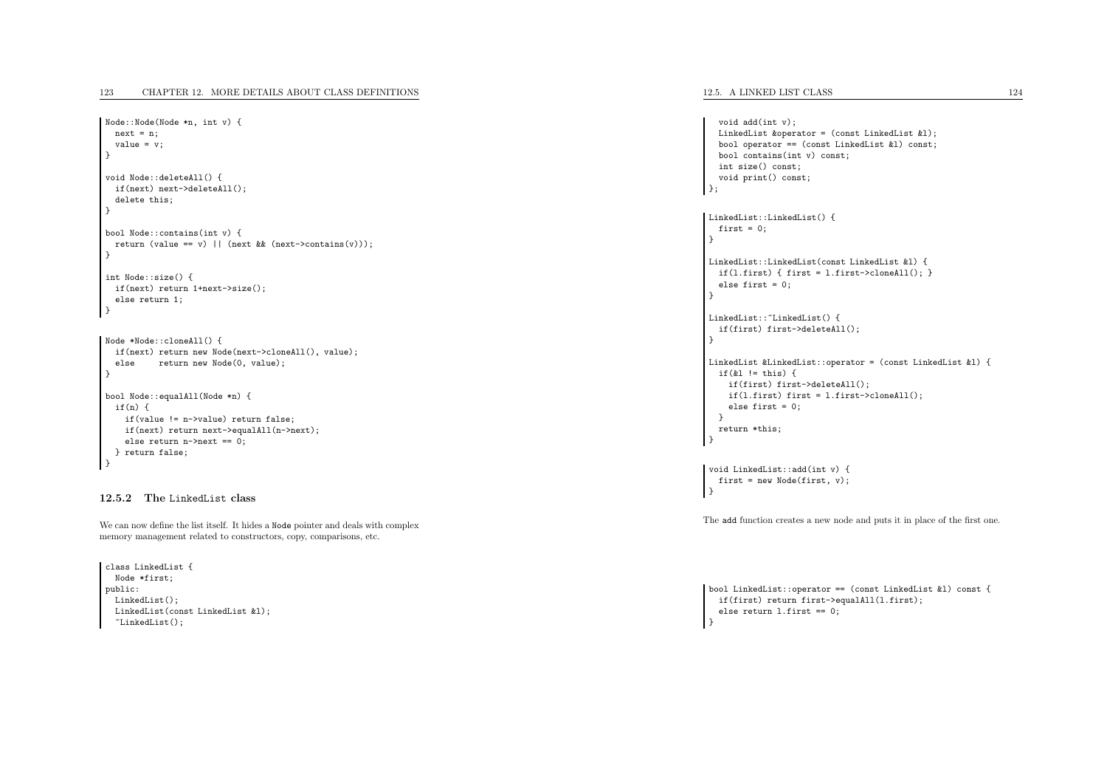```
Node::Node(Node *n, int v) {
 next = n:
 value = v;
}void Node::deleteAll() {
 if(next) next->deleteAll();
 delete this;
}bool Node::contains(int v) {
 return (value == v) || (next && (next->contains(v)));
}int Node::size() {
 if(next) return 1+next->size();
  else return 1;
}
```

```
Node *Node::cloneAll() {
 if(next) return new Node(next->cloneAll(), value);
         return new Node(0, value);
}bool Node::equalAll(Node *n) {
 if(n) {
   if(value != n->value) return false;
   if(next) return next->equalAll(n->next);
   else return n->next == 0;
 } return false;
}
```
### 12.5.2 The LinkedList class

We can now define the list itself. It hides <sup>a</sup> Node pointer and deals with complexmemory management related to constructors, copy, comparisons, etc.

```
class LinkedList {
 Node *first;
public:
LinkedList();
LinkedList(const LinkedList &l);
  ~LinkedList();
```

```
void add(int v);
  LinkedList &operator = (const LinkedList &l);
  bool operator == (const LinkedList &l) const;
  bool contains(int v) const;
  int size() const;
  void print() const;
\}:
LinkedList::LinkedList() {
 first = 0;
\mathfrak{r}LinkedList::LinkedList(const LinkedList &l) {
if(l.first) { first = l.first->cloneAll(); }
 else first = 0;
}LinkedList:: "LinkedList() {
 if(first) first->deleteAll();
}LinkedList &LinkedList::operator = (const LinkedList &l) {
 if(&l != this) {
   if(first) first->deleteAll();
   if(l.first) first = l.first->cloneAll();
    else first = 0;
  }
return *this;
| }
```
void LinkedList::add(int v) { first <sup>=</sup> new Node(first, v); د ا

The add function creates <sup>a</sup> new node and puts it in <sup>p</sup>lace of the first one.

bool LinkedList::operator == (const LinkedList &l) const { if(first) return first->equalAll(l.first); else return l.first == 0; ا :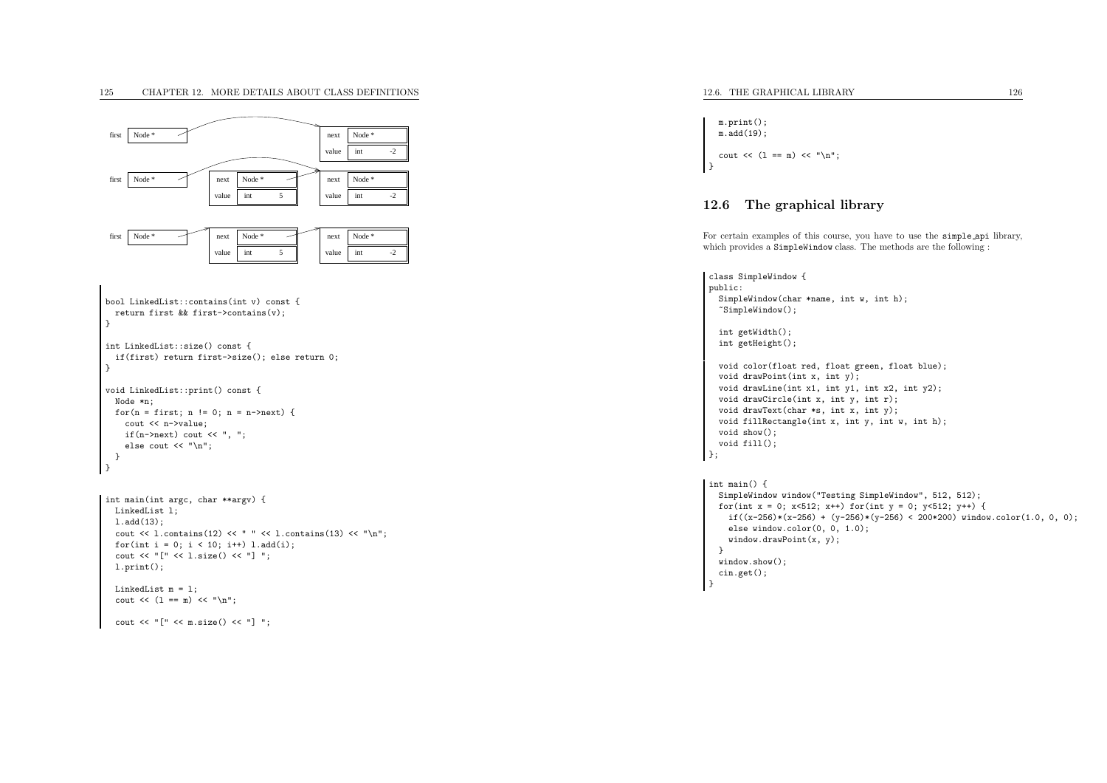

```
LinkedList 1;
l.add(13);
cout << l.contains(12) << " " << l.contains(13) << "\n";
for(int i = 0; i < 10; i++) 1.add(i);
cout \lt\lt "[" \lt\lt 1.size() \lt\lt "] ";
l.print();LinkedList m = l;
cout \langle \cdot \rangle (1 == m) \langle \cdot \rangle "\n";
cout \lt\lt "[" \lt\lt m.size() \lt\lt "] ";
```

```
m.print();
m.add(19);cout \langle \langle 1 == m \rangle \langle \langle m \rangle \rangleا -
```
## 12.6 The graphical library

For certain examples of this course, you have to use the simple ap<sup>i</sup> library, which provides <sup>a</sup> SimpleWindow class. The methods are the following :

```
class SimpleWindow {
public:
SimpleWindow(char *name, int w, int h);
  ~SimpleWindow();int getWidth();
  int getHeight();
  void color(float red, float green, float blue);
  void drawPoint(int x, int y);
  void drawLine(int x1, int y1, int x2, int y2);
  void drawCircle(int x, int y, int r);
  void drawText(char *s, int x, int y);
  void fillRectangle(int x, int y, int w, int h);
  void show();
  void fill();
};int main() {
  SimpleWindow window("Testing SimpleWindow", 512, 512);
  for(int x = 0; x < 512; x + +) for(int y = 0; y < 512; y + +) {
   if((x-256)*(x-256) + (y-256)*(y-256) < 200*200) window.color(1.0, 0, 0);
    else window.color(0, 0, 1.0);
    window.drawPoint(x, y);
```

```
}
window.show();cin.get();}
```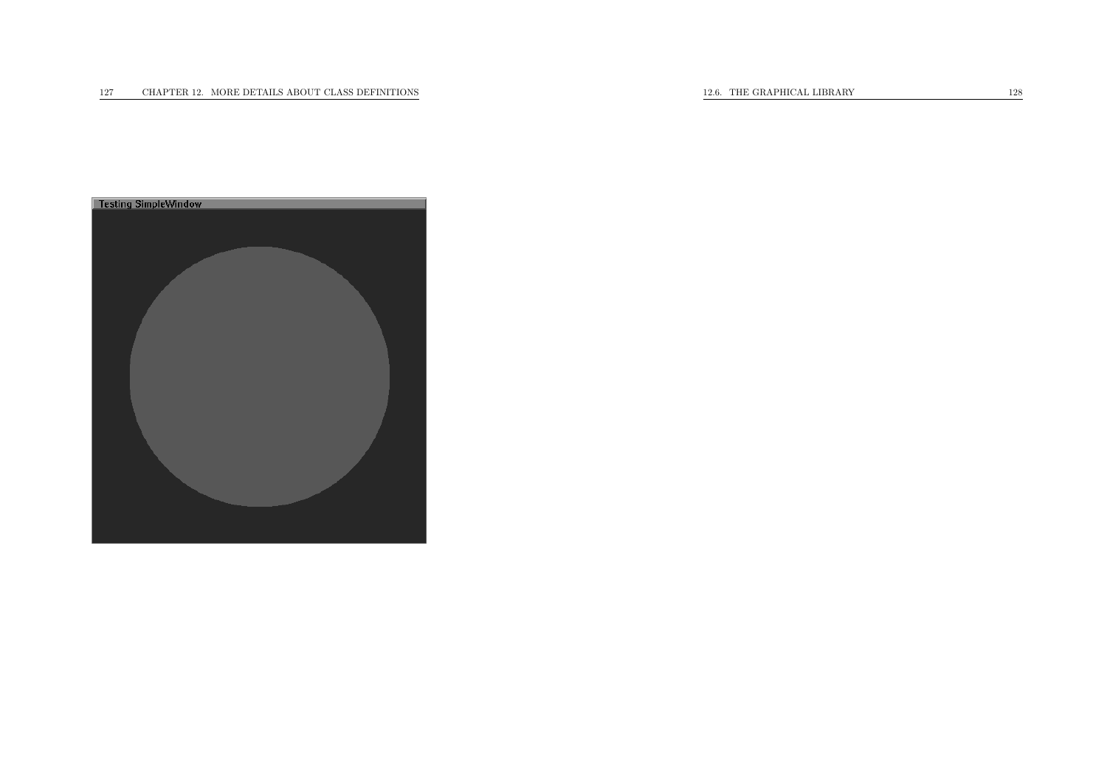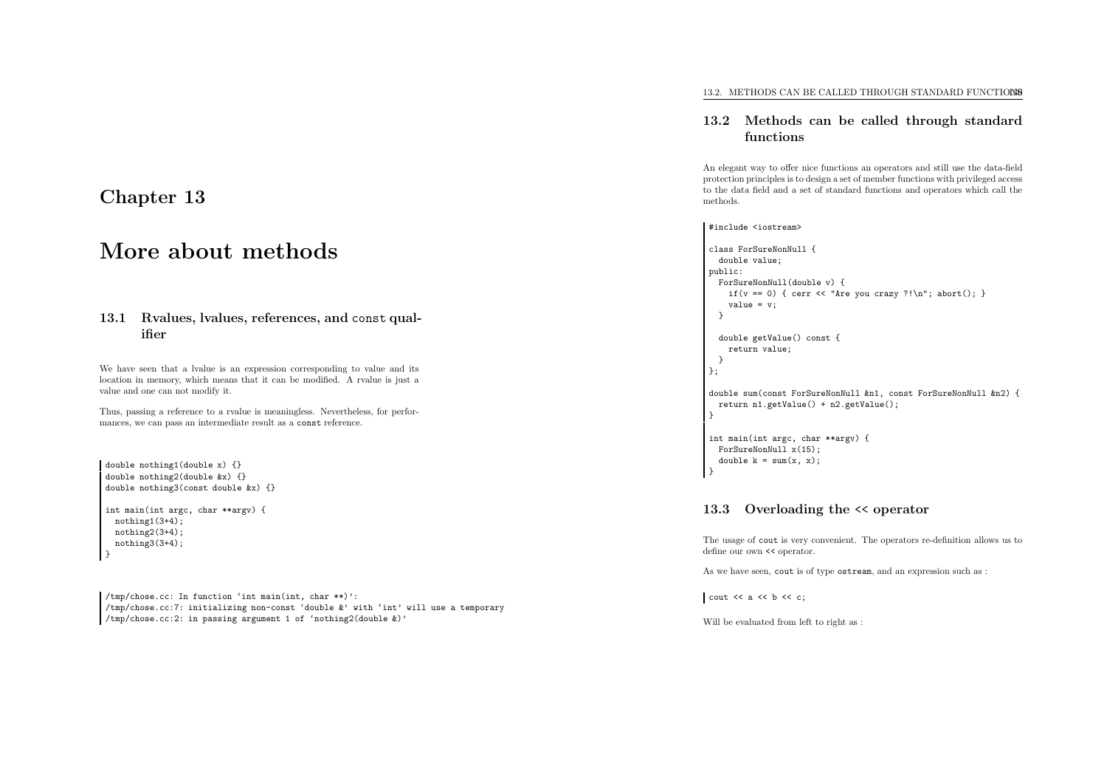## More about methods

## 13.1 Rvalues, lvalues, references, and const qualifier

We have seen that <sup>a</sup> lvalue is an expression corresponding to value and its location in memory, which means that it can be modified. <sup>A</sup> rvalue is just <sup>a</sup>value and one can not modify it.

Thus, passing <sup>a</sup> reference to <sup>a</sup> rvalue is meaningless. Nevertheless, for performances, we can pass an intermediate result as <sup>a</sup> const reference.

```
double nothing1(double x) {}
double nothing2(double &x) {}
double nothing3(const double &x) {}
int main(int argc, char **argv) {
 nothing1(3+4);
nothing2(3+4);
nothing3(3+4);}
```
/tmp/chose.cc: In function 'int main(int, char \*\*)': /tmp/chose.cc:7: initializing non-const 'double &' with 'int' will use <sup>a</sup> temporary /tmp/chose.cc:2: in passing argumen<sup>t</sup> <sup>1</sup> of 'nothing2(double &)'

## 13.2 Methods can be called through standardfunctions

An elegant way to offer nice functions an operators and still use the data-field protection principles is to design <sup>a</sup> set of member functions with privileged access to the data field and <sup>a</sup> set of standard functions and operators which call themethods.

#### #include <iostream>

```
class ForSureNonNull {
 double value;
public:
ForSureNonNull(double v) {
   if(v == 0) { cerr << "Are you crazy ?!\n"; abort(); }
   value = v;
 }double getValue() const {
   return value;
 }
};double sum(const ForSureNonNull &n1, const ForSureNonNull &n2) {
 return n1.getValue() + n2.getValue();
}int main(int argc, char **argv) {
 ForSureNonNull x(15);
 double k = sum(x, x);
}
```
## 13.3 Overloading the << operator

The usage of cout is very convenient. The operators re-definition allows us to define our own << operator.

As we have seen, cout is of type ostream, and an expression such as :

cout  $<<$  a  $<<$  b  $<<$  c;

Will be evaluated from left to right as :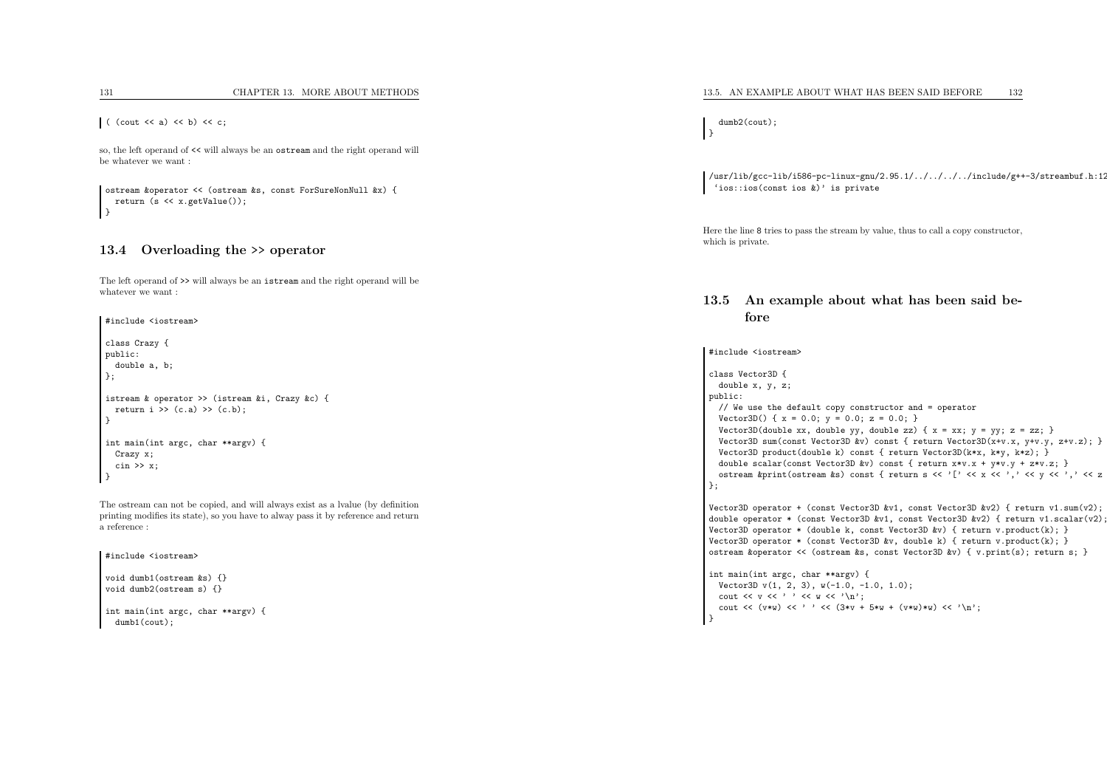$($  (cout  $\langle$  a)  $\langle$  b)  $\langle$  c;

so, the left operand of << will always be an ostream and the right operand will be whatever we want :

ostream &operator << (ostream &s, const ForSureNonNull &x) { return (s << x.getValue()); }

## 13.4 Overloading the >> operator

The left operand of >> will always be an istream and the right operand will be whatever we want :

#include <iostream>

```
class Crazy {
public:
double a, b;
};istream & operator >> (istream &i, Crazy &c) {
 return i \gg (c.a) \gg (c.b);
}int main(int argc, char **argv) {
  Crazy x;
  \sin \gg x:
}
```
The ostream can not be copied, and will always exist as <sup>a</sup> lvalue (by definition printing modifies its state), so you have to alway pass it by reference and return<sup>a</sup> reference :

```
#include <iostream>
void dumb1(ostream &s) {}
void dumb2(ostream s) {}
int main(int argc, char **argv) {
```
dumb1(cout);

dumb2(cout);}

/usr/lib/gcc-lib/i586-pc-linux-gnu/2.95.1/../../../../include/g++-3/streambuf.h:12'ios::ios(const ios &)' is private

Here the line <sup>8</sup> tries to pass the stream by value, thus to call <sup>a</sup> copy constructor, which is private.

## 13.5 An example about what has been said before

#include <iostream>

```
class Vector3D {
 double x, y, z;
public:
// We use the default copy constructor and = operator
 Vector3D() { x = 0.0; y = 0.0; z = 0.0; }
 Vector3D(double xx, double yy, double zz) { x = xx; y = yy; z = zz; }
 Vector3D sum(const Vector3D &v) const { return Vector3D(x+v.x, v+v,y, z+v.z); }
 Vector3D product(double k) const { return Vector3D(k*x, k*y, k*z); }
 double scalar(const Vector3D &v) const { return x*y.x + y*y.y + z*y.z; }
 ostream &print(ostream &s) const { return s << '[' << x << ',' << y << ',' << z
};
```
Vector3D operator <sup>+</sup> (const Vector3D &v1, const Vector3D &v2) { return v1.sum(v2); double operator \* (const Vector3D &v1, const Vector3D &v2) { return v1.scalar(v2); Vector3D operator \* (double k, const Vector3D &v) { return v.product(k); } Vector3D operator \* (const Vector3D &v, double k) { return v.product(k); } ostream &operator << (ostream &s, const Vector3D &v) { v.print(s); return s; }

```
int main(int argc, char **argv) {
  Vector3D v(1, 2, 3), w(-1.0, -1.0, 1.0);cout \langle \langle v \rangle \langle v \rangle \langle \langle w \rangle \langle \langle w \rangle \langle \langle w \rangle \rangle \ranglecout << (v * w) << ' ' << (s * v + 5 * w + (v * w) * w) << ' \n';
 }
```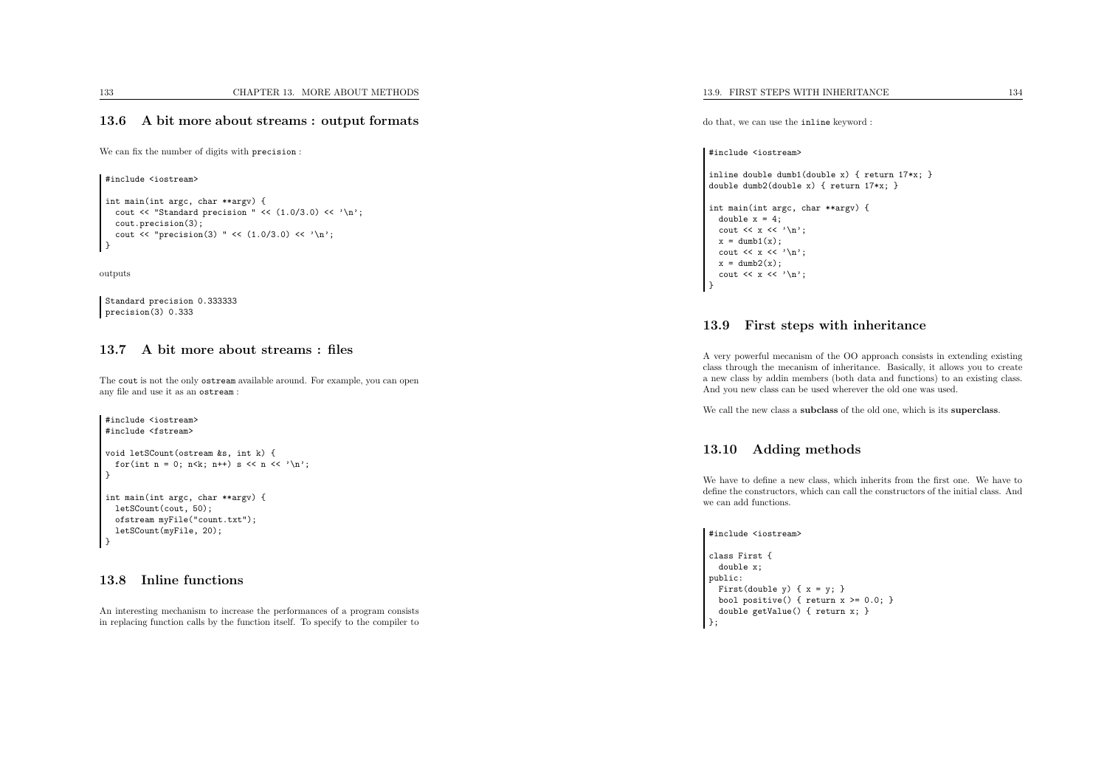#### 13.6 <sup>A</sup> bit more about streams : output formats

We can fix the number of digits with precision :

#include <iostream>

```
int main(int argc, char **argv) {
 cout \lt\lt "Standard precision " \lt\lt (1.0/3.0) \lt\lt '\n';
 cout.precision(3);
cout << "precision(3) " << (1.0/3.0) << '\n';
}
```
outputs

Standard precision 0.333333 precision(3) 0.333

#### 13.7 <sup>A</sup> bit more about streams : files

The cout is not the only ostream available around. For example, you can openany file and use it as an ostream :

```
#include <iostream>
#include <fstream>
void letSCount(ostream &s, int k) {
 for(int n = 0; n<k; n++) s << n << '\n';
}int main(int argc, char **argv) {
 letSCount(cout, 50);
  ofstream myFile("count.txt");
 letSCount(myFile, 20);
}
```
### 13.8 Inline functions

An interesting mechanism to increase the performances of <sup>a</sup> program consistsin replacing function calls by the function itself. To specify to the compiler to

do that, we can use the inline keyword :

#include <iostream>

inline double dumb1(double x) { return 17\*x; } double dumb2(double x) { return 17\*x; }

```
int main(int argc, char **argv) {
  double x = 4;
  cout \lt\lt x \lt\lt' \t\ln';
  x = \text{dumb1}(x);cout \langle x \rangle \langle x \ranglex = \text{dumb2}(x);
  cout \lt\lt x \lt\lt' \t\ln';
}
```
#### 13.9 First steps with inheritance

<sup>A</sup> very powerful mecanism of the OO approac<sup>h</sup> consists in extending existing class through the mecanism of inheritance. Basically, it allows you to create <sup>a</sup> new class by addin members (both data and functions) to an existing class. And you new class can be used wherever the old one was used.

We call the new class a subclass of the old one, which is its superclass.

#### 13.10 Adding methods

We have to define <sup>a</sup> new class, which inherits from the first one. We have to define the constructors, which can call the constructors of the initial class. Andwe can add functions.

#### #include <iostream>

```
class First {
  double x;
public:
First(double y) { x = y; }
  bool positive() { return x \ge 0.0; }
  double getValue() { return x; }
};
```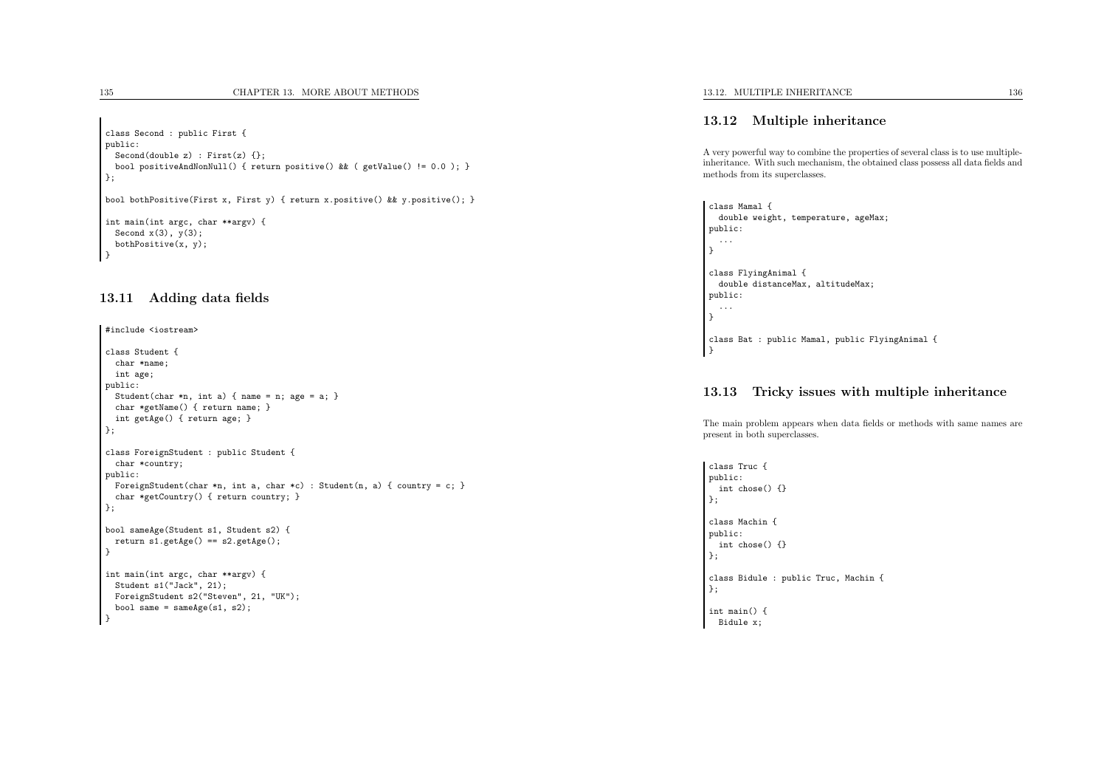```
class Second : public First {
public:
Second(double z) : First(z) {};
  bool positiveAndNonNull() { return positive() && ( getValue() != 0.0 ); }
};bool bothPositive(First x, First y) { return x.positive() && y.positive(); }
int main(int argc, char **argv) {
 Second x(3), y(3);
 bothPositive(x, y);
}
```
### 13.11 Adding data fields

```
#include <iostream>
class Student {
 char *name;
 int age;
public:
Student(char *n, int a) { name = n; age = a; }
  char *getName() { return name; }
 int getAge() { return age; }
};class ForeignStudent : public Student {
 char *country;
public:
ForeignStudent(char *n, int a, char *c) : Student(n, a) { country = c; }
 char *getCountry() { return country; }
};bool sameAge(Student s1, Student s2) {
 return sl.getAge() == s2.getAge();
}int main(int argc, char **argv) {
 Student s1("Jack", 21);
 ForeignStudent s2("Steven", 21, "UK");
 bool same = sameAge(s1, s2);
}
```
## 13.12 Multiple inheritance

<sup>A</sup> very powerful way to combine the properties of several class is to use multipleinheritance. With such mechanism, the obtained class possess all data fields andmethods from its superclasses.

class Mamal { double weight, temperature, ageMax; public:...}class FlyingAnimal { double distanceMax, altitudeMax; public:...}class Bat : public Mamal, public FlyingAnimal { }

#### 13.13 Tricky issues with multiple inheritance

The main problem appears when data fields or methods with same names are present in both superclasses.

```
class Truc {
public:
int chose() {}
};class Machin {
public:
int chose() {}
};class Bidule : public Truc, Machin {
};int main() {
 Bidule x;
```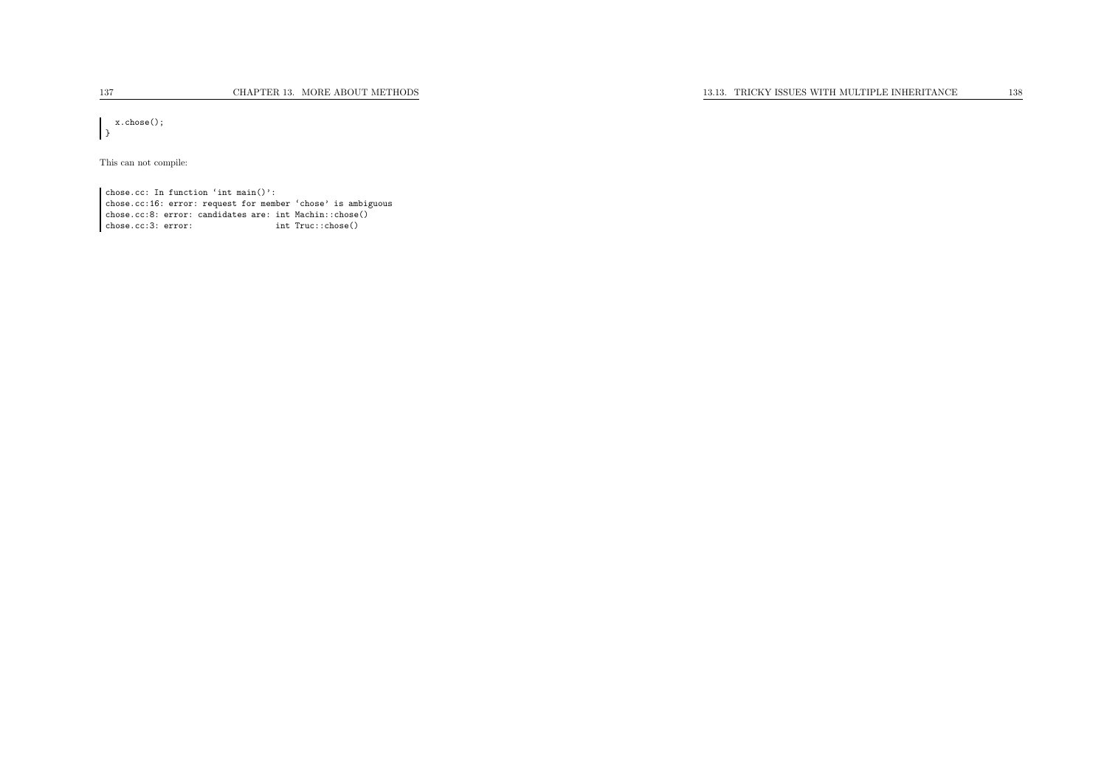x.chose(); $\left| \right.$ 

This can not compile:

chose.cc: In function 'int main()': chose.cc:16: error: reques<sup>t</sup> for member 'chose' is ambiguous chose.cc:8: error: candidates are: int Machin::chose() int Truc::chose()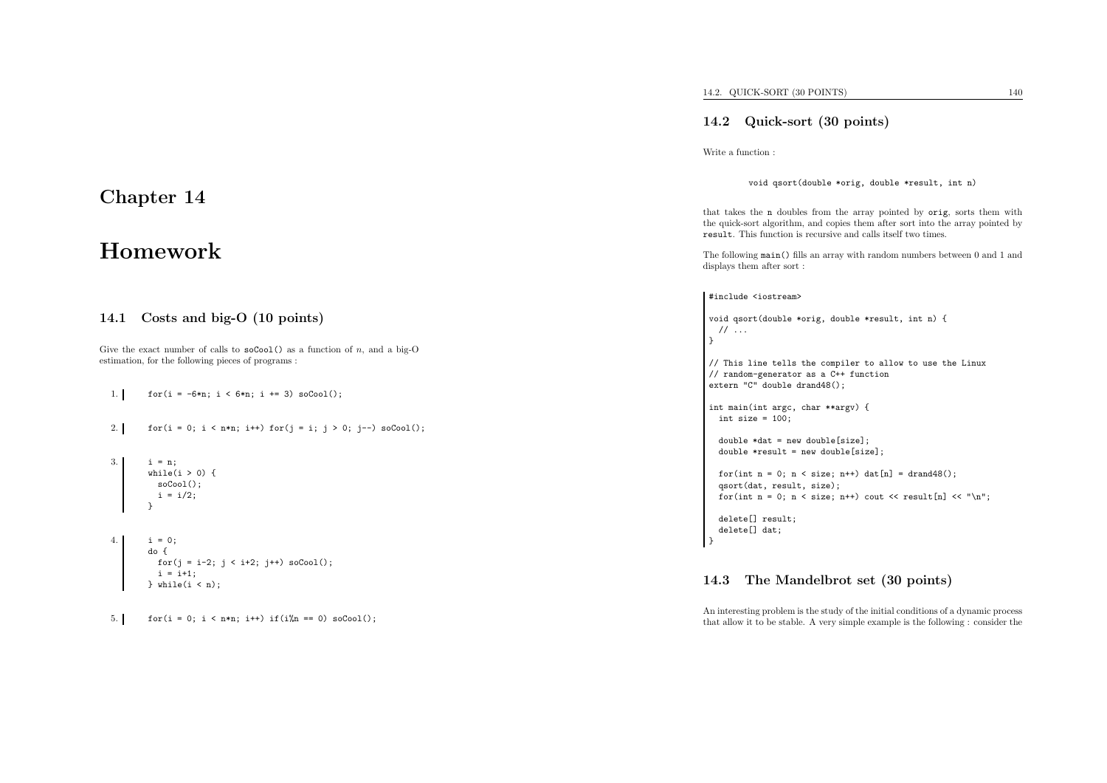# Homework

## 14.1 Costs and big-O (10 points)

Give the exact number of calls to  $\mathsf{soCool}()$  as a function of n, and a big-O estimation, for the following <sup>p</sup>ieces of programs :

1.for(i =  $-6*n$ ; i <  $6*n$ ; i += 3) soCool();

```
2.for(i = 0; i < n*n; i++) for(j = i; j > 0; j--) soCool();
```

```
3.i = n;while(i > 0) {
        soCool();
i = i/2;
       }
```

```
4.i = 0:
       do {
        for(j = i-2; j < i+2; j++) soCool();
        i = i+1;} while(i < n);
```
5.for(i = 0; i < n\*n; i++) if(i%n == 0) soCool();

## 14.2 Quick-sort (30 points)

Write <sup>a</sup> function :

#### void qsort(double \*orig, double \*result, int n)

that takes the <sup>n</sup> doubles from the array pointed by orig, sorts them with the quick-sort algorithm, and copies them after sort into the array pointed byresult. This function is recursive and calls itself two times.

The following main() fills an array with random numbers between <sup>0</sup> and <sup>1</sup> anddisplays them after sort :

#### #include <iostream>

void qsort(double \*orig, double \*result, int n) { // ... }

// This line tells the compiler to allow to use the Linux // random-generator as <sup>a</sup> C++ function extern "C" double drand48();

int main(int argc, char \*\*argv) { int size =  $100$ ;

double \*dat <sup>=</sup> new double[size]; double \*result <sup>=</sup> new double[size];

for(int  $n = 0$ ;  $n <$  size;  $n++)$  dat $[n] =$  drand48(); qsort(dat, result, size); for(int n = 0; n < size; n++) cout << result[n] << "\n";

delete[] result; delete[] dat;

| }

## 14.3 The Mandelbrot set (30 points)

An interesting problem is the study of the initial conditions of <sup>a</sup> dynamic processthat allow it to be stable. <sup>A</sup> very simple example is the following : consider the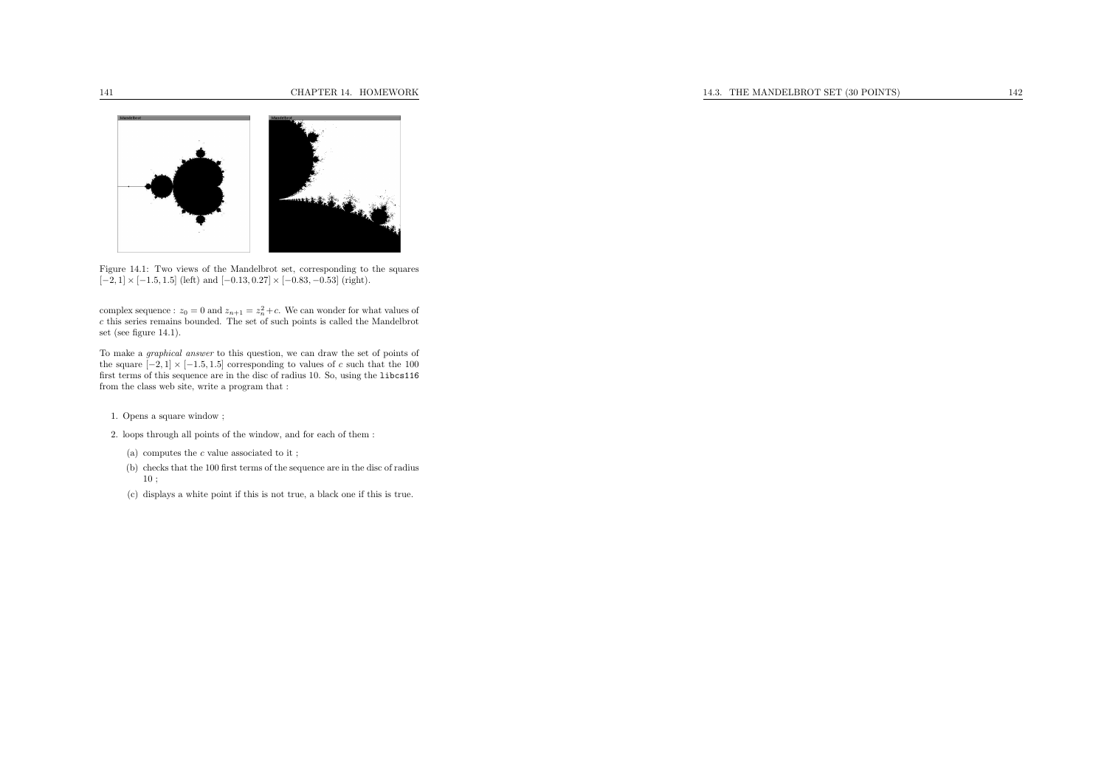

Figure 14.1: Two views of the Mandelbrot set, corresponding to the squares  $[-2, 1] \times [-1.5, 1.5]$  (left) and  $[-0.13, 0.27] \times [-0.83, -0.53]$  (right).

complex sequence :  $z_0 = 0$  and  $z_{n+1} = z_n^2 + c$ . We can wonder for what values of c this series remains bounded. The set of such points is called the Mandelbrot set (see figure 14.1).

To make <sup>a</sup> graphical answer to this question, we can draw the set of points of the square  $[-2, 1] \times [-1.5, 1.5]$  corresponding to values of c such that the 100<br>for the value of this common and in the direct of redian 10. So existently liked 4.6 first terms of this sequence are in the disc of radius 10. So, using the libcs116from the class web site, write <sup>a</sup> program that :

#### 1. Opens <sup>a</sup> square window ;

2. loops through all points of the window, and for each of them :

- (a) computes the  $c$  value associated to it;
- (b) checks that the <sup>100</sup> first terms of the sequence are in the disc of radius<sup>10</sup> ;
- (c) displays <sup>a</sup> white point if this is not true, <sup>a</sup> black one if this is true.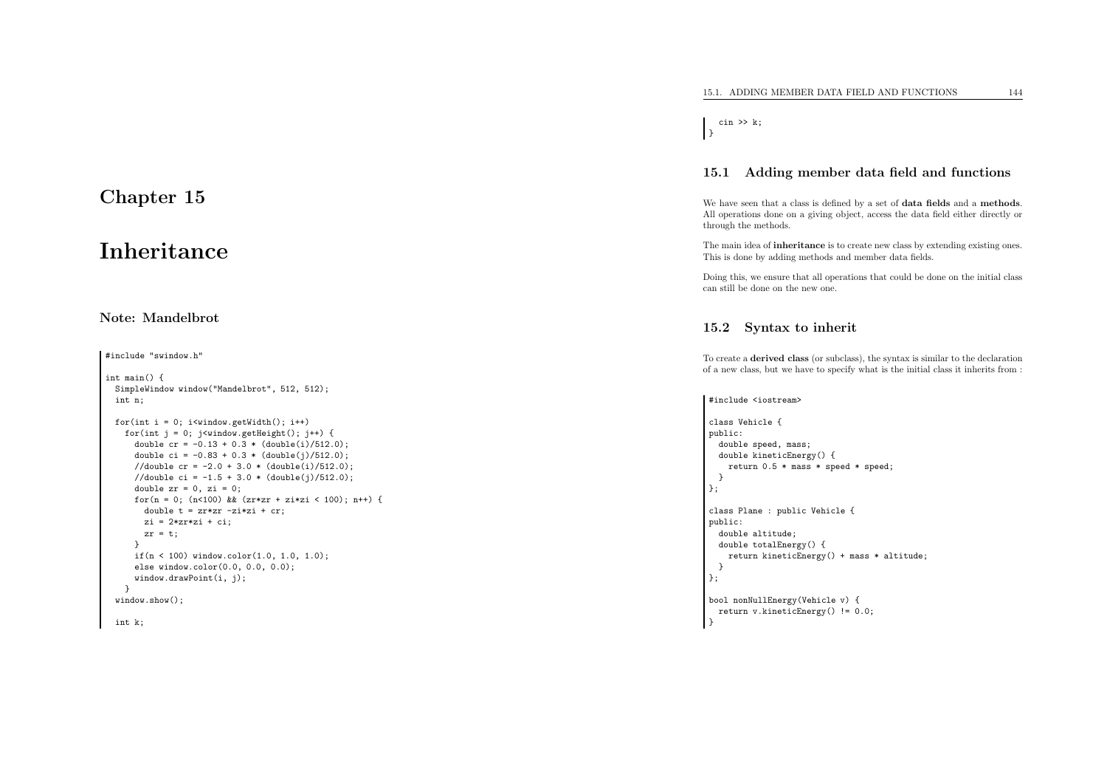# Inheritance

### Note: Mandelbrot

#include "swindow.h"

```
int main() {
 SimpleWindow window("Mandelbrot", 512, 512);
 int n;
 for(int i = 0; i<window.getWidth(); i^{++})
   for(int j = 0; i window.getHeight(); i++) {
     double cr = -0.13 + 0.3 * (double(i)/512.0);double ci = -0.83 + 0.3 * (double(i)/512.0);//double cr = -2.0 + 3.0 * (double(i)/512.0);//double ci = -1.5 + 3.0 * (double(i)/512.0);
     double z = 0, z = 0;
     for(n = 0; (n<100) && (zr*zr + zi*zi < 100); n++) {
       double t = zr*zr -zi*zi + cr;
       zi = 2*zr*zi + ci;
       zr = t;}
if(n < 100) window.color(1.0, 1.0, 1.0);
     else window.color(0.0, 0.0, 0.0);
     window.drawPoint(i, j);
   }
window.show();
```

```
int k;
```

```
\sin \gg k;
} }
```
## 15.1 Adding member data field and functions

We have seen that <sup>a</sup> class is defined by <sup>a</sup> set of data fields and <sup>a</sup> methods. All operations done on <sup>a</sup> <sup>g</sup>iving object, access the data field either directly orthrough the methods.

The main idea of **inheritance** is to create new class by extending existing ones. This is done by adding methods and member data fields.

Doing this, we ensure that all operations that could be done on the initial classcan still be done on the new one.

#### 15.2 Syntax to inherit

To create <sup>a</sup> derived class (or subclass), the syntax is similar to the declarationof <sup>a</sup> new class, but we have to specify what is the initial class it inherits from :

#include <iostream>

```
class Vehicle {
public:
double speed, mass;
 double kineticEnergy() {
   return 0.5 * mass * speed * speed;
 }
};class Plane : public Vehicle {
public:
double altitude;
 double totalEnergy() {
   return kineticEnergy() + mass * altitude;
 }
};bool nonNullEnergy(Vehicle v) {
 return v.kineticEnergy() != 0.0;
}
```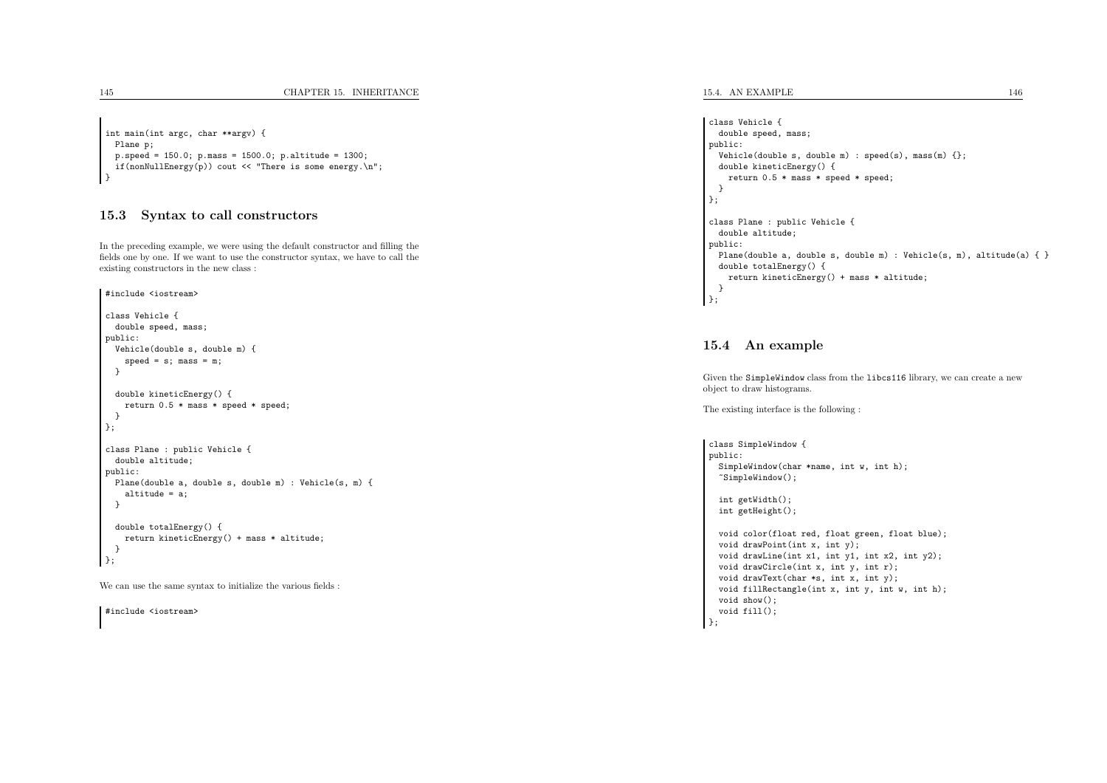```
int main(int argc, char **argv) {
 Plane p;
  p.speed = 150.0; p.mass = 1500.0; p.altitude = 1300;
  if(nonNullEnergy(p)) cout \langle\langle "There is some energy.\n\times";
}
```
#### 15.3 Syntax to call constructors

In the preceding example, we were using the default constructor and filling the fields one by one. If we want to use the constructor syntax, we have to call theexisting constructors in the new class :

```
#include <iostream>
```

```
class Vehicle {
  double speed, mass;
public:
Vehicle(double s, double m) {
    speed = s: mass = m;
  }double kineticEnergy() {
    return 0.5 * mass * speed * speed;
 }
};class Plane : public Vehicle {
  double altitude;
public:
Plane(double a, double s, double m) : Vehicle(s, m) {
   altitude = a;
  }double totalEnergy() {
    return kineticEnergy() + mass * altitude;
  ا -
\};
```
We can use the same syntax to initialize the various fields :

#include <iostream>

```
class Vehicle {
 double speed, mass;
public:
Vehicle(double s, double m) : speed(s), mass(m) {};
  double kineticEnergy() {
   return 0.5 * mass * speed * speed;
  }
};class Plane : public Vehicle {
 double altitude;
public:
Plane(double a, double s, double m) : Vehicle(s, m), altitude(a) { }
  double totalEnergy() {
    return kineticEnergy() + mass * altitude;
 }
};
```
#### 15.4 An example

Given the SimpleWindow class from the libcs116 library, we can create <sup>a</sup> newobject to draw histograms.

The existing interface is the following :

```
class SimpleWindow {
public:
SimpleWindow(char *name, int w, int h);
  ~SimpleWindow();
```
int getWidth(); int getHeight();

```
void color(float red, float green, float blue);
  void drawPoint(int x, int y);
  void drawLine(int x1, int y1, int x2, int y2);
  void drawCircle(int x, int y, int r);
  void drawText(char *s, int x, int y);
  void fillRectangle(int x, int y, int w, int h);
  void show();
  void fill();
};
```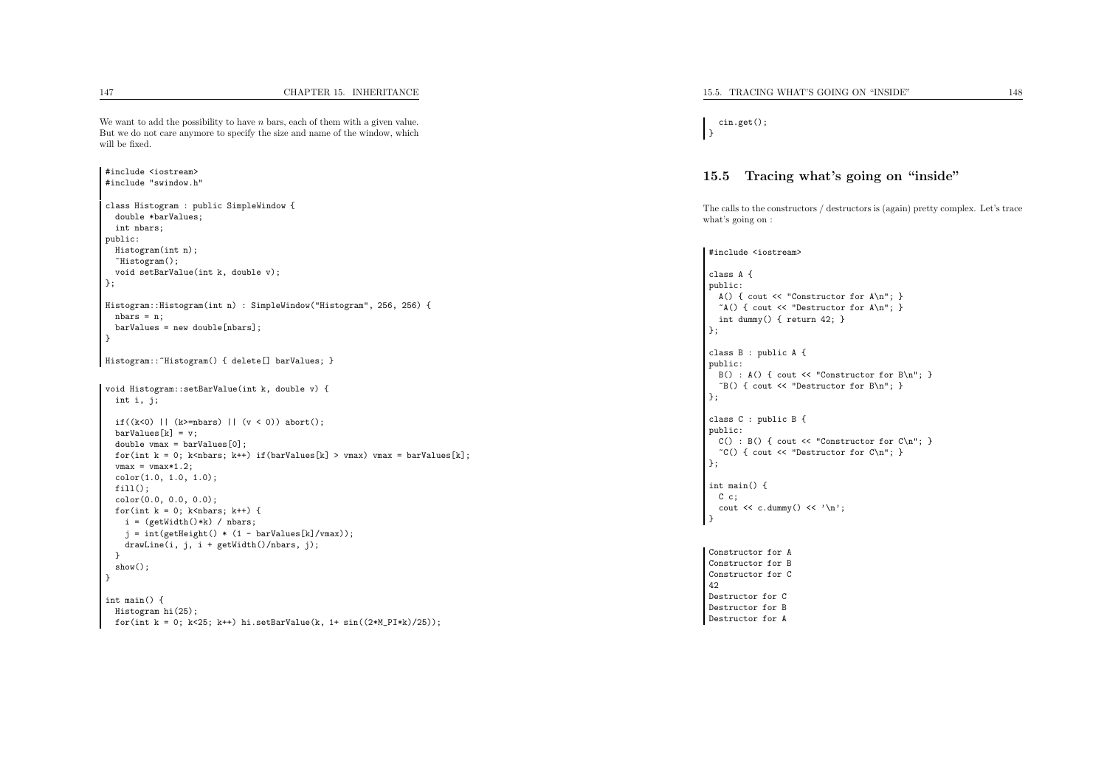We want to add the possibility to have  $n$  bars, each of them with a given value. But we do not care anymore to specify the size and name of the window, whichwill be fixed.

| #include <iostream><br/>#include "swindow.h"</iostream>                                                                                                                                                                                                                                                                                                                                                                                                                                                                                                                                                                                                                                       |
|-----------------------------------------------------------------------------------------------------------------------------------------------------------------------------------------------------------------------------------------------------------------------------------------------------------------------------------------------------------------------------------------------------------------------------------------------------------------------------------------------------------------------------------------------------------------------------------------------------------------------------------------------------------------------------------------------|
| class Histogram : public SimpleWindow {<br>double *barValues;<br>int nbars:<br>public:<br>Histogram(int n);<br>$Histogram()$ ;<br>void setBarValue(int k, double v);<br>};                                                                                                                                                                                                                                                                                                                                                                                                                                                                                                                    |
| Histogram::Histogram(int n) : SimpleWindow("Histogram", 256, 256) {<br>$nbars = n$ ;<br>$barValues = new double[nbars];$<br>}                                                                                                                                                                                                                                                                                                                                                                                                                                                                                                                                                                 |
| Histogram:: "Histogram() { delete[] barValues; }                                                                                                                                                                                                                                                                                                                                                                                                                                                                                                                                                                                                                                              |
| void Histogram::setBarValue(int k, double v) {<br>int i, j;<br>if((k<0) $  $ (k>=nbars) $  $ (v < 0)) abort();<br>$barValues[k] = v;$<br>double $vmax = barValues[0];$<br>for(int $k = 0$ ; k <nbars; if(barvalues[k]="" k++)=""> vmax) vmax = barValues[k];<br/><math>vmax = vmax*1.2</math>;<br/><math>color(1.0, 1.0, 1.0)</math>;<br/><math>fill()</math>;<br/><math>color(0.0, 0.0, 0.0)</math>;<br/>for(int <math>k = 0</math>; k<nbars; k++)="" {<br=""><math>i = (getWidth() * k) / nbars;</math><br/><math>j = int(getHeight() * (1 - barValues[k]/vmax));</math><br/><math>drawLine(i, j, i + getWidth() / nbars, j);</math><br/>Υ<br/><math>show()</math>;<br/>Ł</nbars;></nbars;> |
| $int \text{main}()$ {<br>Histogram hi(25);<br>for(int k = 0; k<25; k++) hi.setBarValue(k, 1+ sin( $(2*M_PI*k)/(25)$ );                                                                                                                                                                                                                                                                                                                                                                                                                                                                                                                                                                        |

cin.get(); $\vert$  }

#### 15.5 Tracing what's going on "inside"

The calls to the constructors / destructors is (again) pretty complex. Let's tracewhat's going on :

#### #include <iostream>

```
class A {
public:
A() { cout << "Constructor for A\n"; }
  \tilde{}A() { cout << "Destructor for A\n"; }
  int dummy() { return 42; }
};class B : public A {
public:
B() : A() { cout << "Constructor for B\n"; }
  ~B() { cout << "Destructor for B\n"; }
};class C : public B {
public:C() : B() \{ \text{court} << "Construction for C\n" ; \}^{\circ}C() { cout << "Destructor for C\n\cdot"; }
};int main() {
  C c;
  cout \langle \cdot \rangle c.dummy() \langle \cdot \rangle \setminus n;
ا :
Constructor for A
Constructor for B
Constructor for C
42
Destructor for C
Destructor for B
Destructor for A
```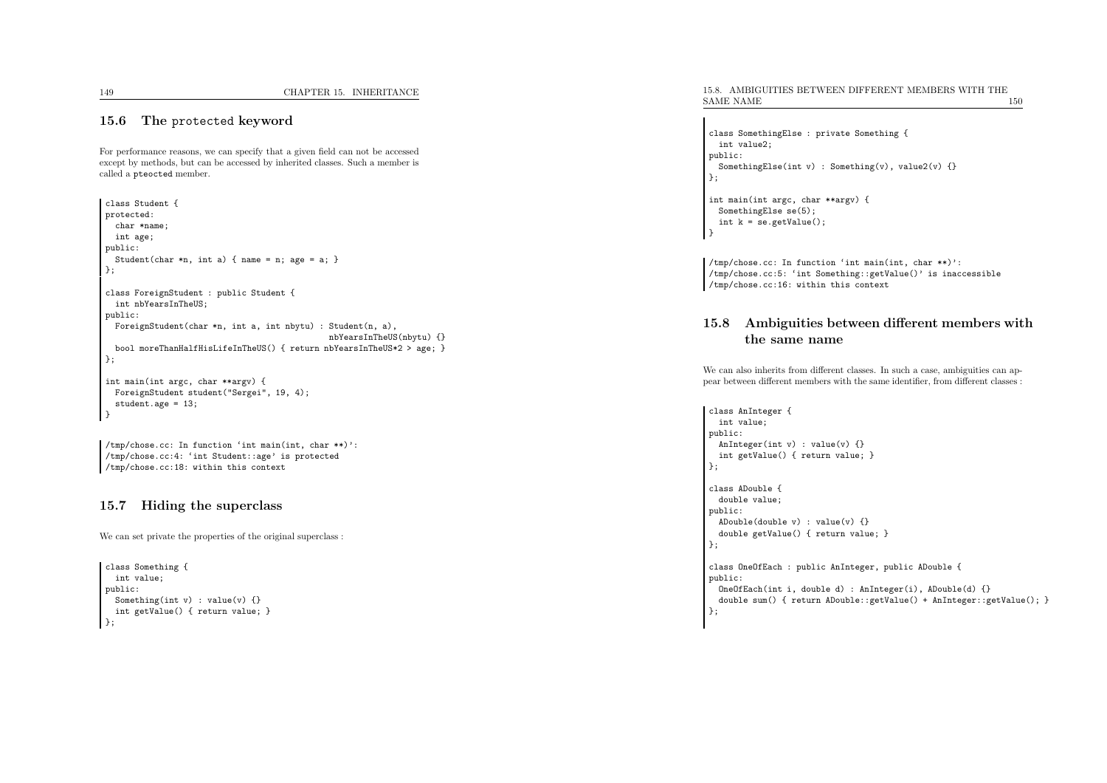## 15.6 The protected keyword

For performance reasons, we can specify that <sup>a</sup> <sup>g</sup>iven field can not be accessed except by methods, but can be accessed by inherited classes. Such <sup>a</sup> member iscalled <sup>a</sup> <sup>p</sup>teocted member.

```
class Student {
protected:
char *name;
  int age;
public:
Student(char *n, int a) { name = n; age = a; }
};class ForeignStudent : public Student {
 int nbYearsInTheUS;
public:
ForeignStudent(char *n, int a, int nbytu) : Student(n, a),
                                              nbYearsInTheUS(nbytu) {}
 bool moreThanHalfHisLifeInTheUS() { return nbYearsInTheUS*2 > age; }
};int main(int argc, char **argv) {
 ForeignStudent student("Sergei", 19, 4);
  student.age = 13;
}
```
/tmp/chose.cc: In function 'int main(int, char \*\*)': /tmp/chose.cc:4: 'int Student::age' is protected /tmp/chose.cc:18: within this context

#### 15.7 Hiding the superclass

We can set private the properties of the original superclass :

```
class Something {
  int value;
public:
Something(int v) : value(v) {}
  int getValue() { return value; }
};
```
15.8. AMBIGUITIES BETWEEN DIFFERENT MEMBERS WITH THESAME NAME $\mathbf{E}$  150

```
class SomethingElse : private Something {
 int value2;
public:
SomethingElse(int v) : Something(v), value2(v) {}
};int main(int argc, char **argv) {
  SomethingElse se(5);
  int k = se.getValue();
}
```
/tmp/chose.cc: In function 'int main(int, char \*\*)': /tmp/chose.cc:5: 'int Something::getValue()' is inaccessible /tmp/chose.cc:16: within this context

## 15.8 Ambiguities between different members withthe same name

We can also inherits from different classes. In such a case, ambiguities can appear between different members with the same identifier, from different classes :

```
class AnInteger {
 int value;
public:
AnInteger(int v) : value(v) {}
 int getValue() { return value; }
};class ADouble {
 double value;
public:
ADouble(double v) : value(v) {}
 double getValue() { return value; }
};class OneOfEach : public AnInteger, public ADouble {
public:
OneOfEach(int i, double d) : AnInteger(i), ADouble(d) {}
 double sum() { return ADouble::getValue() + AnInteger::getValue(); }
};
```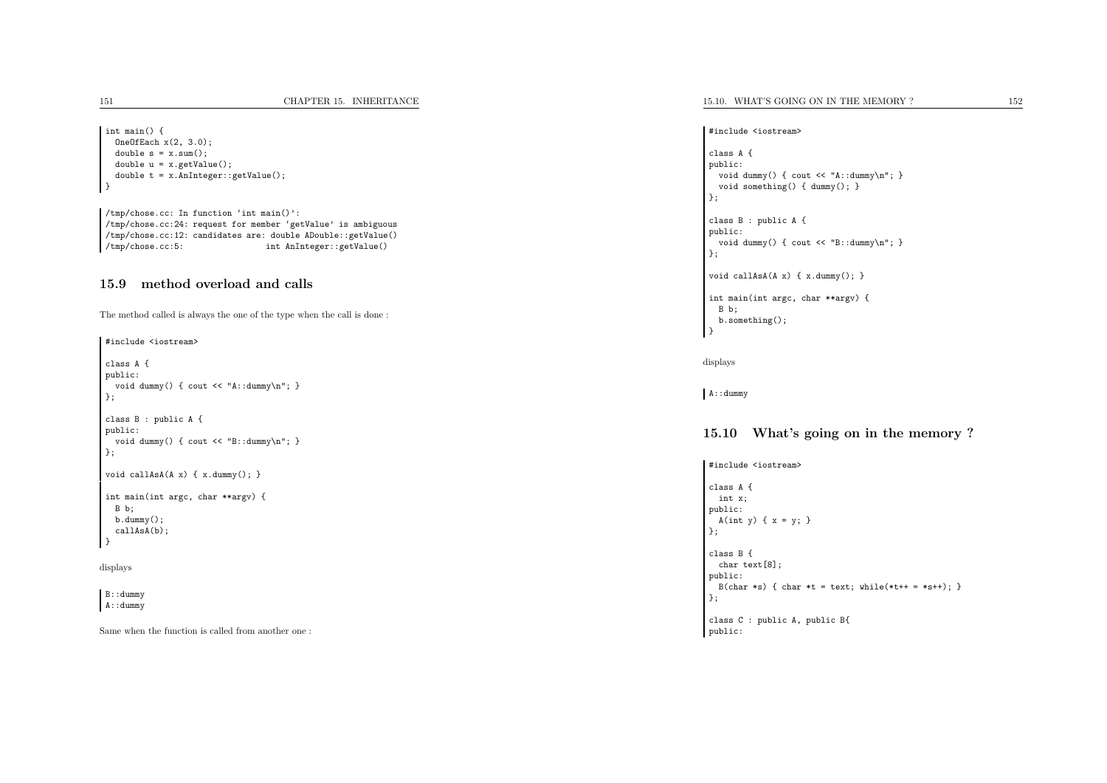int main() {  $OneOfEach x(2, 3.0)$ : double  $s = x.sum()$ ; double  $u = x.getValue()$ ; double  $t = x.AnInteger::getValue();$ }

/tmp/chose.cc: In function 'int main()': /tmp/chose.cc:24: reques<sup>t</sup> for member 'getValue' is ambiguous /tmp/chose.cc:12: candidates are: double ADouble::getValue() int AnInteger::getValue()

#### 15.9 method overload and calls

The method called is always the one of the type when the call is done :

#include <iostream>

```
class A {
public:
void dummy() { cout << "A::dummy\n"; }
};class B : public A {
public:
void dummy() { cout << "B::dummy\n"; }
};void callAsA(A \times) { x.dummy(); }
int main(int argc, char **argv) {
 B b;
 b.dummy();
callAsA(b);}
```
displays

B::dummyA::dummy

Same when the function is called from another one :

#### #include <iostream>

```
class A {
public:
void dummy() { cout << "A::dummy\n"; }
 void something() { dummy(); }
};class B : public A {
public:
void dummy() { cout << "B::dummy\n"; }
};void callAsA(A x) { x.dummy(); }
int main(int argc, char **argv) {
 B b;
 b.something();}
```
displays

A::dummy

## 15.10 What's going on in the memory ?

#include <iostream>

```
class A {
int x;
public:
A(int y) { x = y; }
};class B {
 char text[8];
public:B(char *s) { char *t = text; while(*t++ = *s++); }};class C : public A, public B{
public:
```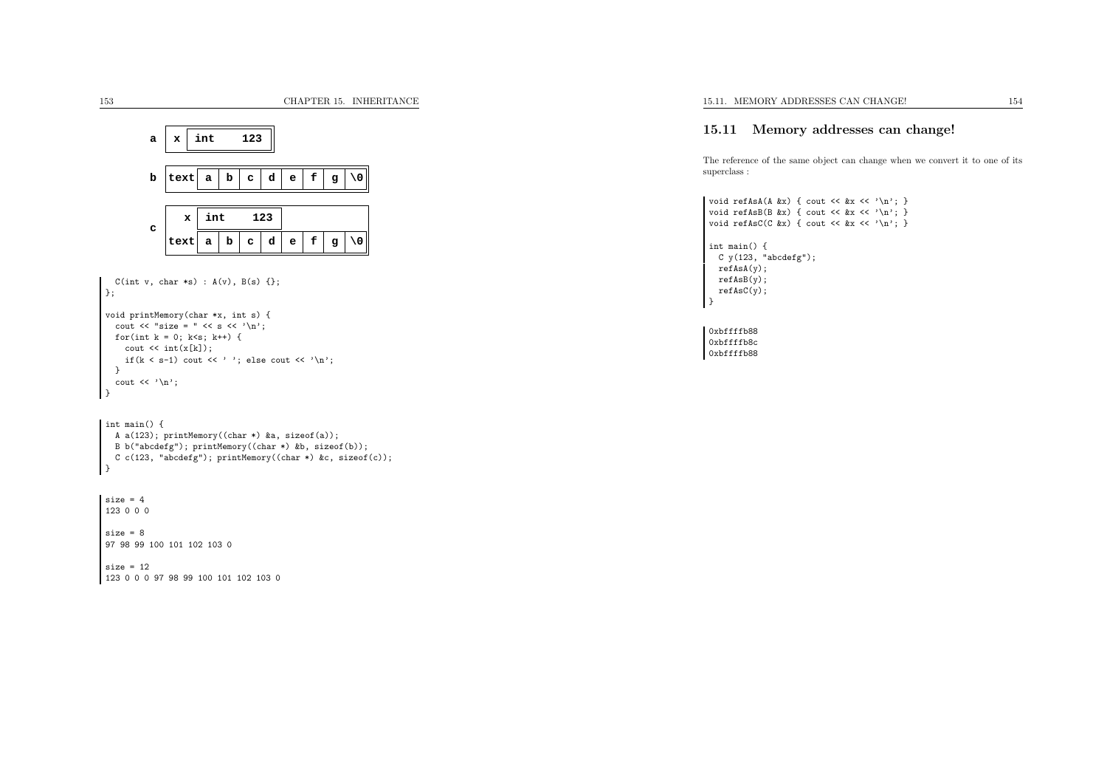

```
C(int v, char \asts) : A(v), B(s) {};
};
```

```
void printMemory(char *x, int s) {
   cout \langle \cdot \rangle "size = " \langle \cdot \rangle s \langle \cdot \rangle ":
   for(int k = 0; k < s; k++) {
     \text{cut} \leq \text{int}(\mathbf{x}[k]):if(k < s-1) cout << ' '; else cout << '\n';
  }cout \langle \cdot \rangle \;
د ا
```
int main() { A a(123); printMemory((char \*) &a, sizeof(a)); <sup>B</sup> b("abcdefg"); printMemory((char \*) &b, sizeof(b));

```
C c(123, "abcdefg"); printMemory((char *) &c, sizeof(c));
| ን
```
size  $= 4$ <sup>123</sup> <sup>0</sup> <sup>0</sup> <sup>0</sup>

```
size = 8
97 98 99 100 101 102 103 0
```
 $size = 12$ <sup>123</sup> <sup>0</sup> <sup>0</sup> <sup>0</sup> <sup>97</sup> <sup>98</sup> <sup>99</sup> <sup>100</sup> <sup>101</sup> <sup>102</sup> <sup>103</sup> <sup>0</sup>

#### 15.11 Memory addresses can change!

The reference of the same object can change when we convert it to one of itssuperclass :

```
void refAsA(A &x) { cout << x \leq \sqrt{n}; }
void refAsB(B &x) { cout << kx \ll \lambda n'; }
void refAsC(C &x) { cout << kx \ll \sqrt{n}; }
int main() {
 C y(123, "abcdefg");
  refAsA(y);
refAsB(y);
refAsC(y);ן
```
0xbffffb88 0xbffffb8c0xbffffb88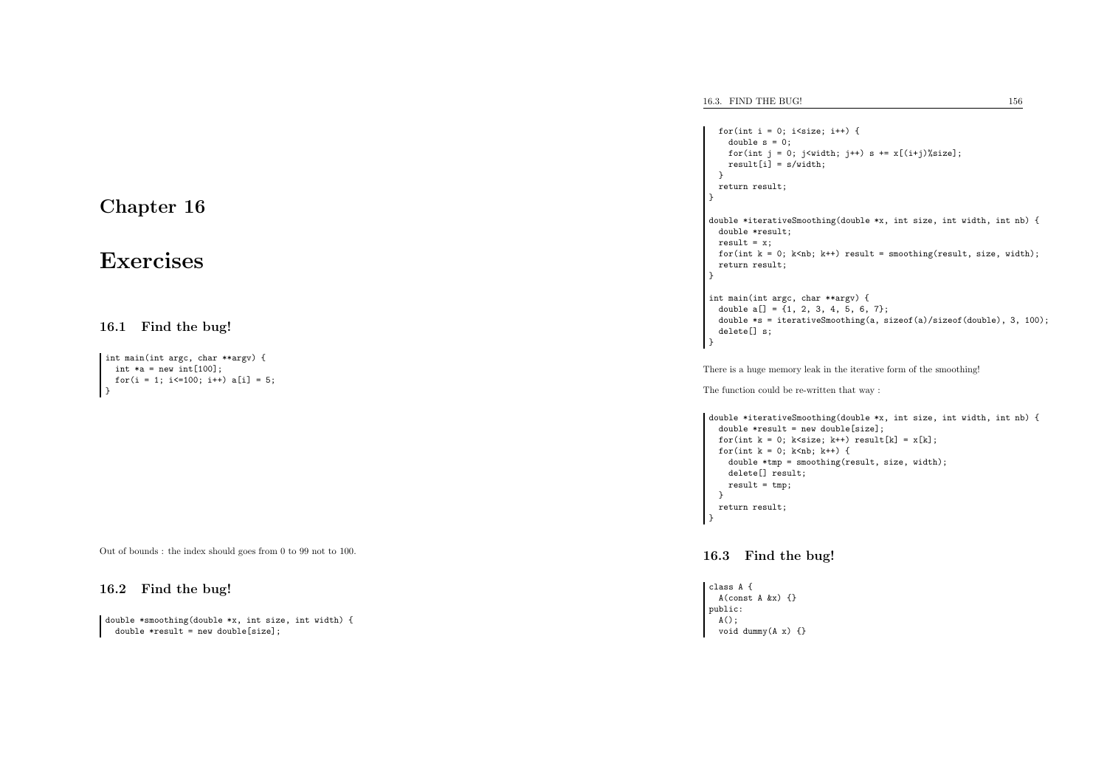Chapter <sup>16</sup>

# Exercises

16.1 Find the bug!

```
int main(int argc, char **argv) {
  int *a = new int[100];
  for(i = 1; i \le 100; i++) a[i] = 5;
 }
```
Out of bounds : the index should goes from <sup>0</sup> to <sup>99</sup> not to 100.

### 16.2 Find the bug!

double \*smoothing(double \*x, int size, int width) { double \*result <sup>=</sup> new double[size];

```
16.3. FIND THE BUG! 156
```
}

}

```
for(int i = 0; i \text{size}; i++) {
    double s = 0:
    for(int j = 0; j < width; j ++) s += x[(i+j)%size];
    result[i] = s/width;}
return result;
double *iterativeSmoothing(double *x, int size, int width, int nb) {
  double *result;
  result = x;
  for(int k = 0; k \le nb; k++) result = smoothing(result, size, width);
  return result;
int main(int argc, char **argv) {
  double a[] = \{1, 2, 3, 4, 5, 6, 7\};double *s = iterativeSmoothing(a, sizeof(a)/sizeof(double), 3, 100);
  delete[] s;
}
```
There is <sup>a</sup> huge memory leak in the iterative form of the smoothing!

The function could be re-written that way :

```
double *iterativeSmoothing(double *x, int size, int width, int nb) {
  double *result = new double[size];
  for(int k = 0; k < size; k + + ) result [k] = x[k];
 for(int k = 0; k (k++) {
   double *tmp = smoothing(result, size, width);
   delete[] result;
   result = tmp;
 }
return result;
}
```
16.3 Find the bug!

class <sup>A</sup> { A(const <sup>A</sup> &x) {} public: A();void dummy(A x) {}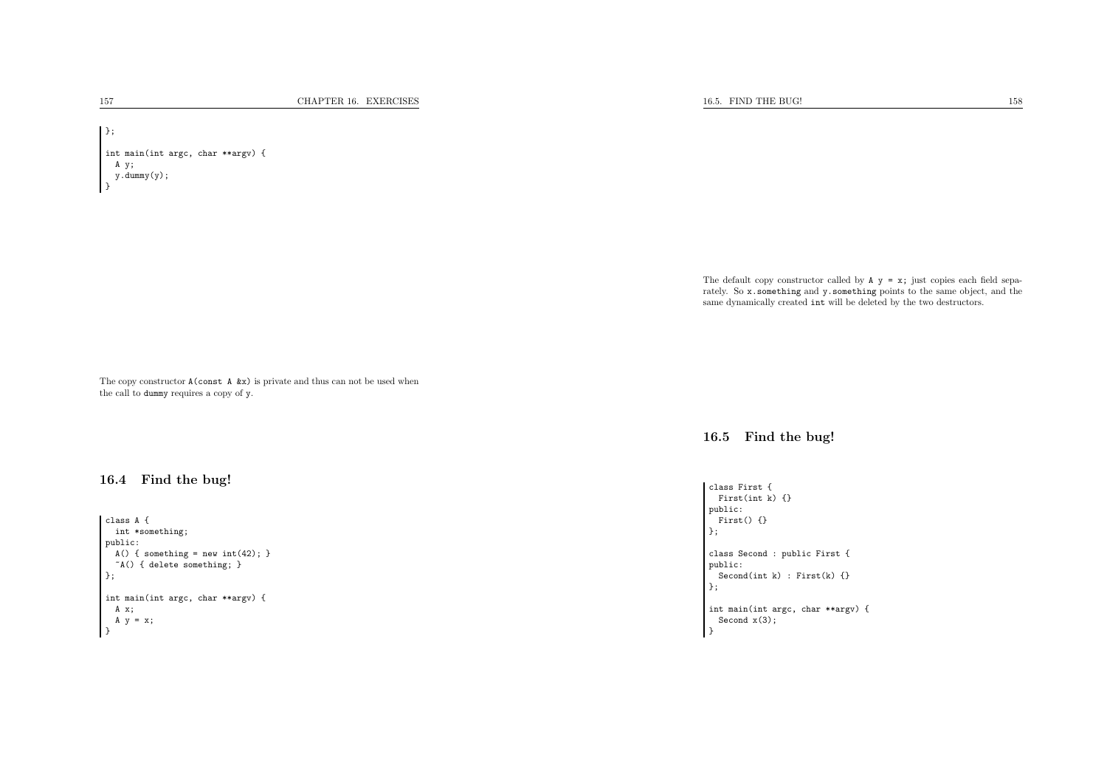int main(int argc, char \*\*argv) { <sup>A</sup> y; y.dummy(y); $\mathbf{r}$ 

> The default copy constructor called by  $A \, y = x$ ; just copies each field separately. So x.something and y.something points to the same object, and the same dynamically created int will be deleted by the two destructors.

The copy constructor A(const <sup>A</sup> &x) is private and thus can not be used whenthe call to dummy requires <sup>a</sup> copy of <sup>y</sup>.

## 16.4 Find the bug!

```
class A {
  int *something;
public:A() \{ something = new int(42); }~A() { delete something; }
};int main(int argc, char **argv) {
 A x;
 A y = x;\rightarrow
```
#### 16.5 Find the bug!

```
class First {
 First(int k) {}
public:
First() {}
};class Second : public First {
public:
Second(int k) : First(k) {}
};int main(int argc, char **argv) {
 Second x(3);
}
```
 $\vert$  };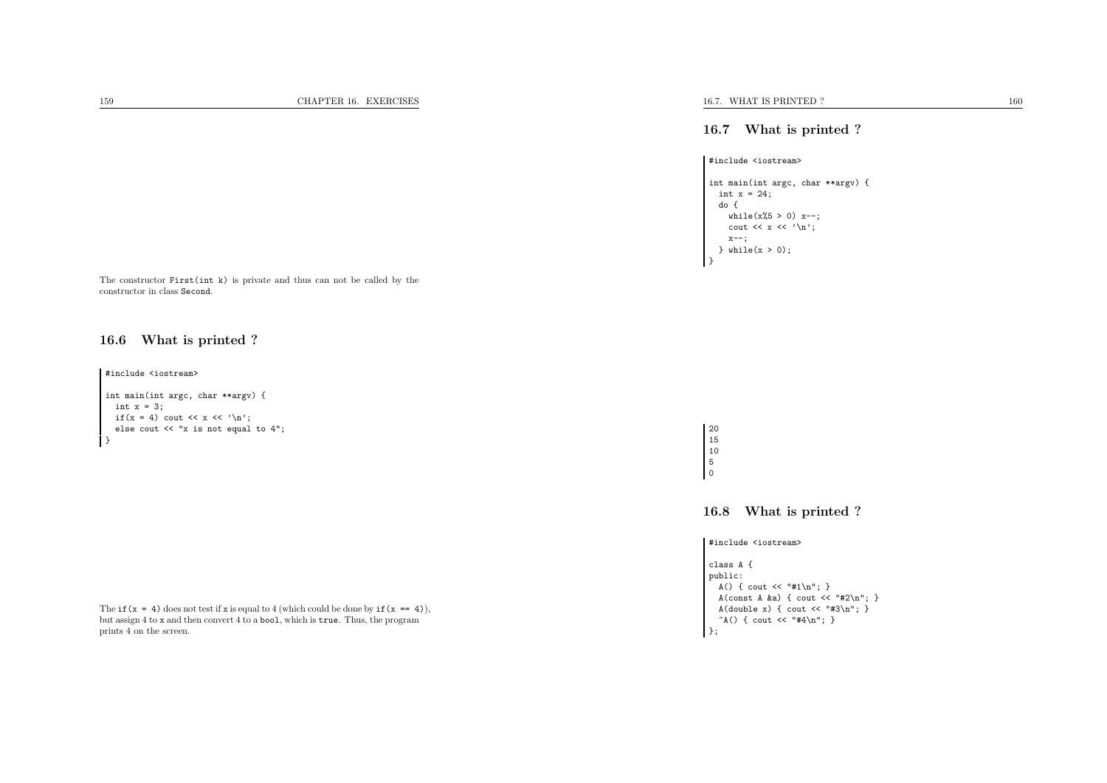#### 16.7 What is printed ?

#### #include <iostream>

```
int main(int argc, char **argv) {
 int x = 24;
  do {
    while(x\%5 > 0) x--;
    cout \langle x \rangle \langle x \ranglex--;

} while(x > 0);
د ا
```
The constructor First(int k) is private and thus can not be called by the constructor in class Second.

## 16.6 What is printed ?

#include <iostream>

```
int main(int argc, char **argv) {
  int x = 3;
  if(x = 4) cout \langle x \rangle x \langle x \rangle.
  else cout << "x is not equal to 4";
\overline{1}
```
The if (x = 4) does not test if x is equal to 4 (which could be done by if (x == 4)), but assign <sup>4</sup> to <sup>x</sup> and then convert <sup>4</sup> to <sup>a</sup> bool, which is true. Thus, the programprints <sup>4</sup> on the screen.

## 16.8 What is printed ?

#### #include <iostream>

class <sup>A</sup> { public: A() { cout << "#1\n"; } A(const A &a) { cout << "#2\n"; } A(double x) { cout  $\langle \cdot \rangle$  "#3\n"; }  $A() \{ \text{court} << "#4\n'': \}$  $\vert$  };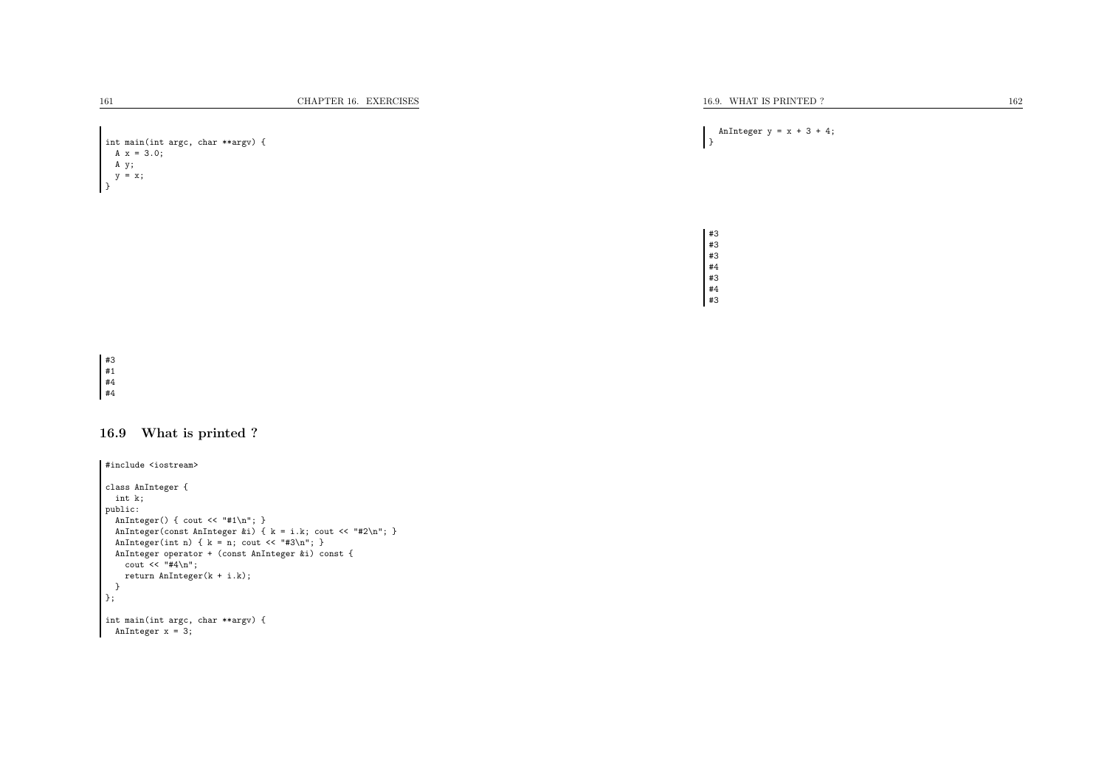|               |  | int main(int argc, char **argy) { |
|---------------|--|-----------------------------------|
| $A x = 3.0$ : |  |                                   |
| A y;          |  |                                   |
| $y = x;$      |  |                                   |
|               |  |                                   |

AnInteger  $y = x + 3 + 4$ ;  $\left| \right.$ 

#3 #3 #3 #4#3

> #4#3

#3 #1 #4#4

## 16.9 What is printed ?

#include <iostream> class AnInteger { int k; public: AnInteger() { cout << "#1\n"; } AnInteger(const AnInteger &i) {  $k = i.k$ ; cout << "#2\n"; } AnInteger(int n) {  $k = n$ ; cout << "#3\n"; } AnInteger operator <sup>+</sup> (const AnInteger &i) const { cout  $\langle \cdot \rangle$  "#4\n"; return AnInteger(k <sup>+</sup> i.k); } };int main(int argc, char \*\*argv) { AnInteger  $x = 3$ ;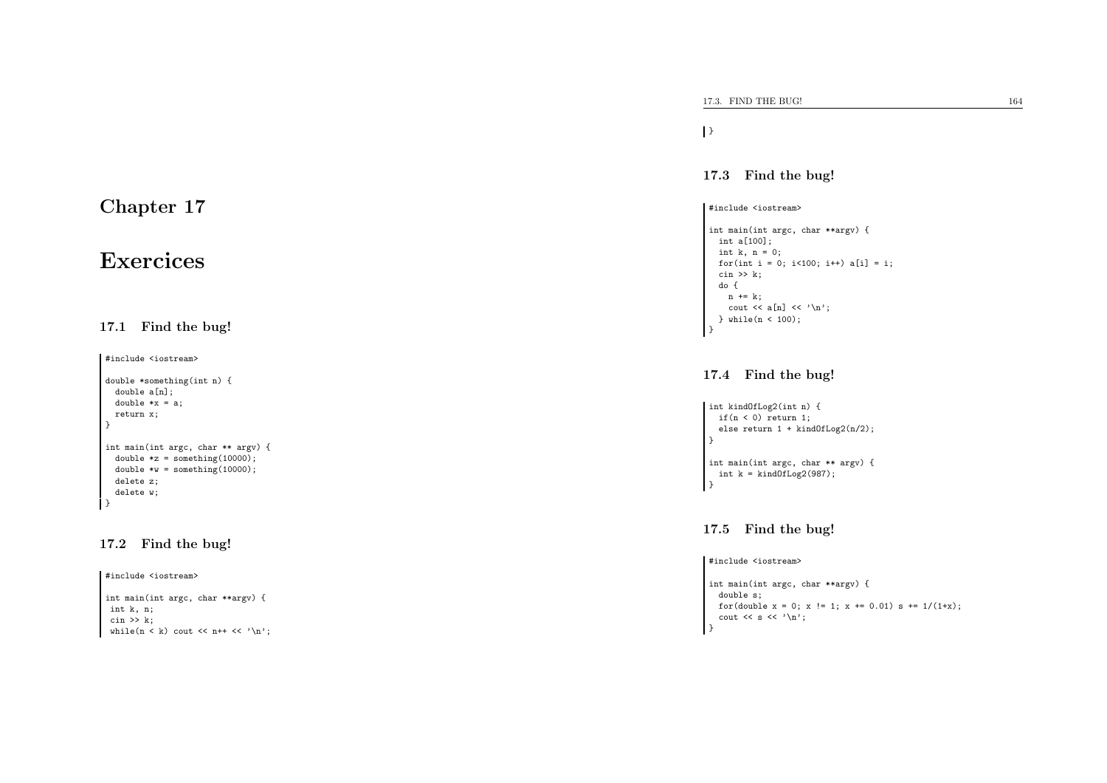Chapter <sup>17</sup>

# **Exercices**

## 17.1 Find the bug!

#include <iostream>

```
double *something(int n) {
 double a[n];
 double *x = a;
 return x;
}int main(int argc, char ** argv) {
 double *z = something(10000);
 double *w = something(10000);
 delete z;
 delete w;
}
```
## 17.2 Find the bug!

#include <iostream>

```
int main(int argc, char **argv) {
int k, n;
\sin \gg k;
while(n \leq k) cout \leq n++ \leq \sqrt{n};
```
## }

17.3 Find the bug!

#### #include <iostream>

```
int main(int argc, char **argv) {
  int a[100];
  int k, n = 0;
  for(int i = 0; i<100; i++) a[i] = i;
  \sin >> k;
  do {
   n \neq k;
    cout \langle a[n] \langle \rangle \langle \rangle \langle \rangle ;
  } while(n < 100);
}
```
## 17.4 Find the bug!

int kindOfLog2(int n) { if( $n < 0$ ) return 1; else return <sup>1</sup> <sup>+</sup> kindOfLog2(n/2); }

int main(int argc, char \*\* argv) { int  $k = kindOfLog2(987)$ ; }

## 17.5 Find the bug!

#### #include <iostream>

int main(int argc, char \*\*argv) { double s; for(double  $x = 0$ ;  $x := 1$ ;  $x == 0.01$ )  $s == 1/(1+x)$ ; cout  $\langle s \rangle$  s  $\langle s' \rangle$  ', ', ' ا :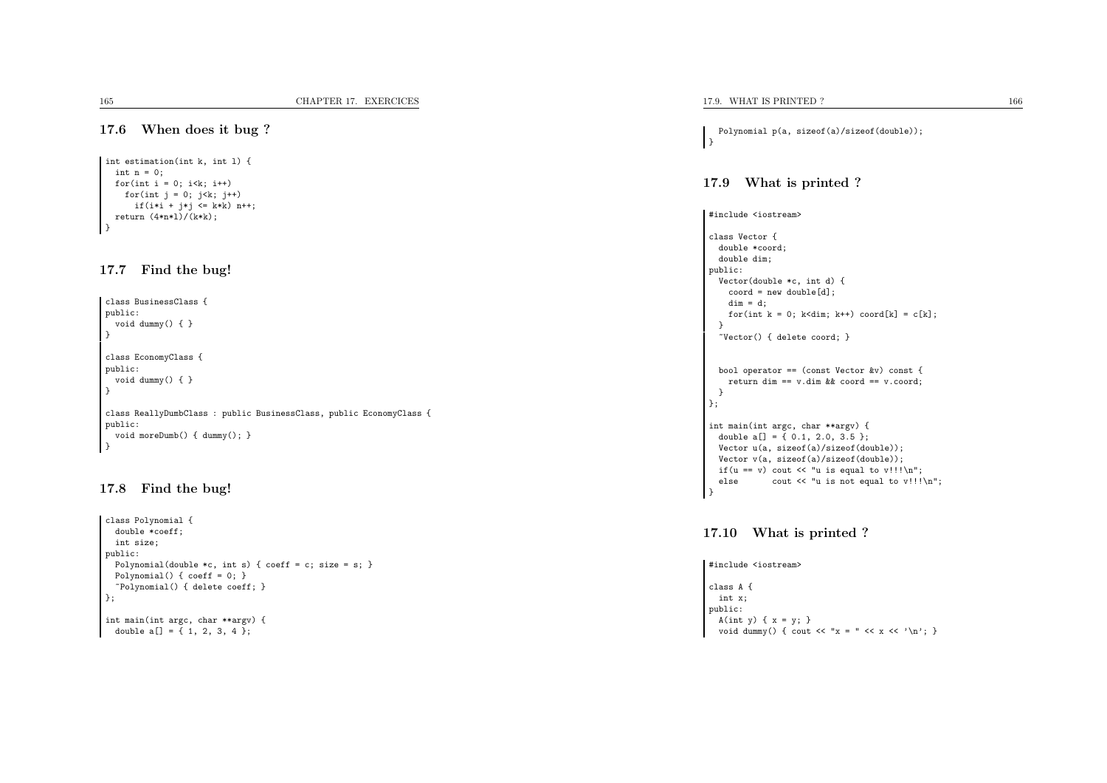#### 17.6 When does it bug ?

```
int estimation(int k, int l) {
  int n = 0:
  for(int i = 0; i < k; i++)for(int j = 0; j < k; j++)if(i*i + j*j <= k*k) n++;
 return (4*n*l)/(k*k);
}
```
#### 17.7 Find the bug!

```
class BusinessClass {
public:
void dummy() { }
}class EconomyClass {
public:
void dummy() { }
}class ReallyDumbClass : public BusinessClass, public EconomyClass {
public:
void moreDumb() { dummy(); }
}
```
#### 17.8 Find the bug!

```
class Polynomial {
  double *coeff;
 int size;
public:
Polynomial(double *c, int s) { coeff = c; size = s; }
  Polynomial() { coeff = 0; }
  ~Polynomial() { delete coeff; }
};int main(int argc, char **argv) {
 double a[] = \{ 1, 2, 3, 4 \};
```
Polynomial  $p(a, sizeof(a)/sizeof(double));$  $\mathsf{I}$ 

## 17.9 What is printed ?

#include <iostream>

```
class Vector {
 double *coord;
 double dim;
public:
Vector(double *c, int d) {
    coord = new double[d];
    dim = d;for(int k = 0; k<dim; k++) coord[k] = c[k];
  }
~Vector() { delete coord; }
  bool operator == (const Vector kv) const {
    return dim == v.dim && coord == v.coord;
 }
};int main(int argc, char **argv) {
 double a[] = \{ 0.1, 2.0, 3.5 \};Vector u(a, sizeof(a)/sizeof(double));
  Vector v(a, sizeof(a)/sizeof(double));
 if(u == v) cout << "u is equal to v!!!\n";<br>else cout << "u is not equal to v!!!cout \lt\lt "u is not equal to v!!!\n";
ا -
```
### 17.10 What is printed ?

#include <iostream>

```
class A {
 int x;
public:
A(int y) { x = y; }
 void dummy() { cout << "x = " << x << '\n'; }
```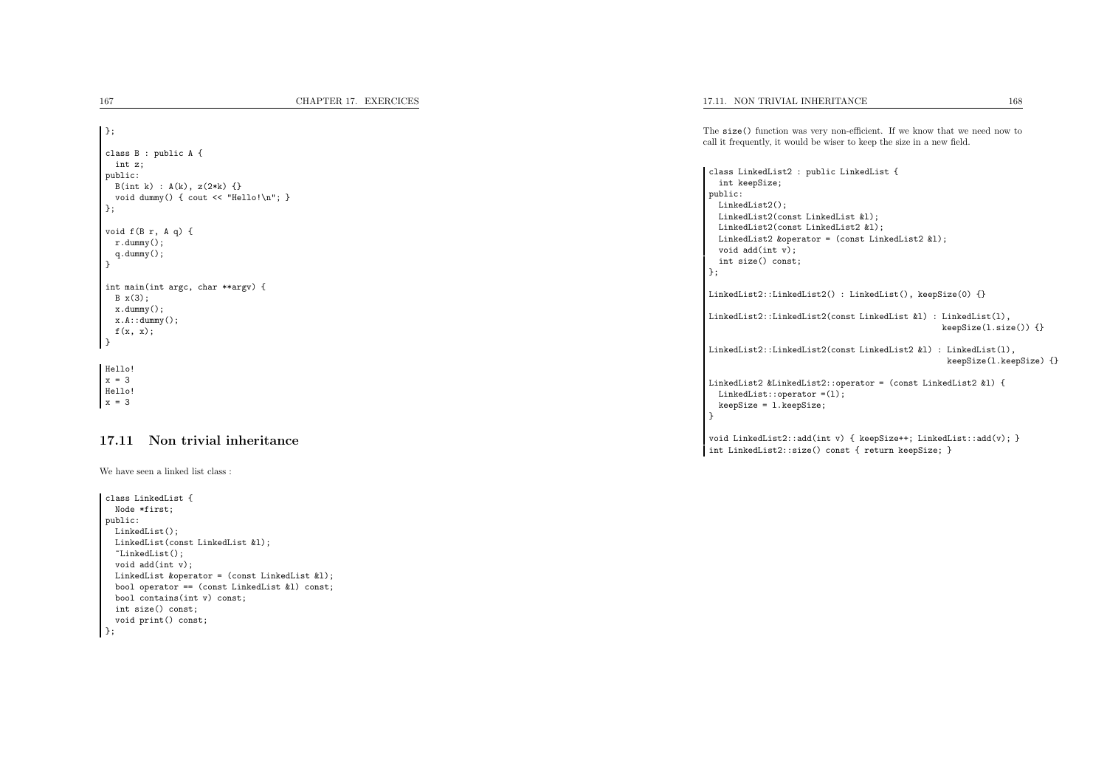| 67                                                                                                                                                          | CHAPTER 17. EXERCICES | 17.11. NON TRIVIAL INHERITANCE<br>168                                                                                                                                                                                                                           |
|-------------------------------------------------------------------------------------------------------------------------------------------------------------|-----------------------|-----------------------------------------------------------------------------------------------------------------------------------------------------------------------------------------------------------------------------------------------------------------|
| };                                                                                                                                                          |                       | The size() function was very non-efficient. If we know that we need now to<br>call it frequently, it would be wiser to keep the size in a new field.                                                                                                            |
| class B : public A {                                                                                                                                        |                       |                                                                                                                                                                                                                                                                 |
| int z;<br>public:<br>$B(int k) : A(k), z(2*k)$ {}<br>void dummy() { cout << "Hello!\n"; }<br>};<br>void f(B r, A q) {<br>$r.$ dummy $()$ ;<br>$q.dummy()$ ; |                       | class LinkedList2 : public LinkedList {<br>int keepSize;<br>public:<br>$LinkedList2()$ ;<br>LinkedList2(const LinkedList &1);<br>LinkedList2(const LinkedList2 &1);<br>LinkedList2 &operator = (const LinkedList2 &1);<br>void add(int v);<br>int size() const; |
| int main(int argc, char **argv) {                                                                                                                           |                       | };                                                                                                                                                                                                                                                              |
| $B x(3)$ ;                                                                                                                                                  |                       | LinkedList2::LinkedList2() : LinkedList(), keepSize(0) {}                                                                                                                                                                                                       |
| $x.dummy()$ ;<br>$x.A::dummy()$ ;<br>f(x, x);                                                                                                               |                       | LinkedList2::LinkedList2(const LinkedList &1) : LinkedList(1),<br>$keepSize(1.size())$ {}                                                                                                                                                                       |
| Hello!                                                                                                                                                      |                       | LinkedList2::LinkedList2(const LinkedList2 &1) : LinkedList(1),<br>keepSize(1.keepSize) {}                                                                                                                                                                      |
| $x = 3$<br>Hello!<br>$x = 3$                                                                                                                                |                       | LinkedList2 &LinkedList2::operator = (const LinkedList2 &1) {<br>$LinkedList::operator = (1);$<br>$keepSize = 1. keepSize;$                                                                                                                                     |

## 17.11 Non trivial inheritance

We have seen <sup>a</sup> linked list class :

```
class LinkedList {
 Node *first;
public:
LinkedList();
LinkedList(const LinkedList &l);
  ~LinkedList();
void add(int v);
  LinkedList &operator = (const LinkedList &l);
 bool operator == (const LinkedList &l) const;
 bool contains(int v) const;
 int size() const;
 void print() const;
};
```
void LinkedList2::add(int v) { keepSize++; LinkedList::add(v); } int LinkedList2::size() const { return keepSize; }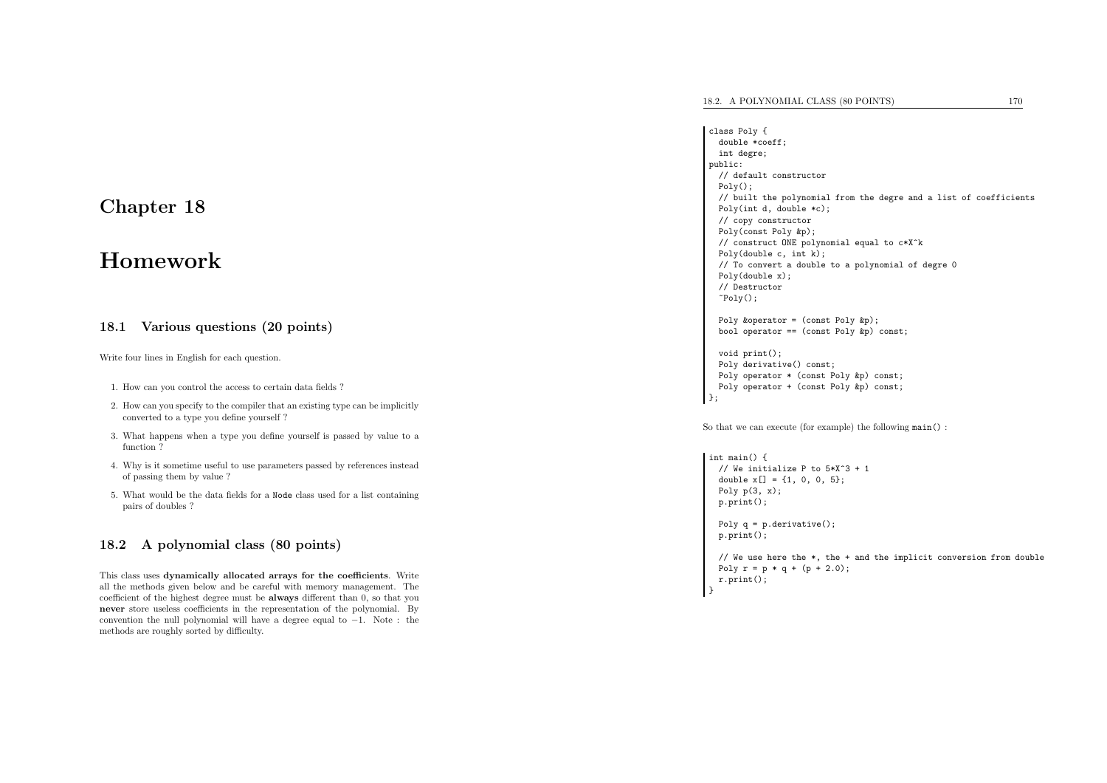# Chapter <sup>18</sup>

# Homework

#### 18.1 Various questions (20 points)

Write four lines in English for each question.

- 1. How can you control the access to certain data fields ?
- 2. How can you specify to the compiler that an existing type can be implicitlyconverted to <sup>a</sup> type you define yourself ?
- 3. What happens when <sup>a</sup> type you define yourself is passed by value to <sup>a</sup>function ?
- 4. Why is it sometime useful to use parameters passed by references insteadof passing them by value ?
- 5. What would be the data fields for <sup>a</sup> Node class used for <sup>a</sup> list containing pairs of doubles ?

#### 18.2 <sup>A</sup> polynomial class (80 points)

This class uses dynamically allocated arrays for the coefficients. Write all the methods <sup>g</sup>iven below and be careful with memory management. The coefficient of the highest degree must be always different than 0, so that you never store useless coefficients in the representation of the polynomial. By convention the null polynomial will have <sup>a</sup> degree equa<sup>l</sup> to <sup>−</sup>1. Note : the methods are roughly sorted by difficulty.

18.2. A POLYNOMIAL CLASS (80 POINTS) 170

```
class Poly {
 double *coeff;
 int degre;
public:
// default constructor
 Poly();
// built the polynomial from the degre and a list of coefficients
 Poly(int d, double *c);
 // copy constructor
 Poly(const Poly &p);
  // construct ONE polynomial equal to c*X^k
 Poly(double c, int k);
 // To convert a double to a polynomial of degre 0
 Poly(double x);
  // Destructor
  Poly();
  Poly &operator = (const Poly &p);
  bool operator == (const Poly &p) const;
 void print();
 Poly derivative() const;
 Poly operator * (const Poly &p) const;
 Poly operator + (const Poly &p) const;
```
So that we can execute (for example) the following main() :

#### int main() {

 $\vert$  };

}

// We initialize P to  $5*X^3 + 1$ double  $x[] = \{1, 0, 0, 5\};$ Poly  $p(3, x)$ ; p.print();

Poly  $q = p$ . derivative(); p.print();

// We use here the \*, the <sup>+</sup> and the implicit conversion from double Poly  $r = p * q + (p + 2.0);$ r.print();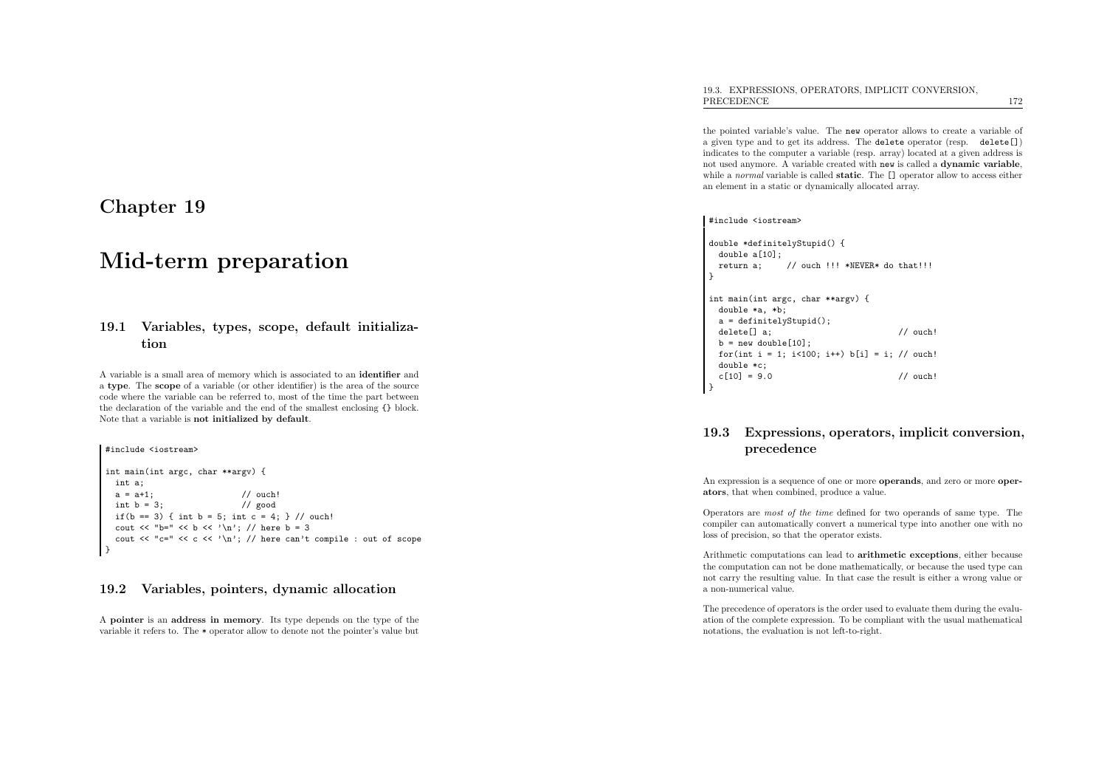# Chapter <sup>19</sup>

# Mid-term preparation

## 19.1 Variables, types, scope, default initialization

<sup>A</sup> variable is <sup>a</sup> small area of memory which is associated to an identifier and a type. The scope of <sup>a</sup> variable (or other identifier) is the area of the source code where the variable can be referred to, most of the time the part between the declaration of the variable and the end of the smallest enclosing {} block. Note that <sup>a</sup> variable is not initialized by default.

#include <iostream>

```
int main(int argc, char **argv) {
  int a;<br>a = a+1:
  a = a+1; // ouch!<br>
int b = 3; // good
   int b = 3; // good
   if(b == 3) { int b = 5; int c = 4; } // ouch!
  cout \langle\langle "b=" \langle\langle b \langle '\rangle ', // here b = 3
  cout \langle \langle \cdot \rangle "c=" \langle \langle \cdot \rangle c \langle \langle \cdot \rangle \rangle"; // here can't compile : out of scope
}
```
#### 19.2 Variables, pointers, dynamic allocation

A pointer is an address in memory. Its type depends on the type of the variable it refers to. The \* operator allow to denote not the pointer's value but

the pointed variable's value. The new operator allows to create <sup>a</sup> variable of <sup>a</sup> <sup>g</sup>iven type and to get its address. The delete operator (resp. delete[]) indicates to the computer <sup>a</sup> variable (resp. array) located at <sup>a</sup> <sup>g</sup>iven address is not used anymore. <sup>A</sup> variable created with new is called <sup>a</sup> dynamic variable, while a *normal* variable is called **static**. The [] operator allow to access either an element in <sup>a</sup> static or dynamically allocated array.

#include <iostream>

```
double *definitelyStupid() {
 double a[10];
 return a; // ouch !!! *NEVER* do that!!!
}int main(int argc, char **argv) {
 double *a, *b;
 a = definitelyStupid();
 \text{delete}[\text{]} a; \qquad \qquad \text{/} \qquad \text{ouch!}b = new double[10];for(int i = 1; i<100; i++) b[i] = i; // ouch!
 double *c;
 c[10] = 9.0 // ouch!
}
```
## 19.3 Expressions, operators, implicit conversion, precedence

An expression is <sup>a</sup> sequence of one or more operands, and zero or more operators, that when combined, produce <sup>a</sup> value.

Operators are most of the time defined for two operands of same type. The compiler can automatically convert <sup>a</sup> numerical type into another one with noloss of precision, so that the operator exists.

Arithmetic computations can lead to arithmetic exceptions, either because the computation can not be done mathematically, or because the used type can not carry the resulting value. In that case the result is either <sup>a</sup> wrong value or<sup>a</sup> non-numerical value.

The precedence of operators is the order used to evaluate them during the evaluation of the complete expression. To be compliant with the usual mathematical notations, the evaluation is not left-to-right.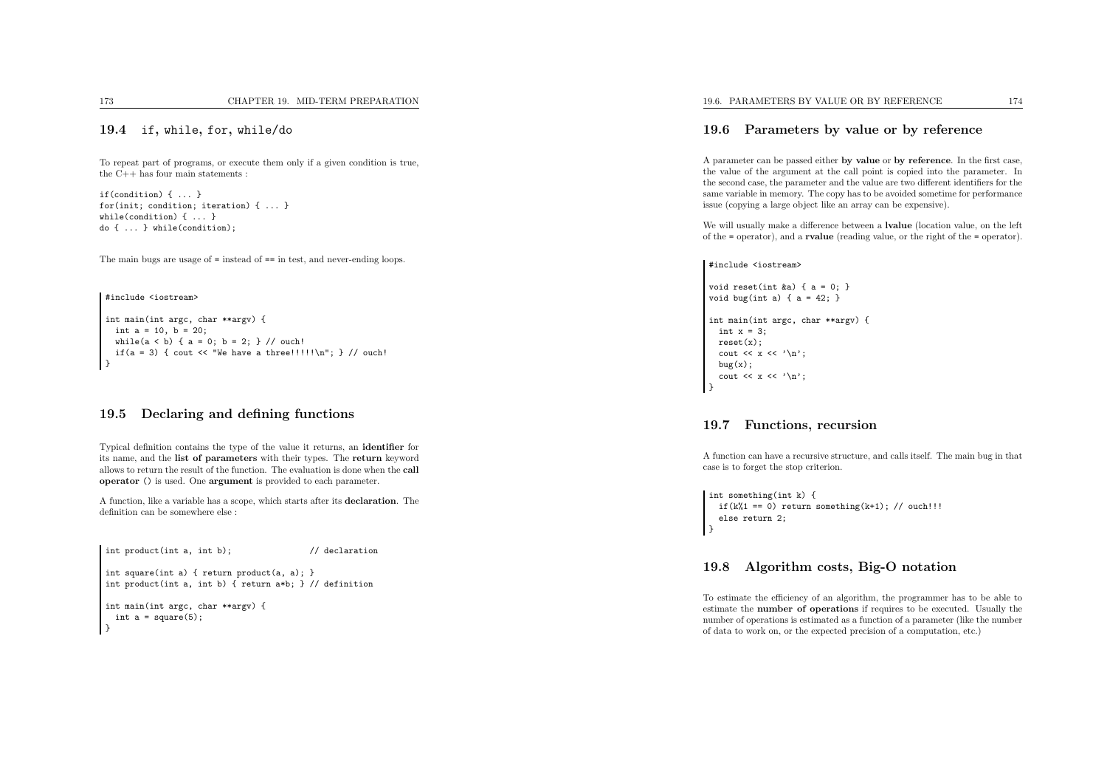## 19.4 if, while, for, while/do

To repeat part of programs, or execute them only if <sup>a</sup> <sup>g</sup>iven condition is true, the C++ has four main statements :

if(condition) { ... } for(init; condition; iteration) { ... } while(condition) { ... } do { ... } while(condition);

The main bugs are usage of <sup>=</sup> instead of == in test, and never-ending loops.

#include <iostream>

```
int main(int argc, char **argv) {
 int a = 10, b = 20;
 while(a < b) { a = 0; b = 2; } // ouch!
 if(a = 3) { cout << "We have a three!!!!!\n"; } // ouch!
}
```
#### 19.5 Declaring and defining functions

Typical definition contains the type of the value it returns, an identifier for its name, and the list of parameters with their types. The return keyword allows to return the result of the function. The evaluation is done when the call operator () is used. One argument is provided to each parameter.

<sup>A</sup> function, like <sup>a</sup> variable has <sup>a</sup> scope, which starts after its declaration. Thedefinition can be somewhere else :

int product(int a, int b); // declaration

int square(int a) { return product(a, a); } int product(int a, int b) { return a\*b; } // definition

int main(int argc, char \*\*argv) { int  $a = square(5)$ ; }

#### 19.6 Parameters by value or by reference

<sup>A</sup> parameter can be passed either by value or by reference. In the first case, the value of the argument at the call point is copied into the parameter. In the second case, the parameter and the value are two different identifiers for the same variable in memory. The copy has to be avoided sometime for performanceissue (copying <sup>a</sup> large object like an array can be expensive).

We will usually make <sup>a</sup> difference between <sup>a</sup> lvalue (location value, on the left of the <sup>=</sup> operator), and <sup>a</sup> rvalue (reading value, or the right of the <sup>=</sup> operator).

#include <iostream>

```
void reset(int &a) { a = 0; }
void bug(int a) { a = 42; }
```

```
int main(int argc, char **argv) {
 int x = 3;
 reset(y);
  cout << x << '\n';
 bug(x);
  cout << x << '\n';
}
```
#### 19.7 Functions, recursion

<sup>A</sup> function can have <sup>a</sup> recursive structure, and calls itself. The main bug in thatcase is to forget the stop criterion.

int something(int k) { if(k%1 == 0) return something(k+1); // ouch!!! else return 2; }

#### 19.8 Algorithm costs, Big-O notation

To estimate the efficiency of an algorithm, the programmer has to be able to estimate the number of operations if requires to be executed. Usually the number of operations is estimated as <sup>a</sup> function of <sup>a</sup> parameter (like the numberof data to work on, or the expected precision of <sup>a</sup> computation, etc.)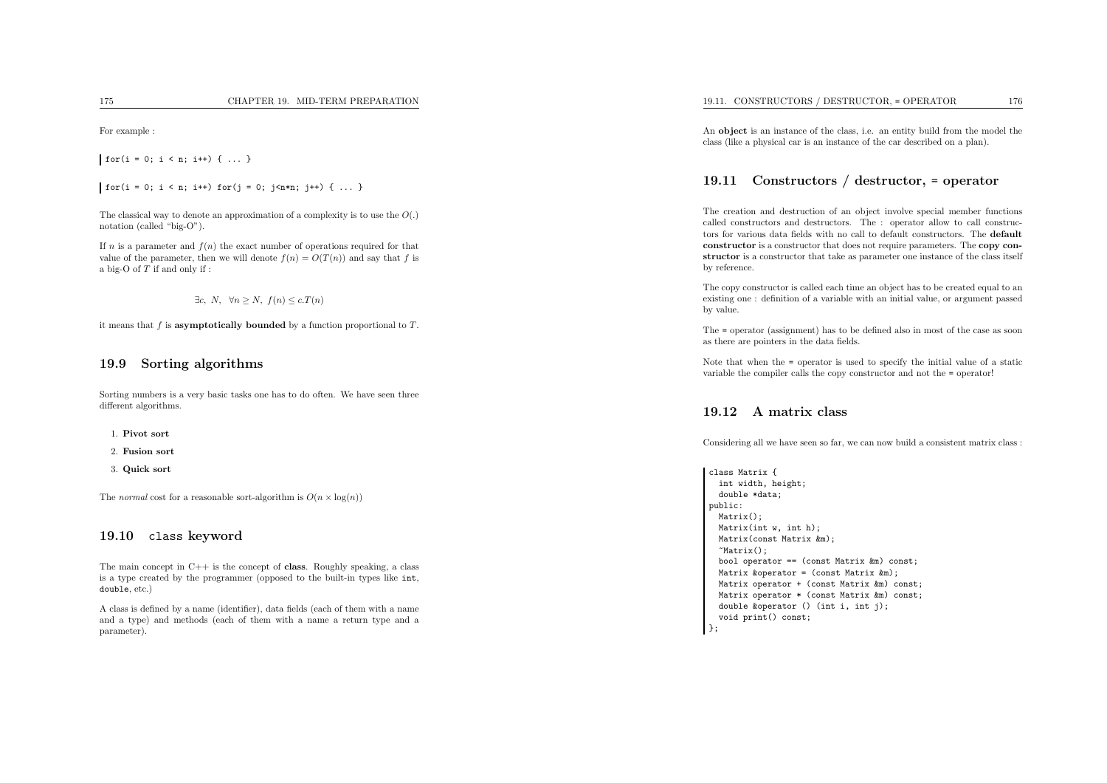For example :

 $\int$  for(i = 0; i < n; i++) { ... }

 $\int$  for(i = 0; i < n; i++) for(j = 0; j<n\*n; j++) { ... }

The classical way to denote an approximation of a complexity is to use the  $O(.)$ notation (called "big-O").

If *n* is a parameter and  $f(n)$  the exact number of operations required for that value of the parameter, then we will denote  $f(n) = O(T(n))$  and say that f is a big-O of  $T$  if and only if :

<sup>∃</sup>c, N, <sup>∀</sup><sup>n</sup> <sup>≥</sup> N, <sup>f</sup>(n) <sup>≤</sup> c.T (n)

it means that  $f$  is **asymptotically bounded** by a function proportional to  $T$ .

#### 19.9 Sorting algorithms

Sorting numbers is <sup>a</sup> very basic tasks one has to do often. We have seen threedifferent algorithms.

- 1. Pivot sort
- 2. Fusion sort
- 3. Quick sort

The *normal* cost for a reasonable sort-algorithm is  $O(n \times \log(n))$ 

## 19.10 class keyword

The main concept in  $C++$  is the concept of **class**. Roughly speaking, a class is <sup>a</sup> type created by the programmer (opposed to the built-in types like int, double, etc.)

<sup>A</sup> class is defined by <sup>a</sup> name (identifier), data fields (each of them with <sup>a</sup> name and <sup>a</sup> type) and methods (each of them with <sup>a</sup> name <sup>a</sup> return type and <sup>a</sup>parameter).

An object is an instance of the class, i.e. an entity build from the model the class (like <sup>a</sup> <sup>p</sup>hysical car is an instance of the car described on <sup>a</sup> <sup>p</sup>lan).

## 19.11 Constructors / destructor, <sup>=</sup> operator

The creation and destruction of an object involve special member functions called constructors and destructors. The : operator allow to call constructors for various data fields with no call to default constructors. The default constructor is <sup>a</sup> constructor that does not require parameters. The copy constructor is <sup>a</sup> constructor that take as parameter one instance of the class itself by reference.

The copy constructor is called each time an object has to be created equa<sup>l</sup> to an existing one : definition of <sup>a</sup> variable with an initial value, or argument passedby value.

The <sup>=</sup> operator (assignment) has to be defined also in most of the case as soonas there are pointers in the data fields.

Note that when the <sup>=</sup> operator is used to specify the initial value of <sup>a</sup> static variable the compiler calls the copy constructor and not the <sup>=</sup> operator!

#### 19.12 <sup>A</sup> matrix class

Considering all we have seen so far, we can now build <sup>a</sup> consistent matrix class :

class Matrix { int width, height; double \*data; public: Matrix(); Matrix(int w, int h); Matrix(const Matrix &m);  $"Matrix()$ : bool operator == (const Matrix &m) const; Matrix &operator = (const Matrix &m); Matrix operator <sup>+</sup> (const Matrix &m) const; Matrix operator \* (const Matrix &m) const; double &operator () (int i, int j); void print() const; };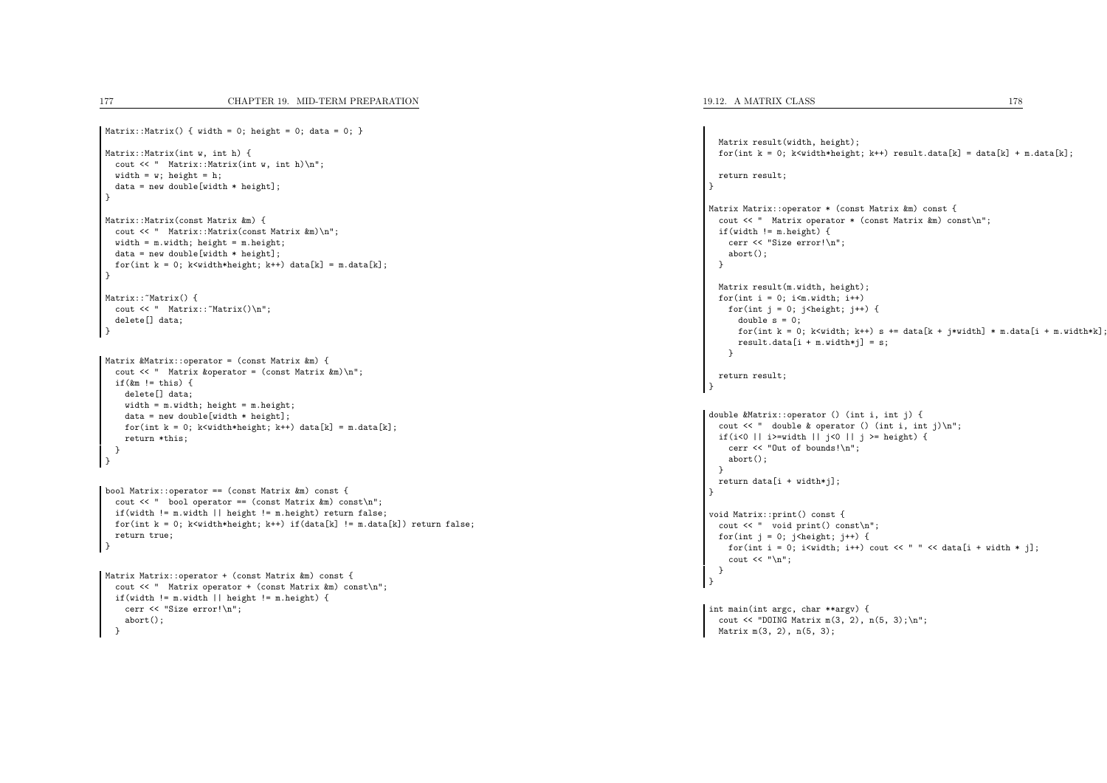```
177 CHAPTER 19. MID-TERM PREPARATIONMatrix::Matrix() \{ width = 0; height = 0; data = 0; \}Matrix::Matrix(int w, int h) {
  cout << " Matrix::Matrix(int w, int h)\n";
  width = w; height = h;
  data = new double[width * height]:Matrix::Matrix(const Matrix &m) {
  cout << " Matrix::Matrix(const Matrix &m)\n";
  width = m.width; height = m.height;
  data = new doublewidth * height:
  for(int k = 0: k\leqwidth*height; k++) data[k] = m.data[k];
Matrix:: "Matrix() {
  cout \lt\lt " Matrix:: "Matrix()\n";
  delete[] data;
Matrix &Matrix::operator = (const Matrix &m) {
  cout << " Matrix &operator = (const Matrix &m)\n";
  if(km != this) {
   delete[] data;
    width = m.width; height = m.height;
    data = new double[width * height];for(int k = 0; k<width*height; k++) data[k] = m.data[k];
    return *this;
  }bool Matrix::operator == (const Matrix &m) const {
  cout \leq " bool operator == (const Matrix &m) const\n";
  if(width != m.width || height != m.height) return false;
  for(int k = 0; k<width*height; k++) if(data[k] != m.data[k]) return false;
  return true;
Matrix Matrix::operator + (const Matrix &m) const {
  cout << " Matrix operator + (const Matrix &m) const\n";
  if(width != m.width || height != m.height) {
    cerr << "Size error!\n";
    abort();19.12. A MATRIX CLASSs 178
                                                                                                                            Matrix result(width, height);
                                                                                                                            for(int k = 0; k \forallwidth*height; k + + ) result.data[k] = data[k] + m.data[k];
                                                                                                                            return result;
                                                                                                                           }Matrix Matrix::operator * (const Matrix &m) const {
                                                                                                                            cout << " Matrix operator * (const Matrix &m) const\n";
                                                                                                                            if(width != m.height) {
                                                                                                                             cerr << "Size error!\n";
                                                                                                                              abort();}Matrix result(m.width, height);
                                                                                                                            for(int i = 0; i \le m, width; i++)for(int j = 0; j <height; j++) {
                                                                                                                               double s = 0:
                                                                                                                                for(int k = 0; k<width; k++) s += data[k + j*width] * m.data[i + m.width*k];
                                                                                                                                result.data[i + m<u>width[i] = s;</u>
                                                                                                                              \lambdareturn result;
                                                                                                                           }double &Matrix::operator () (int i, int j) {
                                                                                                                            cout \lt\lt' " double & operator () (int i, int j)\n";
                                                                                                                            if(i<0 || i>=width || i<0 || i >= height) {
                                                                                                                             cerr << "Out of bounds!\n";
                                                                                                                              abort();}
return data[i + width*j];
                                                                                                                           }void Matrix::print() const {
                                                                                                                           cout << " void print() const\n";
                                                                                                                            for(int j = 0; j /height; j++) {
                                                                                                                             for(int i = 0; i<width; i++) cout << " " << data[i + width * j];
                                                                                                                              cout \lt\lt "\n";
                                                                                                                            \overline{ }}int main(int argc, char **argv) {
                                                                                                                            cout \langle "DOING Matrix m(3, 2), n(5, 3);\n";
```
Matrix m(3, 2), n(5, 3);

```
}
```
}

}

}

}

}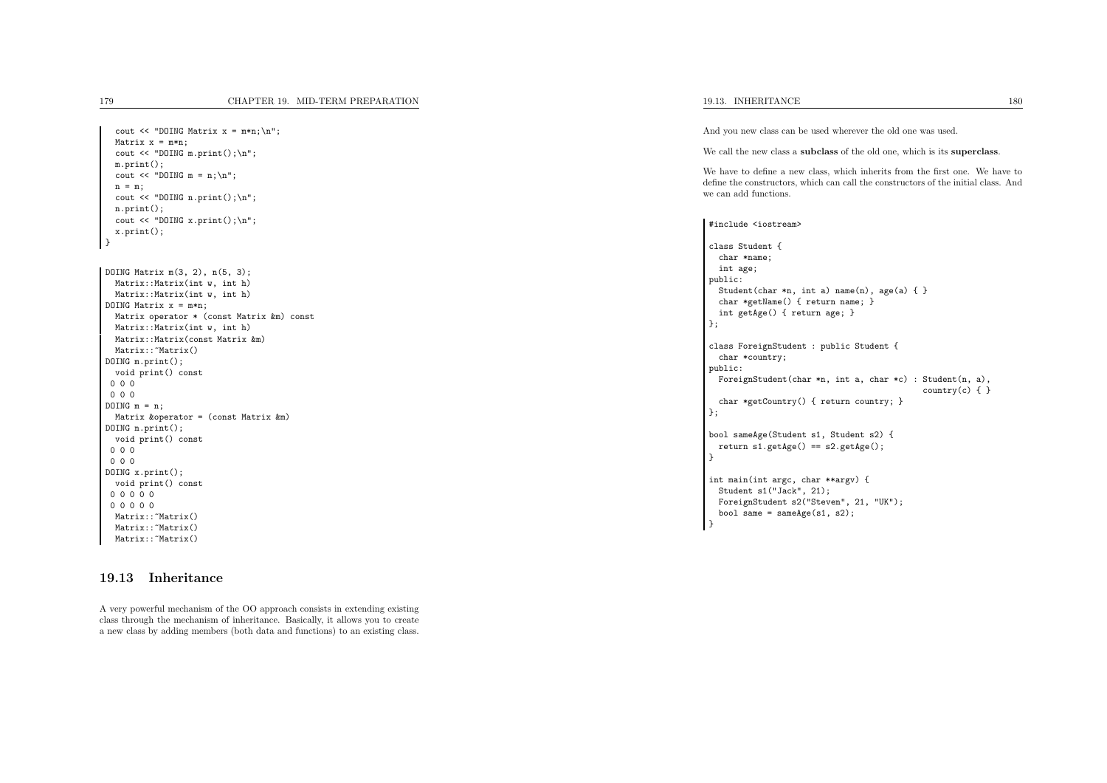```
cout \lt\lt "DOING Matrix x = m*n:\n n";
 Matrix x = m*n:
 cout \langle "DOING m.print();\n";
 m.print();cout \lt\lt "DOING m = n;\n";
 n = m;
 cout \langle "DOING n.print();\n";
 n.print();
cout << "DOING x.print();\n";
 x.print();}
```

```
DOING Matrix m(3, 2), n(5, 3);
 Matrix::Matrix(int w, int h)
 Matrix::Matrix(int w, int h)
DOING Matrix x = m*n:
 Matrix operator * (const Matrix &m) const
 Matrix::Matrix(int w, int h)
 Matrix::Matrix(const Matrix &m)
 Matrix::~Matrix()DOING m.print();
 void print() const
0 0 0
0 0 0
DOING m = n;
 Matrix &operator = (const Matrix &m)
DOING n.print();
 void print() const
0 0 0
0 0 0
DOING x.print();
 void print() const
0.00000 0 0 0 0
 Matrix:: "Matrix()

Matrix::~Matrix()
Matrix::~Matrix()
```
#### 19.13 Inheritance

<sup>A</sup> very powerful mechanism of the OO approac<sup>h</sup> consists in extending existing class through the mechanism of inheritance. Basically, it allows you to create<sup>a</sup> new class by adding members (both data and functions) to an existing class.

And you new class can be used wherever the old one was used.

We call the new class a subclass of the old one, which is its superclass.

We have to define <sup>a</sup> new class, which inherits from the first one. We have to define the constructors, which can call the constructors of the initial class. Andwe can add functions.

#include <iostream>

```
class Student {
 char *name;
 int age;
public:
Student(char *n, int a) name(n), age(a) { }
 char *getName() { return name; }
 int getAge() { return age; }
};class ForeignStudent : public Student {
 char *country;
public:
ForeignStudent(char *n, int a, char *c) : Student(n, a),
                                           country(c) \{ \}char *getCountry() { return country; }
};bool sameAge(Student s1, Student s2) {
 return s1.getAge() == s2.getAge();
}int main(int argc, char **argv) {
 Student s1("Jack", 21);
 ForeignStudent s2("Steven", 21, "UK");
 bool same = sameAge(s1, s2);
}
```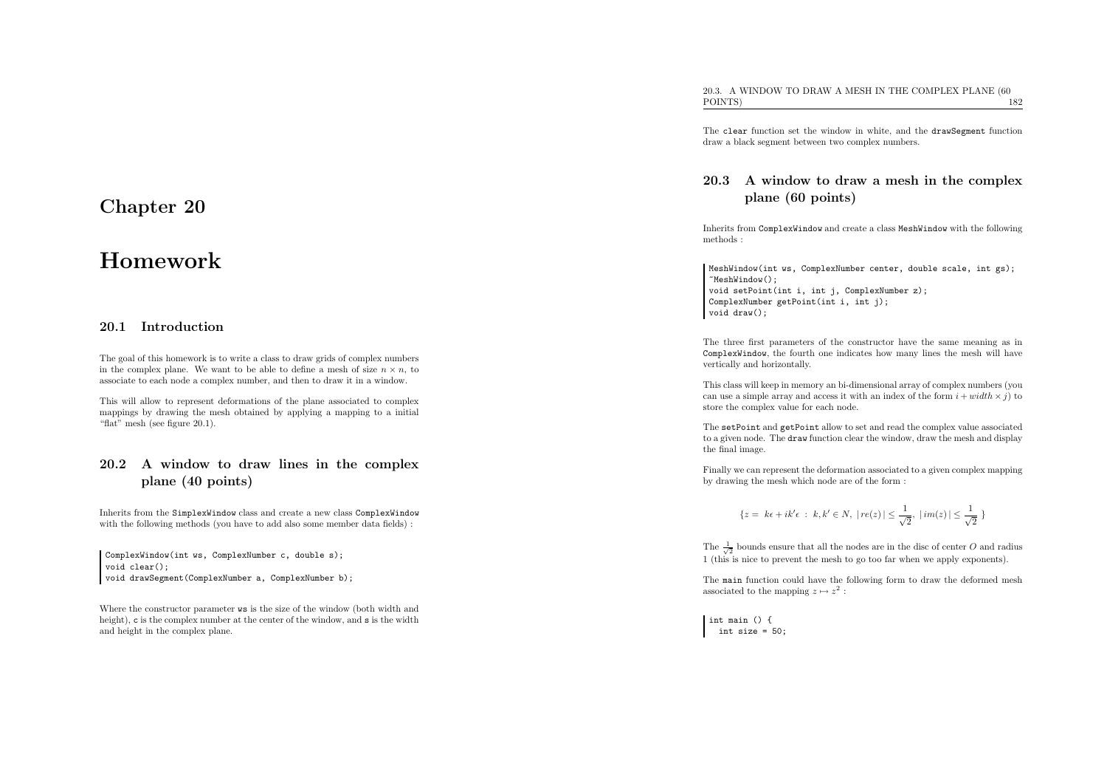Chapter <sup>20</sup>

# Homework

#### 20.1 Introduction

The goa<sup>l</sup> of this homework is to write <sup>a</sup> class to draw grids of complex numbersin the complex plane. We want to be able to define a mesh of size  $n \times n$ , to associate to each node <sup>a</sup> complex number, and then to draw it in <sup>a</sup> window.

This will allow to represent deformations of the <sup>p</sup>lane associated to complex mappings by drawing the mesh obtained by applying <sup>a</sup> mapping to <sup>a</sup> initial "flat" mesh (see figure 20.1).

## 20.2 <sup>A</sup> window to draw lines in the complex<sup>p</sup>lane (40 points)

Inherits from the SimplexWindow class and create <sup>a</sup> new class ComplexWindow with the following methods (you have to add also some member data fields) :

ComplexWindow(int ws, ComplexNumber c, double s); void clear(); void drawSegment(ComplexNumber a, ComplexNumber b);

Where the constructor parameter ws is the size of the window (both width andheight), c is the complex number at the center of the window, and **s** is the width and height in the complex <sup>p</sup>lane.

The clear function set the window in white, and the drawSegment functiondraw <sup>a</sup> black segment between two complex numbers.

## 20.3 <sup>A</sup> window to draw <sup>a</sup> mesh in the complex<sup>p</sup>lane (60 points)

Inherits from ComplexWindow and create <sup>a</sup> class MeshWindow with the following methods :

MeshWindow(int ws, ComplexNumber center, double scale, int gs); ~MeshWindow(); void setPoint(int i, int j, ComplexNumber z); ComplexNumber getPoint(int i, int j); void draw();

The three first parameters of the constructor have the same meaning as in ComplexWindow, the fourth one indicates how many lines the mesh will havevertically and horizontally.

This class will keep in memory an bi-dimensional array of complex numbers (youcan use a simple array and access it with an index of the form  $i + width \times j$  to the sample when for saching for the signals store the complex value for each node.

The setPoint and getPoint allow to set and read the complex value associated to <sup>a</sup> <sup>g</sup>iven node. The draw function clear the window, draw the mesh and displaythe final image.

Finally we can represent the deformation associated to <sup>a</sup> <sup>g</sup>iven complex mappingby drawing the mesh which node are of the form :

$$
\{z = \ k \epsilon + i k' \epsilon \ : \ k,k' \in N, \ |re(z)| \leq \frac{1}{\sqrt{2}}, \ |im(z)| \leq \frac{1}{\sqrt{2}} \ \}
$$

The  $\frac{1}{\sqrt{2}}$  bounds ensure that all the nodes are in the disc of center O and radius <sup>1</sup> (this is nice to prevent the mesh to go too far when we apply exponents).

The main function could have the following form to draw the deformed meshassociated to the mapping  $z \mapsto z^2$ :

int main () { int size =  $50$ ;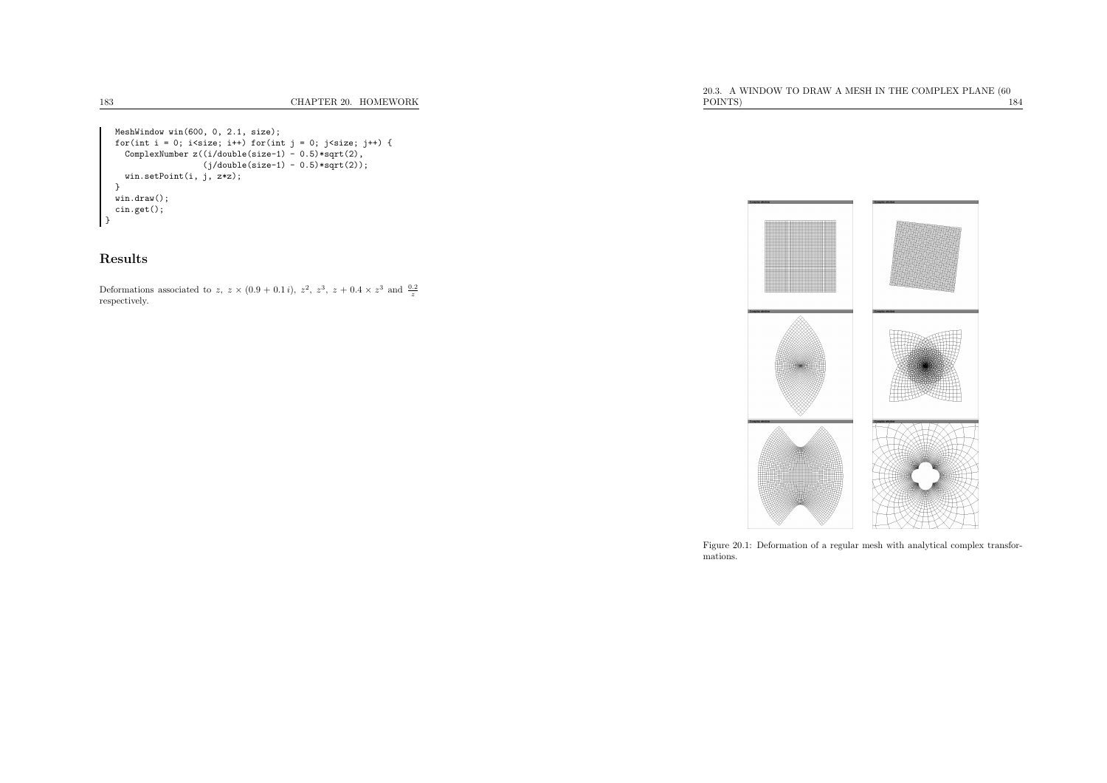```
MeshWindow win(600, 0, 2.1, size);
  for(int i = 0; i < size; i++) for(int j = 0; j < size; j++) {
    ComplexNumber z((i/double(size-1) - 0.5)*sqrt(2),
                    (j/double(size-1) - 0.5)*sqrt(2));
  win.setPoint(i, j, z*z);
}
win.draw();
cin.get();}
```
## Results

Deformations associated to z,  $z \times (0.9 + 0.1i)$ ,  $z^2$ ,  $z^3$ ,  $z + 0.4 \times z^3$  and  $\frac{0.2}{z}$ respectively.



Figure 20.1: Deformation of <sup>a</sup> regular mesh with analytical complex transformations.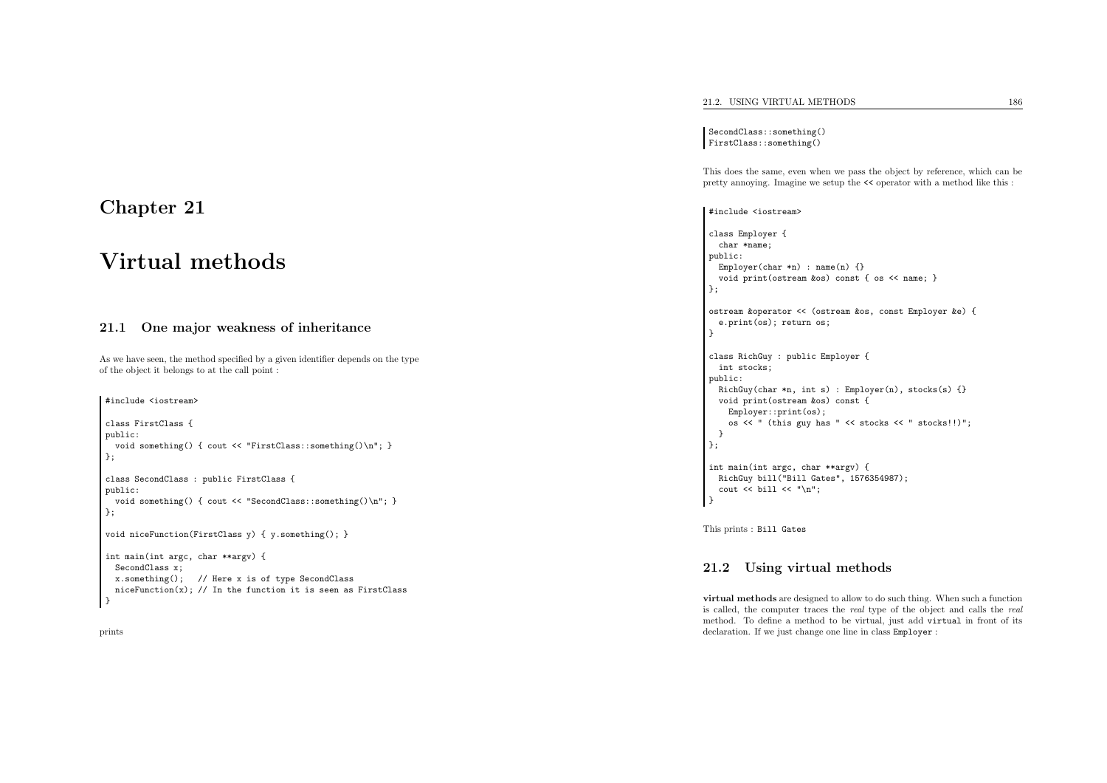Chapter <sup>21</sup>

# Virtual methods

#### 21.1 One major weakness of inheritance

As we have seen, the method specified by <sup>a</sup> <sup>g</sup>iven identifier depends on the typeof the object it belongs to at the call point :

#include <iostream>

```
class FirstClass {
public:
void something() { cout << "FirstClass::something()\n"; }
};class SecondClass : public FirstClass {
public:
void something() { cout << "SecondClass::something()\n"; }
};void niceFunction(FirstClass y) { y.something(); }
int main(int argc, char **argv) {
  SecondClass x;
  x.something(); // Here x is of type SecondClass
  niceFunction(x); // In the function it is seen as FirstClass
}
```
prints

21.2. USING VIRTUAL METHODS

SecondClass::something()FirstClass::something()

This does the same, even when we pass the object by reference, which can bepretty annoying. Imagine we setup the << operator with <sup>a</sup> method like this :

#include <iostream>

```
class Employer {
 char *name;
public:
Employer(char *n) : name(n) {}
  void print(ostream &os) const { os << name; }
};ostream &operator << (ostream &os, const Employer &e) {
 e.print(os); return os;
}class RichGuy : public Employer {
 int stocks;
public:
RichGuy(char *n, int s) : Employer(n), stocks(s) {}
 void print(ostream &os) const {
    Employer::print(os);
os << " (this guy has " << stocks << " stocks!!)";
 }
};int main(int argc, char **argv) {
 RichGuy bill("Bill Gates", 1576354987);
  cout \langle bill \langle "\n";
ا -
```
This prints : Bill Gates

### 21.2 Using virtual methods

virtual methods are designed to allow to do such thing. When such <sup>a</sup> function is called, the computer traces the real type of the object and calls the real method. To define <sup>a</sup> method to be virtual, just add virtual in front of its declaration. If we just change one line in class Employer :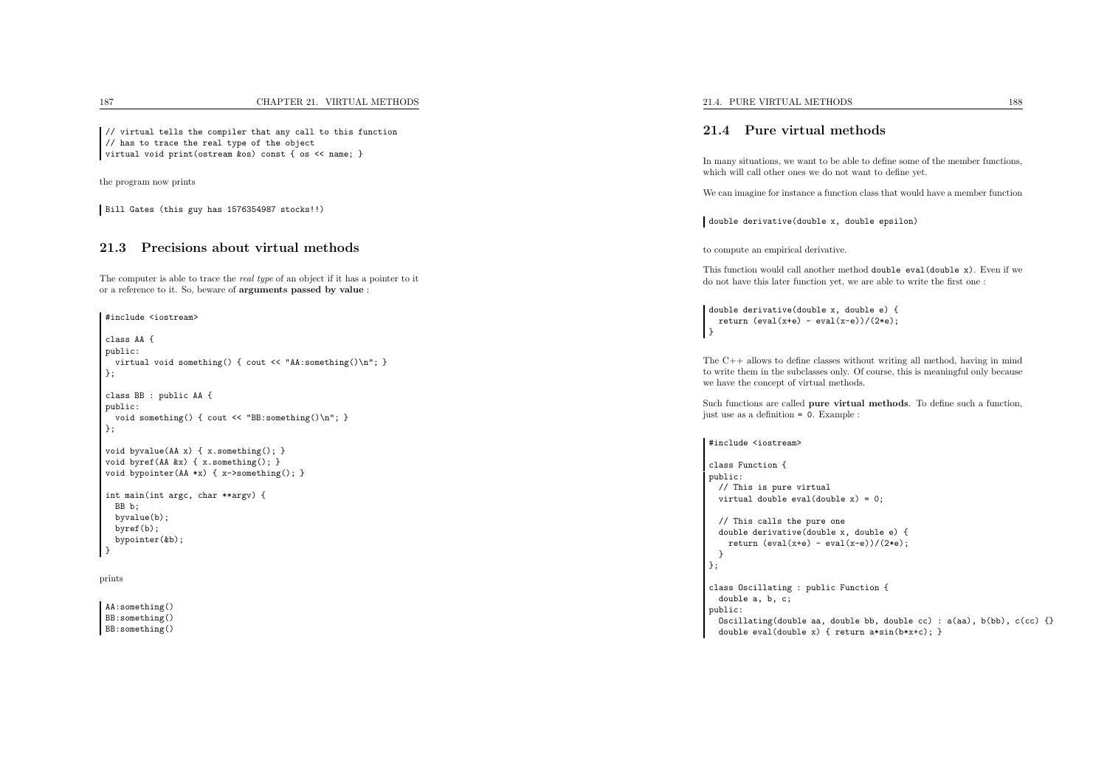// virtual tells the compiler that any call to this function // has to trace the real type of the object virtual void print(ostream &os) const { os << name; }

the program now prints

Bill Gates (this guy has 1576354987 stocks!!)

#### 21.3 Precisions about virtual methods

The computer is able to trace the real type of an object if it has <sup>a</sup> pointer to it or <sup>a</sup> reference to it. So, beware of arguments passed by value :

#include <iostream>

```
class AA {
public:
virtual void something() { cout << "AA:something()\n"; }
};class BB : public AA {
public:
void something() { cout << "BB:something()\n"; }
};void byvalue(AA x) { x.something(); }
void byref(AA &x) { x.something(); }
void bypointer(AA *x) { x->something(); }
int main(int argc, char **argv) {
  BB b;
  byvalue(b);byref(b);
bypointer(&b);}
```
prints

AA:something() BB:something()BB:something()

#### 21.4. PURE VIRTUAL METHODS

#### 21.4 Pure virtual methods

In many situations, we want to be able to define some of the member functions, which will call other ones we do not want to define yet.

We can imagine for instance <sup>a</sup> function class that would have <sup>a</sup> member function

double derivative(double x, double epsilon)

to compute an empirical derivative.

This function would call another method double eval(double x). Even if we do not have this later function yet, we are able to write the first one :

double derivative(double x, double e) { return  $(eval(x+e) - eval(x-e))/(2*e)$ ; | ን

The  $C++$  allows to define classes without writing all method, having in mind to write them in the subclasses only. Of course, this is meaningful only becausewe have the concept of virtual methods.

Such functions are called pure virtual methods. To define such <sup>a</sup> function, just use as <sup>a</sup> definition <sup>=</sup> <sup>0</sup>. Example :

#### #include <iostream>

```
class Function {
public:
// This is pure virtual
 virtual double eval(double x) = 0;
 // This calls the pure one
 double derivative(double x, double e) {
   return (eval(x+e) - eval(x-e))/(2*e);
 }
};class Oscillating : public Function {
 double a, b, c;
public:
Oscillating(double aa, double bb, double cc) : a(aa), b(bb), c(cc) {}
  double eval(double x) { return a*sin(b*x+c); }
```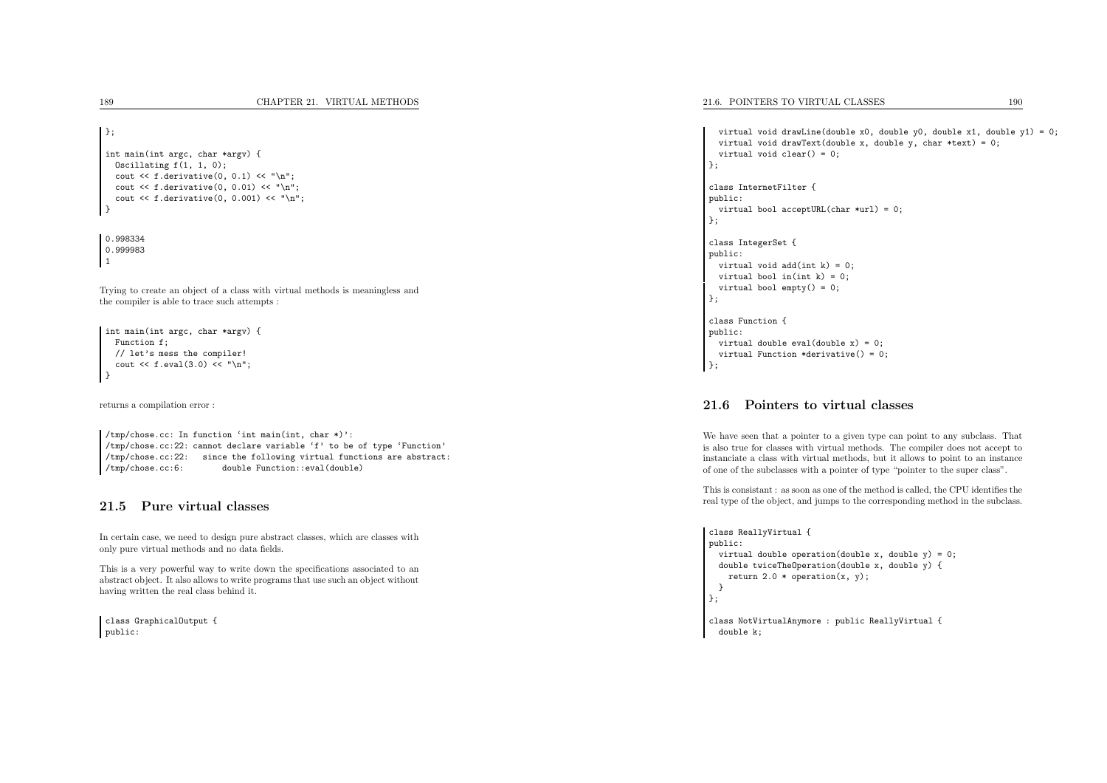};

```
int main(int argc, char *argv) {
  Oscillating f(1, 1, 0);
  cout \langle f \rangle f.derivative(0, 0.1) \langle f \rangle "\n";
  cout \leq f.derivative(0, 0.01) \leq \ "\n";
  cout \langle f.derivative(0, 0.001) \langle f'' \rangle;
}
```
0.998334 0.9999831

Trying to create an object of <sup>a</sup> class with virtual methods is meaningless andthe compiler is able to trace such attempts :

```
int main(int argc, char *argv) {
  Function f;
  // let's mess the compiler!
  cout \langle f. \text{eval}(3.0) \rangle \langle f \rangle";
}
```
returns <sup>a</sup> compilation error :

/tmp/chose.cc: In function 'int main(int, char \*)': /tmp/chose.cc:22: cannot declare variable 'f' to be of type 'Function' /tmp/chose.cc:22: since the following virtual functions are abstract: double Function::eval(double)

#### 21.5 Pure virtual classes

In certain case, we need to design pure abstract classes, which are classes withonly pure virtual methods and no data fields.

This is <sup>a</sup> very powerful way to write down the specifications associated to an abstract object. It also allows to write programs that use such an object withouthaving written the real class behind it.

class GraphicalOutput { public:

```
virtual void drawLine(double x0, double y0, double x1, double y1) = 0;
  virtual void drawText(double x, double y, char *text) = 0;
 virtual void clear() = 0;
};class InternetFilter {
public:
virtual bool acceptURL(char *url) = 0;
};class IntegerSet {
public:
virtual void add(int k) = 0;
 virtual bool in(int k) = 0;
 virtual bool empty() = 0;
};class Function {
public:
```

```

virtual double eval(double x) = 0;
  virtual Function *derivative() = 0;
};
```
### 21.6 Pointers to virtual classes

We have seen that <sup>a</sup> pointer to <sup>a</sup> <sup>g</sup>iven type can point to any subclass. That is also true for classes with virtual methods. The compiler does not accept to instanciate <sup>a</sup> class with virtual methods, but it allows to point to an instanceof one of the subclasses with <sup>a</sup> pointer of type "pointer to the super class".

This is consistant : as soon as one of the method is called, the CPU identifies the real type of the object, and jumps to the corresponding method in the subclass.

```
class ReallyVirtual {
public:
virtual double operation(double x, double y) = 0;
 double twiceTheOperation(double x, double y) {
   return 2.0 * operation(x, y);
 }
};
```
class NotVirtualAnymore : public ReallyVirtual { double k;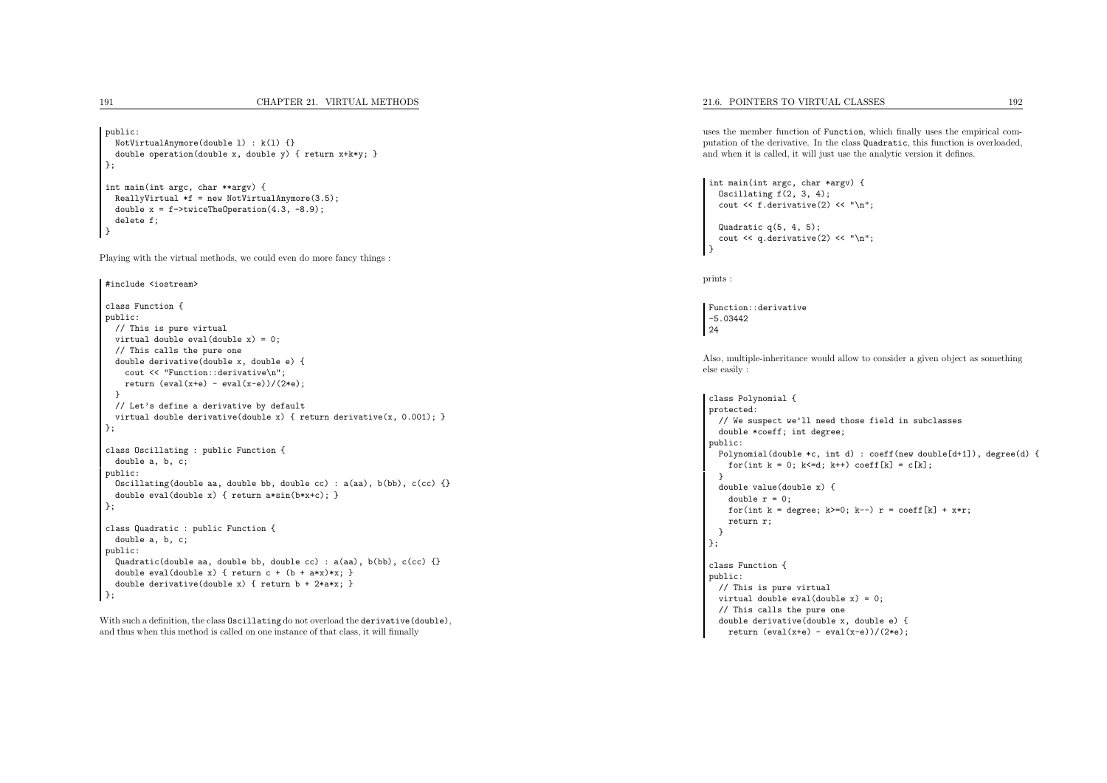```
public:
NotVirtualAnymore(double l) : k(l) {}
 double operation(double x, double y) { return x+ k*y; }
};
```

```
int main(int argc, char **argv) {
 ReallyVirtual *f = new NotVirtualAnymore(3.5);double x = f->twiceTheOperation(4.3, -8.9);
 delete f;
}
```
Playing with the virtual methods, we could even do more fancy things :

```
#include <iostream>
```

```
class Function {
public:
// This is pure virtual
  virtual double eval(double x) = 0;
  // This calls the pure one
  double derivative(double x, double e) {
   cout << "Function::derivative\n";
   return (eval(x+e) - eval(x-e))/(2*e);}
// Let's define a derivative by default
  virtual double derivative(double x) { return derivative(x, 0.001); }
};class Oscillating : public Function {
 double a, b, c;
public:
Oscillating(double aa, double bb, double cc) : a(aa), b(bb), c(cc) {}
 double eval(double x) { return a*sin(b*x+c); }
};class Quadratic : public Function {
 double a, b, c;
public:
Quadratic(double aa, double bb, double cc) : a(aa), b(bb), c(cc) {}
  double eval(double x) { return c + (b + a*x) *x; }
  double derivative(double x) { return b + 2*a*x; }
};
```
With such <sup>a</sup> definition, the class Oscillating do not overload the derivative(double), and thus when this method is called on one instance of that class, it will finnally

21.6. POINTERS TO VIRTUAL CLASSES 192

uses the member function of Function, which finally uses the empirical computation of the derivative. In the class Quadratic, this function is overloaded, and when it is called, it will just use the analytic version it defines.

```
int main(int argc, char *argv) {
  Oscillating f(2, 3, 4);
  cout \langle f \rangle f.derivative(2) \langle f \rangle "\n";
```

```
Quadratic q(5, 4, 5);
 cout \langle \cdot \rangle q.derivative(2) \langle \cdot \rangle "\n";
}
```
prints :

Function::derivative-5.0344224

Also, multiple-inheritance would allow to consider <sup>a</sup> <sup>g</sup>iven object as something else easily :

```
class Polynomial {
protected:
// We suspect we'll need those field in subclasses
  double *coeff; int degree;
public:
Polynomial(double *c, int d) : coeff(new double[d+1]), degree(d) {
   for(int k = 0; k \le d; k++) coeff[k] = c[k];
   }
double value(double x) {
   double r = 0:
    for(int k = degree; k>=0; k--) r = coeff[k] + x*r;
    return r;
  }
};class Function {
public:
// This is pure virtual
  virtual double eval(double x) = 0:
  // This calls the pure one
  double derivative(double x, double e) {
    return (eval(x+e) - eval(x-e))/(2*e);
```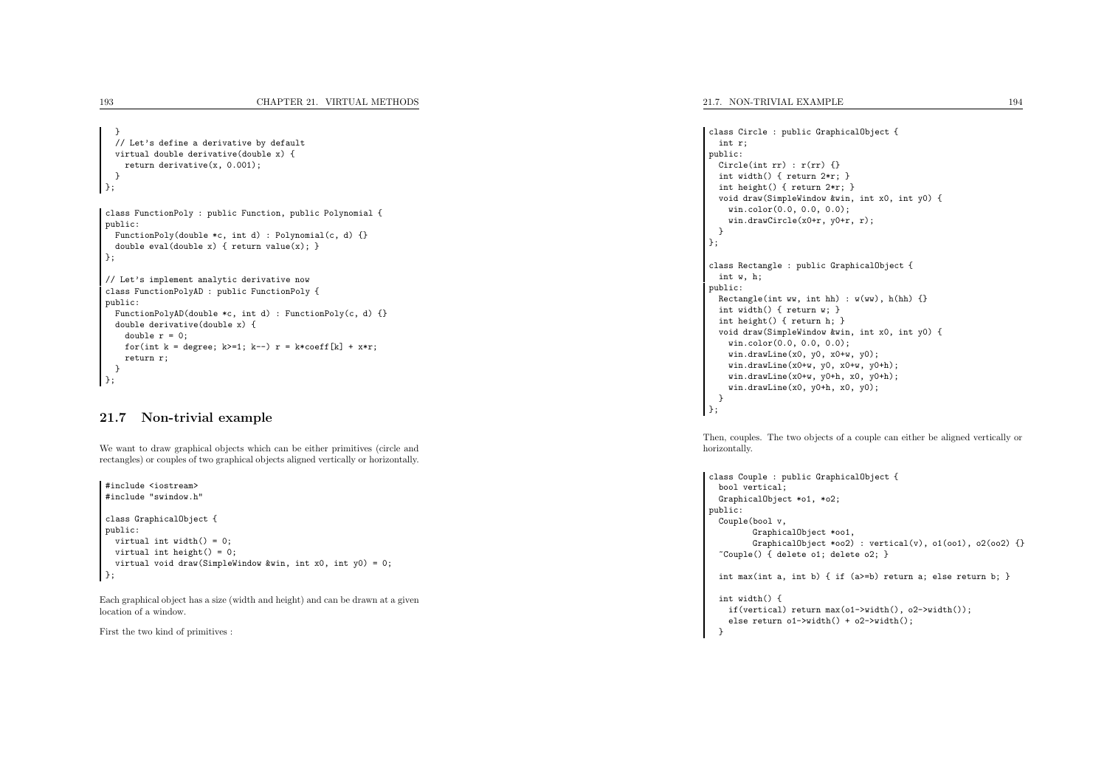```
}
// Let's define a derivative by default
 virtual double derivative(double x) {
  return derivative(x, 0.001);
}
};
```

```
class FunctionPoly : public Function, public Polynomial {
public:
FunctionPoly(double *c, int d) : Polynomial(c, d) {}
  double eval(double x) { return value(x); }
};// Let's implement analytic derivative now
class FunctionPolyAD : public FunctionPoly {
public:
FunctionPolyAD(double *c, int d) : FunctionPoly(c, d) {}
  double derivative(double x) {
    double r = 0:
    for(int k = degree; k>=1; k=-) r = k*coeff[k] + x*r;
    return r;
 }\};
```
#### 21.7 Non-trivial example

We want to draw graphical objects which can be either primitives (circle andrectangles) or couples of two graphical objects aligned vertically or horizontally.

```
#include <iostream>
#include "swindow.h"
class GraphicalObject {
public:
virtual int width() = 0;
  virtual int height() = 0;
  virtual void draw(SimpleWindow &win, int x0, int y0) = 0;
};
```
Each graphical object has <sup>a</sup> size (width and height) and can be drawn at <sup>a</sup> <sup>g</sup>ivenlocation of <sup>a</sup> window.

First the two kind of primitives :

```
class Circle : public GraphicalObject {
 int r;
public:Circle(int \; rr) : r(rr) \; {\{\}}int width() { return 2*r; }
  int height() { return 2*r; }
  void draw(SimpleWindow &win, int x0, int y0) {
   win.color(0.0, 0.0, 0.0);
   win.drawCircle(x0+r, y0+r, r);
 }
};class Rectangle : public GraphicalObject {
 int w, h;
public:
Rectangle(int ww, int hh) : w(ww), h(hh) {}
 int width() { return w; }
 int height() { return h; }
 void draw(SimpleWindow &win, int x0, int y0) {
   win.color(0.0, 0.0, 0.0);
   win.drawLine(x0, y0, x0+w, y0);
   win.drawLine(x0+w, y0, x0+w, y0+h);
   win.drawLine(x0+w, y0+h, x0, y0+h);
   win.drawLine(x0, y0+h, x0, y0);
 \overline{ }
};
```
Then, couples. The two objects of <sup>a</sup> couple can either be aligned vertically orhorizontally.

```
class Couple : public GraphicalObject {
 bool vertical;
 GraphicalObject *o1, *o2;
public:
Couple(bool v,
        GraphicalObject *oo1,
         GraphicalObject *oo2): vertical(v), 01(oo1), 02(oo2) {}
  ~Couple() { delete o1; delete o2; }
  int max(int a, int b) { if (a>=b) return a; else return b; }
  int width() {
   if(vertical) return max(o1->width(), o2->width());
    else return o1->width() + o2->width();
  }
```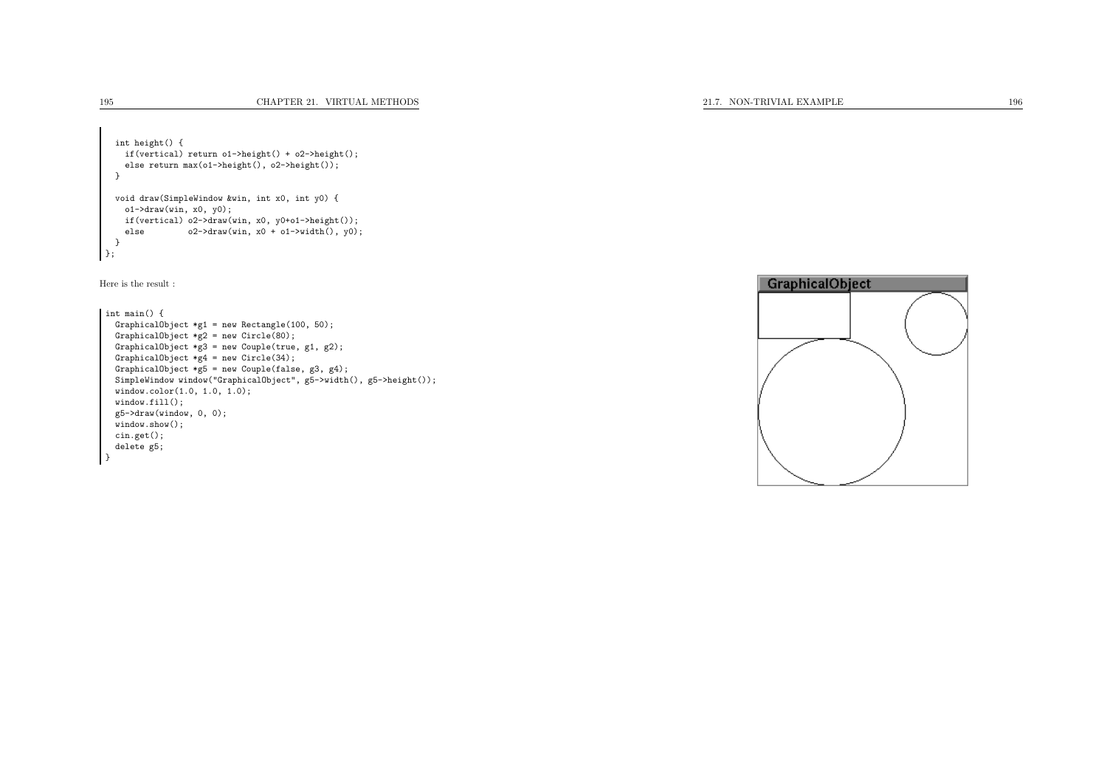```
21.7. NON-TRIVIAL EXAMPLE
```

```
int height() {
   if(vertical) return o1->height() + o2->height();
   else return max(o1->height(), o2->height());
}void draw(SimpleWindow &win, int x0, int y0) {
   o1->draw(win, x0, y0);
   if(vertical) o2->draw(win, x0, y0+o1->height());<br>else 		 o2->draw(win, x0 + o1->width(), y0)
                  o2->draw(win, x0 + o1->width(), y0);
}
};
```
Here is the result :

int main() { GraphicalObject \*g<sup>1</sup> <sup>=</sup> new Rectangle(100, 50); GraphicalObject  $*g2$  = new Circle(80); GraphicalObject \*g3 <sup>=</sup> new Couple(true, <sup>g</sup>1, <sup>g</sup>2); GraphicalObject  $*\cancel{g4}$  = new Circle(34); GraphicalObject \*g5 <sup>=</sup> new Couple(false, <sup>g</sup>3, <sup>g</sup>4); SimpleWindow window("GraphicalObject", <sup>g</sup>5->width(), <sup>g</sup>5->height()); window.color(1.0, 1.0, 1.0); window.fill(); <sup>g</sup>5->draw(window, 0, 0); window.show();cin.get(); delete <sup>g</sup>5; }

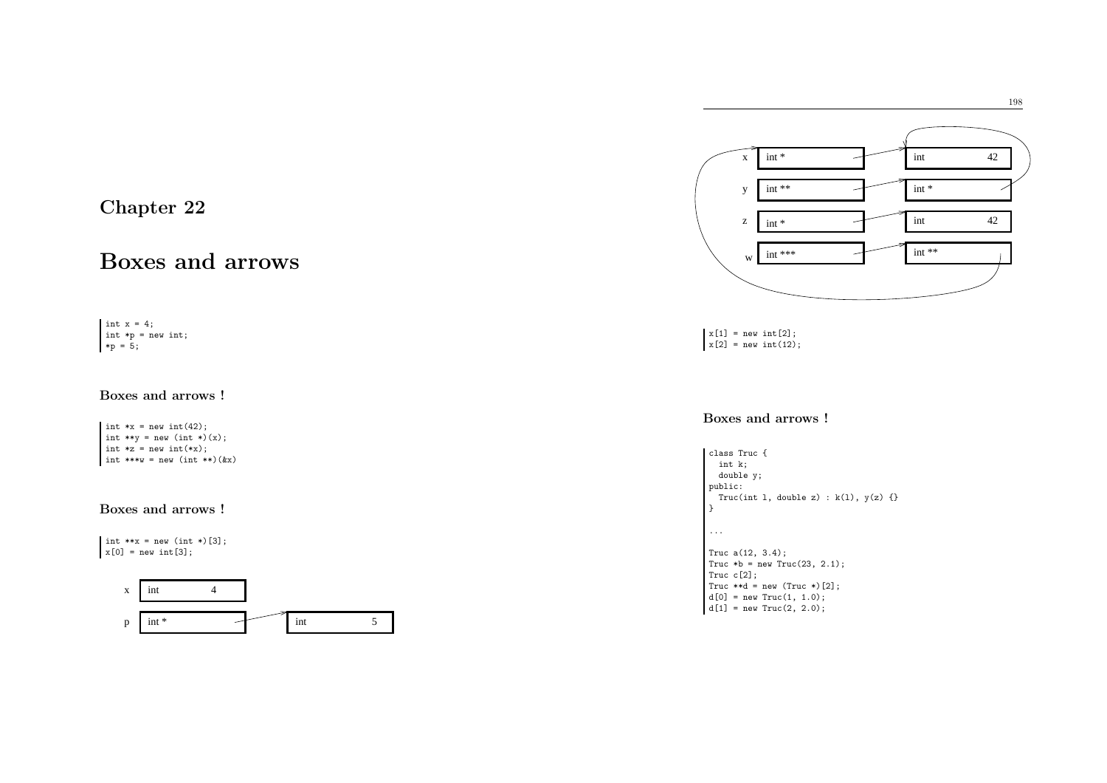

 $x[1]$  = new int $[2]$ ;  $x[2]$  = new int(12);

## Boxes and arrows !

class Truc { int k; double y; public: $True(int 1, double z) : k(1), y(z) \{\}$ }...Truc a(12, 3.4); Truc  $*b = new True(23, 2.1);$ Truc c[2]; Truc  $**d = new$  (Truc  $*)$ [2];  $d[0] = new True(1, 1.0);$  $d[1] = new True(2, 2.0);$ 

# Chapter <sup>22</sup>

# Boxes and arrows

int  $x = 4$ ; int \*p <sup>=</sup> new int;  $*p = 5;$ 

#### Boxes and arrows !

int  $*x = new int(42);$ int  $**y = new(int *) (x);$ int  $*z = new int(*x)$ ; int  $***w = new (int **)(kx)$ 

### Boxes and arrows !

int  $**x = new (int *)[3];$  $x[0] = new int[3];$ 

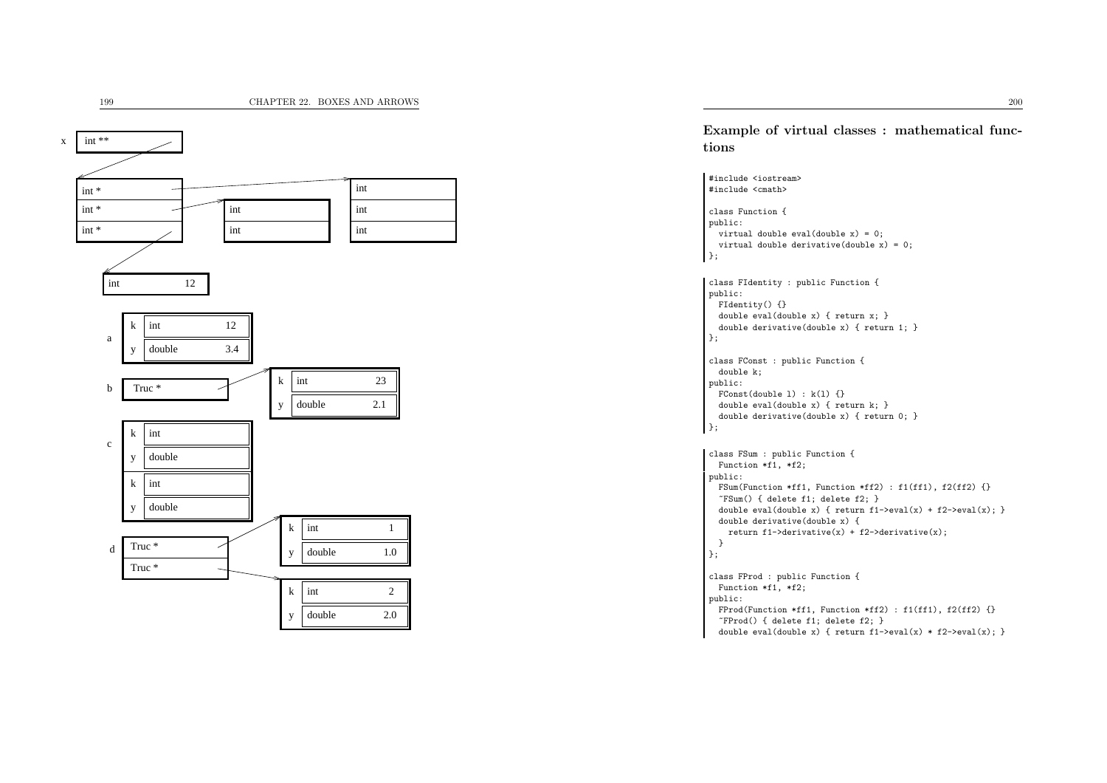

Example of virtual classes : mathematical functions

```
#include <iostream>
#include <cmath>
class Function {
public:
virtual double eval(double x) = 0;
  virtual double derivative(double x) = 0;
\rightarrow:
class FIdentity : public Function {
public:
FIdentity() {}
  double eval(double x) { return x; }
  double derivative(double x) { return 1; }
};class FConst : public Function {
  double k;
public:
FConst(double l) : k(l) {}
  double eval(double x) { return k; }
  double derivative(double x) { return 0; }
};class FSum : public Function {
 Function *f1, *f2;
public:
FSum(Function *ff1, Function *ff2) : f1(ff1), f2(ff2) {}
  ~FSum() { delete f1; delete f2; }
  double eval(double x) { return f1->eval(x) + f2->eval(x); }
  double derivative(double x) {
    return f1-\lambdaderivative(x) + f2-\lambdaderivative(x);
  }
};class FProd : public Function {
 Function *f1, *f2;
public:
FProd(Function *ff1, Function *ff2) : f1(ff1), f2(ff2) {}
```
double eval(double x) { return  $f1$ ->eval(x) \*  $f2$ ->eval(x); }

~FProd() { delete f1; delete f2; }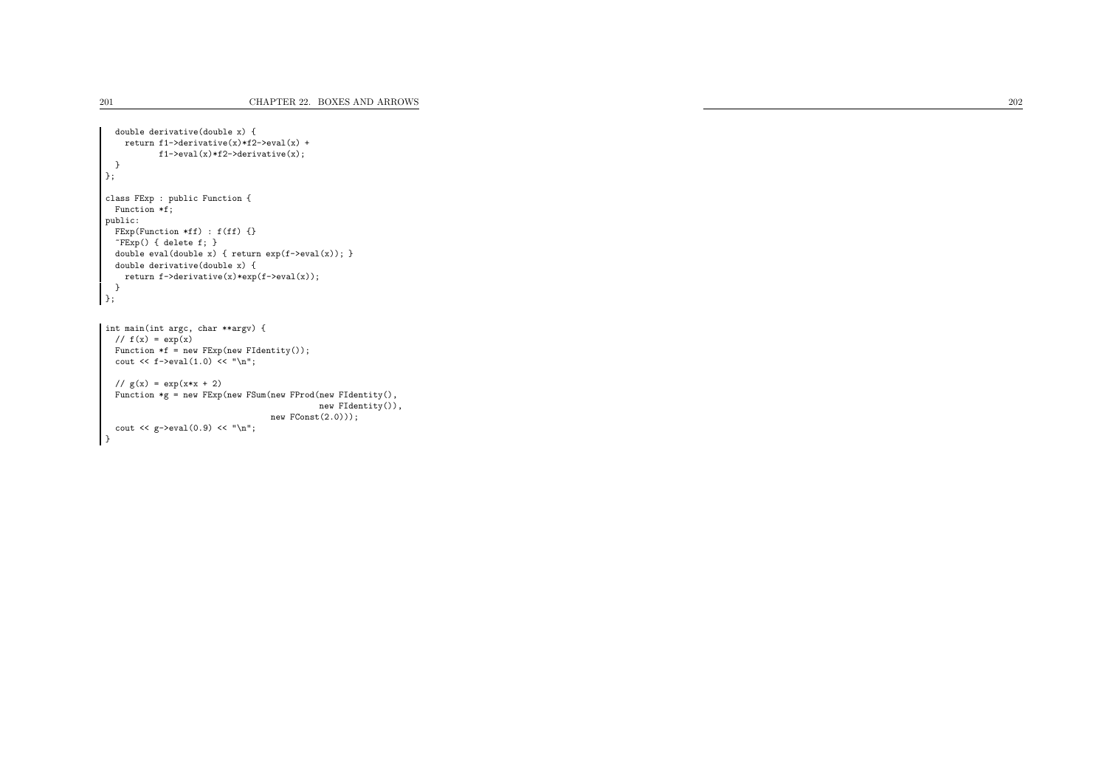```
double derivative(double x) {
   return f1->derivative(x)*f2->eval(x) +
          f1->eval(x)*f2->derivative(x);}
};class FExp : public Function {
 Function *f;
public:
FExp(Function *ff) : f(ff) {}
 ~FExp() { delete f; }
 double eval(double x) { return exp(f->eval(x)); }
 double derivative(double x) {
   return f->derivative(x)*exp(f->eval(x));
 }
};
```

```
int main(int argc, char **argv) {
  // f(x) = exp(x)Function *f = new FExp(new FIdentity());cout \langle f - \rangle = \text{eval}(1.0) \langle f - \rangle = \text{val}(1.0)// g(x) = exp(x*x + 2)Function *g = new FExp(new FSum(new FProd(new FIdentity(),
                                                        new FIdentity()),
                                           new FConst(2.0));
  cout \langle \xi \rangle g->eval(0.9) \langle \xi \rangle "\n";
د ا
```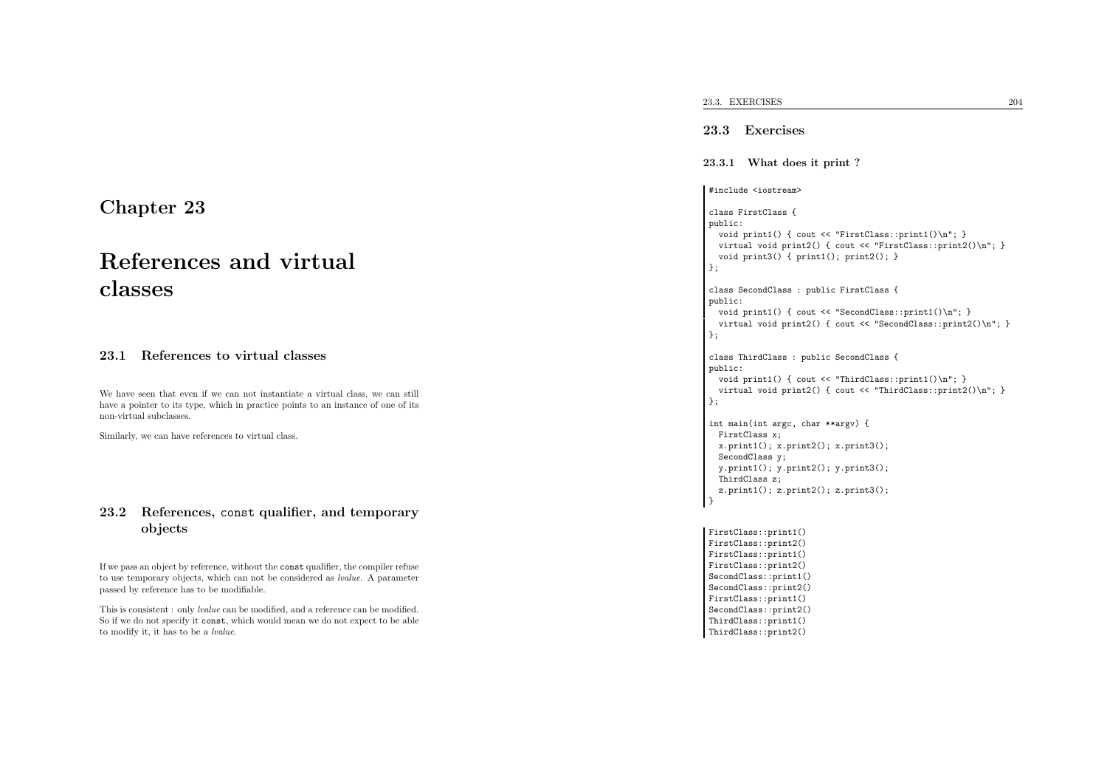## Chapter <sup>23</sup>

# References and virtual classes

### 23.1 References to virtual classes

We have seen that even if we can not instantiate <sup>a</sup> virtual class, we can still have <sup>a</sup> pointer to its type, which in practice points to an instance of one of itsnon-virtual subclasses.

Similarly, we can have references to virtual class.

## 23.2 References, const qualifier, and temporaryobjects

If we pass an object by reference, without the const qualifier, the compiler refuse to use temporary objects, which can not be considered as lvalue. <sup>A</sup> parameter passed by reference has to be modifiable.

This is consistent : only *lvalue* can be modified, and a reference can be modified. So if we do not specify it const, which would mean we do not expect to be ableto modify it, it has to be <sup>a</sup> lvalue.

#### 23.3 Exercises

23.3.1 What does it print ?

#include <iostream>

class FirstClass { public: void print1() { cout << "FirstClass::print1()\n"; } virtual void print2() { cout << "FirstClass::print2()\n"; } void print3() { print1(); print2(); } };class SecondClass : public FirstClass { public: void print1() { cout << "SecondClass::print1()\n"; } virtual void print2() { cout << "SecondClass::print2()\n"; } };class ThirdClass : public SecondClass { public: void print1() { cout << "ThirdClass::print1()\n"; } virtual void print2() { cout << "ThirdClass::print2()\n"; }

};

int main(int argc, char \*\*argv) { FirstClass x;  $x.print1()$ ;  $x.print2()$ ;  $x.print3()$ ; SecondClass y; y.print1(); y.print2(); y.print3(); ThirdClass z; z.print1(); z.print2(); z.print3(); | }

FirstClass::print1() FirstClass::print2() FirstClass::print1() FirstClass::print2() SecondClass::print1() SecondClass::print2() FirstClass::print1() SecondClass::print2()ThirdClass::print1()ThirdClass::print2()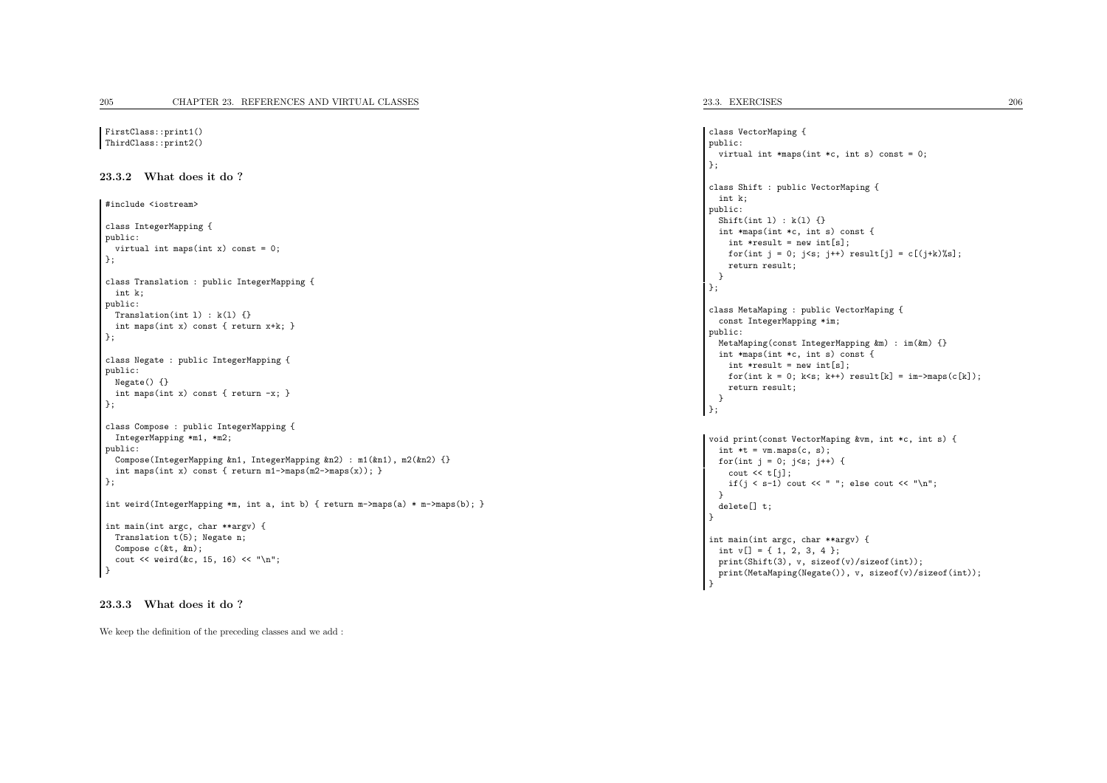FirstClass::print1()ThirdClass::print2()

23.3.2 What does it do ?

```
#include <iostream>
class IntegerMapping {
public:
virtual int maps(int x) const = 0;
};class Translation : public IntegerMapping {
 int k;
public:
Translation(int l) : k(l) {}
 int maps(int x) const { return x+k; }
};class Negate : public IntegerMapping {
public:
Negate() {}
 int maps(int x) const { return -x; }
};class Compose : public IntegerMapping {
 IntegerMapping *m1, *m2;
public:
Compose(IntegerMapping &n1, IntegerMapping &n2) : m1(&n1), m2(&n2) {}
 int maps(int x) const { return m1->maps(m2->maps(x)); }
};int weird(IntegerMapping *m, int a, int b) { return m->maps(a) *m->maps(b); }
int main(int argc, char **argv) {
 Translation t(5); Negate n;
  Compose c(&t, &n);
  cout \langle weird(\&c, 15, 16) \langle "\n";
}
```
#### 23.3.3 What does it do ?

We keep the definition of the preceding classes and we add :

23.3. EXERCISES

```
class VectorMaping {
public:
virtual int *maps(int *c, int s) const = 0;
};class Shift : public VectorMaping {
 int k;
public:
Shift(int l) : k(l) {}
 int *maps(int *c, int s) const {
  int *result = new int[s];
   for(int j = 0; j \leq s; j++) result[j] = c[(j+k)\%s];
   return result;
 }
};class MetaMaping : public VectorMaping {
const IntegerMapping *im;
public:
MetaMaping(const IntegerMapping &m) : im(&m) {}
 int *maps(int *c, int s) const {
   int *result = new int[s];
   for(int k = 0; k < s; k++) result [k] = im-\frac{m}{m} (c[k]);
   return result;
 \overline{ }
};void print(const VectorMaping &vm, int *c, int s) {
 int *t = ym overs(c, s);for(int j = 0; j \leq s; j++) {
   cout \lt\lt t[i];
   if(j < s-1) cout << " "; else cout << "\n";
 }
delete[] t;
}int main(int argc, char **argv) {
int v[] = \{ 1, 2, 3, 4 \};
 print(Shift(3), v, sizeof(v)/sizeof(int));
 print(MetaMaping(Negate()), v, sizeof(v)/sizeof(int));
}
```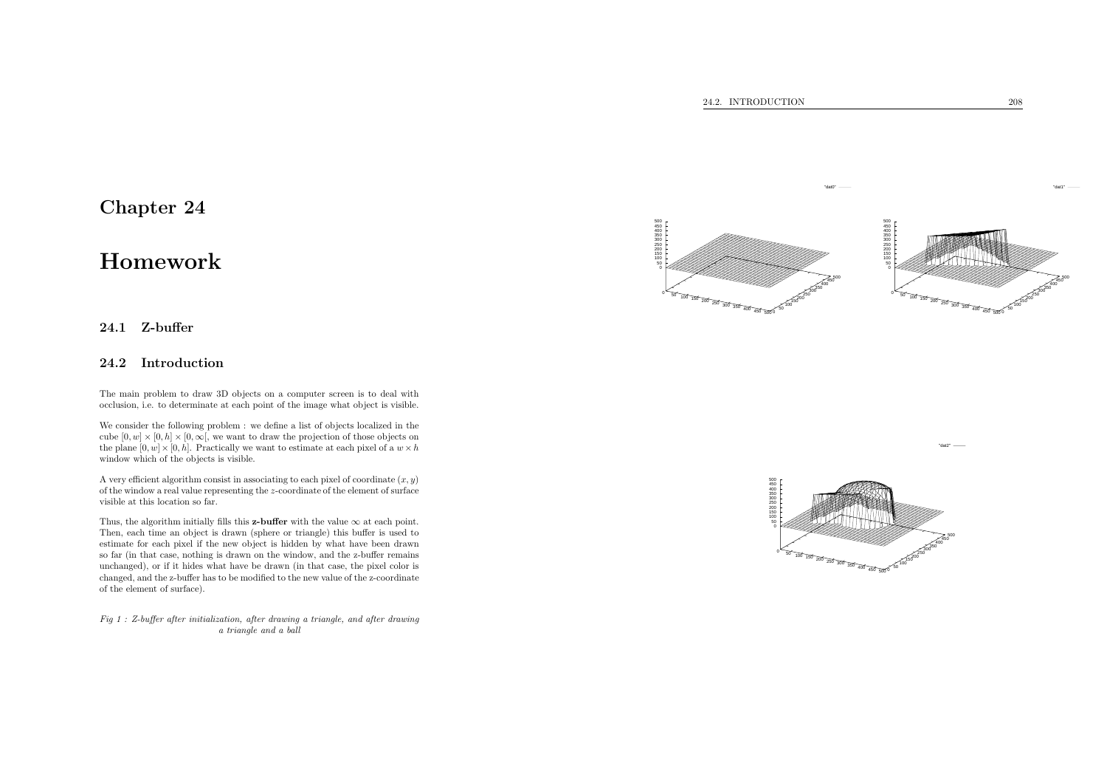

## Homework

Chapter <sup>24</sup>

## 24.1 Z-buffer

#### 24.2 Introduction

The main problem to draw 3D objects on <sup>a</sup> computer screen is to deal withocclusion, i.e. to determinate at each point of the image what object is visible.

We consider the following problem : we define <sup>a</sup> list of objects localized in thecube  $[0, w] \times [0, h] \times [0, \infty]$ , we want to draw the projection of those objects on the projection of those objects on the plane  $[0, w] \times [0, h]$ . Practically we want to estimate at each pixel of a  $w \times h$ window which of the objects is visible.

A very efficient algorithm consist in associating to each pixel of coordinate  $(x, y)$  of the window <sup>a</sup> real value representing the <sup>z</sup>-coordinate of the element of surface visible at this location so far.

Thus, the algorithm initially fills this **z-buffer** with the value  $\infty$ Thus, the algorithm initially fills this **z-buffer** with the value  $\infty$  at each point.<br>Then, each time an object is drawn (sphere or triangle) this buffer is used to estimate for each <sup>p</sup>ixel if the new object is hidden by what have been drawn so far (in that case, nothing is drawn on the window, and the z-buffer remains unchanged), or if it hides what have be drawn (in that case, the <sup>p</sup>ixel color is changed, and the z-buffer has to be modified to the new value of the z-coordinateof the element of surface).

Fig <sup>1</sup> : Z-buffer after initialization, after drawing <sup>a</sup> triangle, and after drawing<sup>a</sup> triangle and <sup>a</sup> ball





"dat2"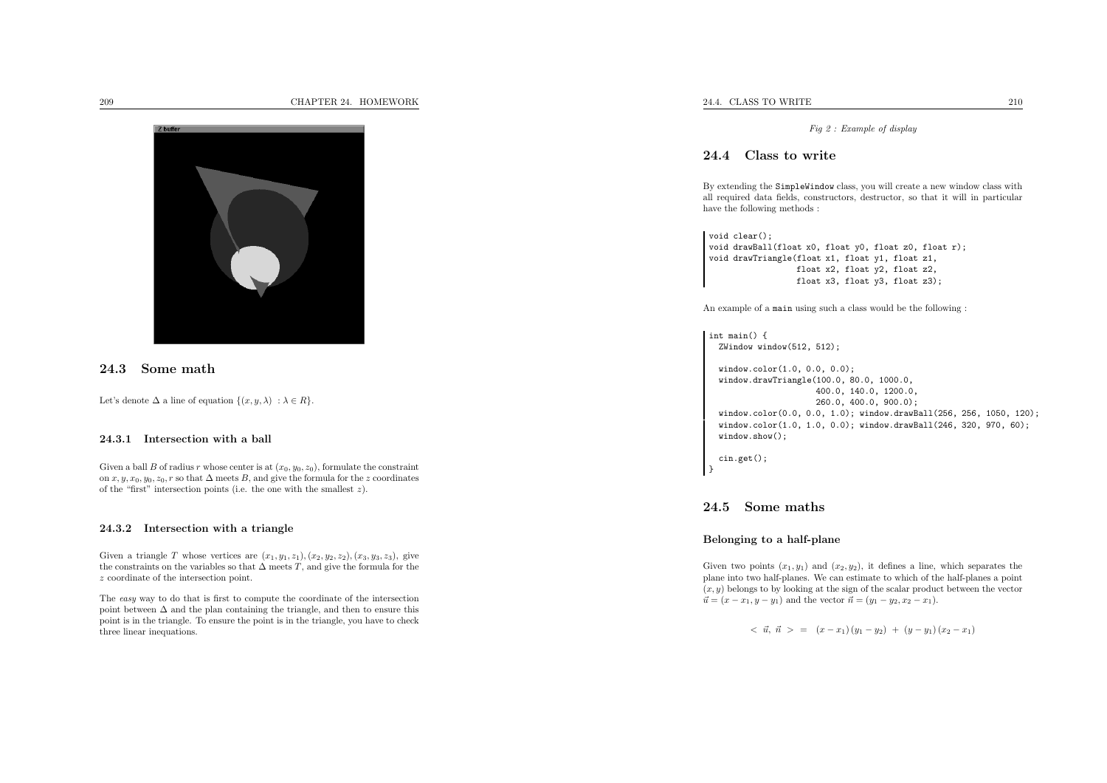

24.3 Some math

Let's denote  $\Delta$  a line of equation  $\{(x, y, \lambda) : \lambda \in R\}.$ 

#### 24.3.1 Intersection with <sup>a</sup> ball

Given a ball B of radius r whose center is at  $(x_0, y_0, z_0)$ , formulate the constraint on  $x, y, x_0, y_0, z_0, r$  so that  $\Delta$  meets  $B$ , and give the formula for the z coordinates of the "first" intersection points (i.e. the one with the smallest  $z$ ).

#### 24.3.2 Intersection with <sup>a</sup> triangle

Given a triangle T whose vertices are  $(x_1, y_1, z_1), (x_2, y_2, z_2), (x_3, y_3, z_3)$ , give the constraints on the variables so that  $\Delta$  meets T, and give the formula for the z coordinate of the intersection point.

The easy way to do that is first to compute the coordinate of the intersectionpoint between  $\Delta$  and the plan containing the triangle, and then to ensure this point is in the triangle. To ensure the point is in the triangle, you have to checkthree linear inequations.

#### 24.4 Class to write

By extending the SimpleWindow class, you will create <sup>a</sup> new window class with all required data fields, constructors, destructor, so that it will in particularhave the following methods :

void clear(); void drawBall(float x0, float <sup>y</sup>0, float z0, float r); void drawTriangle(float x1, float <sup>y</sup>1, float z1, float x2, float <sup>y</sup>2, float z2, float x3, float <sup>y</sup>3, float z3);

An example of <sup>a</sup> main using such <sup>a</sup> class would be the following :

int main() { ZWindow window(512, 512);

window.color(1.0, 0.0, 0.0); window.drawTriangle(100.0, 80.0, 1000.0, 400.0, 140.0, 1200.0, 260.0, 400.0, 900.0); window.color(0.0, 0.0, 1.0); window.drawBall(256, 256, 1050, 120); window.color(1.0, 1.0, 0.0); window.drawBall(246, 320, 970, 60); window.show();

cin.get();

}

### 24.5 Some maths

#### Belonging to <sup>a</sup> half-plane

Given two points  $(x_1, y_1)$  and  $(x_2, y_2)$ , it defines a line, which separates the <sup>p</sup>lane into two half-planes. We can estimate to which of the half-planes <sup>a</sup> point $(x, y)$  belongs to by looking at the sign of the scalar product between the vector  $\vec{u} = (x - x_1, y - y_1)$  and the vector  $\vec{n} = (y_1 - y_2, x_2 - x_1).$ 

 $\langle \vec{u}, \vec{n} \rangle = (x - x_1)(y_1 - y_2) + (y - y_1)(x_2 - x_1)$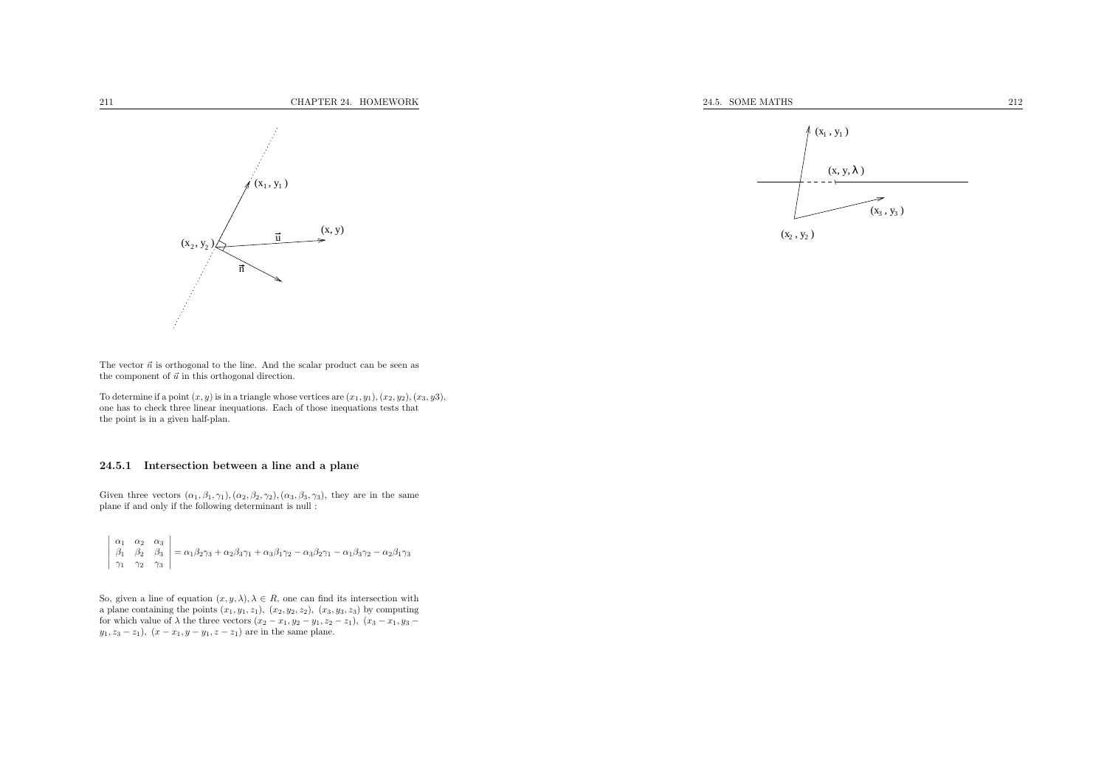





The vector  $\vec{n}$  is orthogonal to the line. And the scalar product can be seen as the component of  $\vec{u}$  in this orthogonal direction.

To determine if a point  $(x, y)$  is in a triangle whose vertices are  $(x_1, y_1), (x_2, y_2), (x_3, y3)$ , one has to check three linear inequations. Each of those inequations tests thatthe point is in <sup>a</sup> <sup>g</sup>iven half-plan.

#### 24.5.1 Intersection between <sup>a</sup> line and <sup>a</sup> <sup>p</sup>lane

Given three vectors  $(\alpha_1, \beta_1, \gamma_1), (\alpha_2, \beta_2, \gamma_2), (\alpha_3, \beta_3, \gamma_3)$ , they are in the same plane if and only if the following determinant is null :

 $\begin{vmatrix} \alpha_1 & \alpha_2 & \alpha_3 \\ \beta_1 & \beta_2 & \beta_3 \\ \gamma_1 & \gamma_2 & \gamma_3 \end{vmatrix} = \alpha_1 \beta_2 \gamma_3 + \alpha_2 \beta_3 \gamma_1 + \alpha_3 \beta_1 \gamma_2 - \alpha_3 \beta_2 \gamma_1 - \alpha_1 \beta_3 \gamma_2 - \alpha_2 \beta_1 \gamma_3$ 

So, given a line of equation  $(x, y, \lambda), \lambda \in R$ , one can find its intersection with a plane containing the points  $(x_1, y_1, z_1), (x_2, y_2, z_2), (x_3, y_3, z_3)$  by computing for which value of  $\lambda$  the three vectors  $(x_2 - x_1, y_2 - y_1, z_2 - z_1)$ ,  $(x_3 - x_1, y_3 - y_1, z_3 - z_1)$ ,  $(x - x_1, y - y_1, z - z_1)$  are in the same plane.  $(x - z_1), (x - x_1, y - y_1, z - z_1)$  are in the same plane.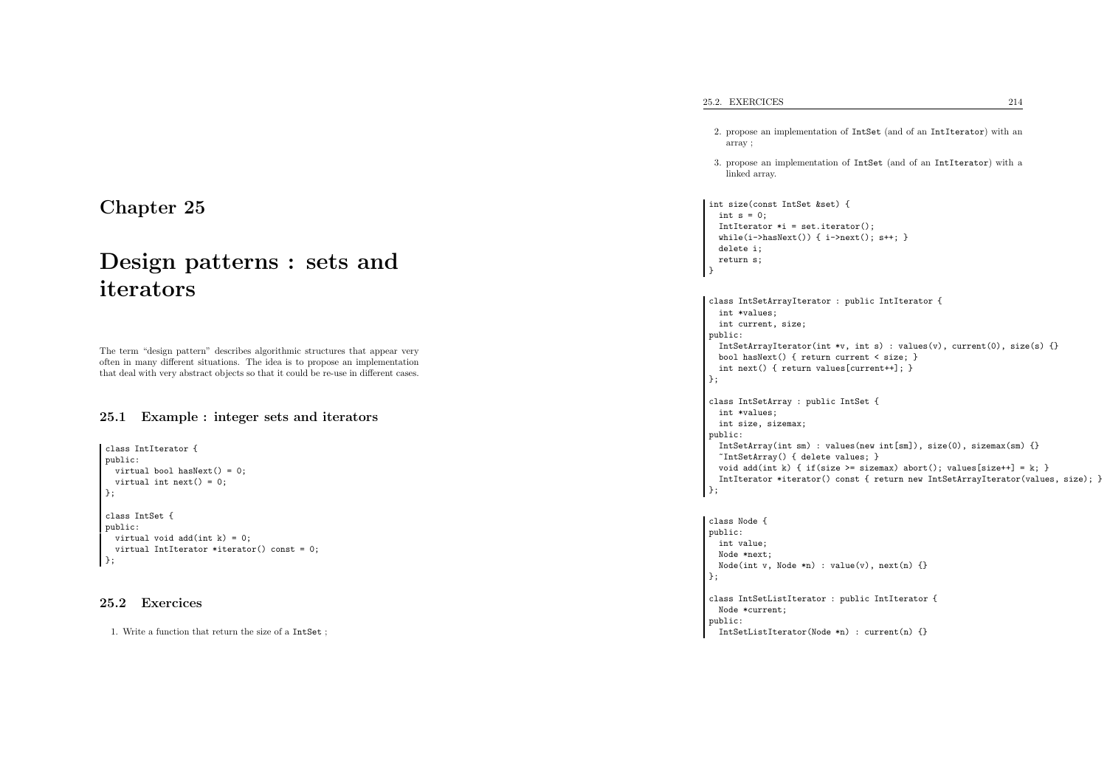| 25.2. EXERCICES                                                                                                                                                                                                                                                                                                                                                    | 214 |
|--------------------------------------------------------------------------------------------------------------------------------------------------------------------------------------------------------------------------------------------------------------------------------------------------------------------------------------------------------------------|-----|
| 2. propose an implementation of IntSet (and of an IntIterator) with an<br>array;                                                                                                                                                                                                                                                                                   |     |
| 3. propose an implementation of IntSet (and of an IntIterator) with a<br>linked array.                                                                                                                                                                                                                                                                             |     |
| int size(const IntSet &set) {<br>int $s = 0$ ;<br>$IntIterator *i = set.iterator();$<br>while(i->hasNext()) { $i$ ->next(); $s$ ++; }<br>delete i;<br>return s;<br>}                                                                                                                                                                                               |     |
| class IntSetArrayIterator : public IntIterator {<br>int *values;<br>int current, size;<br>public:<br>$IntSetArrayIterator(int *v, int s) : values(v), current(0), size(s) {}$<br>bool hasNext() { return current < size; }<br>int next() { return values [current++]; }<br>};                                                                                      |     |
| class IntSetArray : public IntSet {<br>int *values;<br>int size, sizemax;<br>public:<br>$IntSetArray(int sm) : values(new int[sm]), size(0), sizemax(sm) {}$<br>"IntSetArray() { delete values; }<br>void add(int k) { if(size >= sizemax) abort(); values[size++] = k; }<br>IntIterator *iterator() const { return new IntSetArrayIterator(values, size); }<br>}; |     |
| class Node {<br>public:<br>int value;<br>Node *next;<br>Node(int v, Node $*n)$ : value(v), next(n) {}<br>};                                                                                                                                                                                                                                                        |     |

class IntSetListIterator : public IntIterator {

IntSetListIterator(Node \*n) : current(n) {}

Node \*current;

public:

# Chapter <sup>25</sup>

# Design patterns : sets anditerators

The term "design pattern" describes algorithmic structures that appear very often in many different situations. The idea is to propose an implementationthat deal with very abstract objects so that it could be re-use in different cases.

## 25.1 Example : integer sets and iterators

```
class IntIterator {
public:
virtual bool hasNext() = 0;
 virtual int next() = 0;
};class IntSet {
public:
virtual void add(int k) = 0;
 virtual IntIterator *iterator() const = 0;
};
```
### 25.2 Exercices

1. Write <sup>a</sup> function that return the size of <sup>a</sup> IntSet ;

#### 25.2. EXERCICES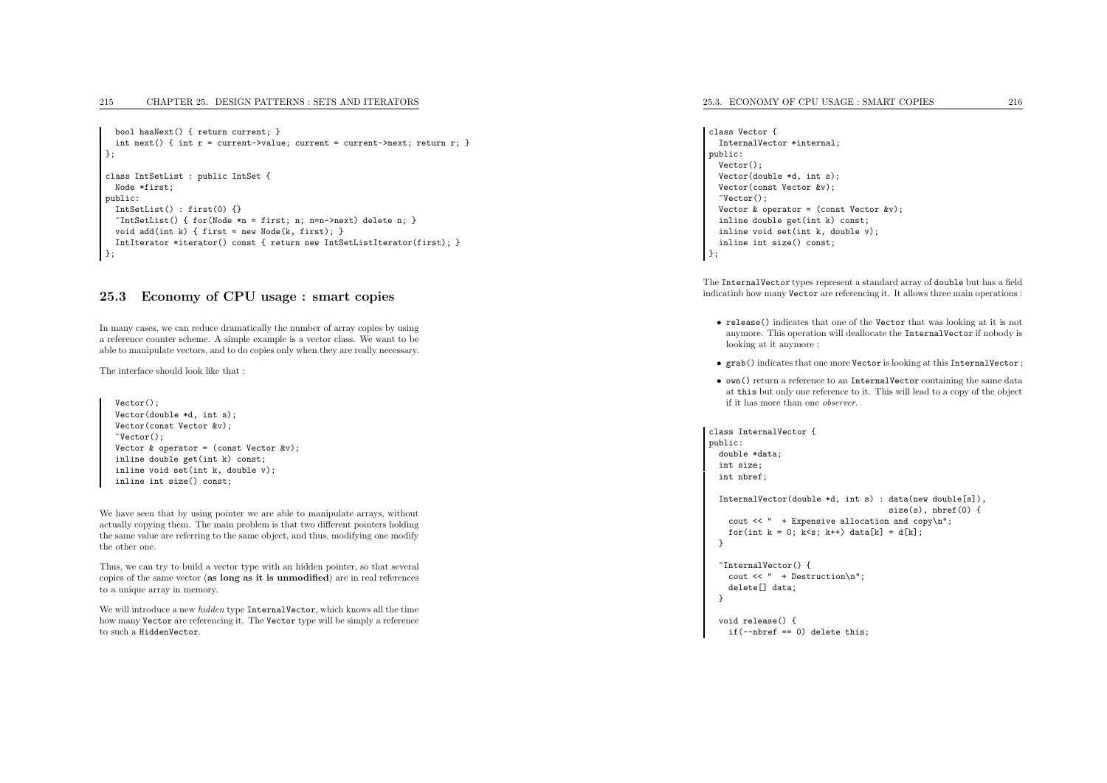#### <sup>215</sup> CHAPTER 25. DESIGN PATTERNS : SETS AND ITERATORS

```
bool hasNext() { return current; }
 int next() { int r = current->value; current = current->next; return r; }
};class IntSetList : public IntSet {
 Node *first;
public:
IntSetList() : first(0) {}
  ~IntSetList() { for(Node *n = first; n; n=n->next) delete n; }
 void add(int k) { first = new Node(k, first); }
 IntIterator *iterator() const { return new IntSetListIterator(first); }
};
```
#### 25.3 Economy of CPU usage : smart copies

In many cases, we can reduce dramatically the number of array copies by using <sup>a</sup> reference counter scheme. <sup>A</sup> simple example is <sup>a</sup> vector class. We want to beable to manipulate vectors, and to do copies only when they are really necessary.

The interface should look like that :

```
Vector();
Vector(double *d, int s);
Vector(const Vector &v);
\tilde{\text{vector}}();

Vector & operator = (const Vector &v);
inline double get(int k) const;
inline void set(int k, double v);
inline int size() const;
```
We have seen that by using pointer we are able to manipulate arrays, without actually copying them. The main problem is that two different pointers holding the same value are referring to the same object, and thus, modifying one modifythe other one.

Thus, we can try to build <sup>a</sup> vector type with an hidden pointer, so that several copies of the same vector (as long as it is unmodified) are in real referencesto <sup>a</sup> unique array in memory.

We will introduce a new *hidden* type InternalVector, which knows all the time how many Vector are referencing it. The Vector type will be simply <sup>a</sup> reference to such <sup>a</sup> HiddenVector.

```
class Vector {
  InternalVector *internal;
public:
Vector();
Vector(double *d, int s);
  Vector(const Vector &v);
   \tilde{\text{Vector}}():

Vector & operator = (const Vector &v);
  inline double get(int k) const;
  inline void set(int k, double v);
  inline int size() const;
};
```
The InternalVector types represent <sup>a</sup> standard array of double but has <sup>a</sup> fieldindicatinb how many Vector are referencing it. It allows three main operations :

- release() indicates that one of the Vector that was looking at it is not anymore. This operation will deallocate the InternalVector if nobody is looking at it anymore ;
- $\bullet\,$  grab ( ) indicates that one more <code>Vector</code> is looking at this <code>InternalVector</code> ;
- own() return <sup>a</sup> reference to an InternalVector containing the same data at this but only one reference to it. This will lead to <sup>a</sup> copy of the object if it has more than one observer.

```
class InternalVector {
public:
double *data;
 int size;
 int nbref;
  InternalVector(double *d, int s) : data(new double[s]),
                                     size(s), nbref(0) {
   cout \lt\lt' " + Expensive allocation and copy\n";
   for(int k = 0; k \le s; k++) data[k] = d[k];
  }~InternalVector() {
   cout << " + Destruction\n";
   delete[] data;
 }void release() {
   if(--nbref == 0) delete this;
```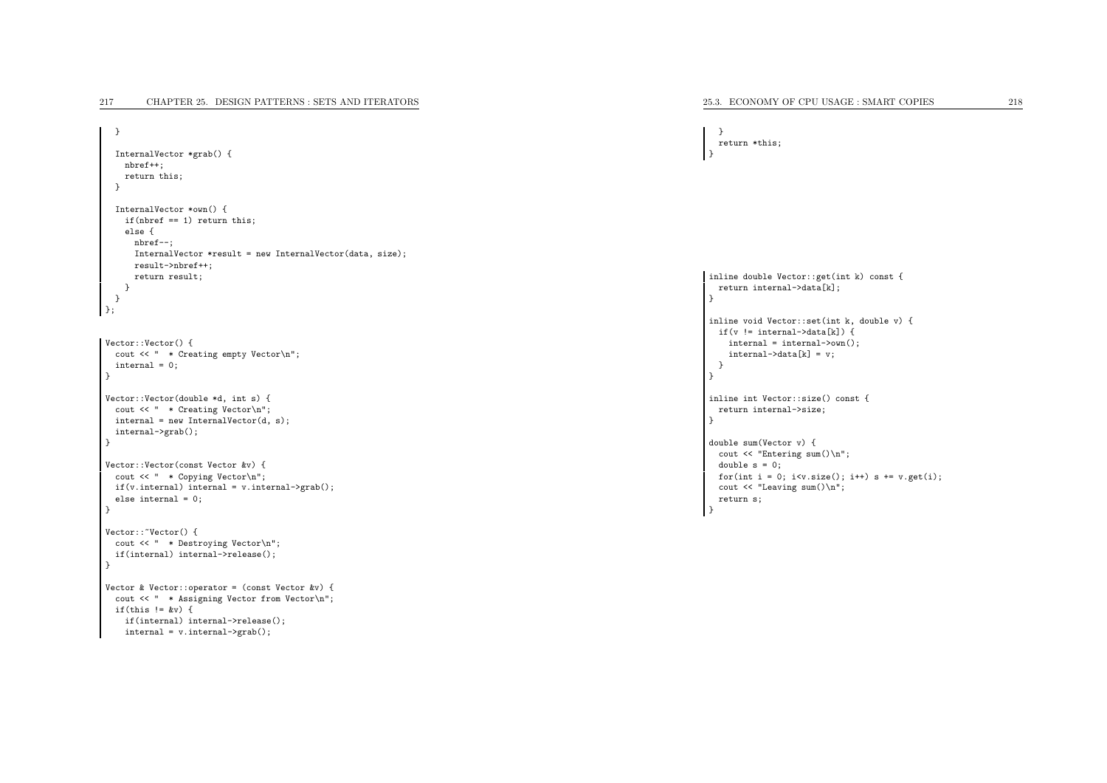```
}InternalVector *grab() {
   nbref++;
return this;
 }InternalVector *own() {
   if(nbref == 1) return this;
   else {
     nbref--;
InternalVector *result = new InternalVector(data, size);
     result->nbref++;return result;
   }}
};Vector::Vector() {
 cout << " * Creating empty Vector\n";
 internal = 0;
}Vector::Vector(double *d, int s) {
 cout << " * Creating Vector\n";
 interval = new InternalVector(d, s);internal->grab();}Vector::Vector(const Vector &v) {
 cout << " * Copying Vector\n";
 if(v.internal) internal = v.internal->grab();
 else internal = 0;
}Vector:: "Vector() {
 cout << " * Destroying Vector\n";
 if(internal) internal->release();
}Vector & Vector::operator = (const Vector &v) {
 cout << " * Assigning Vector from Vector\n";
 if(this != kv) {
   if(internal) internal->release();
   internal = v.internal->grab();
```
} return \*this; }

inline double Vector::get(int k) const { return internal->data[k]; }

inline void Vector::set(int k, double v) { if(v != internal->data[k]) { internal <sup>=</sup> internal->own(); internal->data[k] <sup>=</sup> v; }}

inline int Vector::size() const { return internal->size; }

 $\rightarrow$ 

double sum(Vector v) { cout << "Entering sum()\n"; double  $s = 0$ : for(int i = 0; i<v.size(); i++) s +=  $v.get(i)$ ; cout << "Leaving sum()\n"; return s;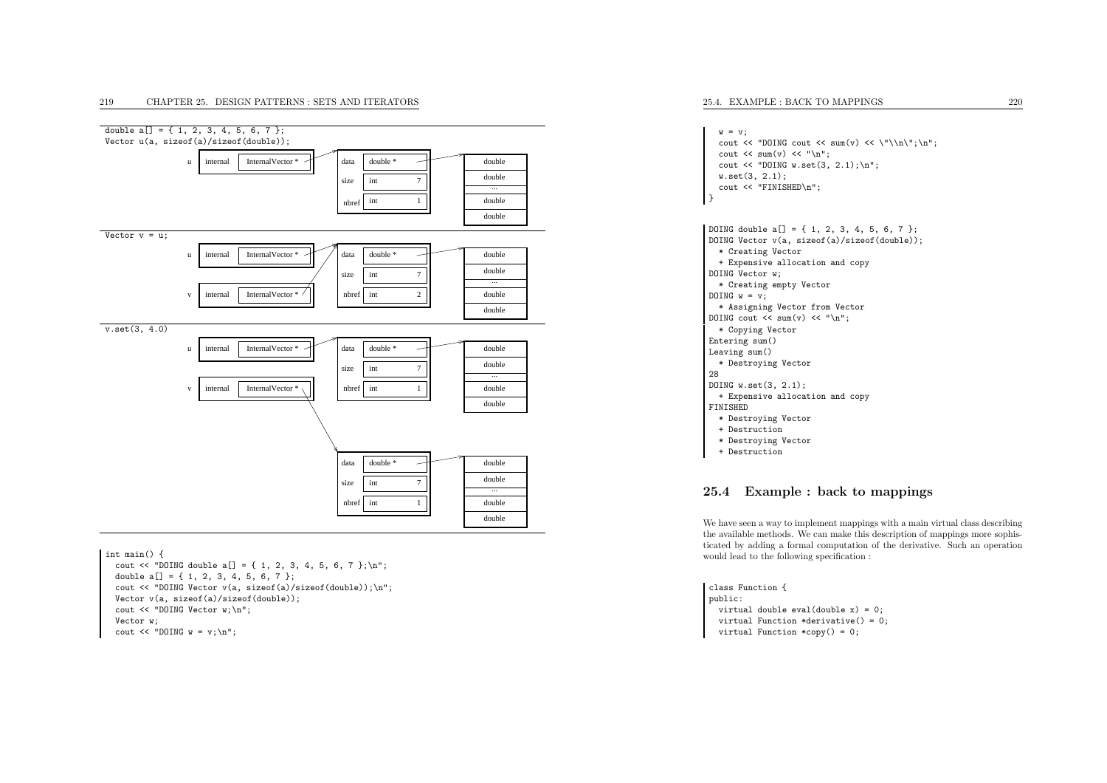#### <sup>219</sup> CHAPTER 25. DESIGN PATTERNS : SETS AND ITERATORS



int main() {

cout  $\langle$  "DOING double a[] = { 1, 2, 3, 4, 5, 6, 7 }; \n"; double  $a[] = \{ 1, 2, 3, 4, 5, 6, 7 \}$ ; cout << "DOING Vector v(a, sizeof(a)/sizeof(double));\n"; Vector v(a, sizeof(a)/sizeof(double)); cout << "DOING Vector w;\n"; Vector w; cout  $\langle$  "DOING w = v;\n";

#### 25.4. EXAMPLE : BACK TO MAPPINGS <sup>220</sup>

```
w = v;cout \langle "DOING cout \langle sum(v) \langle \"\\n\";\n";
 cout \langle \xi \rangle sum(v) \langle \xi \rangle "\n";
 cout \lt\lt "DOING w.set(3, 2.1):\n";
 w.set(3, 2.1);
 cout << "FINISHED\n";
}
```
DOING double a<sup>[]</sup> = { 1, 2, 3, 4, 5, 6, 7 }; DOING Vector v(a, sizeof(a)/sizeof(double)); \* Creating Vector + Expensive allocation and copy DOING Vector w; \* Creating empty Vector DOING  $w = v$ ; \* Assigning Vector from Vector DOING cout  $\langle \sin(\theta) \rangle \langle \sin(\theta) \sin(\theta)$ \* Copying Vector Entering sum() Leaving sum() \* Destroying Vector 28 DOING w.set(3, 2.1); + Expensive allocation and copy FINISHED \* Destroying Vector + Destruction \* Destroying Vector

#### + Destruction

#### 25.4 Example : back to mappings

We have seen <sup>a</sup> way to implement mappings with <sup>a</sup> main virtual class describing the available methods. We can make this description of mappings more sophisticated by adding <sup>a</sup> formal computation of the derivative. Such an operationwould lead to the following specification :

class Function { public: virtual double eval(double x) <sup>=</sup> 0; virtual Function \*derivative() <sup>=</sup> 0; virtual Function \*copy() <sup>=</sup> 0;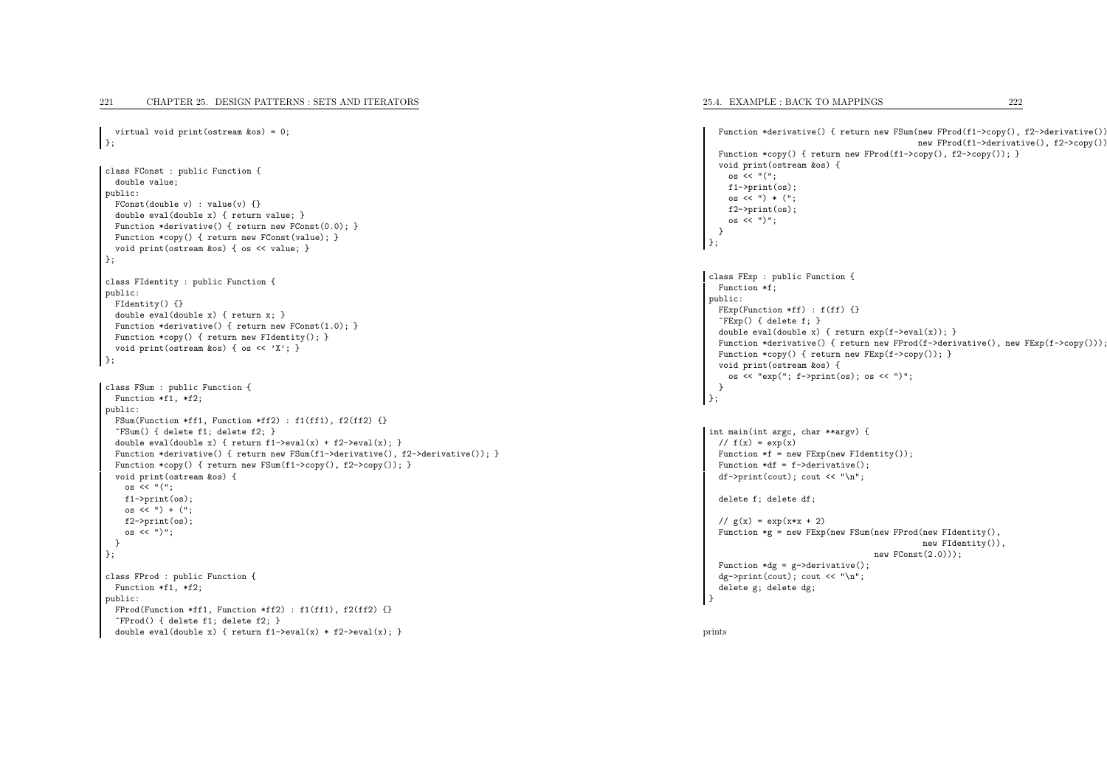```
virtual void print(ostream &os) = 0;
\};
```

```
class FConst : public Function {
 double value;
public:
FConst(double v) : value(v) {}
  double eval(double x) { return value; }
  Function *derivative() { return new FConst(0.0); }
 Function *copy() { return new FConst(value); }
 void print(ostream &os) { os << value; }
};class FIdentity : public Function {
public:
FIdentity() {}
 double eval(double x) { return x; }
  Function *derivative() { return new FConst(1.0); }
 Function *copy() { return new FIdentity(); }
 void print(ostream &os) { os << 'X'; }
};
```

```
class FSum : public Function {
 Function *f1, *f2;
public:
FSum(Function *ff1, Function *ff2) : f1(ff1), f2(ff2) {}
  ~FSum() { delete f1; delete f2; }
  double eval(double x) { return f1->eval(x) + f2->eval(x); }
  Function *derivative() { return new FSum(f1->derivative(), f2->derivative()); }
  Function *copy() { return new FSum(f1->copy(), f2->copy()); }
  void print(ostream &os) {
   \cos \left( 1 + \frac{1}{2} \right)f1->print(os);
os << ") + (";
   f2->print(os);os \leq ")";
 }
};class FProd : public Function {
 Function *f1, *f2;
public:
FProd(Function *ff1, Function *ff2) : f1(ff1), f2(ff2) {}
  ~FProd() { delete f1; delete f2; }
  double eval(double x) { return f1->eval(x) * f2->eval(x); }
```
25.4. EXAMPLE : BACK TO MAPPINGS <sup>222</sup>

```
Function *derivative() { return new FSum(new FProd(f1->copy(), f2->derivative())
                                             new FProd(f1->derivative(), f2->copy())
  Function *copy() { return new FProd(f1->copy(), f2->copy()); }
  void print(ostream &os) {
   os << "(";
   f1->print(os);
os << ") * (";
    f2->print(os);\cos \left( \left( < \ ^{n} \right) \right)";
 }
};class FExp : public Function {
 Function *f;
public:
FExp(Function *ff) : f(ff) {}
  ~FExp() { delete f; }
 double eval(double x) { return exp(f-\text{1}x); }
 Function *derivative() { return new FProd(f->derivative(), new FExp(f->copy()));
 Function *copy() { return new FExp(f-\text{copy}()); }
 void print(ostream &os) {
    os << "exp("; f->print(os); os << ")";
 }
};
```
int main(int argc, char \*\*argv) { //  $f(x) = exp(x)$ Function  $*f = new FExp(new FIdentity())$ ; Function  $*df = f-\lambda$ derivative(); df->print(cout); cout << "\n";

delete f; delete df;

```
1/\sqrt{g(x)} = \exp(x*x + 2)Function *g = new FExp(new FSum(new FProd(new FIdentity(),
                                           new FIdentity()),
                                new FConst(2.0)));
Function *dg = g->derivative();
dg->print(cout); cout << "\n";
delete g; delete dg;
```
prints

}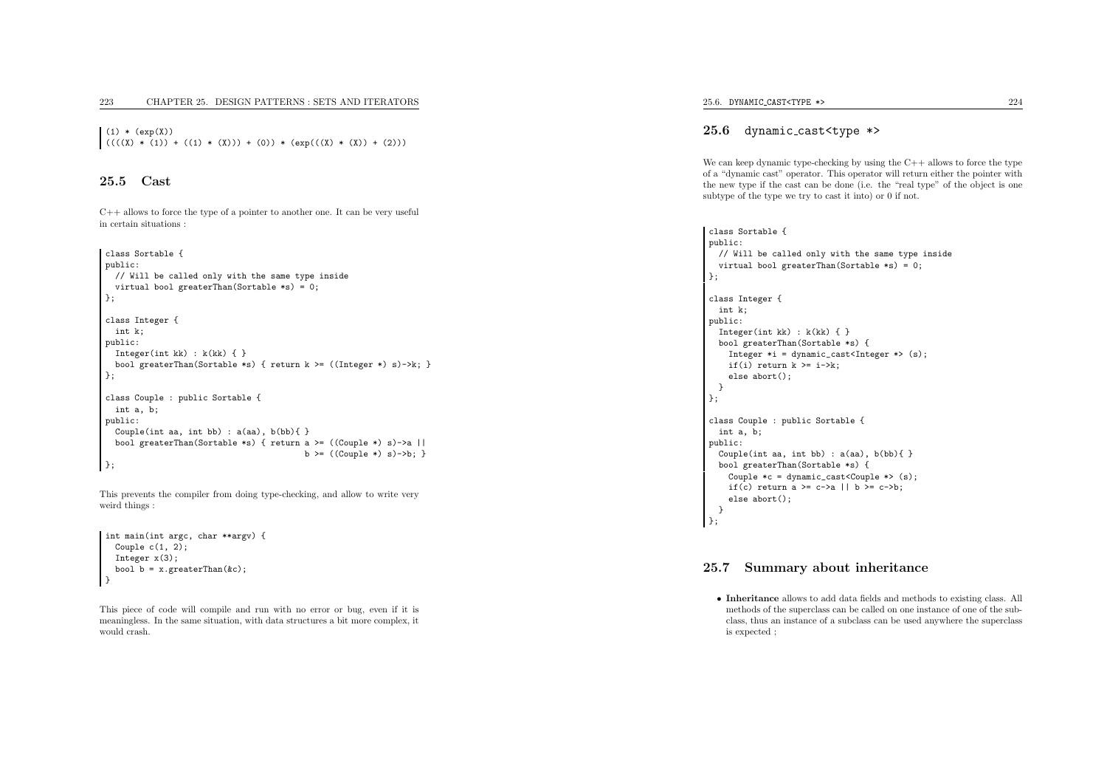$(1) * (exp(X))$  $((((X) * (1)) + ((1) * (X))) + (0)) * (exp(((X) * (X)) + (2)))$ 

#### 25.5 Cast

C++ allows to force the type of <sup>a</sup> pointer to another one. It can be very useful in certain situations :

```
class Sortable {
public:
// Will be called only with the same type inside
  virtual bool greaterThan(Sortable *s) = 0;
};class Integer {
 int k;
public:
Integer(int kk) : k(kk) { }
  bool greaterThan(Sortable *s) { return k >= ((Integer *) s)->k; }
};class Couple : public Sortable {
 int a, b;
public:
Couple(int aa, int bb) : a(aa), b(bb){ }
  bool greaterThan(Sortable *s) { return a >= ((Couple *) s)->a ||
                                         b \geq ((Couple *) s) ->b; )};
```
This prevents the compiler from doing type-checking, and allow to write veryweird things :

```
int main(int argc, char **argv) {
  Couple c(1, 2);
  Integer x(3);
  bool b = x.\text{greater}(\&c);
}
```
This <sup>p</sup>iece of code will compile and run with no error or bug, even if it is meaningless. In the same situation, with data structures <sup>a</sup> bit more complex, itwould crash.

## $25.6$  dynamic\_cast<type  $\ast$ >

We can keep dynamic type-checking by using the  $C++$  allows to force the type of <sup>a</sup> "dynamic cast" operator. This operator will return either the pointer with the new type if the cast can be done (i.e. the "real type" of the object is one subtype of the type we try to cast it into) or <sup>0</sup> if not.

```
class Sortable {
public:
// Will be called only with the same type inside
  virtual bool greaterThan(Sortable *s) = 0;
};class Integer {
 int k;
public:
Integer(int kk) : k(kk) { }
  bool greaterThan(Sortable *s) {
    Integer *i = dynamic_cast<Integer *> (s);
    if(i) return k \geq i \rightarrow k;
    else abort();
 }
};class Couple : public Sortable {
 int a, b;
public:
Couple(int aa, int bb) : a(aa), b(bb){ }
  bool greaterThan(Sortable *s) {
    Couple *c = dynamic\_cast \le Couple \gg (s);if(c) return a >= c->a || b >= c->b;
    else abort();
 }
};
```
#### 25.7 Summary about inheritance

• Inheritance allows to add data fields and methods to existing class. All methods of the superclass can be called on one instance of one of the subclass, thus an instance of <sup>a</sup> subclass can be used anywhere the superclass is expected ;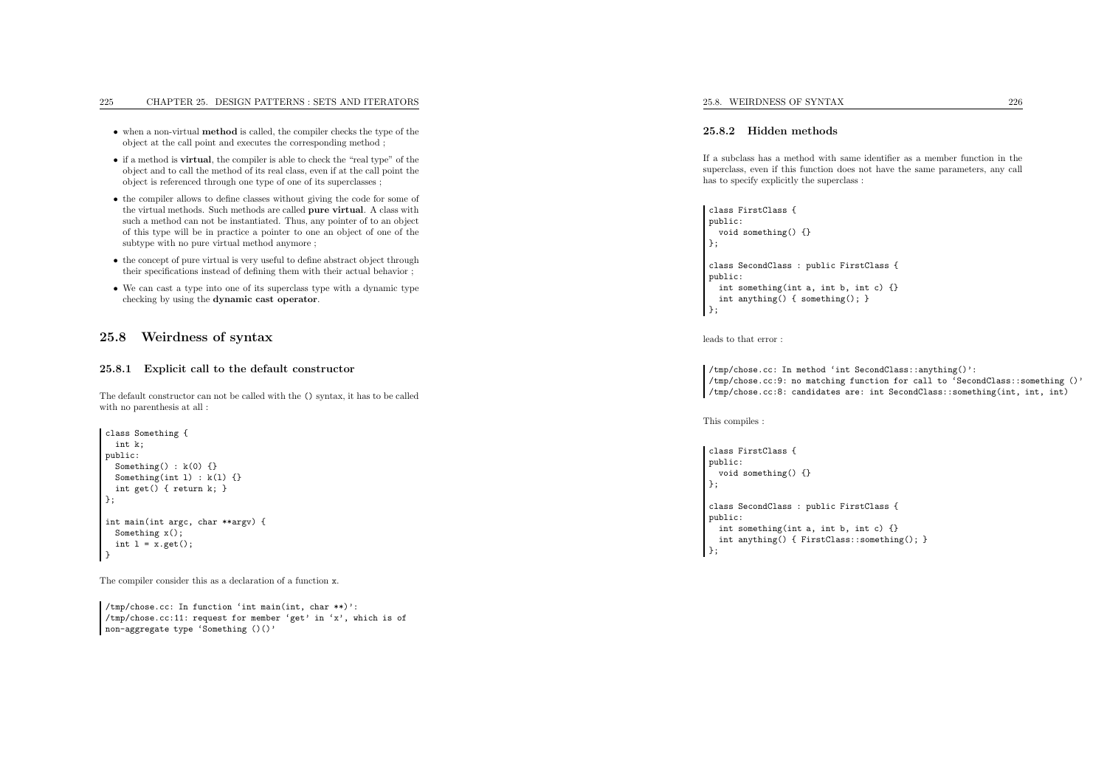- when <sup>a</sup> non-virtual method is called, the compiler checks the type of the object at the call point and executes the corresponding method ;
- if <sup>a</sup> method is virtual, the compiler is able to check the "real type" of the object and to call the method of its real class, even if at the call point theobject is referenced through one type of one of its superclasses ;
- the compiler allows to define classes without <sup>g</sup>iving the code for some of the virtual methods. Such methods are called **pure virtual**. A class with such <sup>a</sup> method can not be instantiated. Thus, any pointer of to an object of this type will be in practice <sup>a</sup> pointer to one an object of one of thesubtype with no pure virtual method anymore ;
- the concept of pure virtual is very useful to define abstract object throughtheir specifications instead of defining them with their actual behavior ;
- We can cast <sup>a</sup> type into one of its superclass type with <sup>a</sup> dynamic type checking by using the dynamic cast operator.

#### 25.8 Weirdness of syntax

#### 25.8.1 Explicit call to the default constructor

The default constructor can not be called with the () syntax, it has to be calledwith no parenthesis at all :

```
class Something {
 int k;
public:Something() : k(0) {}
 Something(int 1) : k(1) {}
 int get() { return k; }
};int main(int argc, char **argv) {
 Something x();
 int l = x.get();
}
```
The compiler consider this as <sup>a</sup> declaration of <sup>a</sup> function <sup>x</sup>.

/tmp/chose.cc: In function 'int main(int, char \*\*)': /tmp/chose.cc:11: reques<sup>t</sup> for member 'get' in 'x', which is of non-aggregate type 'Something ()()'

#### 25.8.2 Hidden methods

If <sup>a</sup> subclass has <sup>a</sup> method with same identifier as <sup>a</sup> member function in the superclass, even if this function does not have the same parameters, any call has to specify explicitly the superclass :

```
class FirstClass {
public:
void something() {}
};class SecondClass : public FirstClass {
public:
int something(int a, int b, int c) {}
  int anything() { something(); }
\};
```
leads to that error :

/tmp/chose.cc: In method 'int SecondClass::anything()': /tmp/chose.cc:9: no matching function for call to 'SecondClass::something ()' /tmp/chose.cc:8: candidates are: int SecondClass::something(int, int, int)

This compiles :

```
class FirstClass {
public:
void something() {}
};class SecondClass : public FirstClass {
public:
int something(int a, int b, int c) {}
  int anything() { FirstClass::something(); }
};
```
 $X$  226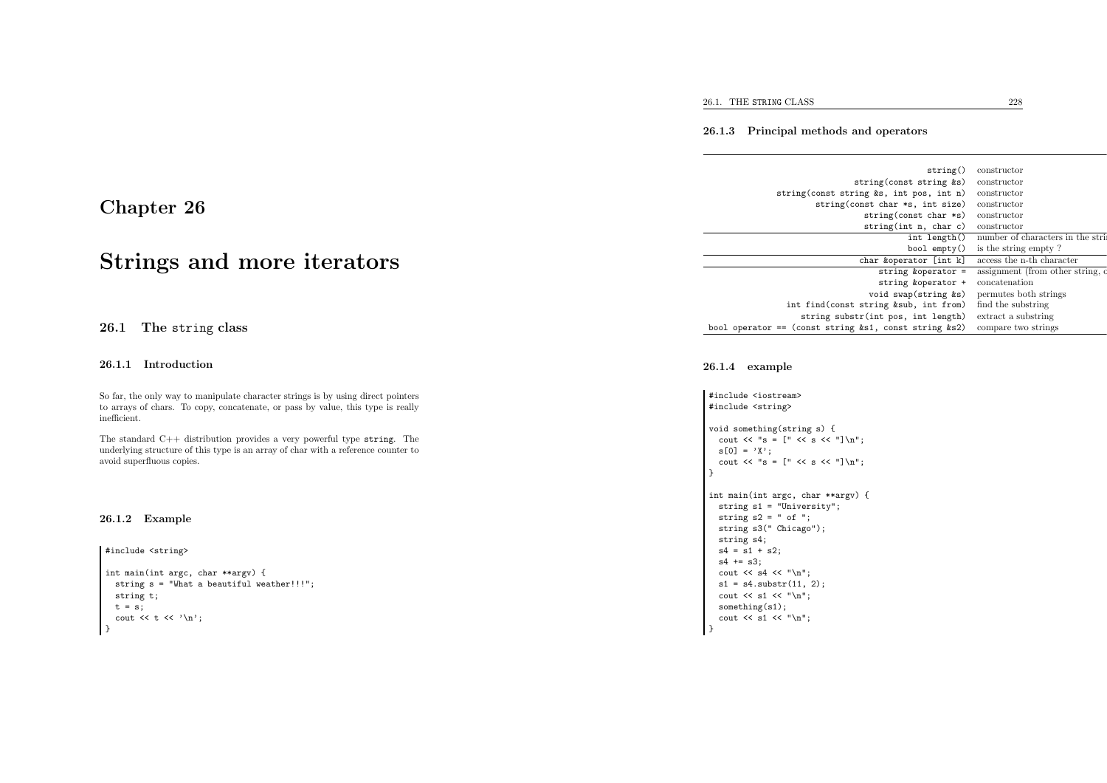#### 26.1. THE STRING CLASS 228

#### 26.1.3 Principal methods and operators

|      | string()                                                    | constructor                       |
|------|-------------------------------------------------------------|-----------------------------------|
|      | string(const string &s)                                     | constructor                       |
|      | string(const string &s, int pos, int n)                     | constructor                       |
|      | string(const char *s, int size)                             | constructor                       |
|      | string(const char $*s$ )                                    | constructor                       |
|      | string(int $n$ , char $c$ )                                 | constructor                       |
|      | int length()                                                | number of characters in the strip |
|      | bool empty()                                                | is the string empty?              |
| tors | char &operator [int k]                                      | access the n-th character         |
|      | string &operator =                                          | assignment (from other string, o  |
|      | string &operator +                                          | concatenation                     |
|      | void swap(string &s)                                        | permutes both strings             |
|      | int find(const string ⊂, int from)                          | find the substring                |
|      | string substr(int pos, int length)                          | extract a substring               |
|      | bool operator == (const string $ks1$ , const string $ks2$ ) | compare two strings               |
|      |                                                             |                                   |

#### 26.1.4 example

#include <iostream> #include <string>

void something(string s) { cout  $\langle \langle$  "s = ["  $\langle \langle$  s  $\langle$  "] $\langle$ n";  $s[0] = 'X'$ ; cout  $\langle \langle$  "s = ["  $\langle \langle$  s  $\langle$  "] $\langle$ n"; }

int main(int argc, char \*\*argv) { string s1 <sup>=</sup> "University"; string  $s2 = " of "$ ; string s3(" Chicago"); string s4;  $s4 = s1 + s2$ ;  $s4 \neq -s3;$ cout  $<< s4 << "\n";$  $s1 = s4$ .substr $(11, 2)$ ; cout  $\langle$  s1  $\langle$  " $\n\rangle$ n"; something(s1); cout  $\langle$  s1  $\langle$  " $\rangle$ n";

| ]

# Chapter <sup>26</sup>

# Strings and more iterat

## 26.1 The string class

#### 26.1.1 Introduction

So far, the only way to manipulate character strings is by using direct pointers to arrays of chars. To copy, concatenate, or pass by value, this type is reallyinefficient.

The standard C++ distribution provides <sup>a</sup> very powerful type string. The underlying structure of this type is an array of char with <sup>a</sup> reference counter toavoid superfluous copies.

#### 26.1.2 Example

#### #include <string>

```
int main(int argc, char **argv) {
   string s = "What a beautiful weather!!!";
   string t;
   t = s;cout \langle \langle t \rangle \langle t \rangle \langle \langle \rangle \langle t \rangle \rangle;
 }
```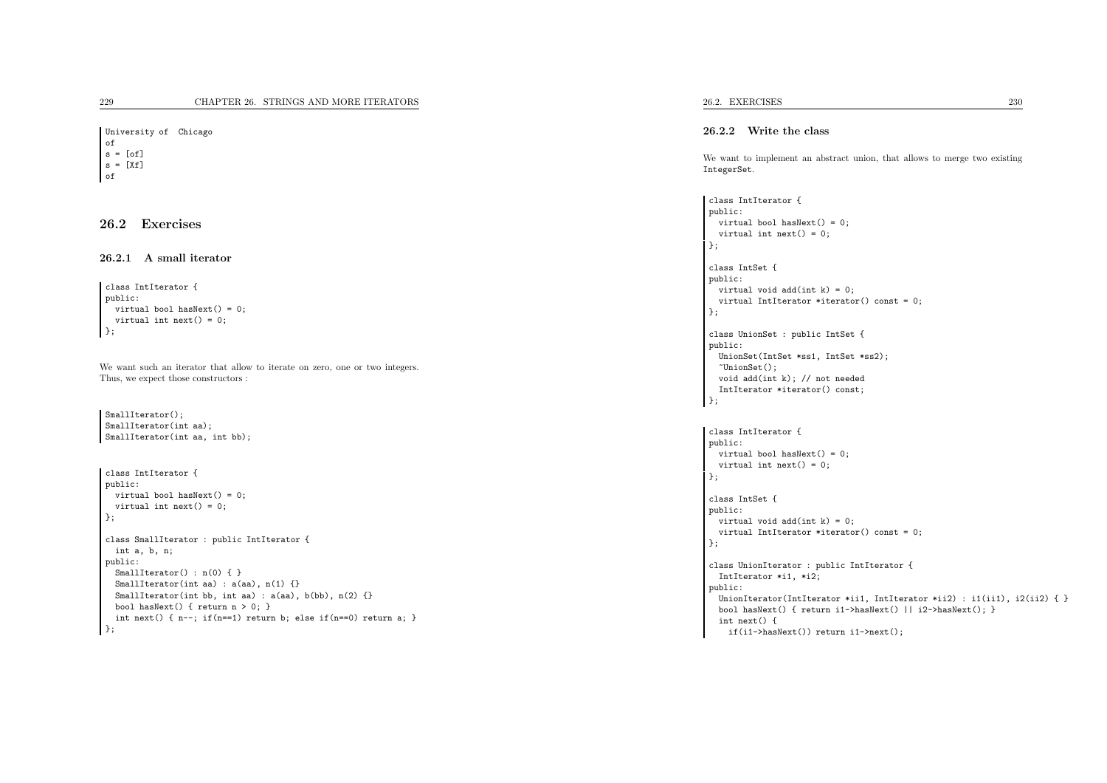University of Chicago of <sup>s</sup> <sup>=</sup> [of]  $s = \lceil x f \rceil$ of

### 26.2 Exercises

26.2.1 <sup>A</sup> small iterator

```
class IntIterator {
public:
virtual bool hasNext() = 0;
  virtual int next() = 0;
\};
```
We want such an iterator that allow to iterate on zero, one or two integers. Thus, we expect those constructors :

```
SmallIterator();

SmallIterator(int aa);
SmallIterator(int aa, int bb);
```

```
class IntIterator {
public:
virtual bool hasNext() = 0;
  virtual int next() = 0;
};class SmallIterator : public IntIterator {
 int a, b, n;
public:
SmallIterator() : n(0) { }
  SmallIterator(int aa) : a(aa), n(1) {}
  SmallIterator(int bb, int aa) : a(aa), b(bb), n(2) {}
  bool hasNext() { return n > 0; }
  int next() { n--; if(n==1) return b; else if(n==0) return a; }
\vert } ;
```
#### 26.2.2 Write the class

We want to implement an abstract union, that allows to merge two existingIntegerSet.

```
class IntIterator {
public:
virtual bool hasNext() = 0;
  virtual int next() = 0;
};class IntSet {
public:
virtual void add(int k) = 0;
  virtual IntIterator *iterator() const = 0;
};class UnionSet : public IntSet {
public:
UnionSet(IntSet *ss1, IntSet *ss2);
  ~UnionSet();
void add(int k); // not needed
  IntIterator *iterator() const;
};class IntIterator {
public:
virtual bool hasNext() = 0;
  virtual int next() = 0;
};class IntSet {
public:
virtual void add(int k) = 0;
  virtual IntIterator *iterator() const = 0;
};class UnionIterator : public IntIterator {
 IntIterator *i1, *i2;
public:UnionIterator(IntIterator *ii1, IntIterator *ii2) : i1(ii1), i2(ii2) { }
  bool hasNext() { return i1->hasNext() || i2->hasNext(); }
  int next() {
    if(i1->hasNext()) return i1->next();
```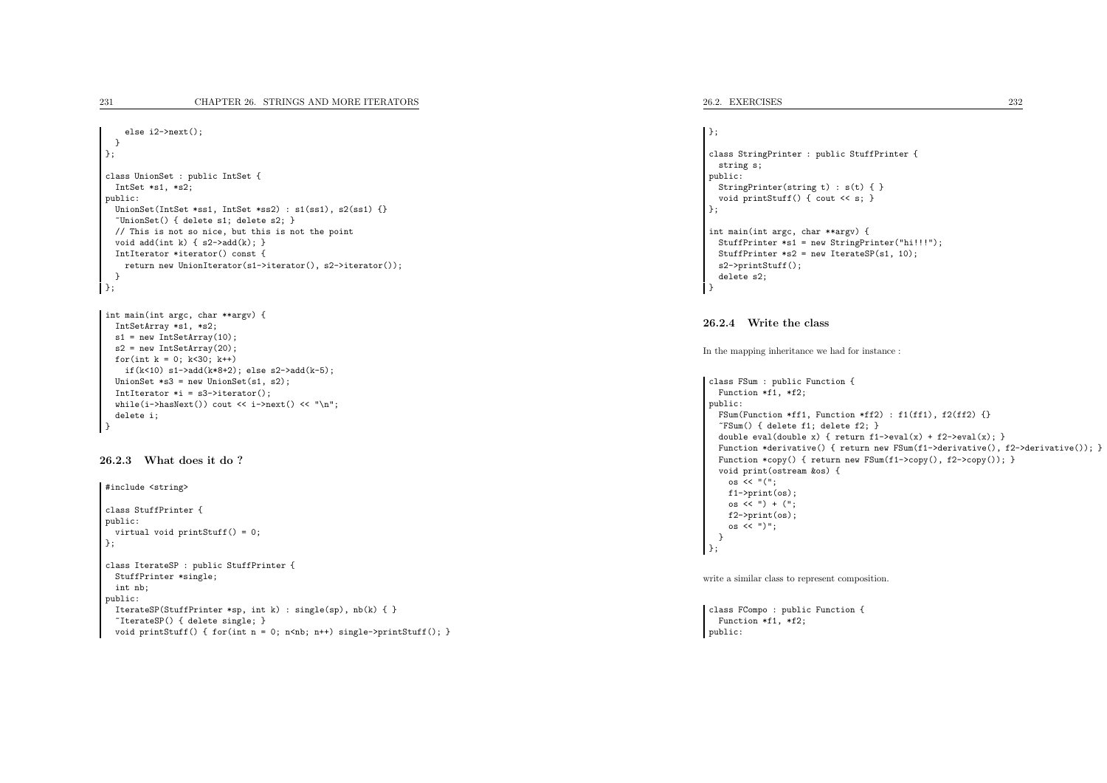```
else i2->next();
 }};class UnionSet : public IntSet {
 IntSet *s1, *s2;
public:
UnionSet(IntSet *ss1, IntSet *ss2) : s1(ss1), s2(ss1) {}
  ~UnionSet() { delete s1; delete s2; }
  // This is not so nice, but this is not the point
  void add(int k) \{ s2 \rightarrow add(k) : \}IntIterator *iterator() const {
   return new UnionIterator(s1->iterator(), s2->iterator());
  }
```

```

};
```

```
int main(int argc, char **argv) {
  IntSetArray *s1, *s2;
 s1 = new IntSetArray(10);
 s2 = new IntSetArray(20);
 for(int k = 0; k < 30; k++)if(k<10) s1->add(k*8+2); else s2->add(k-5);
  UnionSet *s3 = new UnionSet(s1, s2);
 IntIterator *i = s3->iterator();
 while(i->hasNext()) cout << i->next() << "\n";
  delete i;
}
```
#### 26.2.3 What does it do ?

```
#include <string>
```

```
class StuffPrinter {
public:
virtual void printStuff() = 0;
};class IterateSP : public StuffPrinter {
 StuffPrinter *single;
 int nb;
public:
IterateSP(StuffPrinter *sp, int k) : single(sp), nb(k) { }
  ~IterateSP() { delete single; }
  void printStuff() { for(int n = 0; n <nb; n ++) single->printStuff(); }
```
#### };

```
class StringPrinter : public StuffPrinter {
 string s;
public:
StringPrinter(string t) : s(t) { }
 void printStuff() { cout << s; }
};int main(int argc, char **argv) {
 StuffPrinter *s1 = new StringPrinter("hi!!!");
 StuffPrinter *s2 = new IterateSP(s1, 10);
 s2->printStuff();delete s2;
}
```
26.2.4 Write the class

In the mapping inheritance we had for instance :

```
class FSum : public Function {
 Function *f1, *f2;
public:
FSum(Function *ff1, Function *ff2) : f1(ff1), f2(ff2) {}
  ~FSum() { delete f1; delete f2; }
 double eval(double x) { return f1->eval(x) + f2->eval(x); }
 Function *derivative() { return new FSum(f1->derivative(), f2->derivative()); }
  Function *copy() { return new FSum(f1->copy(), f2->copy()); }
 void print(ostream &os) {
   \cos \left( \cos \left( \frac{\pi}{2} \right) \right)f1->print(os);
os << ") + (";
   f2->print(os);os << ")";
 }
};
```
write <sup>a</sup> similar class to represent composition.

class FCompo : public Function { Function \*f1, \*f2; public: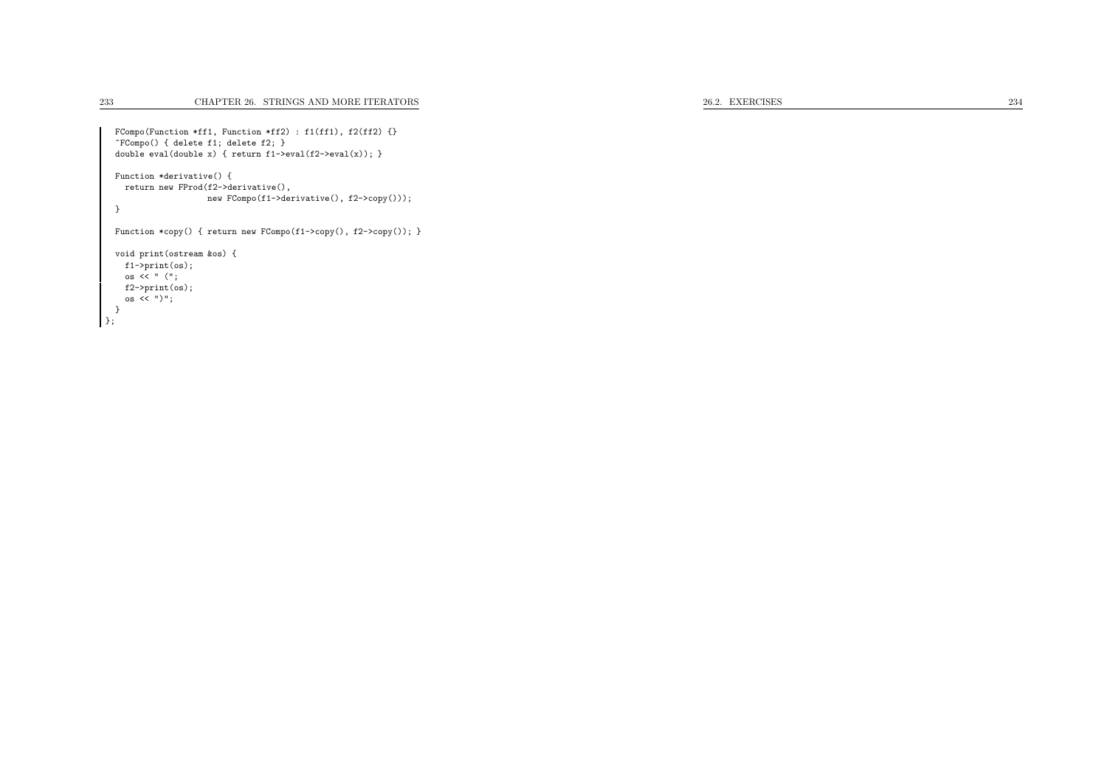```
FCompo(Function *ff1, Function *ff2) : f1(ff1), f2(ff2) {}
~FCompo() { delete f1; delete f2; }
double eval(double x) { return f1->eval(f2->eval(x)); }
Function *derivative() {
  return new FProd(f2->derivative(),
                    new FCompo(f1->derivative(), f2->copy()));
}Function *copy() { return new FCompo(f1->copy(), f2->copy()); }
void print(ostream &os) {
 f1->print(os);os << " (";
  f2->print(os);\cos \left( \cos \left( \cos \theta \right) \right)";
}
```
};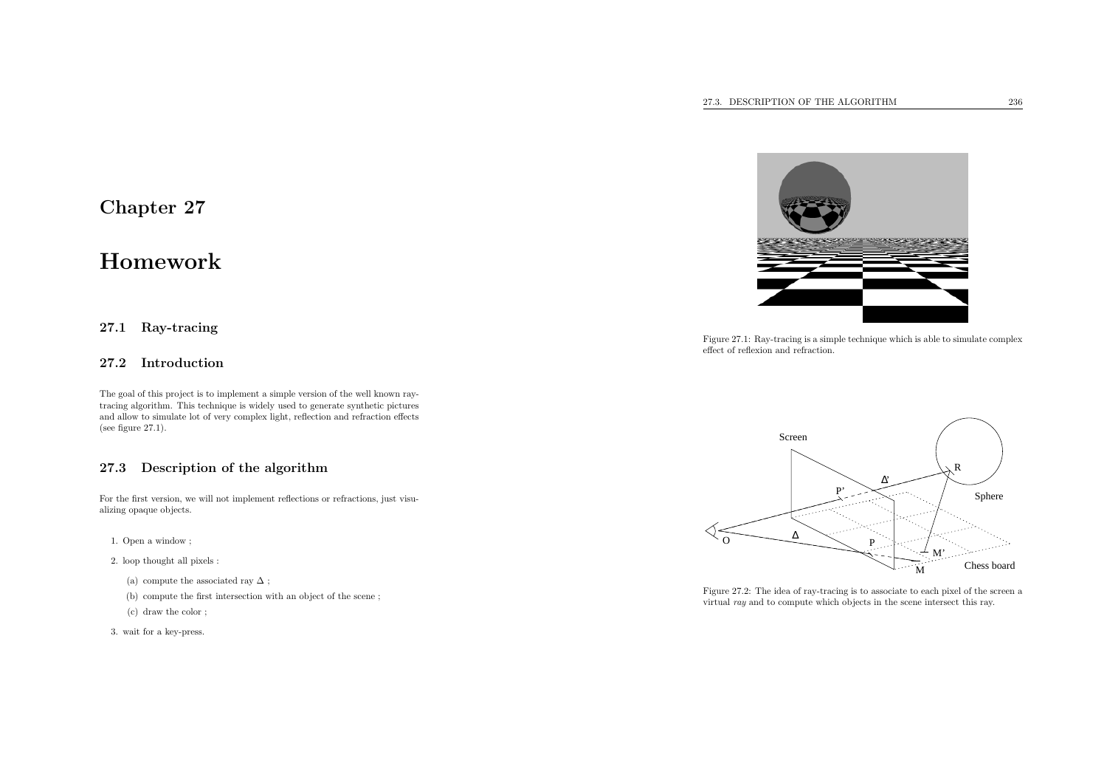# Homework

27.1 Ray-tracing

## 27.2 Introduction

The goa<sup>l</sup> of this project is to implement <sup>a</sup> simple version of the well known raytracing algorithm. This technique is widely used to generate synthetic <sup>p</sup>ictures and allow to simulate lot of very complex light, reflection and refraction effects(see figure 27.1).

## 27.3 Description of the algorithm

For the first version, we will not implement reflections or refractions, just visualizing opaque objects.

1. Open <sup>a</sup> window ;

2. loop thought all <sup>p</sup>ixels :

(a) compute the associated ray  $\Delta$ ;

(b) compute the first intersection with an object of the scene ;

(c) draw the color ;

3. wait for <sup>a</sup> key-press.

Figure 27.1: Ray-tracing is <sup>a</sup> simple technique which is able to simulate complexeffect of reflexion and refraction.



Figure 27.2: The idea of ray-tracing is to associate to each <sup>p</sup>ixel of the screen <sup>a</sup>virtual ray and to compute which objects in the scene intersect this ray.

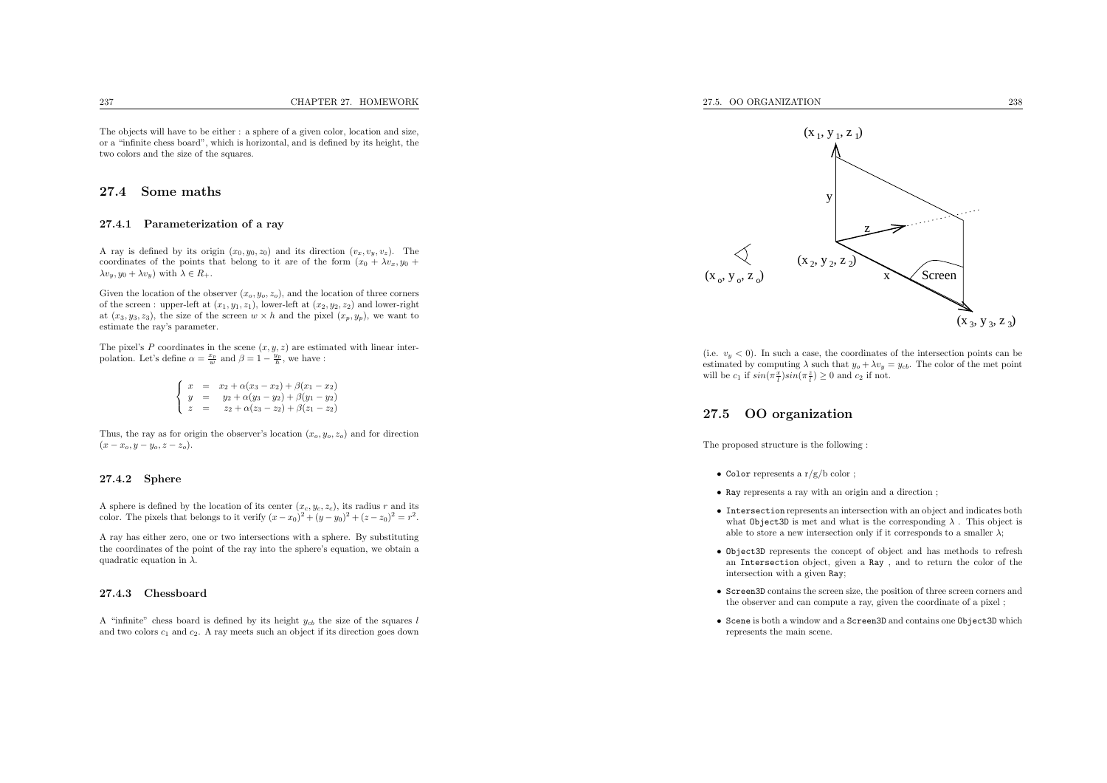The objects will have to be either : <sup>a</sup> sphere of <sup>a</sup> <sup>g</sup>iven color, location and size, or <sup>a</sup> "infinite chess board", which is horizontal, and is defined by its height, thetwo colors and the size of the squares.

#### 27.4 Some maths

#### 27.4.1 Parameterization of <sup>a</sup> ray

A ray is defined by its origin  $(x_0, y_0, z_0)$  and its direction  $(v_x, v_y, v_z)$ . The coordinates of the points that belong to it are of the form  $(x_0 + \lambda v_x, y_0 + \lambda v_x, y_0)$  $\lambda v_y, y_0 + \lambda v_y$ ) with  $\lambda \in R_+$ .

Given the location of the observer  $(x_o, y_o, z_o)$ , and the location of three corners of the screen : upper-left at  $(x_1, y_1, z_1)$ , lower-left at  $(x_2, y_2, z_2)$  and lower-right at  $(x_3, y_3, z_3)$ , the size of the screen  $w \times h$  and the pixel  $(x_p, y_p)$ , we want to estimate the ray's parameter.

The pixel's P coordinates in the scene  $(x, y, z)$  are estimated with linear interpolation. Let's define  $\alpha = \frac{x_p}{w}$  and  $\beta = 1 - \frac{y_p}{h}$ , we have :

$$
\begin{cases}\nx = x_2 + \alpha(x_3 - x_2) + \beta(x_1 - x_2) \\
y = y_2 + \alpha(y_3 - y_2) + \beta(y_1 - y_2) \\
z = z_2 + \alpha(z_3 - z_2) + \beta(z_1 - z_2)\n\end{cases}
$$

Thus, the ray as for origin the observer's location  $(x_o, y_o, z_o)$  and for direction  $(x - x_o, y - y_o, z - z_o).$ 

#### 27.4.2 Sphere

A sphere is defined by the location of its center  $(x_c, y_c, z_c)$ , its radius r and its color. The pixels that belongs to it verify  $(x - x_0)^2 + (y - y_0)^2 + (z - z_0)^2 = r^2$ .

<sup>A</sup> ray has either zero, one or two intersections with <sup>a</sup> sphere. By substituting the coordinates of the point of the ray into the sphere's equation, we obtain <sup>a</sup>quadratic equation in  $\lambda$ .

#### 27.4.3 Chessboard

A "infinite" chess board is defined by its height  $y_{cb}$  the size of the squares l and two colors  $c_1$  and  $c_2$ . A ray meets such an object if its direction goes down



(i.e.  $v_y < 0$ ). In such a case, the coordinates of the intersection points can be estimated by computing  $\lambda$  such that  $y_o + \lambda v_y = y_{cb}$ . The color of the met point will be  $c_1$  if  $sin(\pi \frac{x}{l}) sin(\pi \frac{z}{l}) \ge 0$  and  $c_2$  if not.

#### 27.5 OO organization

The proposed structure is the following :

- Color represents <sup>a</sup> r/g/b color ;
- Ray represents <sup>a</sup> ray with an origin and <sup>a</sup> direction ;
- Intersection represents an intersection with an object and indicates bothwhat  $\texttt{Object3D}$  is met and what is the corresponding  $\lambda$ . This object is able to store a new intersection only if it corresponds to a smaller  $\lambda$ ;
- Object3D represents the concept of object and has methods to refresh an Intersection object, <sup>g</sup>iven <sup>a</sup> Ray , and to return the color of the intersection with <sup>a</sup> <sup>g</sup>iven Ray;
- Screen3D contains the screen size, the position of three screen corners andthe observer and can compute <sup>a</sup> ray, <sup>g</sup>iven the coordinate of <sup>a</sup> <sup>p</sup>ixel ;
- Scene is both <sup>a</sup> window and <sup>a</sup> Screen3D and contains one Object3D whichrepresents the main scene.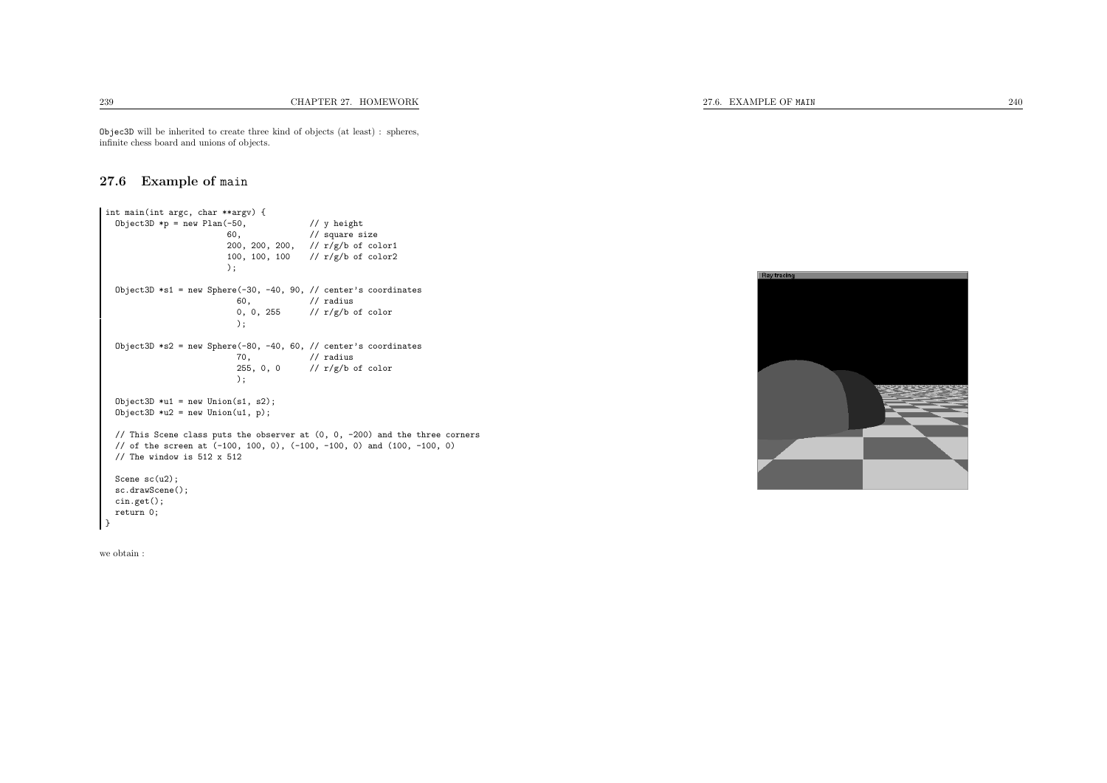27.6. EXAMPLE OF MAIN

## 27.6 Example of main

```
int main(int argc, char **argv) {
  Object3D *p = new Plan(-50, \frac{1}{2} // y height<br>60, \frac{1}{2} square size
                              60, // square size
                              200, 200, 200, // r/g/b of color1
                             100, 100, 100 // r/g/b of color2
                             );Object3D *s1 = new Sphere(-30, -40, 90, // center's coordinates 60, \frac{1}{2} // radius
                                60, \frac{1}{\tan \theta} // radius<br>0, 0, 255 // r/g/b c
                                                 1/ r/g/b of color
                               );Object3D *s2 = new Sphere(-80, -40, 60, // center's coordinates<br>
\begin{array}{cc} 70, & // \text{ radius} \end{array}70, // radius<br>255, 0, 0 // r/g/b o
                                                 1/ r/g/b of color
                               );Object3D *u1 = new Union(s1, s2);0bject3D *u2 = new Union(u1, p);
  // This Scene class puts the observer at (0, 0, -200) and the three corners
  // of the screen at (-100, 100, 0), (-100, -100, 0) and (100, -100, 0)
  // The window is 512 x 512
  Scene sc(u2);
  sc.drawScene();cin.get();
return 0;
 }
```


we obtain :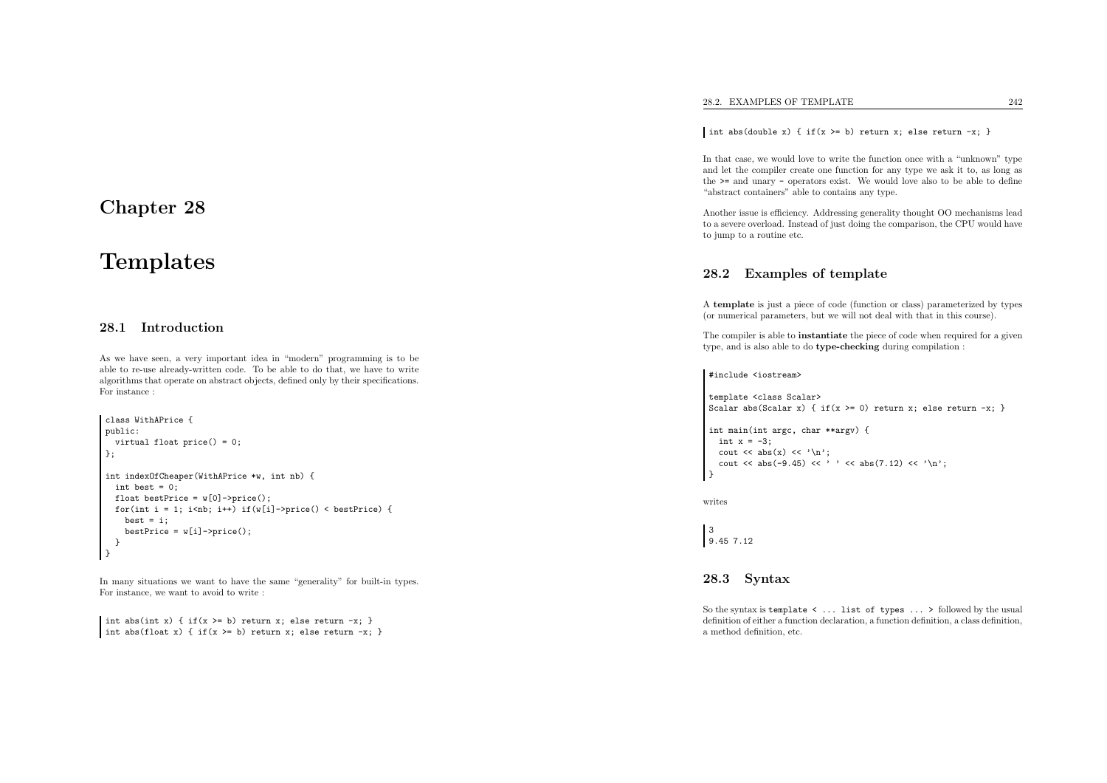## Chapter <sup>28</sup>

# Templates

### 28.1 Introduction

As we have seen, <sup>a</sup> very important idea in "modern" programming is to be able to re-use already-written code. To be able to do that, we have to write algorithms that operate on abstract objects, defined only by their specifications. For instance :

```
class WithAPrice {
public:
virtual float price() = 0;
};int indexOfCheaper(WithAPrice *w, int nb) {
  int best = 0;
  float bestPrice = w[0]- >price();
  for(int i = 1; i<nb; i++) if(w[i]->price() < bestPrice) {
    best = i;bestPrice = w[i] \rightarrow price();
  }\rightarrow
```
In many situations we want to have the same "generality" for built-in types. For instance, we want to avoid to write :

int abs(int x) { if(x >= b) return x; else return -x; } int abs(float x) { if(x >= b) return x; else return -x; } int abs(double x) { if(x >= b) return x; else return -x; }

In that case, we would love to write the function once with <sup>a</sup> "unknown" type and let the compiler create one function for any type we ask it to, as long as the >= and unary - operators exist. We would love also to be able to define "abstract containers" able to contains any type.

Another issue is efficiency. Addressing generality thought OO mechanisms lead to <sup>a</sup> severe overload. Instead of just doing the comparison, the CPU would haveto jump to <sup>a</sup> routine etc.

### 28.2 Examples of template

A template is just <sup>a</sup> <sup>p</sup>iece of code (function or class) parameterized by types (or numerical parameters, but we will not deal with that in this course).

The compiler is able to instantiate the <sup>p</sup>iece of code when required for <sup>a</sup> <sup>g</sup>iventype, and is also able to do type-checking during compilation :

#include <iostream>

template <class Scalar> Scalar abs(Scalar x) { if(x >= 0) return x; else return -x; }

int main(int argc, char \*\*argv) { int  $x = -3$ ; cout  $\langle \times \text{ abs}(x) \langle \times \rangle \setminus n'$ ; cout << abs(-9.45) << ' ' << abs(7.12) << '\n'; }

writes

3 9.45 7.12

28.3 Syntax

So the syntax is template <sup>&</sup>lt; ... list of types ... <sup>&</sup>gt; followed by the usual definition of either <sup>a</sup> function declaration, <sup>a</sup> function definition, <sup>a</sup> class definition, <sup>a</sup> method definition, etc.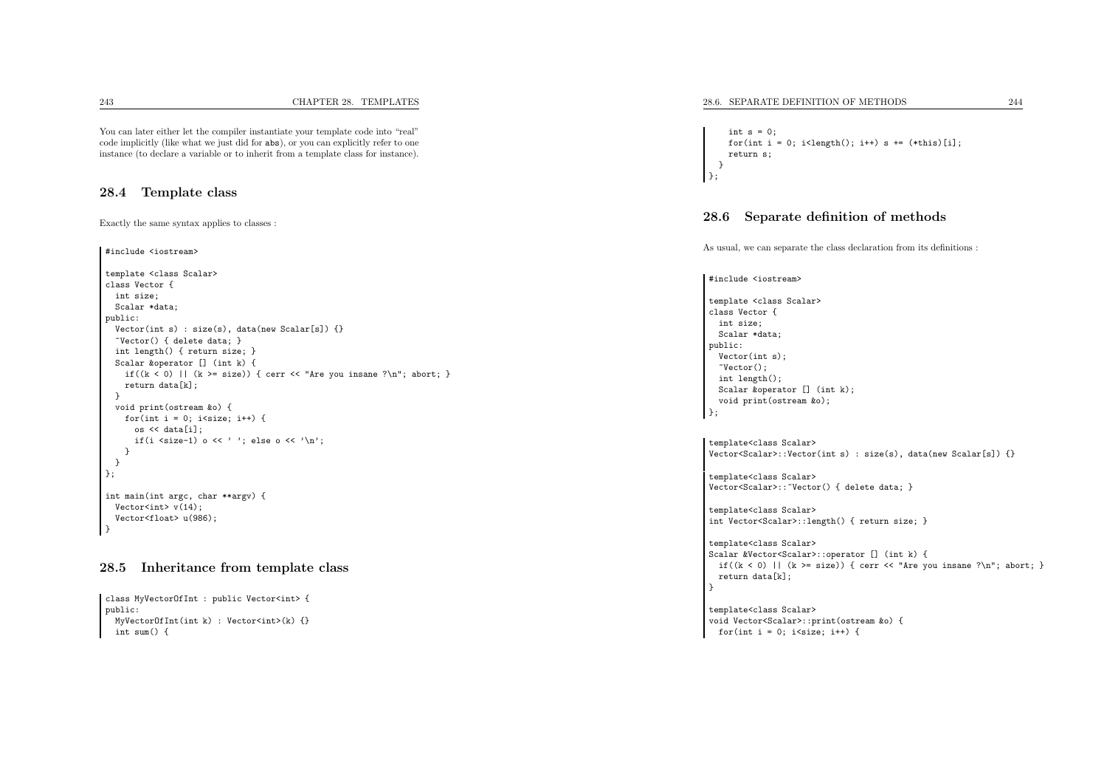You can later either let the compiler instantiate your template code into "real" code implicitly (like what we just did for abs), or you can explicitly refer to oneinstance (to declare <sup>a</sup> variable or to inherit from <sup>a</sup> template class for instance).

#### 28.4 Template class

Exactly the same syntax applies to classes :

#include <iostream>

```
template <class Scalar>
class Vector {
 int size;
 Scalar *data;
public:
Vector(int s) : size(s), data(new Scalar[s]) {}
  ~Vector() { delete data; }
  int length() { return size; }
  Scalar &operator [] (int k) {
   if((k < 0) || (k > = size)) { cerr << "Are you insane ?\n"; abort; }
   return data[k];
  }
void print(ostream &o) {
   for(int i = 0; i<size; i++) {
     os << data[i];
     if(i <size-1) o << ' '; else o << '\n';
   }}
};int main(int argc, char **argv) {
 Vector<int>v(14);
  Vector<float> u(986);
```
#### 28.5 Inheritance from template class

```
class MyVectorOfInt : public Vector<int> {
public:
MyVectorOfInt(int k) : Vector<int>(k) {}
 int sum() {
```

```
int s = 0;
   for(int i = 0; i<length(); i++) s += (*this)[i];
   return s;
}
};
```
### 28.6 Separate definition of methods

As usual, we can separate the class declaration from its definitions :

#### #include <iostream>

template <class Scalar> class Vector { int size; Scalar \*data; public: Vector(int s);  $\tilde{\text{Vector}}$ (); int length(); Scalar &operator [] (int k); void print(ostream &o);  $\vert \cdot \rangle$ ;

template<class Scalar> Vector<Scalar>::Vector(int s) : size(s), data(new Scalar[s]) {}

template<class Scalar> Vector<Scalar>:: "Vector() { delete data; }

template<class Scalar> int Vector<Scalar>::length() { return size; }

template<class Scalar> Scalar &Vector<Scalar>::operator [] (int k) { if((k < 0) || (k >= size)) { cerr << "Are you insane ?\n"; abort; } return data[k]; }

template<class Scalar> void Vector<Scalar>::print(ostream &o) { for(int i = 0; i  $\text{size};$  i++) {

}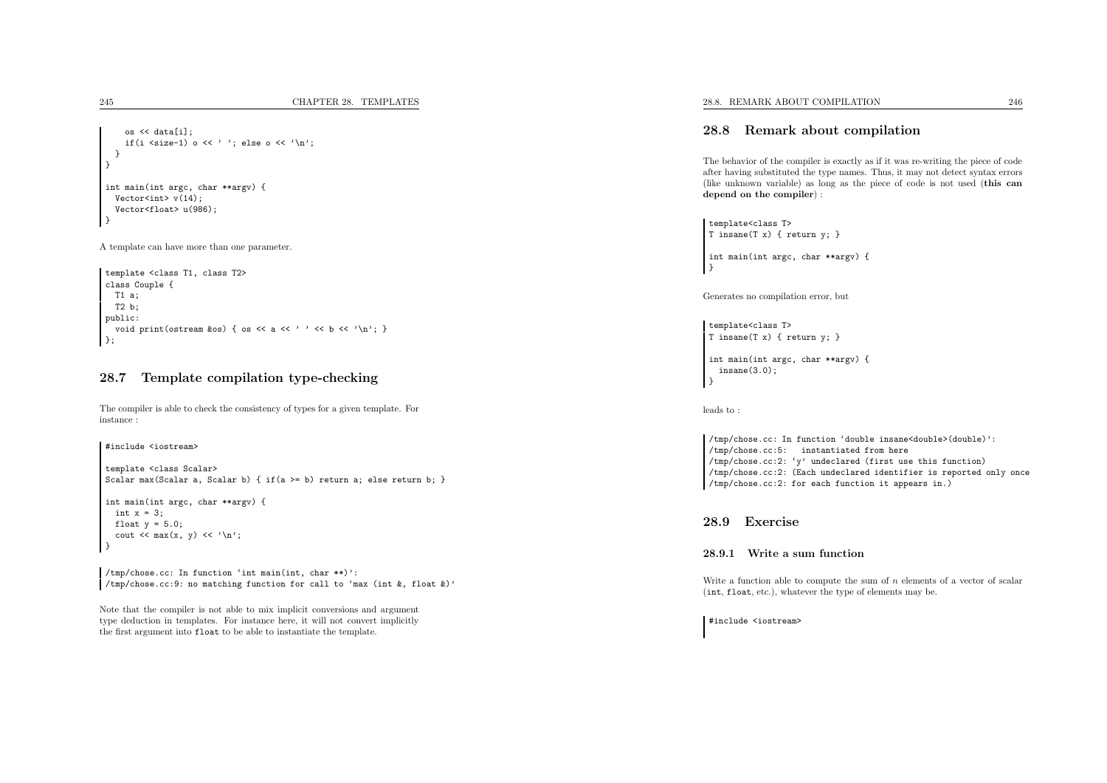```
os << data[i];
   if(i <size-1) o << ' '; else o << '\n';
 }}int main(int argc, char **argv) {
 Vector<int> v(14);
 Vector<float> u(986);
}
```
<sup>A</sup> template can have more than one parameter.

#include <iostream>

}

```
template <class T1, class T2>
class Couple {
 T1 a;
 T2 b;
public:void print(ostream &os) { os << a << ' ' << b << '\n'; }
};
```
### 28.7 Template compilation type-checking

The compiler is able to check the consistency of types for <sup>a</sup> <sup>g</sup>iven template. Forinstance :

template <class Scalar> Scalar max(Scalar a, Scalar b) { if(a >= b) return a; else return b; } int main(int argc, char \*\*argv) { int  $x = 3$ ; float  $y = 5.0$ ; cout  $\langle x, y \rangle \langle x' \rangle$ ;

/tmp/chose.cc: In function 'int main(int, char \*\*)': /tmp/chose.cc:9: no matching function for call to 'max (int  $k$ , float  $k$ )'

Note that the compiler is not able to mix implicit conversions and argument type deduction in templates. For instance here, it will not convert implicitlythe first argument into float to be able to instantiate the template.

#### 28.8 Remark about compilation

The behavior of the compiler is exactly as if it was re-writing the <sup>p</sup>iece of code after having substituted the type names. Thus, it may not detect syntax errors (like unknown variable) as long as the <sup>p</sup>iece of code is not used (this candepend on the compiler) :

template<class T> <sup>T</sup> insane(T x) { return y; } int main(int argc, char \*\*argv) {

Generates no compilation error, but

template<class T> <sup>T</sup> insane(T x) { return y; }

int main(int argc, char \*\*argv) { insane(3.0);}

leads to :

}

/tmp/chose.cc: In function 'double insane<double>(double)': /tmp/chose.cc:5: instantiated from here /tmp/chose.cc:2: 'y' undeclared (first use this function) /tmp/chose.cc:2: (Each undeclared identifier is reported only once /tmp/chose.cc:2: for each function it appears in.)

28.9 Exercise

#### 28.9.1 Write <sup>a</sup> sum function

Write a function able to compute the sum of  $n$  elements of a vector of scalar (int, float, etc.), whatever the type of elements may be.

#include <iostream>

245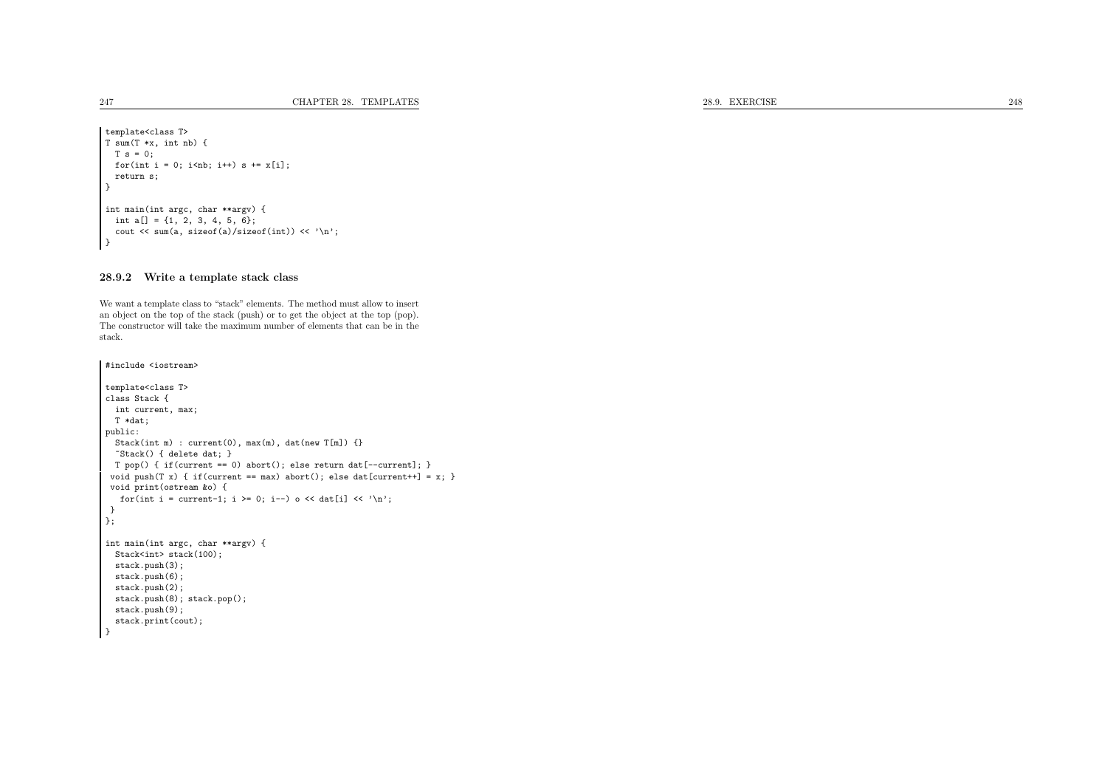```
28.9. EXERCISE
```

```
template<class T>
T sum(T *x, int nb) {
 T s = 0;for(int i = 0; i < nb; i + +) s + = x[i];
  return s;
 }int main(int argc, char **argv) {
 int a[] = \{1, 2, 3, 4, 5, 6\};cout \langle sum(a, sizeof(a)/sizeof(int)) \langle '\n';
 }
```
#### 28.9.2 Write <sup>a</sup> template stack class

We want <sup>a</sup> template class to "stack" elements. The method must allow to insert an object on the top of the stack (push) or to get the object at the top (pop). The constructor will take the maximum number of elements that can be in thestack.

```
#include <iostream>
template<class T>
class Stack {
 int current, max;
 T *dat;
public:
Stack(int m) : current(0), max(m), dat(new T[m]) {}
  ~Stack() { delete dat; }
 T pop() { if(current == 0) abort(); else return dat[--current]; }
 void push(T x) { if(current == max) abort(); else dat[current++] = x; }
 void print(ostream &o) {
  for(int i = current-1; i >= 0; i--) o << dat[i] << '\n\lambda;
}
};int main(int argc, char **argv) {
 Stack<int> stack(100);
  stack.push(3);
stack.push(6);
stack.push(2);
stack.push(8); stack.pop();
  stack.push(9);
stack.print(cout);
```
247

}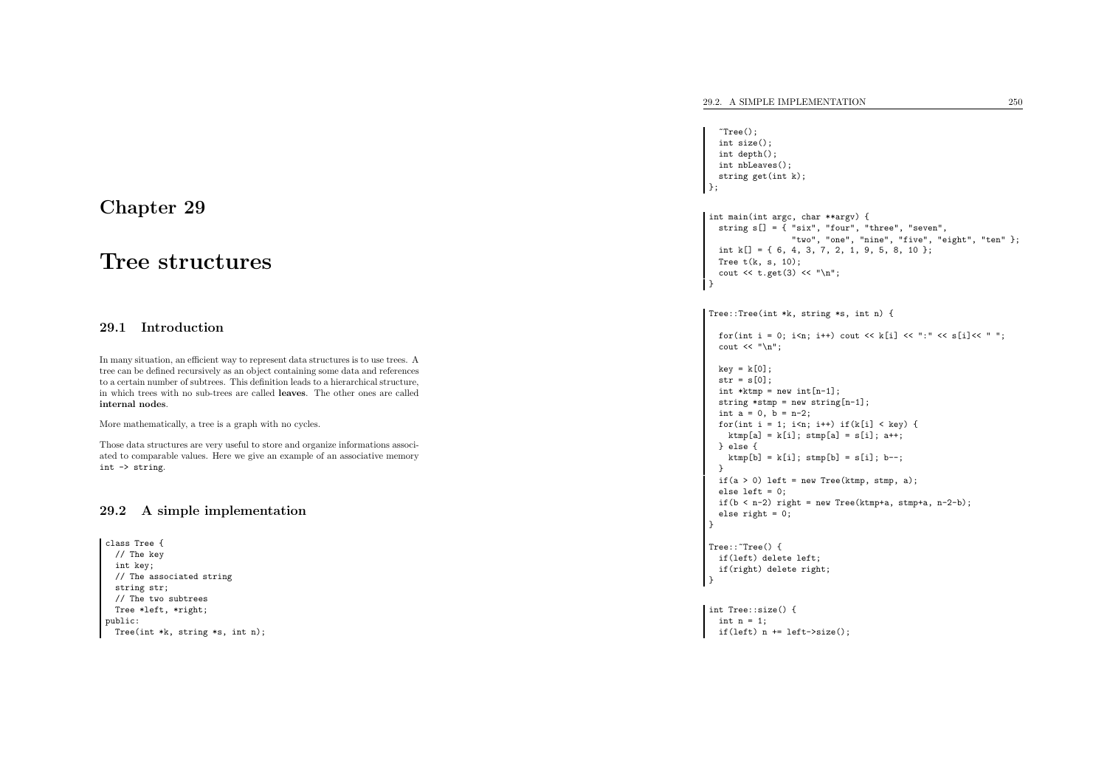Chapter <sup>29</sup>

## Tree structures

## 29.1 Introduction

In many situation, an efficient way to represent data structures is to use trees. <sup>A</sup> tree can be defined recursively as an object containing some data and references to <sup>a</sup> certain number of subtrees. This definition leads to <sup>a</sup> hierarchical structure, in which trees with no sub-trees are called leaves. The other ones are called internal nodes.

More mathematically, <sup>a</sup> tree is <sup>a</sup> grap<sup>h</sup> with no cycles.

Those data structures are very useful to store and organize informations associated to comparable values. Here we <sup>g</sup>ive an example of an associative memoryint -> string.

#### 29.2 <sup>A</sup> simple implementation

class Tree { // The key int key; // The associated string string str; // The two subtrees Tree \*left, \*right; public:Tree(int \*k, string \*s, int n);

```
\tilde{r}Tree();

int size();
  int depth();
  int nbLeaves();
  string get(int k);
\};
int main(int argc, char **argv) {
  string s[] = \{ "six", "four", "three", "seven",
                   "two", "one", "nine", "five", "eight", "ten" };
  int k[] = { 6, 4, 3, 7, 2, 1, 9, 5, 8, 10 };
  Tree t(k, s, 10);
  cout \langle \cdot \rangle t.get(3) \langle \cdot \rangle "\n";
ا :
Tree::Tree(int *k, string *s, int n) {
  for(int i = 0; i<n; i++) cout << k[i] << ":" << s[i] << " ";
  cout \langle \cdot \cdot \cdot \cdot \cdot \cdot \ranglekey = k[0];
  str = s[0];int *ktmp = new int[n-1];
  string *stmp = new string[n-1];
  int a = 0, b = n-2;
  for(int i = 1; i <n; i ++) if(k[i] < key) {
    ktmp[a] = k[i]; stmp[a] = s[i]; a++;
  } else {
    ktmp[b] = k[i];stm[b] = s[i]; b--;}
if(a > 0) left = new Tree(ktmp, stmp, a);
  else left = 0;
  if(b < n-2) right = new Tree(ktmp+a, strnp+a, n-2-b);
  else right = 0;
 }Tree::~Tree() {
  if(left) delete left;
  if(right) delete right;
 }int Tree::size() {
  int n = 1;
```
if(left)  $n$  += left->size();

29.2. <sup>A</sup> SIMPLE IMPLEMENTATION <sup>250</sup>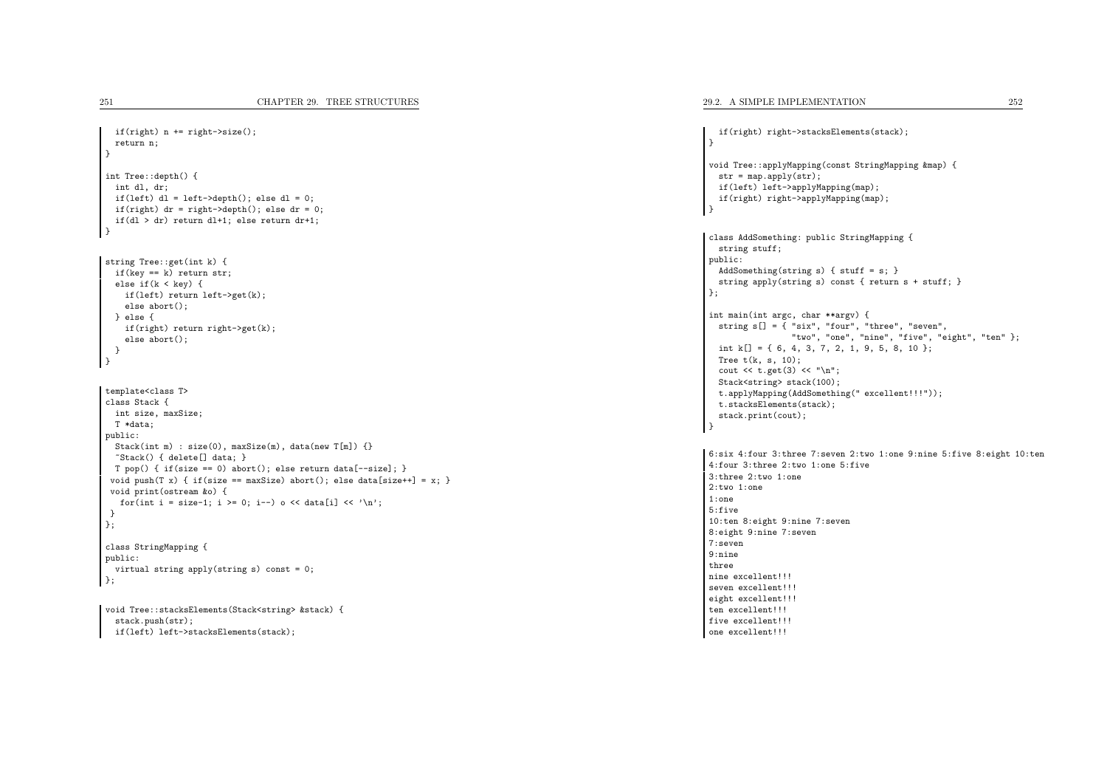```
if(right) n += right->size();
  return n;
}int Tree::depth() {
 int dl, dr;
 if(left) dl = left->depth(); else dl = 0;
  if(right) dr = right->depth(); else dr = 0;
 if(dl > dr) return dl+1; else return dr+1;
}string Tree::get(int k) {
  if(key == k) return str;
  else if(k < key) {
   if(left) return left->get(k);
   else abort();
 } else {
   if(right) return right->get(k);
    else abort();
 }}template<class T>
class Stack {
 int size, maxSize;
 T *data;
public:
Stack(int m) : size(0), maxSize(m), data(new T[m]) {}
  ~Stack() { delete[] data; }
 T pop() { if(size == 0) abort(); else return data[--size]; }
 void push(T x) { if(size == maxSize) abort(); else data[size++] = x; }
 void print(ostream &o) {
  for(int i = size-1; i >= 0; i--) o << data[i] << '\n\lambda;
 }
};class StringMapping {
public:
virtual string apply(string s) const = 0;
};
```
void Tree::stacksElements(Stack<string> &stack) { stack.push(str);if(left) left->stacksElements(stack);

29.2. <sup>A</sup> SIMPLE IMPLEMENTATION <sup>252</sup>

```
if(right) right->stacksElements(stack);
}void Tree::applyMapping(const StringMapping &map) {
  str = map.append(y(str);if(left) left->applyMapping(map);
  if(right) right->applyMapping(map);
ا :
class AddSomething: public StringMapping {
 string stuff;
public:
AddSomething(string s) { stuff = s; }
  string apply(string s) const { return s + stuff; }
};int main(int argc, char **argv) {
  string s[] = \{ "six", "four", "three", "seven",
                 "two", "one", "nine", "five", "eight", "ten" };
  int k[] = { 6, 4, 3, 7, 2, 1, 9, 5, 8, 10 };
  Tree t(k, s, 10);
  cout \lt\lt t.\text{set}(3) \lt\lt "\\n":Stack<string> stack(100);
  t.applyMapping(AddSomething(" excellent!!!"));
  t.stacksElements(stack);stack.print(cout);
```

```
}
```
6:six 4:four 3:three 7:seven 2:two 1:one 9:nine 5:five 8:eight 10:ten 4:four 3:three 2:two 1:one 5:five 3:three 2:two 1:one  $2 \cdot two 1 \cdot one$ 1:one 5:five 10:ten 8:eight 9:nine 7:seven 8:eight 9:nine 7:seven 7:seven 9:nine three nine excellent!!! seven excellent!!! eight excellent!!! ten excellent!!! five excellent!!! one excellent!!!

<sup>251</sup> CHAPTER 29. TREE STRUCTURES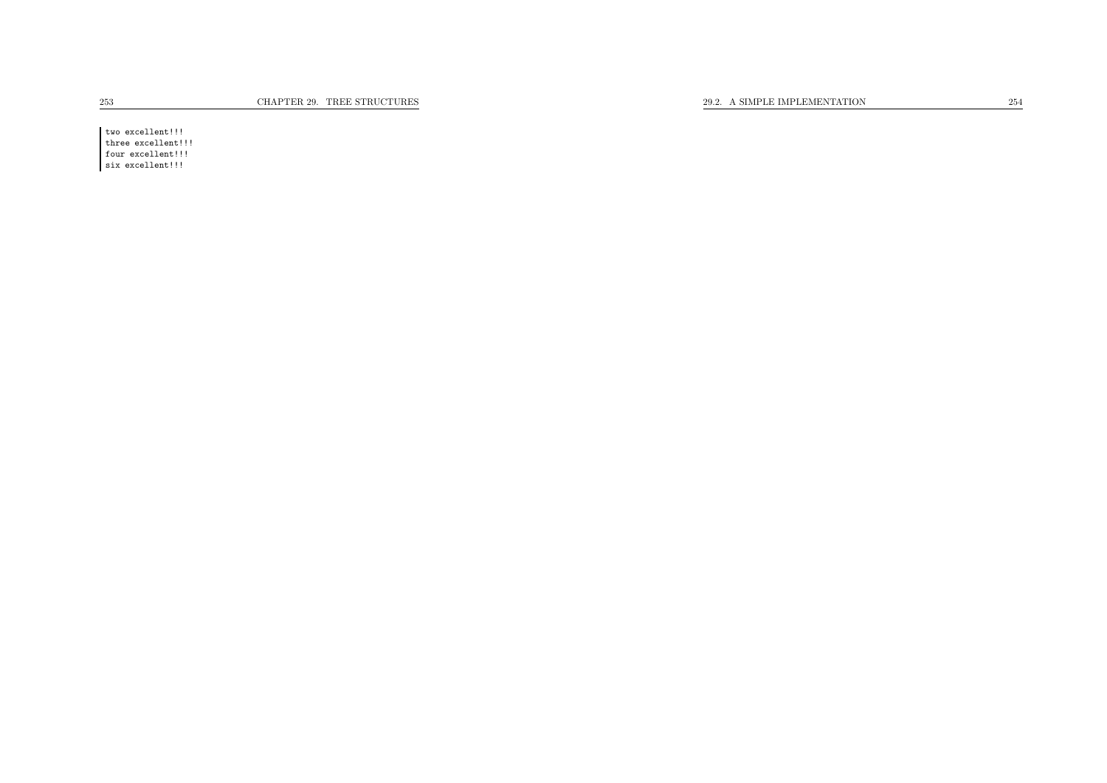two excellent!!! three excellent!!! four excellent!!! six excellent!!!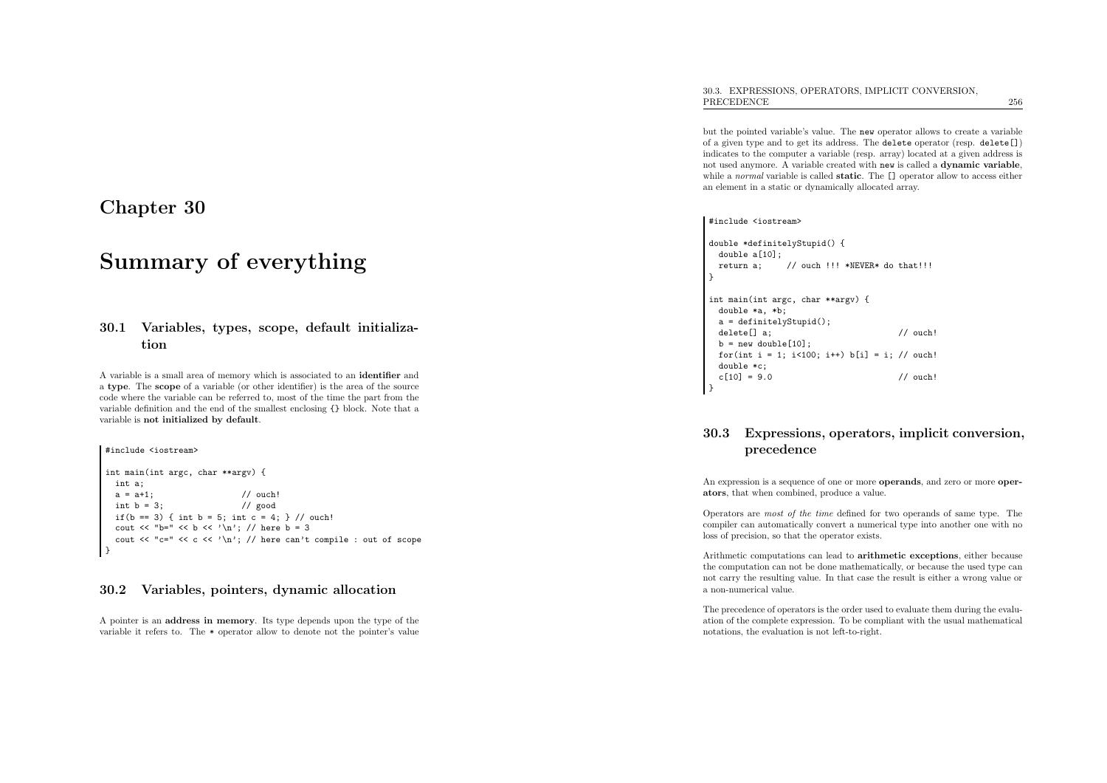# Summary of everything

## 30.1 Variables, types, scope, default initialization

<sup>A</sup> variable is <sup>a</sup> small area of memory which is associated to an identifier and a type. The scope of <sup>a</sup> variable (or other identifier) is the area of the source code where the variable can be referred to, most of the time the part from the variable definition and the end of the smallest enclosing {} block. Note that <sup>a</sup> variable is not initialized by default.

#include <iostream>

```
int main(int argc, char **argv) {
 int a;<br>a = a+1;
 a = a+1; // ouch!<br>
int b = 3; // good
  int b = 3; // good
  if(b == 3) { int b = 5; int c = 4; } // ouch!
  cout \langle\langle "b=" \langle\langle b \langle '\rangle"; // here b = 3
  cout << "c=" << c << ' \n'; // here can't compile : out of scope
}
```
#### 30.2 Variables, pointers, dynamic allocation

<sup>A</sup> pointer is an address in memory. Its type depends upon the type of the variable it refers to. The \* operator allow to denote not the pointer's value

but the pointed variable's value. The new operator allows to create <sup>a</sup> variable of <sup>a</sup> <sup>g</sup>iven type and to get its address. The delete operator (resp. delete[]) indicates to the computer <sup>a</sup> variable (resp. array) located at <sup>a</sup> <sup>g</sup>iven address is not used anymore. <sup>A</sup> variable created with new is called <sup>a</sup> dynamic variable, while a *normal* variable is called **static**. The [] operator allow to access either an element in <sup>a</sup> static or dynamically allocated array.

#include <iostream>

```
double *definitelyStupid() {
 double a[10];<br>return a:
              // ouch !!! *NEVER* do that!!!
}int main(int argc, char **argv) {
 double *a, *b;
 a = definitelyStupid();
 \text{delete}[\] a; \qquad \qquad \text{/} \qquad \text{/} ouch!
 b = new double[10];for(int i = 1; i<100; i++) b[i] = i; // ouch!
  double *c;
  c[10] = 9.0 // ouch!
}
```
## 30.3 Expressions, operators, implicit conversion, precedence

An expression is a sequence of one or more **operands**, and zero or more **oper**ators, that when combined, produce <sup>a</sup> value.

Operators are most of the time defined for two operands of same type. The compiler can automatically convert <sup>a</sup> numerical type into another one with noloss of precision, so that the operator exists.

Arithmetic computations can lead to arithmetic exceptions, either because the computation can not be done mathematically, or because the used type can not carry the resulting value. In that case the result is either <sup>a</sup> wrong value or<sup>a</sup> non-numerical value.

The precedence of operators is the order used to evaluate them during the evaluation of the complete expression. To be compliant with the usual mathematical notations, the evaluation is not left-to-right.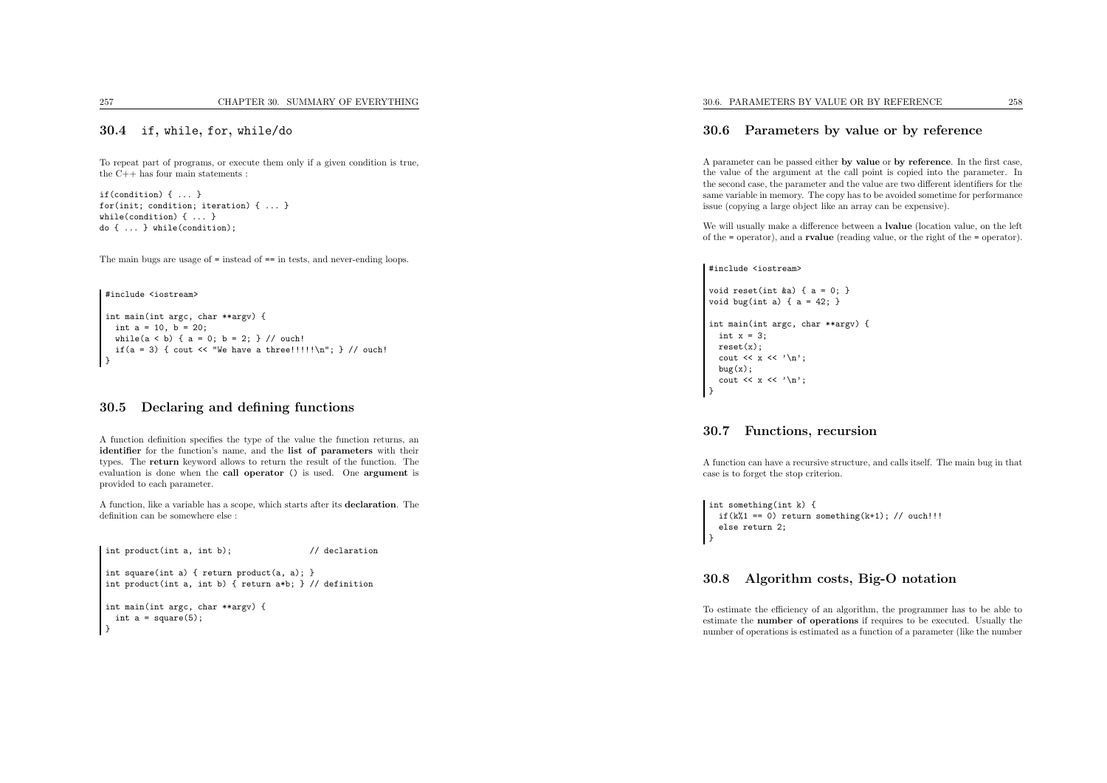## 30.4 if, while, for, while/do

To repeat part of programs, or execute them only if <sup>a</sup> <sup>g</sup>iven condition is true, the  $C_{++}$  has four main statements :

if(condition) { ... } for(init; condition; iteration) { ... } while(condition) { ... } do { ... } while(condition);

The main bugs are usage of <sup>=</sup> instead of == in tests, and never-ending loops.

#include <iostream>

```
int main(int argc, char **argv) {
 int a = 10, b = 20;
 while(a < b) { a = 0; b = 2; } // ouch!
 if(a = 3) { cout << "We have a three!!!!!\n"; } // ouch!
}
```
#### 30.5 Declaring and defining functions

<sup>A</sup> function definition specifies the type of the value the function returns, an identifier for the function's name, and the list of parameters with their types. The return keyword allows to return the result of the function. The evaluation is done when the call operator () is used. One argument is provided to each parameter.

<sup>A</sup> function, like <sup>a</sup> variable has <sup>a</sup> scope, which starts after its declaration. Thedefinition can be somewhere else :

```
int product(int a, int b); // declaration
int square(int a) { return product(a, a); }
int product(int a, int b) { return a*b; } // definition
```
int main(int argc, char \*\*argv) { int  $a = square(5)$ ; }

#### 30.6 Parameters by value or by reference

<sup>A</sup> parameter can be passed either by value or by reference. In the first case, the value of the argument at the call point is copied into the parameter. In the second case, the parameter and the value are two different identifiers for the same variable in memory. The copy has to be avoided sometime for performanceissue (copying <sup>a</sup> large object like an array can be expensive).

We will usually make <sup>a</sup> difference between <sup>a</sup> lvalue (location value, on the left of the <sup>=</sup> operator), and <sup>a</sup> rvalue (reading value, or the right of the <sup>=</sup> operator).

#include <iostream>

void reset(int &a) {  $a = 0$ ; } void bug(int a) {  $a = 42$ ; }

```
int main(int argc, char **argv) {
  int x = 3;
  reset(x);cout \langle x \rangle \langle x \ranglebug(x);cout \langle x \rangle \langle x \rangle}
```
#### 30.7 Functions, recursion

<sup>A</sup> function can have <sup>a</sup> recursive structure, and calls itself. The main bug in thatcase is to forget the stop criterion.

int something(int k) { if(k%1 == 0) return something(k+1); // ouch!!! else return 2; | 1

### 30.8 Algorithm costs, Big-O notation

To estimate the efficiency of an algorithm, the programmer has to be able to estimate the number of operations if requires to be executed. Usually the number of operations is estimated as <sup>a</sup> function of <sup>a</sup> parameter (like the number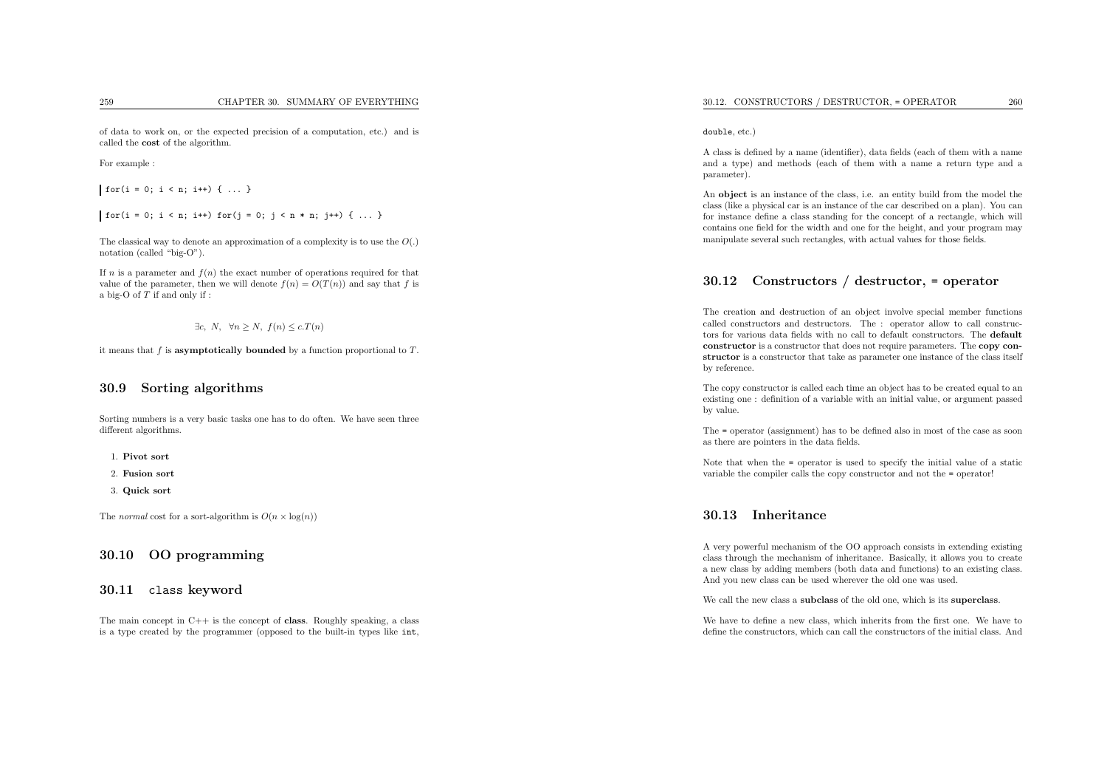of data to work on, or the expected precision of <sup>a</sup> computation, etc.) and iscalled the cost of the algorithm.

For example :

 $\int$  for(i = 0; i < n; i++) { ... }

 $\int$  for(i = 0; i < n; i++) for(i = 0; i < n \* n; i++) { ... }

The classical way to denote an approximation of a complexity is to use the  $O(.)$ notation (called "big-O").

If n is a parameter and  $f(n)$  the exact number of operations required for that value of the parameter, then we will denote  $f(n) = O(T(n))$  and say that f is a big-O of  $T$  if and only if :

<sup>∃</sup>c, N, <sup>∀</sup><sup>n</sup> <sup>≥</sup> N, <sup>f</sup>(n) <sup>≤</sup> c.T (n)

it means that  $f$  is **asymptotically bounded** by a function proportional to  $T$ .

#### 30.9 Sorting algorithms

Sorting numbers is <sup>a</sup> very basic tasks one has to do often. We have seen threedifferent algorithms.

1. Pivot sort

- 2. Fusion sort
- 3. Quick sort

The *normal* cost for a sort-algorithm is  $O(n \times \log(n))$ 

#### 30.10 OO programming

## 30.11 class keyword

The main concept in  $C++$  is the concept of **class**. Roughly speaking, a class is <sup>a</sup> type created by the programmer (opposed to the built-in types like int,

#### double, etc.)

<sup>A</sup> class is defined by <sup>a</sup> name (identifier), data fields (each of them with <sup>a</sup> name and <sup>a</sup> type) and methods (each of them with <sup>a</sup> name <sup>a</sup> return type and <sup>a</sup>parameter).

An object is an instance of the class, i.e. an entity build from the model the class (like <sup>a</sup> <sup>p</sup>hysical car is an instance of the car described on <sup>a</sup> <sup>p</sup>lan). You can for instance define <sup>a</sup> class standing for the concept of <sup>a</sup> rectangle, which will contains one field for the width and one for the height, and your program maymanipulate several such rectangles, with actual values for those fields.

## 30.12 Constructors / destructor, <sup>=</sup> operator

The creation and destruction of an object involve special member functions called constructors and destructors. The : operator allow to call constructors for various data fields with no call to default constructors. The default constructor is <sup>a</sup> constructor that does not require parameters. The copy constructor is <sup>a</sup> constructor that take as parameter one instance of the class itself by reference.

The copy constructor is called each time an object has to be created equa<sup>l</sup> to an existing one : definition of <sup>a</sup> variable with an initial value, or argument passedby value.

The <sup>=</sup> operator (assignment) has to be defined also in most of the case as soonas there are pointers in the data fields.

Note that when the <sup>=</sup> operator is used to specify the initial value of <sup>a</sup> static variable the compiler calls the copy constructor and not the <sup>=</sup> operator!

#### 30.13 Inheritance

<sup>A</sup> very powerful mechanism of the OO approac<sup>h</sup> consists in extending existing class through the mechanism of inheritance. Basically, it allows you to create <sup>a</sup> new class by adding members (both data and functions) to an existing class. And you new class can be used wherever the old one was used.

We call the new class a subclass of the old one, which is its superclass.

We have to define <sup>a</sup> new class, which inherits from the first one. We have todefine the constructors, which can call the constructors of the initial class. And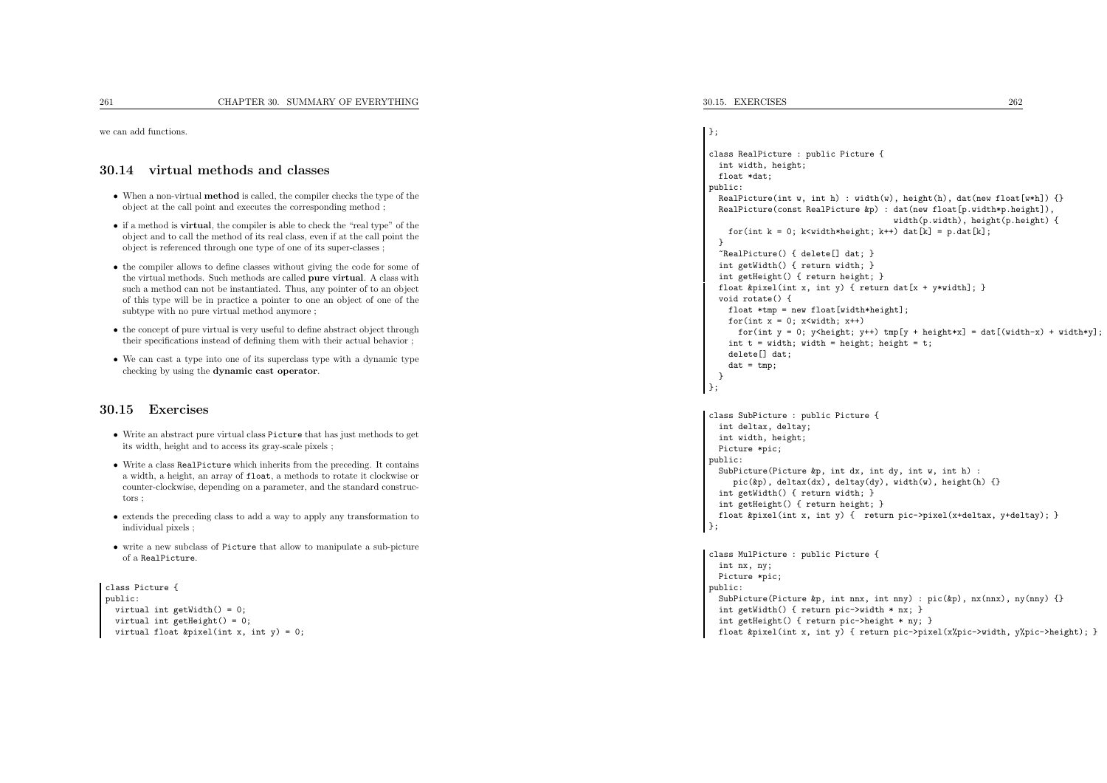we can add functions.

#### 30.14 virtual methods and classes

- When a non-virtual **method** is called, the compiler checks the type of the object at the call point and executes the corresponding method ;
- if <sup>a</sup> method is virtual, the compiler is able to check the "real type" of the object and to call the method of its real class, even if at the call point theobject is referenced through one type of one of its super-classes ;
- the compiler allows to define classes without <sup>g</sup>iving the code for some of the virtual methods. Such methods are called pure virtual. <sup>A</sup> class with such <sup>a</sup> method can not be instantiated. Thus, any pointer of to an object of this type will be in practice <sup>a</sup> pointer to one an object of one of thesubtype with no pure virtual method anymore ;
- the concept of pure virtual is very useful to define abstract object throughtheir specifications instead of defining them with their actual behavior ;
- We can cast <sup>a</sup> type into one of its superclass type with <sup>a</sup> dynamic type checking by using the dynamic cast operator.

#### 30.15 Exercises

- Write an abstract pure virtual class Picture that has just methods to get its width, height and to access its gray-scale <sup>p</sup>ixels ;
- Write <sup>a</sup> class RealPicture which inherits from the preceding. It contains <sup>a</sup> width, <sup>a</sup> height, an array of float, <sup>a</sup> methods to rotate it clockwise or counter-clockwise, depending on <sup>a</sup> parameter, and the standard constructors ;
- extends the preceding class to add <sup>a</sup> way to apply any transformation to individual <sup>p</sup>ixels ;
- write <sup>a</sup> new subclass of Picture that allow to manipulate <sup>a</sup> sub-picture of <sup>a</sup> RealPicture.

```
class Picture {
public:
virtual int getWidth() = 0;
  virtual int getHeight() = 0:
  virtual float &pixel(int x, int y) = 0;
```

```
};
```

```
class RealPicture : public Picture {
 int width, height;
 float *dat;
public:
RealPicture(int w, int h) : width(w), height(h), dat(new float[w*h]) {}
  RealPicture(const RealPicture &p) : dat(new float[p.width*p.height]),
                                        width(p.width), height(p.height) {
    for(int k = 0; k<width*height; k++) dat[k] = p.dat[k];
  \mathbf{r}
~RealPicture() { delete[] dat; }
  int getWidth() { return width; }
  int getHeight() { return height; }
  float &pixel(int x, int y) { return dat[x + y*width]; }
  void rotate() {
    float *tmp = new float[width*height];
    for(int \bar{x} = 0; \bar{x} \leq \bar{u} \leq \bar{x} \leq \bar{x} + \geqfor(int y = 0; y<height; y++) tmp[y + height*x] = dat[(width-x) + width*y];
    int t = width; width = height; height = t;
    delete[] dat;
    dat = tmp:
   }
};class SubPicture : public Picture {
  int deltax, deltay;
  int width, height;
  Picture *pic;
public:
SubPicture(Picture &p, int dx, int dy, int w, int h) :
     pic(&p), deltax(dx), deltay(dy), width(w), height(h) {}
  int getWidth() { return width; }
  int getHeight() { return height; }
  float &pixel(int x, int y) { return pic->pixel(x+deltax, y+deltay); }
\rightarrow:
class MulPicture : public Picture {
  int nx, ny;
  Picture *pic;
public:
```

```

SubPicture(Picture &p, int nnx, int nny) : pic(&p), nx(nnx), ny(nny) {}
int getWidth() { return pic->width * nx; }
int getHeight() { return pic->height * ny; }
```

```
float &pixel(int x, int y) { return pic->pixel(x%pic->width, y%pic->height); }
```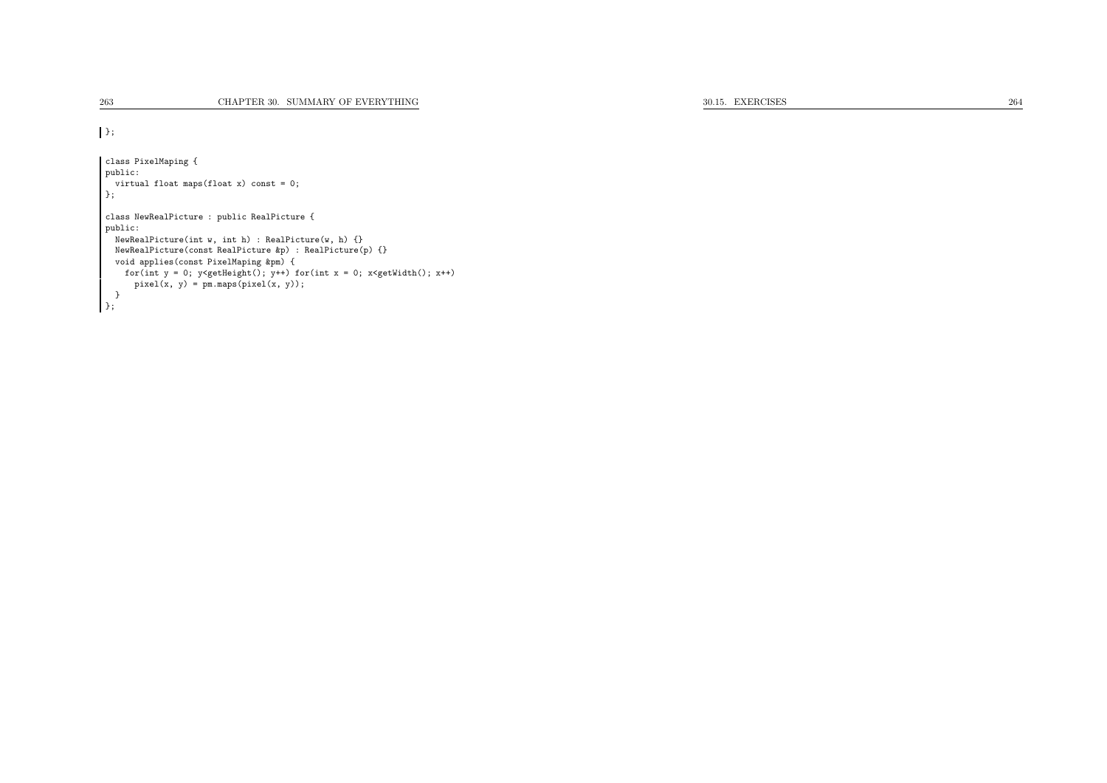};

```
class PixelMaping {
public:
virtual float maps(float x) const = 0;
};class NewRealPicture : public RealPicture {
public:
NewRealPicture(int w, int h) : RealPicture(w, h) {}
  NewRealPicture(const RealPicture &p) : RealPicture(p) {}
 void applies(const PixelMaping &pm) {
  for(int y = 0; y \leq x+1) for(int x = 0; x \leq y \leq x+1)
     pixel(x, y) = pm.maxs(pixel(x, y));}
};
```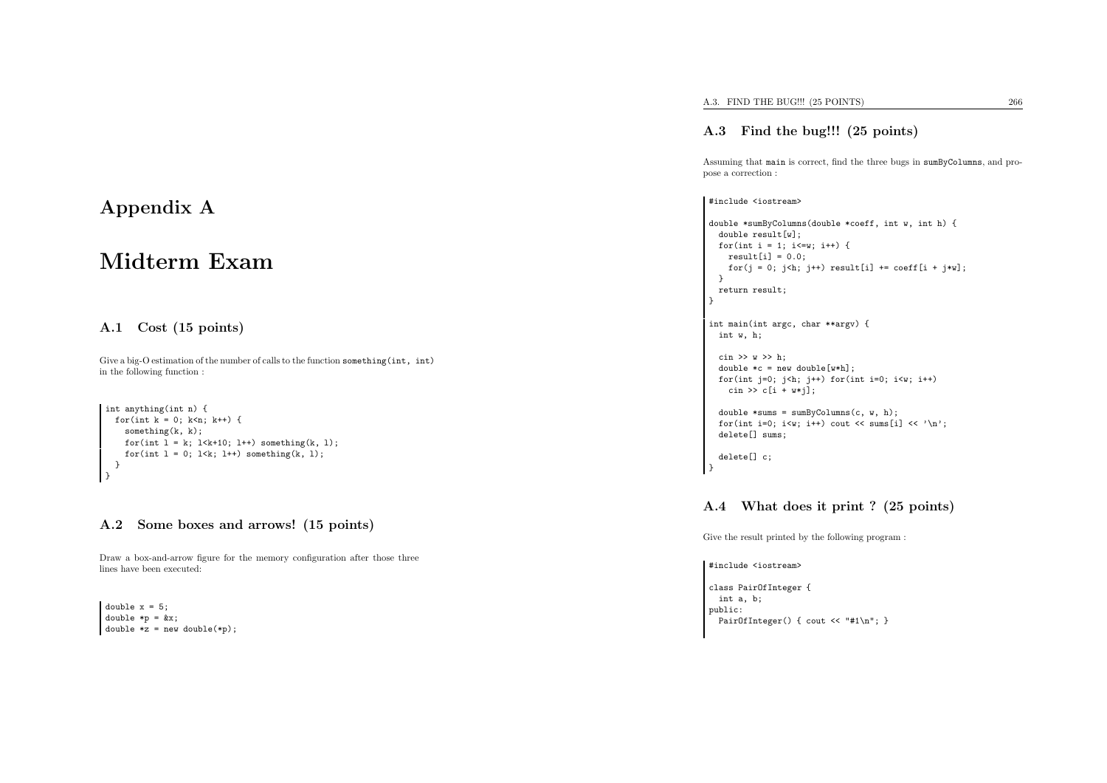Appendix <sup>A</sup>

# Midterm Exam

## A.1 Cost (15 points)

Give <sup>a</sup> big-O estimation of the number of calls to the function something(int, int) in the following function :

```
int anything(int n) {
  for(int k = 0; k < n; k + 1) {
    something(k, k);for(int l = k; 1 < k + 10; l++) something(k, 1);
    for(int 1 = 0; 1 \le k; 1++) something(k, 1);
 }}
```
## A.2 Some boxes and arrows! (15 points)

Draw <sup>a</sup> box-and-arrow figure for the memory configuration after those threelines have been executed:

double  $x = 5$ ; double  $*p = kx$ ; double  $*z = new double(*p);$  A.3. FIND THE BUG!!! (25 POINTS) 266

## A.3 Find the bug!!! (25 points)

Assuming that main is correct, find the three bugs in sumByColumns, and propose <sup>a</sup> correction :

#include <iostream>

```
double *sumByColumns(double *coeff, int w, int h) {
 double result[w];
 for(int i = 1; i <= w; i ++) {
   result[i] = 0.0;
   for(j = 0; j \le h; j++) result[i] += coeff[i + j \le j;
 }
return result;
```
int main(int argc, char \*\*argv) { int w, h;

```
\sin \gg w \gg h:
double *c = new double[w*h];
for(int j=0; j<h; j++) for(int i=0; i<w; i++)
 cin \gg c[i + w*j];
```
double  $*sums = sumByColumns(c, w, h);$ for(int i=0; i<w; i++) cout << sums[i] <<  $'\n$ ; delete[] sums;

delete[] c;

ا :

د -

### A.4 What does it print ? (25 points)

Give the result printed by the following program :

#include <iostream>

```
class PairOfInteger {
int a, b;
public:
PairOfInteger() { cout << "#1\n"; }
```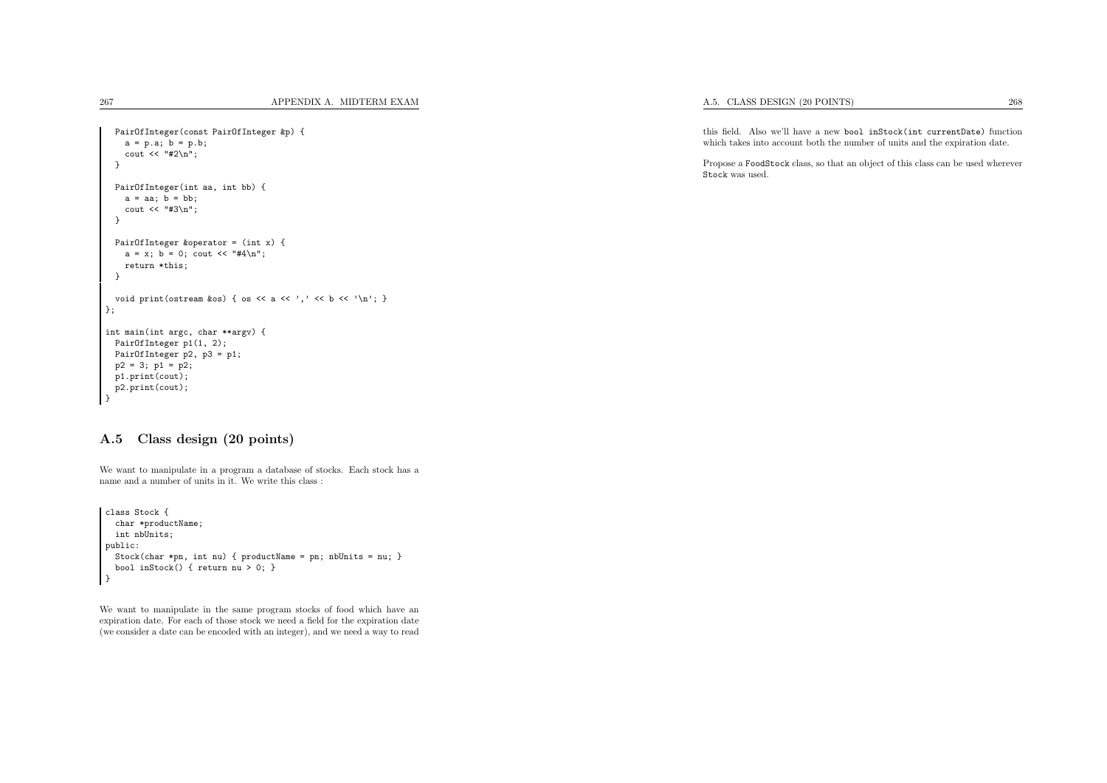```
PairOfInteger(const PairOfInteger &p) {
   a = p.a; b = p.b;cout \langle \cdot \rangle "#2\n";
 }PairOfInteger(int aa, int bb) {
   a = aa; b = bb;cout << "#3\n";
 }PairOfInteger &operator = (int x) {
   a = x; b = 0; cout << "#4\n";
   return *this;
 }void print(ostream &os) { os << a << ',' << b << '\n'; }
};int main(int argc, char **argv) {
 PairOfInteger p1(1, 2);
 PairOfInteger p2, p3 = p1;
 p2 = 3; p1 = p2;
 p1.print(cout);
p2.print(cout);}
```
### A.5 Class design (20 points)

We want to manipulate in <sup>a</sup> program <sup>a</sup> database of stocks. Each stock has <sup>a</sup>name and <sup>a</sup> number of units in it. We write this class :

```
class Stock {
  char *productName;
 int nbUnits;
public:
Stock(char *pn, int nu) { productName = pn; nbUnits = nu; }
 bool inStock() { return nu > 0; }
}
```
We want to manipulate in the same program stocks of food which have an expiration date. For each of those stock we need <sup>a</sup> field for the expiration date (we consider <sup>a</sup> date can be encoded with an integer), and we need <sup>a</sup> way to read A.5. CLASS DESIGN (20 POINTS)

this field. Also we'll have <sup>a</sup> new bool inStock(int currentDate) function which takes into account both the number of units and the expiration date.

Propose <sup>a</sup> FoodStock class, so that an object of this class can be used wherever Stock was used.

267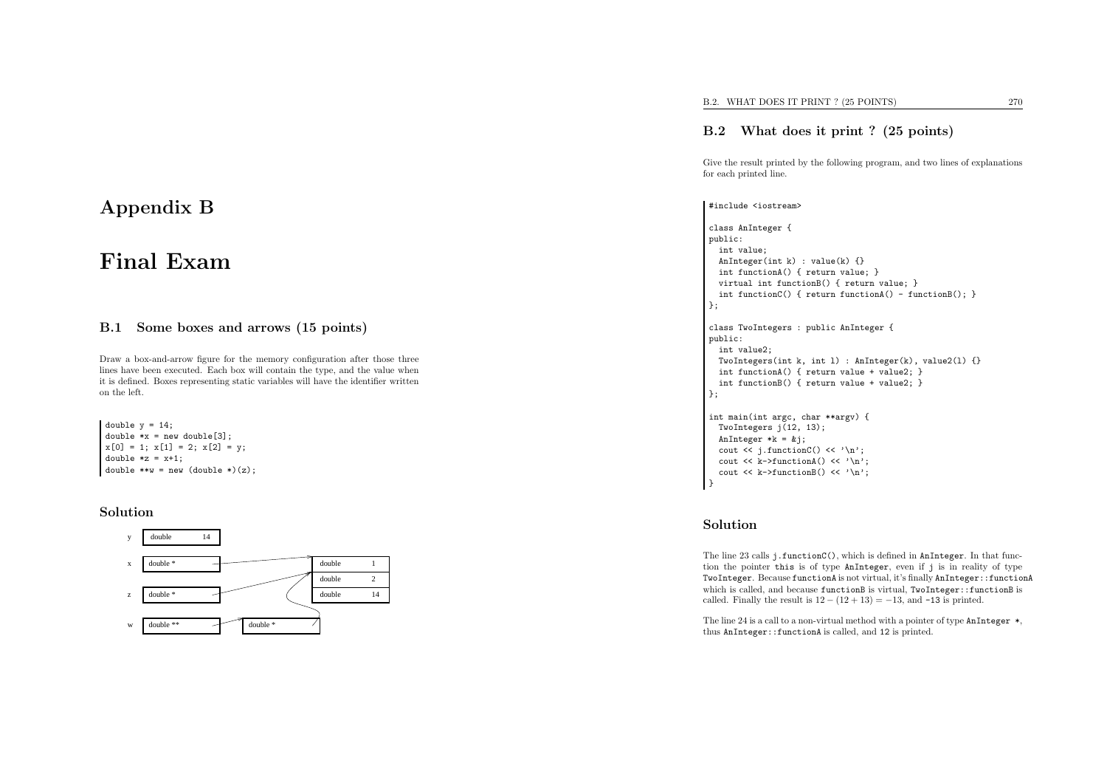## Appendix <sup>B</sup>

# Final Exam

### B.1 Some boxes and arrows (15 points)

Draw <sup>a</sup> box-and-arrow figure for the memory configuration after those three lines have been executed. Each box will contain the type, and the value when it is defined. Boxes representing static variables will have the identifier writtenon the left.

double  $y = 14$ ; double  $*x = new double[3]$ ;  $x[0] = 1; x[1] = 2; x[2] = y;$ double  $*z = x+1$ ; double  $**w = new$  (double  $*)(z)$ ;

#### Solution



## B.2 What does it print ? (25 points)

Give the result printed by the following program, and two lines of explanationsfor each printed line.

#### #include <iostream>

```
class AnInteger {
public:
int value;
  AnInteger(int k) : value(k) {}
  int functionA() { return value; }
  virtual int functionB() { return value; }
  int functionC() { return functionA() - functionB(); }
};class TwoIntegers : public AnInteger {
public:
int value2;
  TwoIntegers(int k, int 1) : \text{AnInteger}(k), value2(1) {}
  int functionA() { return value + value2; }
  int functionB() { return value + value2; }
};int main(int argc, char **argv) {
 TwoIntegers j(12, 13);
  AnInteger *k = kj;cout \langle \cdot | j.functionC() \langle \cdot | \cdot | ;
  cout \langle k-\ranglefunctionA() \langle k\rangle '\n';
  cout \langle k-\ranglefunctionB() \langle k\rangle '\n';
```
### Solution

}

The line <sup>23</sup> calls j.functionC(), which is defined in AnInteger. In that function the pointer this is of type AnInteger, even if <sup>j</sup> is in reality of type  $\texttt{Twolnteger.}$  Because  $\texttt{functionA}$  is not virtual, it's finally  $\texttt{AnInteger:}: \texttt{functionA}$ which is called, and because functionB is virtual, TwoInteger::functionB is called. Finally the result is  $12 - (12 + 13) = -13$ , and  $-13$  is printed.

The line 24 is a call to a non-virtual method with a pointer of type  $\texttt{AnInteger} \, *$ , thus AnInteger::functionA is called, and <sup>12</sup> is printed.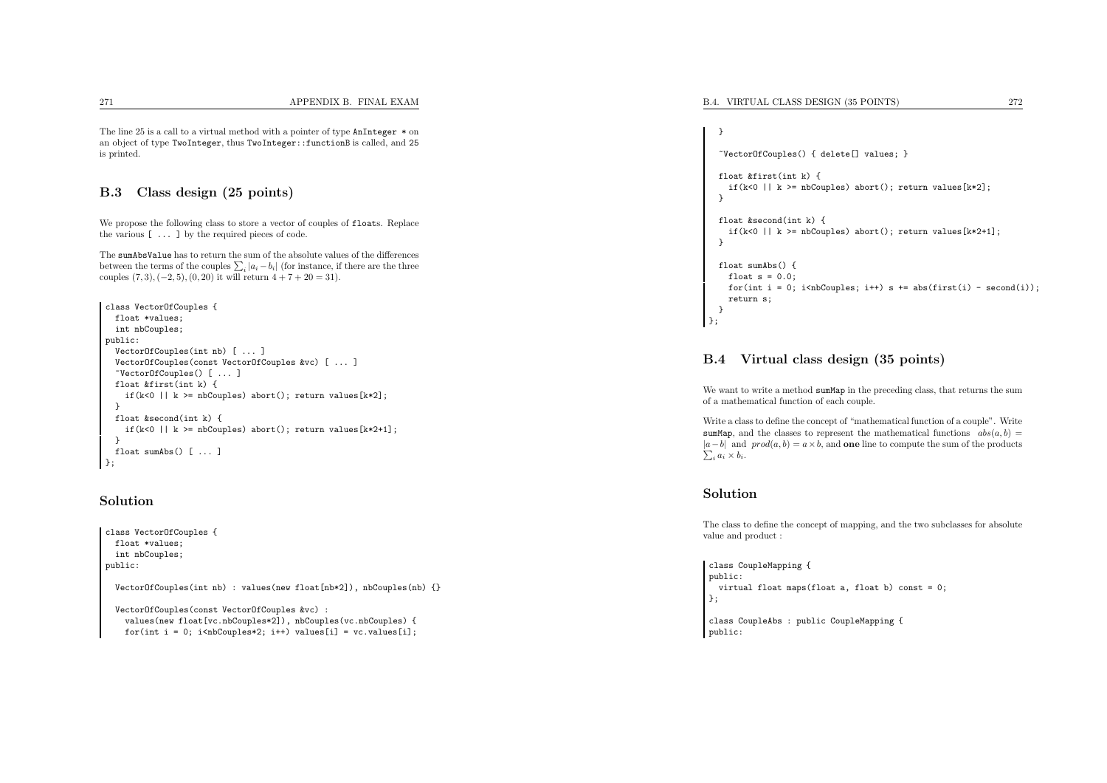The line <sup>25</sup> is <sup>a</sup> call to <sup>a</sup> virtual method with <sup>a</sup> pointer of type AnInteger \* on an object of type TwoInteger, thus TwoInteger::functionB is called, and <sup>25</sup> is printed.

## B.3 Class design (25 points)

We propose the following class to store <sup>a</sup> vector of couples of floats. Replacethe various [ ... ] by the required <sup>p</sup>ieces of code.

The sumAbsValue has to return the sum of the absolute values of the differences between the terms of the couples  $\sum_i |a_i - b_i|$  (for instance, if there are the three couples  $(7, 3), (-2, 5), (0, 20)$  it will return  $4 + 7 + 20 = 31$ .

```
class VectorOfCouples {
 float *values;
 int nbCouples;
public:
VectorOfCouples(int nb) [ ... ]
  VectorOfCouples(const VectorOfCouples &vc) [ ... ]
  ~VectorOfCouples() [ ... ]
  float &first(int k) {
   if(k<0 || k > = nbCouples) abort(); return values[k*2];
  }
float &second(int k) {
   if(k<0 || k >= nbCouples) abort(); return values[k*2+1];
  }
float sumAbs() [ ... ]
};
```
## Solution

```
class VectorOfCouples {
 float *values;
 int nbCouples;
public:VectorOfCouples(int nb) : values(new float[nb*2]), nbCouples(nb) {}
  VectorOfCouples(const VectorOfCouples &vc) :
    values(new float[vc.nbCouples*2]), nbCouples(vc.nbCouples) {
   for(int i = 0; i <nbCouples*2; i ++) values[i] = vc.values[i];
```

```
}~VectorOfCouples() { delete[] values; }
 float &first(int k) {
   if(k<0 || k \rangle = nbCouples) abort(); return values[k*2];
 }float &second(int k) {
   if(k<0 || k \rangle = nbCouples) abort(); return values[k*2+1];
 }float sumAbs() {
   float s = 0.0:
   for(int i = 0; i<nbCouples; i^{++}) s += abs(first(i) - second(i));
   return s;
\overline{ }
};
```
### B.4 Virtual class design (35 points)

We want to write <sup>a</sup> method sumMap in the preceding class, that returns the sumof <sup>a</sup> mathematical function of each couple.

Write <sup>a</sup> class to define the concept of "mathematical function of <sup>a</sup> couple". Write sumMap, and the classes to represent the mathematical functions  $\,abs(a, b) =$  $|a-b|$  and  $prod(a, b) = a \times b$ , and **one** line to compute the sum of the products  $\sum_i a_i \times b_i$ .  $a_i \times b_i$ .

### Solution

The class to define the concept of mapping, and the two subclasses for absolutevalue and product :

class CoupleMapping { public: virtual float maps(float a, float b) const <sup>=</sup> 0; };

class CoupleAbs : public CoupleMapping { public:

271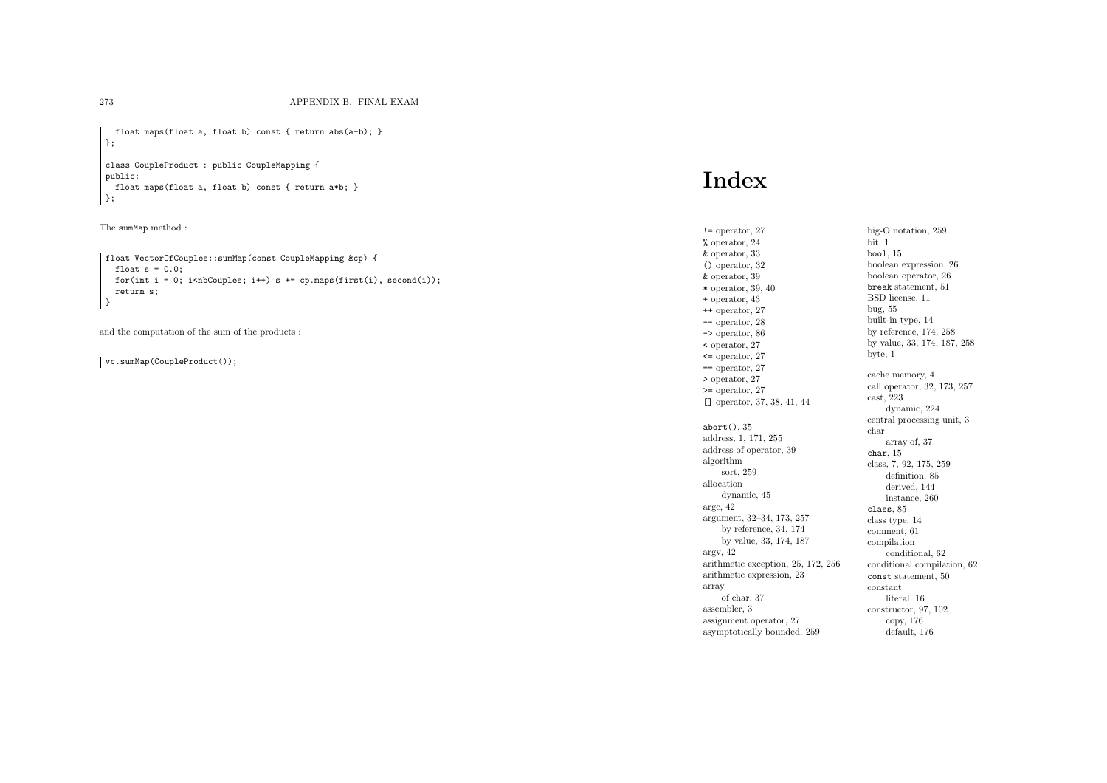```
float maps(float a, float b) const { return abs(a-b); }
};class CoupleProduct : public CoupleMapping {
public:
float maps(float a, float b) const { return a*b; }
};
```
The sumMap method :

```
float VectorOfCouples::sumMap(const CoupleMapping &cp) {
  float s = 0.0;
  for(int i = 0; i<nbCouples; i++) s += cp.maps(first(i), second(i));
  return s;
 }
```
and the computation of the sum of the products :

vc.sumMap(CoupleProduct());

# Index

!= operator, <sup>27</sup> % operator, <sup>24</sup> & operator, <sup>33</sup> () operator, <sup>32</sup> & operator, <sup>39</sup> \* operator, 39, <sup>40</sup> + operator, <sup>43</sup> ++ operator, <sup>27</sup> -- operator, <sup>28</sup> -> operator, <sup>86</sup> < operator, <sup>27</sup> <= operator, <sup>27</sup> == operator, <sup>27</sup> > operator, <sup>27</sup> >= operator, <sup>27</sup> [] operator, 37, 38, 41, <sup>44</sup> abort(), <sup>35</sup> address, 1, 171, <sup>255</sup> address-of operator, <sup>39</sup>algorithm sort, <sup>259</sup>allocation dynamic, <sup>45</sup>argc, <sup>42</sup> argument, 32–34, 173, <sup>257</sup> by reference, 34, <sup>174</sup> by value, 33, 174, <sup>187</sup>argv, <sup>42</sup> arithmetic exception, 25, 172, <sup>256</sup>arithmetic expression, <sup>23</sup>array of char, <sup>37</sup>assembler, <sup>3</sup>assignment operator, <sup>27</sup>

asymptotically bounded, <sup>259</sup>

big-O notation, <sup>259</sup>bit, <sup>1</sup>bool,  $15\,$  boolean expression, <sup>26</sup>boolean operator, <sup>26</sup> break statement, <sup>51</sup> BSD license, <sup>11</sup>bug, <sup>55</sup> built-in type, <sup>14</sup> by reference, 174, <sup>258</sup> by value, 33, 174, 187, <sup>258</sup>byte, <sup>1</sup>cache memory, <sup>4</sup> call operator, 32, 173, <sup>257</sup>cast, <sup>223</sup> dynamic, <sup>224</sup> central processing unit, <sup>3</sup>chararray of, <sup>37</sup>char, <sup>15</sup> class, 7, 92, 175, <sup>259</sup>definition, <sup>85</sup> derived, <sup>144</sup> instance, <sup>260</sup>class, <sup>85</sup> class type, <sup>14</sup> comment, <sup>61</sup> compilation conditional, <sup>62</sup> conditional compilation, <sup>62</sup>const statement, <sup>50</sup> constant literal, <sup>16</sup> constructor, 97, <sup>102</sup>copy, <sup>176</sup>default, <sup>176</sup>

273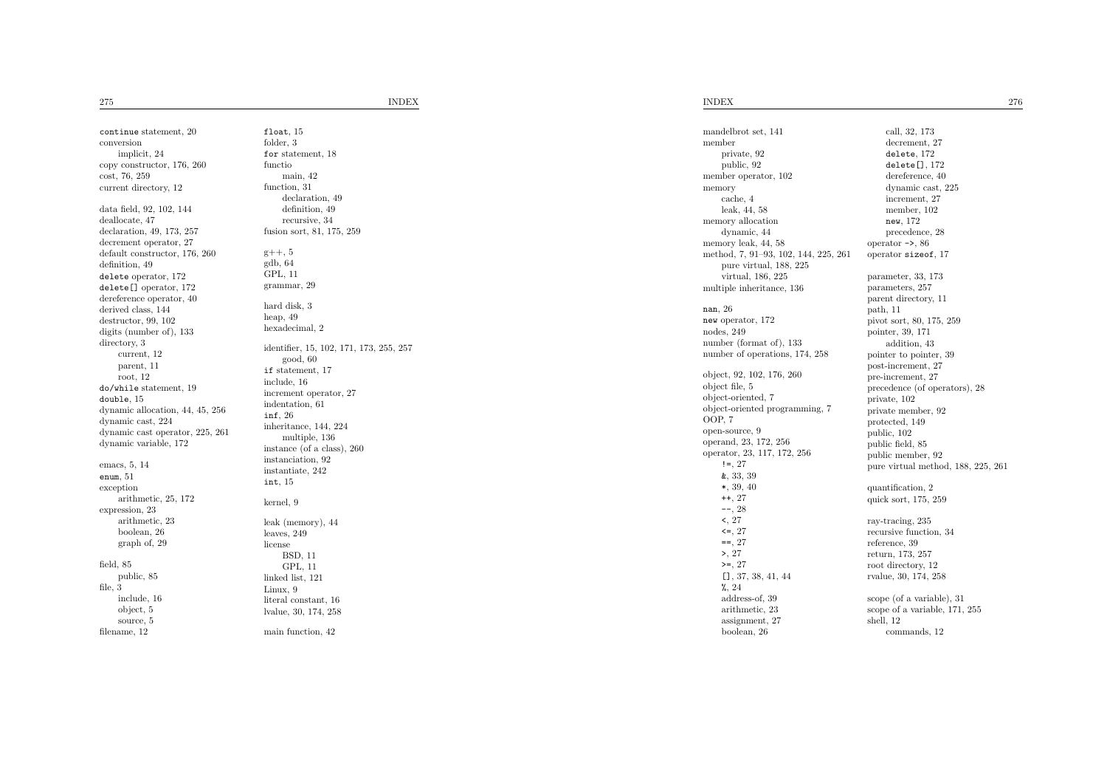275

5 INDEX continue statement, <sup>20</sup> conversion implicit, <sup>24</sup> copy constructor, 176, <sup>260</sup>cost, 76, <sup>259</sup> current directory, <sup>12</sup>data field, 92, 102, <sup>144</sup>deallocate, <sup>47</sup> declaration, 49, 173, <sup>257</sup> decrement operator, <sup>27</sup> default constructor, 176, <sup>260</sup>definition, <sup>49</sup> delete operator, <sup>172</sup> delete[] operator, <sup>172</sup> dereference operator, <sup>40</sup>derived class, <sup>144</sup> destructor, 99, <sup>102</sup> digits (number of), <sup>133</sup>directory, <sup>3</sup> current, <sup>12</sup> parent, <sup>11</sup>root, <sup>12</sup> do/while statement, <sup>19</sup> double, <sup>15</sup> dynamic allocation, 44, 45, <sup>256</sup>dynamic cast, <sup>224</sup> dynamic cast operator, 225, <sup>261</sup>dynamic variable, <sup>172</sup>emacs, 5, <sup>14</sup>enum, <sup>51</sup> exception arithmetic, 25, <sup>172</sup>expression, <sup>23</sup> arithmetic, <sup>23</sup>boolean, <sup>26</sup> grap<sup>h</sup> of, <sup>29</sup>field, <sup>85</sup> public, <sup>85</sup>file, <sup>3</sup> include, <sup>16</sup>object, <sup>5</sup>

 source, <sup>5</sup>filename, <sup>12</sup>

float, <sup>15</sup> folder, <sup>3</sup> for statement, <sup>18</sup> functio main, <sup>42</sup> function, <sup>31</sup> declaration, <sup>49</sup>definition, <sup>49</sup> recursive, <sup>34</sup> fusion sort, 81, 175, <sup>259</sup> $g_{++}$ , 5 gdb, <sup>64</sup> GPL, <sup>11</sup> grammar, <sup>29</sup>hard disk, <sup>3</sup>heap, <sup>49</sup> hexadecimal, <sup>2</sup>identifier, 15, 102, 171, 173, 255, <sup>257</sup>good, <sup>60</sup> if statement, <sup>17</sup> include, <sup>16</sup> increment operator, <sup>27</sup>indentation, <sup>61</sup>inf, <sup>26</sup> inheritance, 144, <sup>224</sup>multiple, <sup>136</sup> instance (of <sup>a</sup> class), <sup>260</sup>instanciation, <sup>92</sup> instantiate, <sup>242</sup>int, <sup>15</sup>kernel, <sup>9</sup>leak (memory), <sup>44</sup>leaves, <sup>249</sup>license BSD, <sup>11</sup> GPL, <sup>11</sup> linked list, <sup>121</sup>Linux, <sup>9</sup> literal constant, <sup>16</sup> lvalue, 30, 174, <sup>258</sup>main function, <sup>42</sup>

## INDEX

mandelbrot set, <sup>141</sup>member private, <sup>92</sup> public, <sup>92</sup> member operator, <sup>102</sup>memory cache, <sup>4</sup> leak, 44, <sup>58</sup> memory allocationdynamic, <sup>44</sup> memory leak, 44, <sup>58</sup> method, 7, 91–93, 102, 144, 225, <sup>261</sup>pure virtual, 188, <sup>225</sup>virtual, 186, <sup>225</sup> multiple inheritance, <sup>136</sup>nan, <sup>26</sup> new operator, <sup>172</sup> nodes, <sup>249</sup> number (format of), <sup>133</sup> number of operations, 174, <sup>258</sup>object, 92, 102, 176, <sup>260</sup>object file, <sup>5</sup> object-oriented, <sup>7</sup> object-oriented programming, <sup>7</sup>OOP, <sup>7</sup> open-source, <sup>9</sup> operand, 23, 172, <sup>256</sup> operator, 23, 117, 172, <sup>256</sup> $!=$ , 27 &, 33, <sup>39</sup> \*, 39, <sup>40</sup>++, <sup>27</sup> --, <sup>28</sup> <sup>&</sup>lt;, <sup>27</sup> <=, <sup>27</sup> ==, <sup>27</sup> <sup>&</sup>gt;, <sup>27</sup> >=, <sup>27</sup> [], 37, 38, 41, <sup>44</sup>%, <sup>24</sup> address-of, <sup>39</sup> arithmetic, <sup>23</sup> assignment, <sup>27</sup>boolean, <sup>26</sup>

call, 32, <sup>173</sup> decrement, delete, <sup>172</sup>delete $\textcolor{orange}{\textbf{[}}\textcolor{orange}{\textbf{[}}\textcolor{orange}{\textbf{[}}\textcolor{orange}{\textbf{[}}\textcolor{orange}{\textbf{[}}\textcolor{orange}{\textbf{[}}\textcolor{orange}{\textbf{[}}\textcolor{orange}{\textbf{[}}\textcolor{blue}{\textbf{[}}\textcolor{blue}{\textbf{[}}\textcolor{blue}{\textbf{[}}\textcolor{blue}{\textbf{[}}\textcolor{blue}{\textbf{[}}\textcolor{blue}{\textbf{[}}\textcolor{blue}{\textbf{[}}\textcolor{blue}{\textbf{[}}\textcolor{blue}{\textbf{[}}\textcolor{blue}{\textbf{$  dereference, dynamic cast, increment, member, <sup>102</sup>new, <sup>172</sup> precedence, operator ->, operator sizeof, parameter, 33, parameters, parent directory, path, <sup>11</sup> <sup>p</sup>ivot sort, 80, 175, pointer, 39, addition, pointer to pointer, post-increment, pre-increment, precedence (of operators), private, <sup>102</sup> private member, protected, public, <sup>102</sup> public field, public member, pure virtual method, 188, 225, quantification, quick sort, 175, ray-tracing,

 recursive function, reference, return, 173, root directory, rvalue, 30, 174, scope (of <sup>a</sup> variable), scope of <sup>a</sup> variable, 171,

shell, <sup>12</sup>commands, <sup>12</sup>